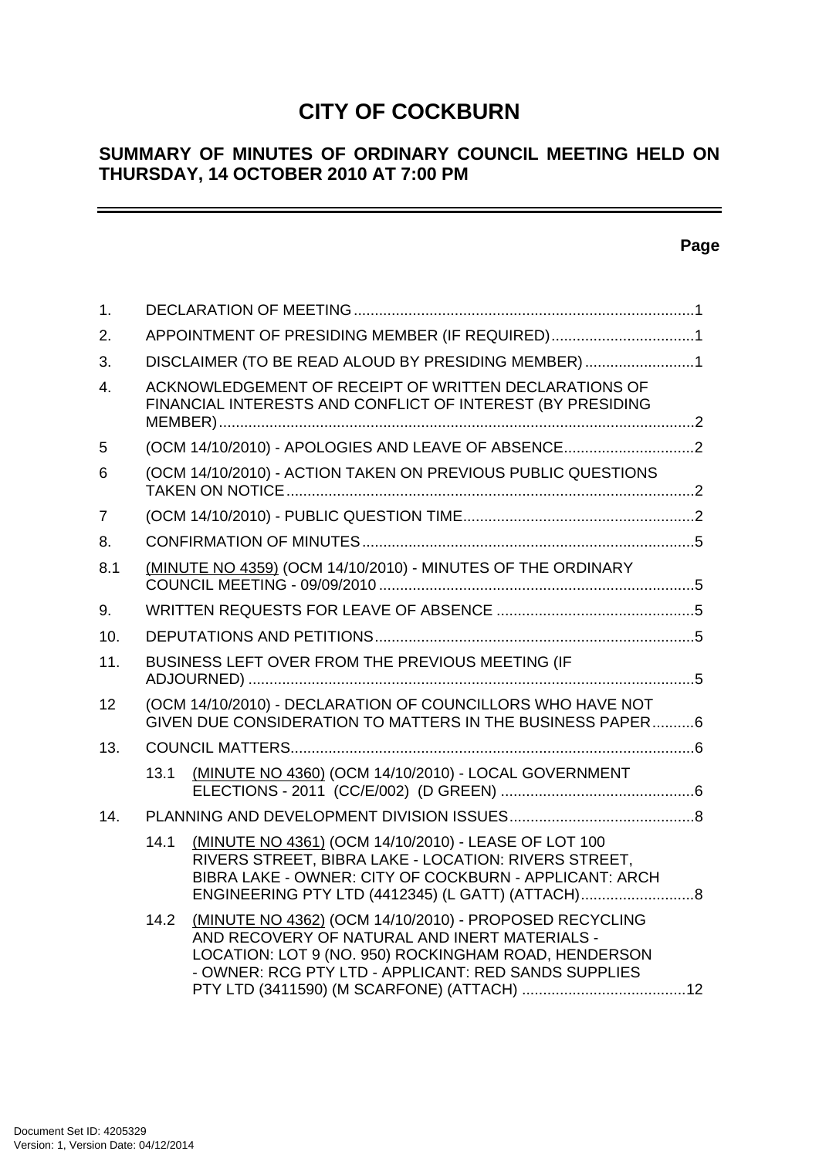# **CITY OF COCKBURN**

# **SUMMARY OF MINUTES OF ORDINARY COUNCIL MEETING HELD ON THURSDAY, 14 OCTOBER 2010 AT 7:00 PM**

# **Page**

| 1.               |      |                                                                                                                                                                                                                           |
|------------------|------|---------------------------------------------------------------------------------------------------------------------------------------------------------------------------------------------------------------------------|
| 2.               |      | APPOINTMENT OF PRESIDING MEMBER (IF REQUIRED)1                                                                                                                                                                            |
| 3.               |      | DISCLAIMER (TO BE READ ALOUD BY PRESIDING MEMBER) 1                                                                                                                                                                       |
| $\overline{4}$ . |      | ACKNOWLEDGEMENT OF RECEIPT OF WRITTEN DECLARATIONS OF<br>FINANCIAL INTERESTS AND CONFLICT OF INTEREST (BY PRESIDING                                                                                                       |
| 5                |      | (OCM 14/10/2010) - APOLOGIES AND LEAVE OF ABSENCE2                                                                                                                                                                        |
| 6                |      | (OCM 14/10/2010) - ACTION TAKEN ON PREVIOUS PUBLIC QUESTIONS                                                                                                                                                              |
| 7                |      |                                                                                                                                                                                                                           |
| 8.               |      |                                                                                                                                                                                                                           |
| 8.1              |      | (MINUTE NO 4359) (OCM 14/10/2010) - MINUTES OF THE ORDINARY                                                                                                                                                               |
| 9.               |      |                                                                                                                                                                                                                           |
| 10.              |      |                                                                                                                                                                                                                           |
| 11.              |      | BUSINESS LEFT OVER FROM THE PREVIOUS MEETING (IF                                                                                                                                                                          |
| 12               |      | (OCM 14/10/2010) - DECLARATION OF COUNCILLORS WHO HAVE NOT<br>GIVEN DUE CONSIDERATION TO MATTERS IN THE BUSINESS PAPER6                                                                                                   |
| 13.              |      |                                                                                                                                                                                                                           |
|                  | 13.1 | (MINUTE NO 4360) (OCM 14/10/2010) - LOCAL GOVERNMENT                                                                                                                                                                      |
| 14.              |      |                                                                                                                                                                                                                           |
|                  | 14.1 | (MINUTE NO 4361) (OCM 14/10/2010) - LEASE OF LOT 100<br>RIVERS STREET, BIBRA LAKE - LOCATION: RIVERS STREET,<br>BIBRA LAKE - OWNER: CITY OF COCKBURN - APPLICANT: ARCH<br>ENGINEERING PTY LTD (4412345) (L GATT) (ATTACH) |
|                  | 14.2 | (MINUTE NO 4362) (OCM 14/10/2010) - PROPOSED RECYCLING<br>AND RECOVERY OF NATURAL AND INERT MATERIALS -<br>LOCATION: LOT 9 (NO. 950) ROCKINGHAM ROAD, HENDERSON<br>- OWNER: RCG PTY LTD - APPLICANT: RED SANDS SUPPLIES   |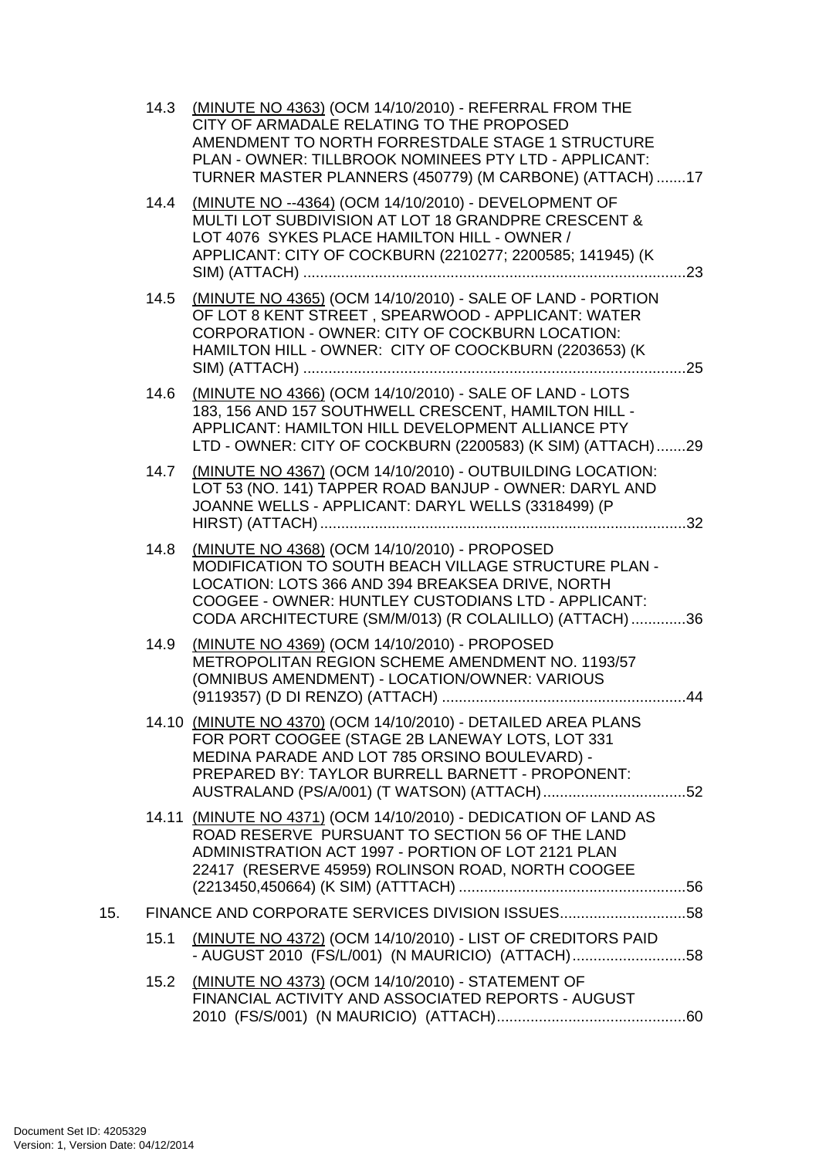|  | 14.3 (MINUTE NO 4363) (OCM 14/10/2010) - REFERRAL FROM THE |
|--|------------------------------------------------------------|
|  | CITY OF ARMADALE RELATING TO THE PROPOSED                  |
|  | AMENDMENT TO NORTH FORRESTDALE STAGE 1 STRUCTURE           |
|  | PLAN - OWNER: TILLBROOK NOMINEES PTY LTD - APPLICANT:      |
|  | TURNER MASTER PLANNERS (450779) (M CARBONE) (ATTACH) 17    |
|  |                                                            |

| 14.4 (MINUTE NO --4364) (OCM 14/10/2010) - DEVELOPMENT OF |     |
|-----------------------------------------------------------|-----|
| MULTI LOT SUBDIVISION AT LOT 18 GRANDPRE CRESCENT &       |     |
| LOT 4076 SYKES PLACE HAMILTON HILL - OWNER /              |     |
| APPLICANT: CITY OF COCKBURN (2210277; 2200585; 141945) (K |     |
|                                                           | -23 |
|                                                           |     |

|  | 14.5 (MINUTE NO 4365) (OCM 14/10/2010) - SALE OF LAND - PORTION |    |
|--|-----------------------------------------------------------------|----|
|  | OF LOT 8 KENT STREET, SPEARWOOD - APPLICANT: WATER              |    |
|  | CORPORATION - OWNER: CITY OF COCKBURN LOCATION:                 |    |
|  | HAMILTON HILL - OWNER: CITY OF COOCKBURN (2203653) (K)          |    |
|  |                                                                 | 25 |

| (MINUTE NO 4366) (OCM 14/10/2010) - SALE OF LAND - LOTS    |
|------------------------------------------------------------|
| 183, 156 AND 157 SOUTHWELL CRESCENT, HAMILTON HILL -       |
| APPLICANT: HAMILTON HILL DEVELOPMENT ALLIANCE PTY          |
| LTD - OWNER: CITY OF COCKBURN (2200583) (K SIM) (ATTACH)29 |
|                                                            |

| 14.7 (MINUTE NO 4367) (OCM 14/10/2010) - OUTBUILDING LOCATION: |      |
|----------------------------------------------------------------|------|
| LOT 53 (NO. 141) TAPPER ROAD BANJUP - OWNER: DARYL AND         |      |
| JOANNE WELLS - APPLICANT: DARYL WELLS (3318499) (P             |      |
|                                                                | - 32 |
|                                                                |      |

|  | 14.8 (MINUTE NO 4368) (OCM 14/10/2010) - PROPOSED           |  |
|--|-------------------------------------------------------------|--|
|  | <b>MODIFICATION TO SOUTH BEACH VILLAGE STRUCTURE PLAN -</b> |  |
|  | LOCATION: LOTS 366 AND 394 BREAKSEA DRIVE, NORTH            |  |
|  | COOGEE - OWNER: HUNTLEY CUSTODIANS LTD - APPLICANT:         |  |
|  | CODA ARCHITECTURE (SM/M/013) (R COLALILLO) (ATTACH) 36      |  |
|  |                                                             |  |

| 14.9 (MINUTE NO 4369) (OCM 14/10/2010) - PROPOSED |  |
|---------------------------------------------------|--|
| METROPOLITAN REGION SCHEME AMENDMENT NO. 1193/57  |  |
| (OMNIBUS AMENDMENT) - LOCATION/OWNER: VARIOUS     |  |
|                                                   |  |
|                                                   |  |

| 14.10 (MINUTE NO 4370) (OCM 14/10/2010) - DETAILED AREA PLANS |  |
|---------------------------------------------------------------|--|
| FOR PORT COOGEE (STAGE 2B LANEWAY LOTS, LOT 331               |  |
| MEDINA PARADE AND LOT 785 ORSINO BOULEVARD) -                 |  |
| PREPARED BY: TAYLOR BURRELL BARNETT - PROPONENT:              |  |
|                                                               |  |
|                                                               |  |

|     | 14.11 (MINUTE NO 4371) (OCM 14/10/2010) - DEDICATION OF LAND AS<br>ROAD RESERVE PURSUANT TO SECTION 56 OF THE LAND<br>ADMINISTRATION ACT 1997 - PORTION OF LOT 2121 PLAN<br>22417 (RESERVE 45959) ROLINSON ROAD, NORTH COOGEE                                                                                                                                                                                |  |
|-----|--------------------------------------------------------------------------------------------------------------------------------------------------------------------------------------------------------------------------------------------------------------------------------------------------------------------------------------------------------------------------------------------------------------|--|
|     |                                                                                                                                                                                                                                                                                                                                                                                                              |  |
| 15. |                                                                                                                                                                                                                                                                                                                                                                                                              |  |
|     | $\overline{AB}$ $\overline{AB}$ $\overline{AB}$ $\overline{BC}$ $\overline{BC}$ $\overline{BC}$ $\overline{BC}$ $\overline{BC}$ $\overline{BC}$ $\overline{BC}$ $\overline{BC}$ $\overline{BC}$ $\overline{BC}$ $\overline{BC}$ $\overline{BC}$ $\overline{BC}$ $\overline{BC}$ $\overline{BC}$ $\overline{BC}$ $\overline{BC}$ $\overline{BC}$ $\overline{BC}$ $\overline{BC}$ $\overline{BC}$ $\overline{$ |  |

| 15.1 (MINUTE NO 4372) (OCM 14/10/2010) - LIST OF CREDITORS PAID |  |
|-----------------------------------------------------------------|--|
| - AUGUST 2010 (FS/L/001) (N MAURICIO) (ATTACH)                  |  |
|                                                                 |  |

| 15.2 (MINUTE NO 4373) (OCM 14/10/2010) - STATEMENT OF |  |
|-------------------------------------------------------|--|
| FINANCIAL ACTIVITY AND ASSOCIATED REPORTS - AUGUST    |  |
|                                                       |  |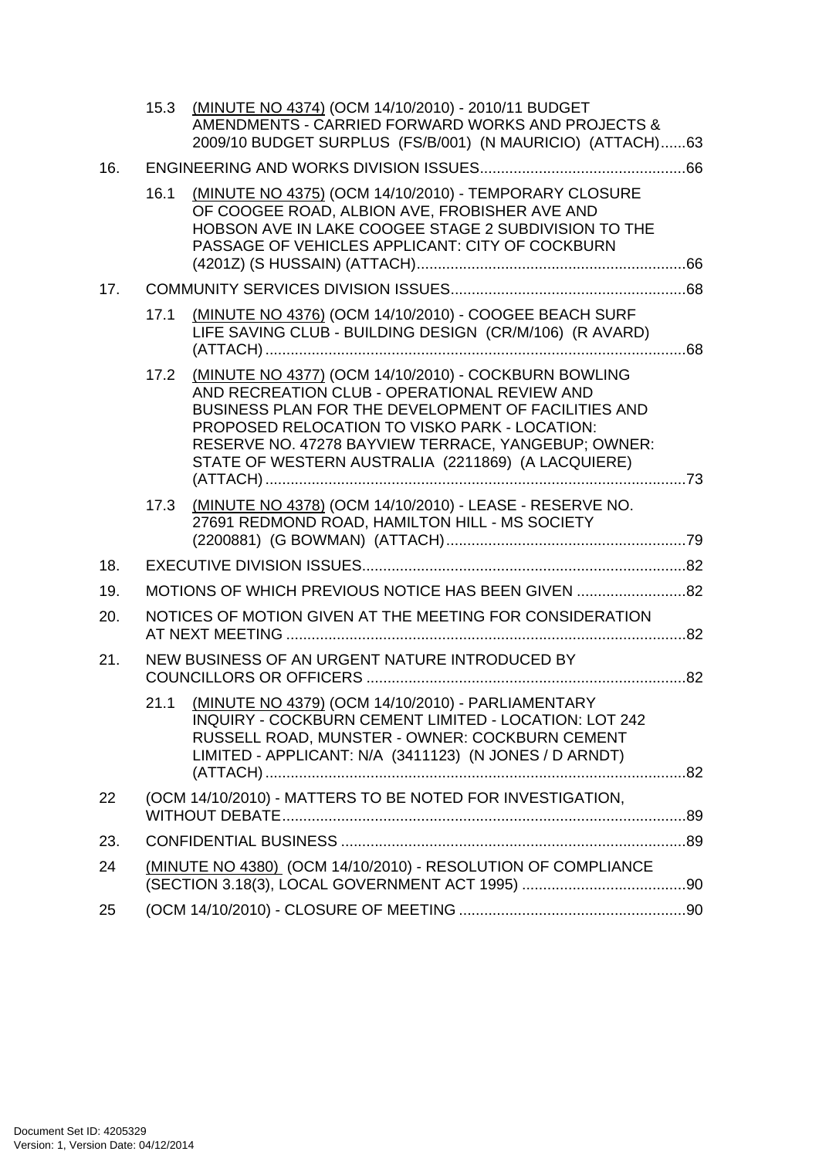|     | 15.3 | (MINUTE NO 4374) (OCM 14/10/2010) - 2010/11 BUDGET<br>AMENDMENTS - CARRIED FORWARD WORKS AND PROJECTS &<br>2009/10 BUDGET SURPLUS (FS/B/001) (N MAURICIO) (ATTACH)63                                                                                                                                                      |  |
|-----|------|---------------------------------------------------------------------------------------------------------------------------------------------------------------------------------------------------------------------------------------------------------------------------------------------------------------------------|--|
| 16. |      |                                                                                                                                                                                                                                                                                                                           |  |
|     | 16.1 | (MINUTE NO 4375) (OCM 14/10/2010) - TEMPORARY CLOSURE<br>OF COOGEE ROAD, ALBION AVE, FROBISHER AVE AND<br>HOBSON AVE IN LAKE COOGEE STAGE 2 SUBDIVISION TO THE<br>PASSAGE OF VEHICLES APPLICANT: CITY OF COCKBURN                                                                                                         |  |
| 17. |      |                                                                                                                                                                                                                                                                                                                           |  |
|     | 17.1 | (MINUTE NO 4376) (OCM 14/10/2010) - COOGEE BEACH SURF<br>LIFE SAVING CLUB - BUILDING DESIGN (CR/M/106) (R AVARD)                                                                                                                                                                                                          |  |
|     | 17.2 | (MINUTE NO 4377) (OCM 14/10/2010) - COCKBURN BOWLING<br>AND RECREATION CLUB - OPERATIONAL REVIEW AND<br>BUSINESS PLAN FOR THE DEVELOPMENT OF FACILITIES AND<br>PROPOSED RELOCATION TO VISKO PARK - LOCATION:<br>RESERVE NO. 47278 BAYVIEW TERRACE, YANGEBUP; OWNER:<br>STATE OF WESTERN AUSTRALIA (2211869) (A LACQUIERE) |  |
|     | 17.3 | (MINUTE NO 4378) (OCM 14/10/2010) - LEASE - RESERVE NO.<br>27691 REDMOND ROAD, HAMILTON HILL - MS SOCIETY                                                                                                                                                                                                                 |  |
| 18. |      |                                                                                                                                                                                                                                                                                                                           |  |
| 19. |      | MOTIONS OF WHICH PREVIOUS NOTICE HAS BEEN GIVEN                                                                                                                                                                                                                                                                           |  |
| 20. |      | NOTICES OF MOTION GIVEN AT THE MEETING FOR CONSIDERATION                                                                                                                                                                                                                                                                  |  |
| 21. |      | NEW BUSINESS OF AN URGENT NATURE INTRODUCED BY                                                                                                                                                                                                                                                                            |  |
|     | 21.1 | (MINUTE NO 4379) (OCM 14/10/2010) - PARLIAMENTARY<br>INQUIRY - COCKBURN CEMENT LIMITED - LOCATION: LOT 242<br>RUSSELL ROAD, MUNSTER - OWNER: COCKBURN CEMENT<br>LIMITED - APPLICANT: N/A (3411123) (N JONES / D ARNDT)                                                                                                    |  |
| 22  |      | (OCM 14/10/2010) - MATTERS TO BE NOTED FOR INVESTIGATION,                                                                                                                                                                                                                                                                 |  |
| 23. |      |                                                                                                                                                                                                                                                                                                                           |  |
| 24  |      | (MINUTE NO 4380) (OCM 14/10/2010) - RESOLUTION OF COMPLIANCE                                                                                                                                                                                                                                                              |  |
| 25  |      |                                                                                                                                                                                                                                                                                                                           |  |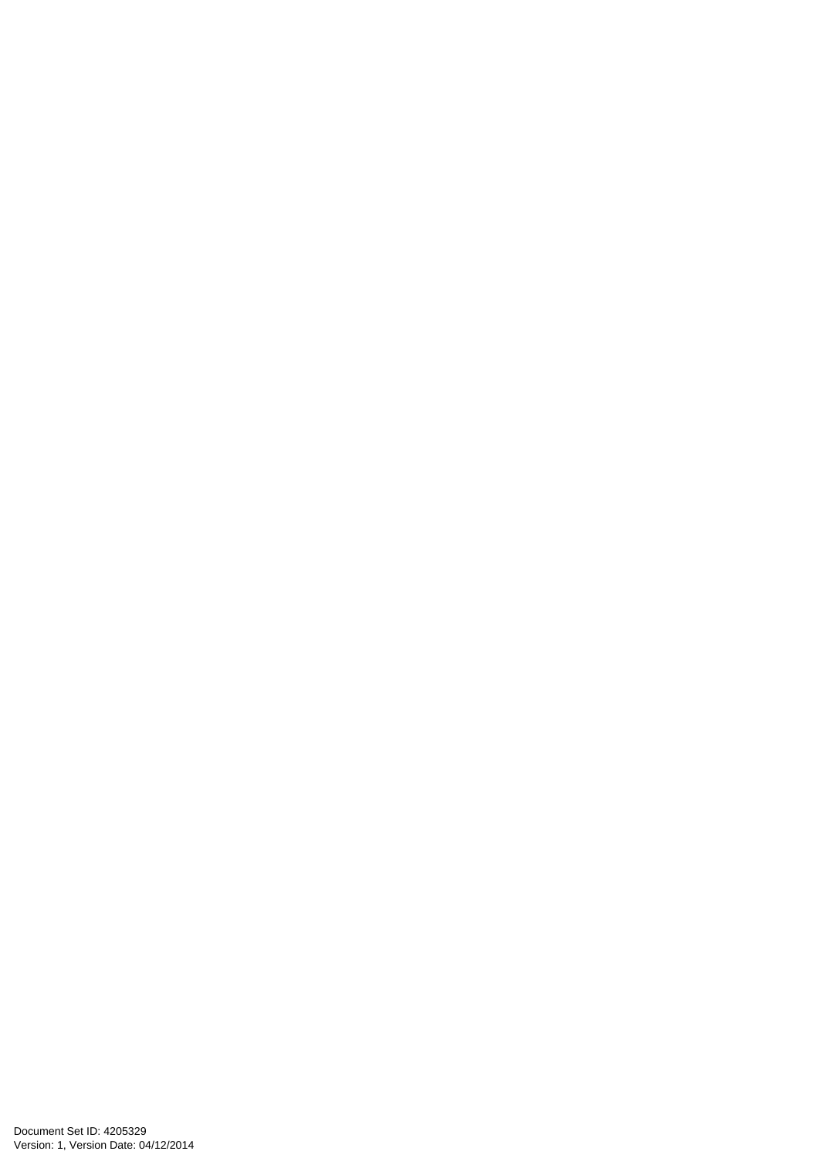Document Set ID: 4205329<br>Version: 1, Version Date: 04/12/2014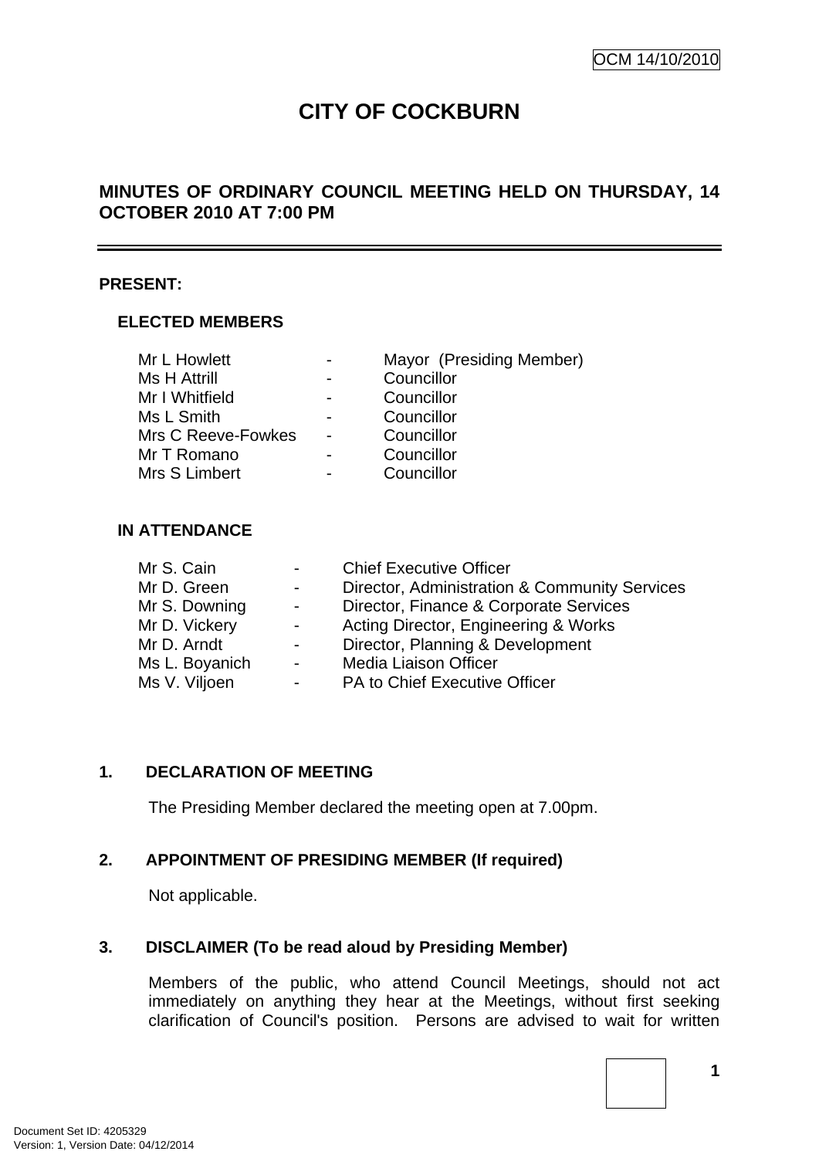# **CITY OF COCKBURN**

# <span id="page-4-0"></span>**MINUTES OF ORDINARY COUNCIL MEETING HELD ON THURSDAY, 14 OCTOBER 2010 AT 7:00 PM**

### **PRESENT:**

### **ELECTED MEMBERS**

| Mr L Howlett       | Mayor (Presiding Member) |
|--------------------|--------------------------|
| Ms H Attrill       | Councillor               |
| Mr I Whitfield     | Councillor               |
| Ms L Smith         | Councillor               |
| Mrs C Reeve-Fowkes | Councillor               |
| Mr T Romano        | Councillor               |
| Mrs S Limbert      | Councillor               |

### **IN ATTENDANCE**

| Mr S. Cain     | $\sim 100$       | <b>Chief Executive Officer</b>                |
|----------------|------------------|-----------------------------------------------|
| Mr D. Green    | $\sim 100$       | Director, Administration & Community Services |
| Mr S. Downing  | $\sim 100$       | Director, Finance & Corporate Services        |
| Mr D. Vickery  | $\sim 100$       | Acting Director, Engineering & Works          |
| Mr D. Arndt    | $\sim$ 100 $\mu$ | Director, Planning & Development              |
| Ms L. Boyanich | $\sim 100$       | Media Liaison Officer                         |
| Ms V. Viljoen  | $\sim 100$       | <b>PA to Chief Executive Officer</b>          |

### **1. DECLARATION OF MEETING**

The Presiding Member declared the meeting open at 7.00pm.

## **2. APPOINTMENT OF PRESIDING MEMBER (If required)**

Not applicable.

# **3. DISCLAIMER (To be read aloud by Presiding Member)**

Members of the public, who attend Council Meetings, should not act immediately on anything they hear at the Meetings, without first seeking clarification of Council's position. Persons are advised to wait for written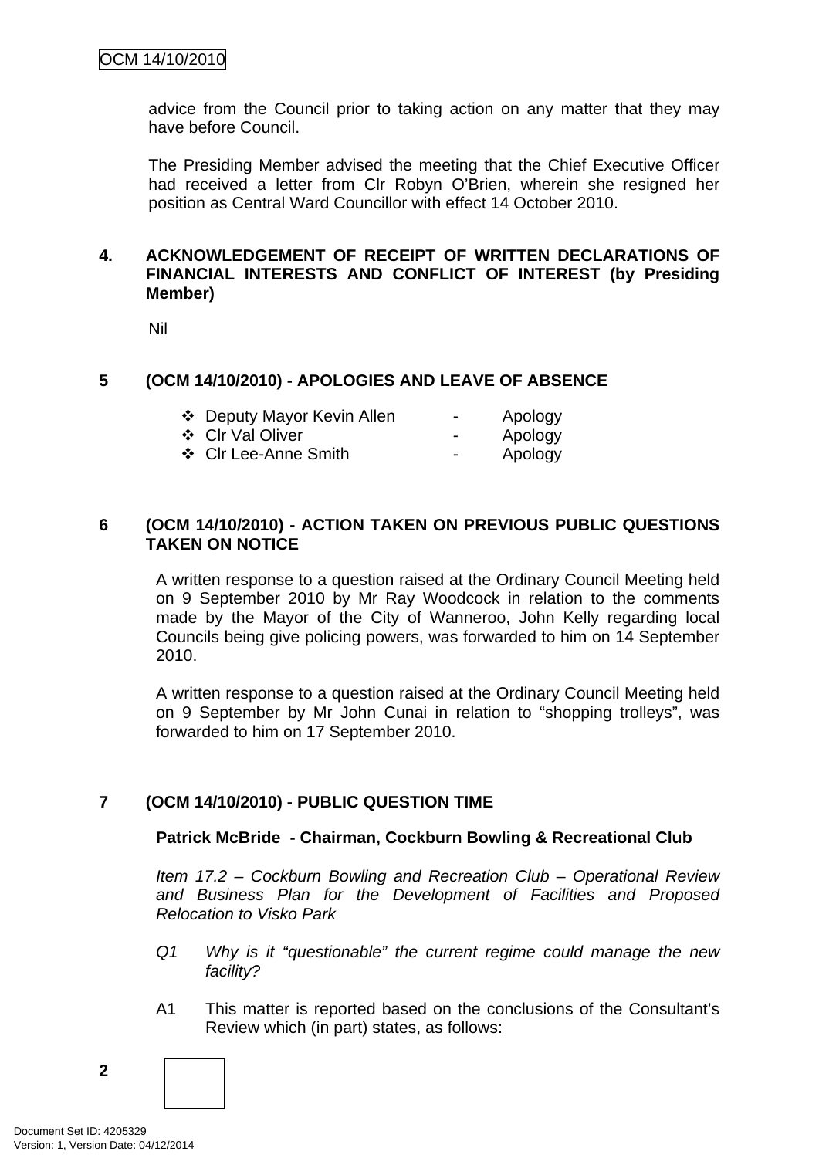<span id="page-5-0"></span>advice from the Council prior to taking action on any matter that they may have before Council.

The Presiding Member advised the meeting that the Chief Executive Officer had received a letter from Clr Robyn O'Brien, wherein she resigned her position as Central Ward Councillor with effect 14 October 2010.

## **4. ACKNOWLEDGEMENT OF RECEIPT OF WRITTEN DECLARATIONS OF FINANCIAL INTERESTS AND CONFLICT OF INTEREST (by Presiding Member)**

Nil

### **5 (OCM 14/10/2010) - APOLOGIES AND LEAVE OF ABSENCE**

| ❖ Deputy Mayor Kevin Allen | Apology |
|----------------------------|---------|
|                            |         |

- ❖ Clr Val Oliver → Apology
	-
- ❖ Clr Lee-Anne Smith Apology

### **6 (OCM 14/10/2010) - ACTION TAKEN ON PREVIOUS PUBLIC QUESTIONS TAKEN ON NOTICE**

A written response to a question raised at the Ordinary Council Meeting held on 9 September 2010 by Mr Ray Woodcock in relation to the comments made by the Mayor of the City of Wanneroo, John Kelly regarding local Councils being give policing powers, was forwarded to him on 14 September 2010.

A written response to a question raised at the Ordinary Council Meeting held on 9 September by Mr John Cunai in relation to "shopping trolleys", was forwarded to him on 17 September 2010.

# **7 (OCM 14/10/2010) - PUBLIC QUESTION TIME**

### **Patrick McBride - Chairman, Cockburn Bowling & Recreational Club**

*Item 17.2 – Cockburn Bowling and Recreation Club – Operational Review and Business Plan for the Development of Facilities and Proposed Relocation to Visko Park* 

- *Q1 Why is it "questionable" the current regime could manage the new facility?*
- A1 This matter is reported based on the conclusions of the Consultant's Review which (in part) states, as follows:

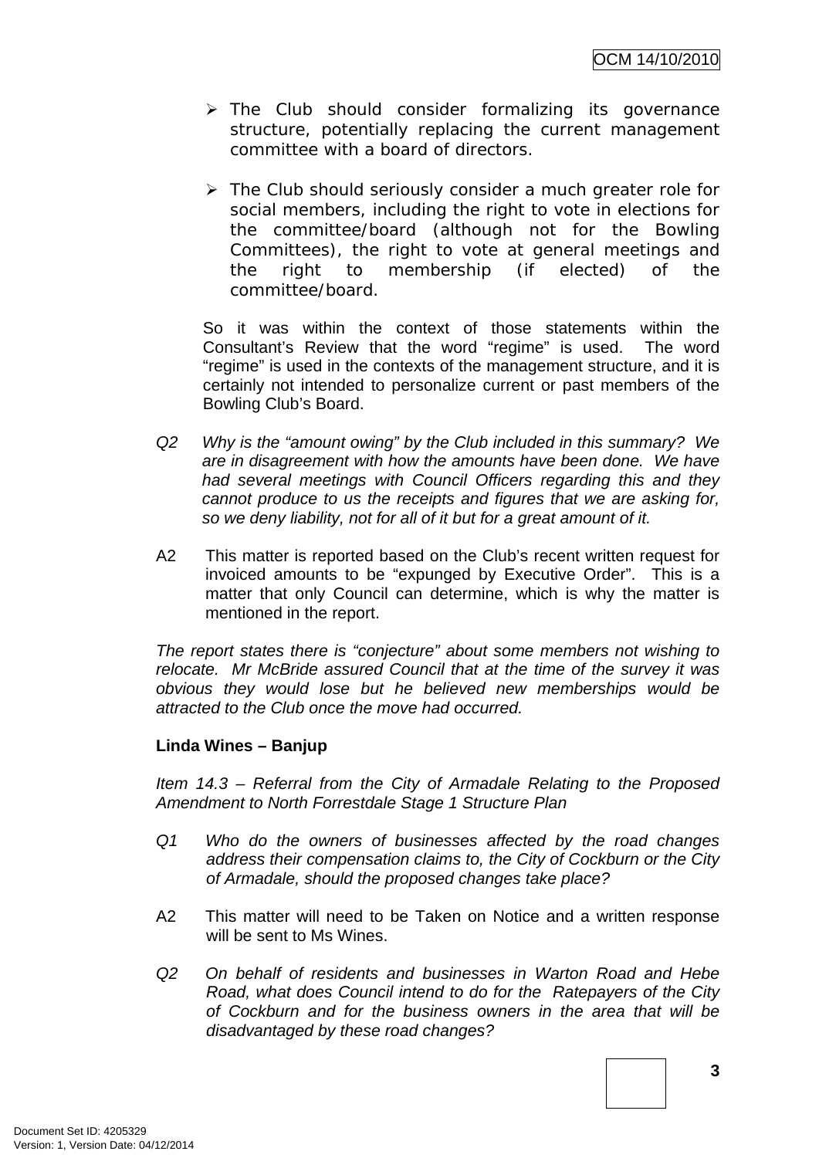- ¾ *The Club should consider formalizing its governance structure, potentially replacing the current management committee with a board of directors.*
- ¾ *The Club should seriously consider a much greater role for social members, including the right to vote in elections for the committee/board (although not for the Bowling Committees), the right to vote at general meetings and the right to membership (if elected) of the committee/board.*

 So it was within the context of those statements within the Consultant's Review that the word "regime" is used. The word "regime" is used in the contexts of the management structure, and it is certainly not intended to personalize current or past members of the Bowling Club's Board.

- *Q2 Why is the "amount owing" by the Club included in this summary? We are in disagreement with how the amounts have been done. We have had several meetings with Council Officers regarding this and they cannot produce to us the receipts and figures that we are asking for, so we deny liability, not for all of it but for a great amount of it.*
- A2 This matter is reported based on the Club's recent written request for invoiced amounts to be "expunged by Executive Order". This is a matter that only Council can determine, which is why the matter is mentioned in the report.

*The report states there is "conjecture" about some members not wishing to relocate. Mr McBride assured Council that at the time of the survey it was obvious they would lose but he believed new memberships would be attracted to the Club once the move had occurred.* 

### **Linda Wines – Banjup**

*Item 14.3 – Referral from the City of Armadale Relating to the Proposed Amendment to North Forrestdale Stage 1 Structure Plan* 

- *Q1 Who do the owners of businesses affected by the road changes address their compensation claims to, the City of Cockburn or the City of Armadale, should the proposed changes take place?*
- A2 This matter will need to be Taken on Notice and a written response will be sent to Ms Wines.
- *Q2 On behalf of residents and businesses in Warton Road and Hebe Road, what does Council intend to do for the Ratepayers of the City of Cockburn and for the business owners in the area that will be disadvantaged by these road changes?*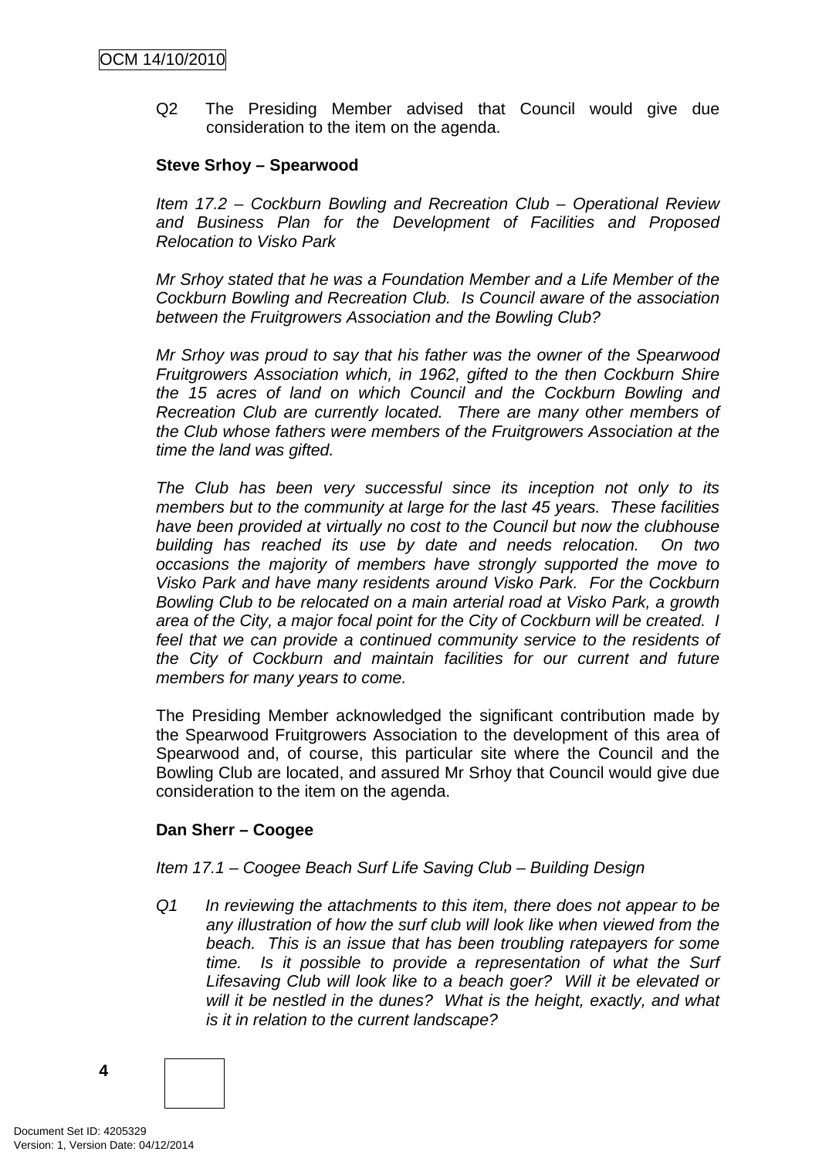<span id="page-7-0"></span>Q2 The Presiding Member advised that Council would give due consideration to the item on the agenda.

### **Steve Srhoy – Spearwood**

*Item 17.2 – Cockburn Bowling and Recreation Club – Operational Review and Business Plan for the Development of Facilities and Proposed Relocation to Visko Park* 

*Mr Srhoy stated that he was a Foundation Member and a Life Member of the Cockburn Bowling and Recreation Club. Is Council aware of the association between the Fruitgrowers Association and the Bowling Club?* 

*Mr Srhoy was proud to say that his father was the owner of the Spearwood Fruitgrowers Association which, in 1962, gifted to the then Cockburn Shire the 15 acres of land on which Council and the Cockburn Bowling and Recreation Club are currently located. There are many other members of the Club whose fathers were members of the Fruitgrowers Association at the time the land was gifted.* 

*The Club has been very successful since its inception not only to its members but to the community at large for the last 45 years. These facilities have been provided at virtually no cost to the Council but now the clubhouse building has reached its use by date and needs relocation. On two occasions the majority of members have strongly supported the move to Visko Park and have many residents around Visko Park. For the Cockburn Bowling Club to be relocated on a main arterial road at Visko Park, a growth area of the City, a major focal point for the City of Cockburn will be created. I feel that we can provide a continued community service to the residents of the City of Cockburn and maintain facilities for our current and future members for many years to come.* 

The Presiding Member acknowledged the significant contribution made by the Spearwood Fruitgrowers Association to the development of this area of Spearwood and, of course, this particular site where the Council and the Bowling Club are located, and assured Mr Srhoy that Council would give due consideration to the item on the agenda.

### **Dan Sherr – Coogee**

#### *Item 17.1 – Coogee Beach Surf Life Saving Club – Building Design*

*Q1 In reviewing the attachments to this item, there does not appear to be any illustration of how the surf club will look like when viewed from the beach. This is an issue that has been troubling ratepayers for some time. Is it possible to provide a representation of what the Surf Lifesaving Club will look like to a beach goer? Will it be elevated or will it be nestled in the dunes? What is the height, exactly, and what is it in relation to the current landscape?*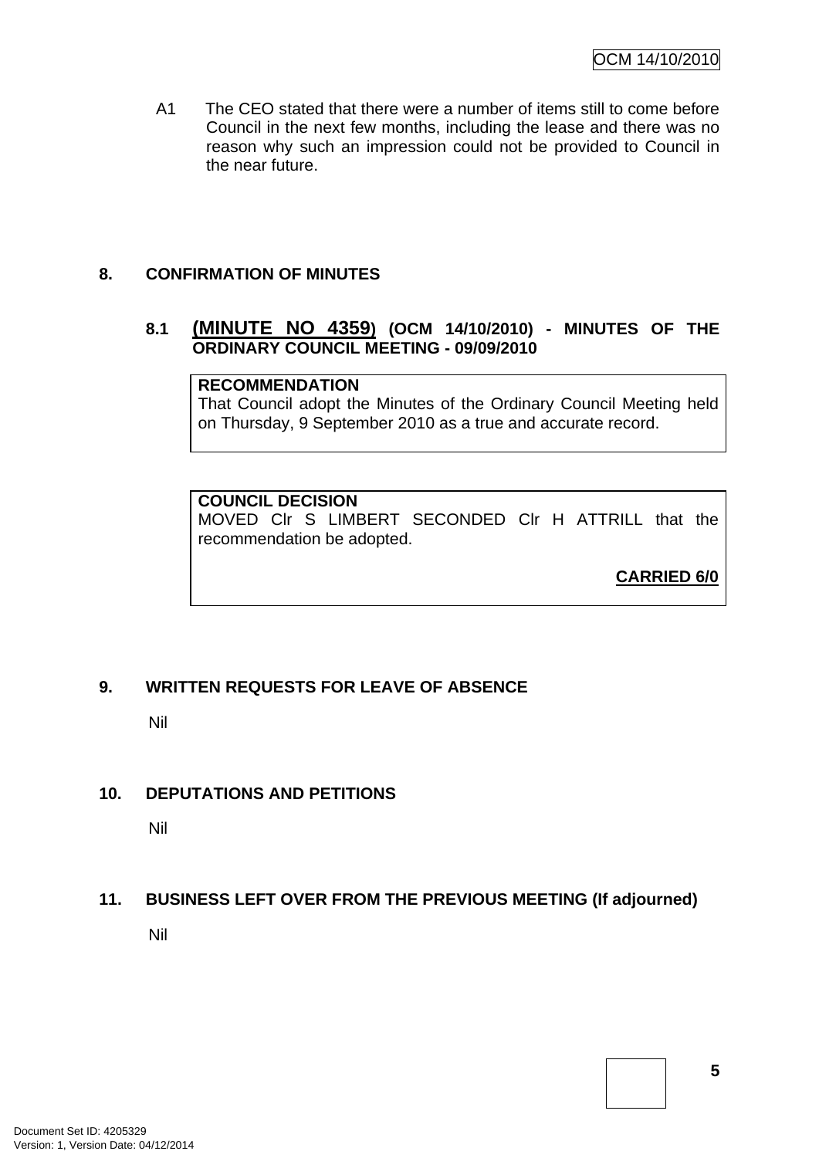A1 The CEO stated that there were a number of items still to come before Council in the next few months, including the lease and there was no reason why such an impression could not be provided to Council in the near future.

# **8. CONFIRMATION OF MINUTES**

## **8.1 (MINUTE NO 4359) (OCM 14/10/2010) - MINUTES OF THE ORDINARY COUNCIL MEETING - 09/09/2010**

## **RECOMMENDATION**

That Council adopt the Minutes of the Ordinary Council Meeting held on Thursday, 9 September 2010 as a true and accurate record.

# **COUNCIL DECISION**

MOVED Clr S LIMBERT SECONDED Clr H ATTRILL that the recommendation be adopted.

**CARRIED 6/0**

# **9. WRITTEN REQUESTS FOR LEAVE OF ABSENCE**

Nil

# **10. DEPUTATIONS AND PETITIONS**

Nil

# **11. BUSINESS LEFT OVER FROM THE PREVIOUS MEETING (If adjourned)**

Nil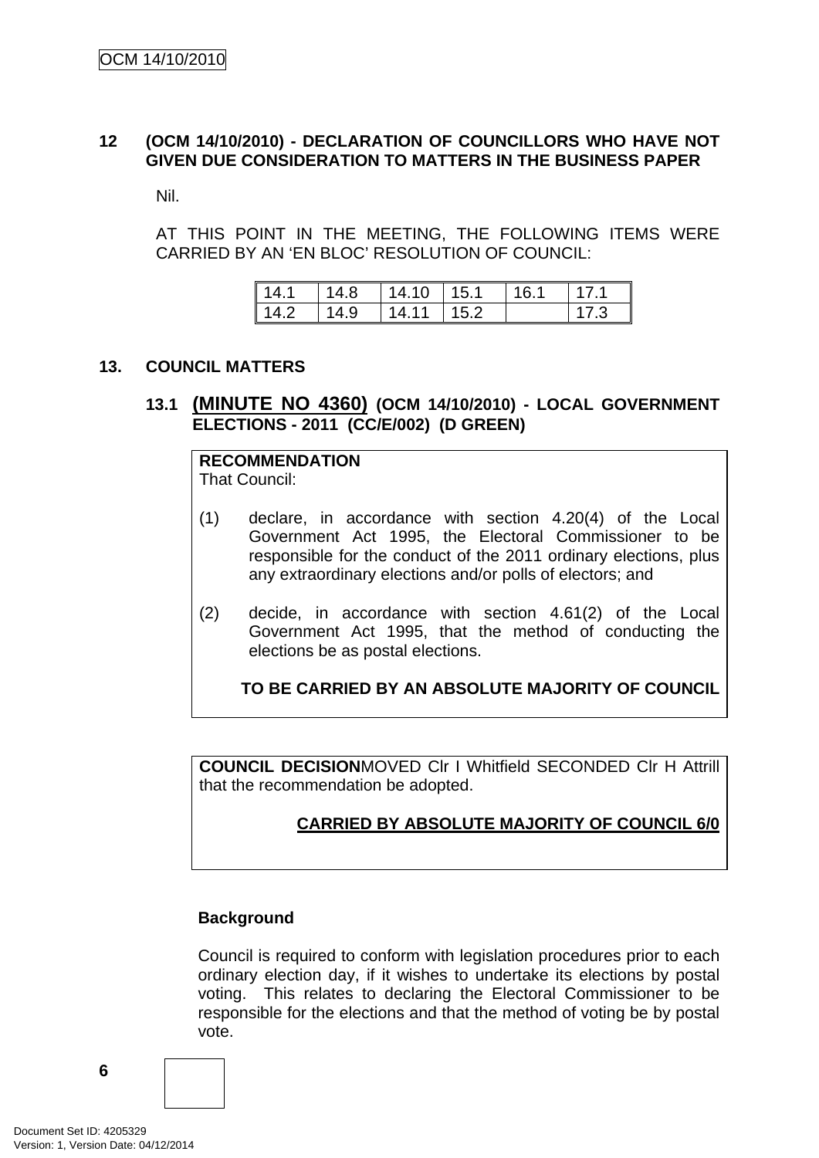### <span id="page-9-0"></span>**12 (OCM 14/10/2010) - DECLARATION OF COUNCILLORS WHO HAVE NOT GIVEN DUE CONSIDERATION TO MATTERS IN THE BUSINESS PAPER**

Nil.

AT THIS POINT IN THE MEETING, THE FOLLOWING ITEMS WERE CARRIED BY AN 'EN BLOC' RESOLUTION OF COUNCIL:

| 14.1         | 14.8 | 14.10 | 15.1 | 16. |      |
|--------------|------|-------|------|-----|------|
| 1 $\Delta$ 2 | 14.9 | 14 11 | 15.2 |     | 17.3 |

## **13. COUNCIL MATTERS**

## **13.1 (MINUTE NO 4360) (OCM 14/10/2010) - LOCAL GOVERNMENT ELECTIONS - 2011 (CC/E/002) (D GREEN)**

**RECOMMENDATION** That Council:

- (1) declare, in accordance with section 4.20(4) of the Local Government Act 1995, the Electoral Commissioner to be responsible for the conduct of the 2011 ordinary elections, plus any extraordinary elections and/or polls of electors; and
- (2) decide, in accordance with section 4.61(2) of the Local Government Act 1995, that the method of conducting the elections be as postal elections.

**TO BE CARRIED BY AN ABSOLUTE MAJORITY OF COUNCIL**

**COUNCIL DECISION**MOVED Clr I Whitfield SECONDED Clr H Attrill that the recommendation be adopted.

# **CARRIED BY ABSOLUTE MAJORITY OF COUNCIL 6/0**

# **Background**

Council is required to conform with legislation procedures prior to each ordinary election day, if it wishes to undertake its elections by postal voting. This relates to declaring the Electoral Commissioner to be responsible for the elections and that the method of voting be by postal vote.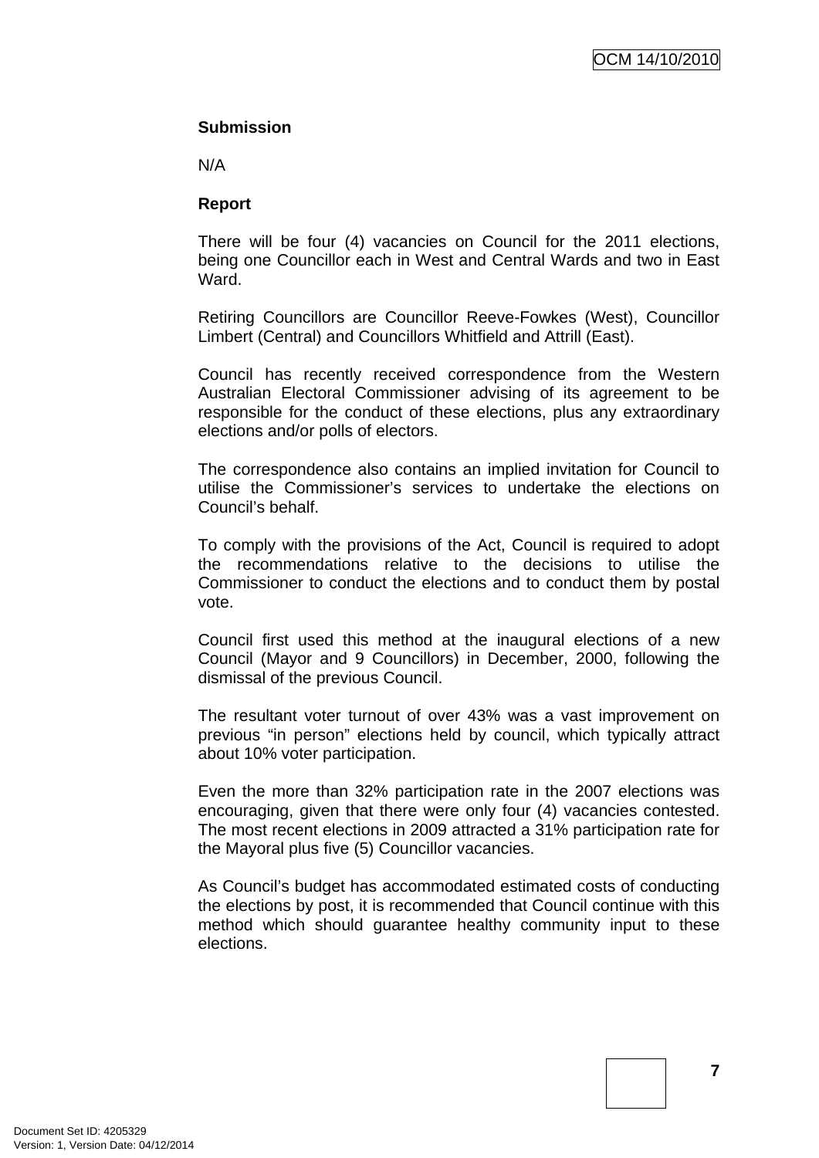### **Submission**

N/A

### **Report**

There will be four (4) vacancies on Council for the 2011 elections, being one Councillor each in West and Central Wards and two in East Ward.

Retiring Councillors are Councillor Reeve-Fowkes (West), Councillor Limbert (Central) and Councillors Whitfield and Attrill (East).

Council has recently received correspondence from the Western Australian Electoral Commissioner advising of its agreement to be responsible for the conduct of these elections, plus any extraordinary elections and/or polls of electors.

The correspondence also contains an implied invitation for Council to utilise the Commissioner's services to undertake the elections on Council's behalf.

To comply with the provisions of the Act, Council is required to adopt the recommendations relative to the decisions to utilise the Commissioner to conduct the elections and to conduct them by postal vote.

Council first used this method at the inaugural elections of a new Council (Mayor and 9 Councillors) in December, 2000, following the dismissal of the previous Council.

The resultant voter turnout of over 43% was a vast improvement on previous "in person" elections held by council, which typically attract about 10% voter participation.

Even the more than 32% participation rate in the 2007 elections was encouraging, given that there were only four (4) vacancies contested. The most recent elections in 2009 attracted a 31% participation rate for the Mayoral plus five (5) Councillor vacancies.

As Council's budget has accommodated estimated costs of conducting the elections by post, it is recommended that Council continue with this method which should guarantee healthy community input to these elections.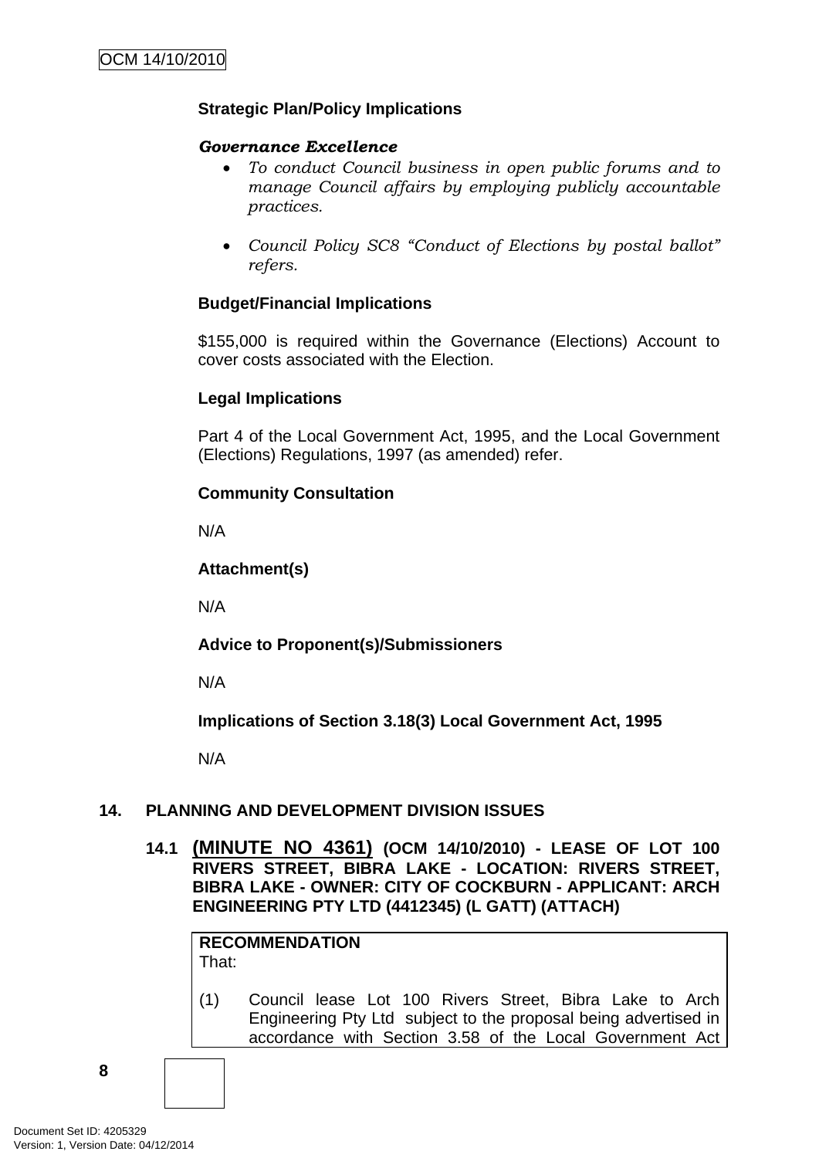# <span id="page-11-0"></span>**Strategic Plan/Policy Implications**

## *Governance Excellence*

- *To conduct Council business in open public forums and to manage Council affairs by employing publicly accountable practices.*
- *Council Policy SC8 "Conduct of Elections by postal ballot" refers.*

## **Budget/Financial Implications**

\$155,000 is required within the Governance (Elections) Account to cover costs associated with the Election.

## **Legal Implications**

Part 4 of the Local Government Act, 1995, and the Local Government (Elections) Regulations, 1997 (as amended) refer.

### **Community Consultation**

N/A

## **Attachment(s)**

N/A

# **Advice to Proponent(s)/Submissioners**

N/A

**Implications of Section 3.18(3) Local Government Act, 1995**

N/A

# **14. PLANNING AND DEVELOPMENT DIVISION ISSUES**

**14.1 (MINUTE NO 4361) (OCM 14/10/2010) - LEASE OF LOT 100 RIVERS STREET, BIBRA LAKE - LOCATION: RIVERS STREET, BIBRA LAKE - OWNER: CITY OF COCKBURN - APPLICANT: ARCH ENGINEERING PTY LTD (4412345) (L GATT) (ATTACH)** 

### **RECOMMENDATION** That:

(1) Council lease Lot 100 Rivers Street, Bibra Lake to Arch Engineering Pty Ltd subject to the proposal being advertised in accordance with Section 3.58 of the Local Government Act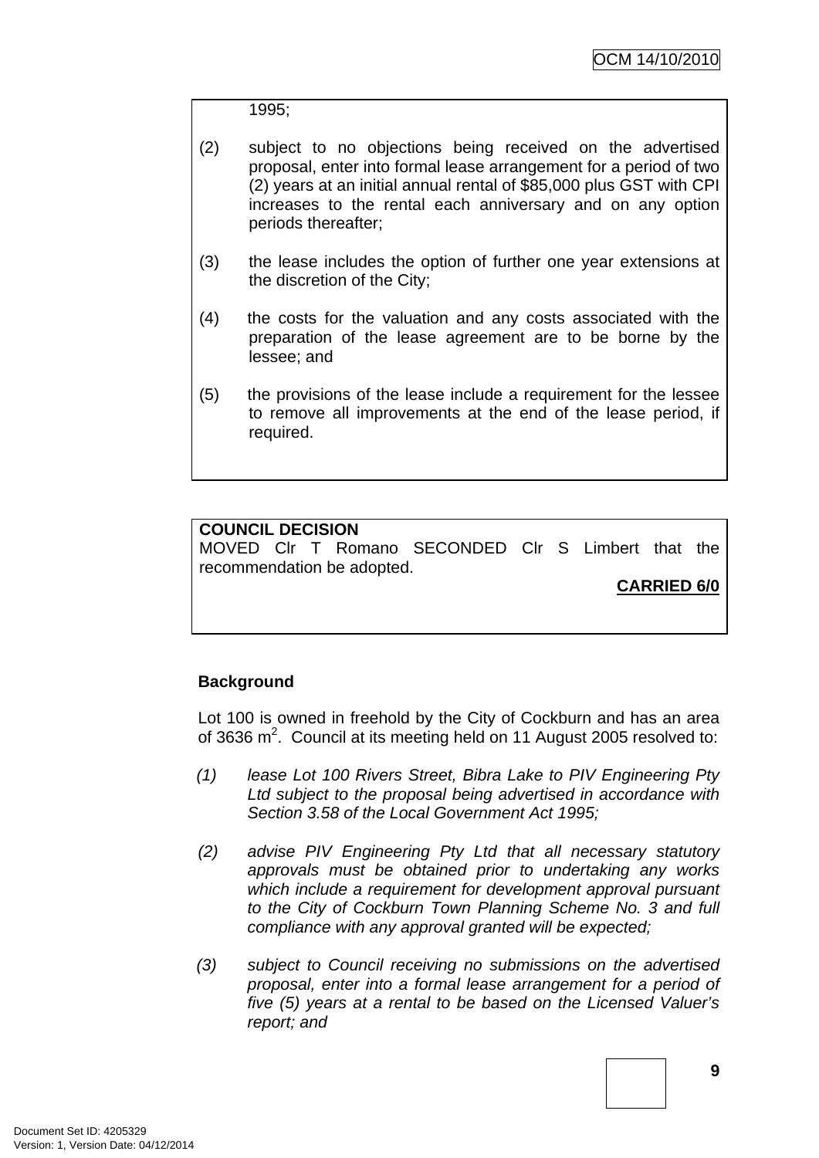### 1995;

- (2) subject to no objections being received on the advertised proposal, enter into formal lease arrangement for a period of two (2) years at an initial annual rental of \$85,000 plus GST with CPI increases to the rental each anniversary and on any option periods thereafter;
- (3) the lease includes the option of further one year extensions at the discretion of the City;
- (4) the costs for the valuation and any costs associated with the preparation of the lease agreement are to be borne by the lessee; and
- (5) the provisions of the lease include a requirement for the lessee to remove all improvements at the end of the lease period, if required.

## **COUNCIL DECISION**

MOVED Clr T Romano SECONDED Clr S Limbert that the recommendation be adopted.

**CARRIED 6/0**

# **Background**

Lot 100 is owned in freehold by the City of Cockburn and has an area of 3636  $m^2$ . Council at its meeting held on 11 August 2005 resolved to:

- *(1) lease Lot 100 Rivers Street, Bibra Lake to PIV Engineering Pty Ltd subject to the proposal being advertised in accordance with Section 3.58 of the Local Government Act 1995;*
- *(2) advise PIV Engineering Pty Ltd that all necessary statutory approvals must be obtained prior to undertaking any works which include a requirement for development approval pursuant to the City of Cockburn Town Planning Scheme No. 3 and full compliance with any approval granted will be expected;*
- *(3) subject to Council receiving no submissions on the advertised proposal, enter into a formal lease arrangement for a period of five (5) years at a rental to be based on the Licensed Valuer's report; and*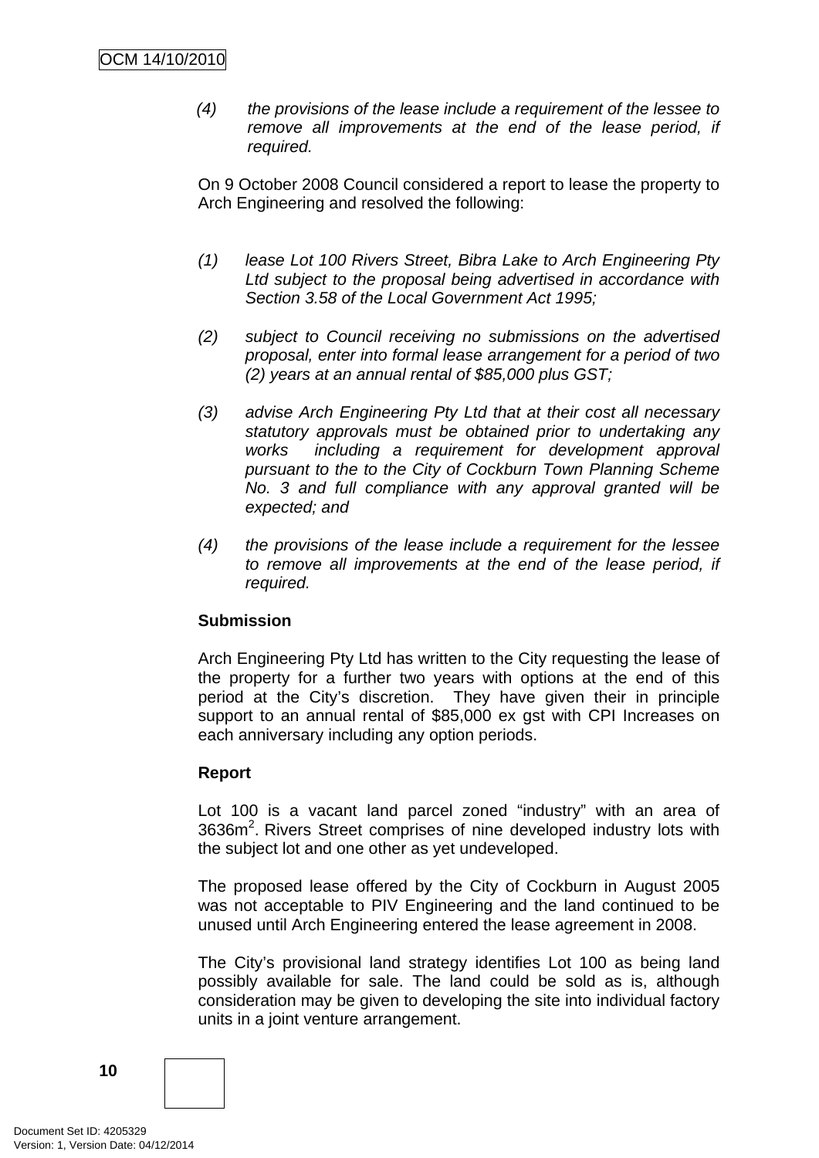*(4) the provisions of the lease include a requirement of the lessee to remove all improvements at the end of the lease period, if required.* 

On 9 October 2008 Council considered a report to lease the property to Arch Engineering and resolved the following:

- *(1) lease Lot 100 Rivers Street, Bibra Lake to Arch Engineering Pty Ltd subject to the proposal being advertised in accordance with Section 3.58 of the Local Government Act 1995;*
- *(2) subject to Council receiving no submissions on the advertised proposal, enter into formal lease arrangement for a period of two (2) years at an annual rental of \$85,000 plus GST;*
- *(3) advise Arch Engineering Pty Ltd that at their cost all necessary statutory approvals must be obtained prior to undertaking any works including a requirement for development approval pursuant to the to the City of Cockburn Town Planning Scheme No. 3 and full compliance with any approval granted will be expected; and*
- *(4) the provisions of the lease include a requirement for the lessee to remove all improvements at the end of the lease period, if required.*

### **Submission**

Arch Engineering Pty Ltd has written to the City requesting the lease of the property for a further two years with options at the end of this period at the City's discretion. They have given their in principle support to an annual rental of \$85,000 ex gst with CPI Increases on each anniversary including any option periods.

### **Report**

Lot 100 is a vacant land parcel zoned "industry" with an area of 3636m<sup>2</sup>. Rivers Street comprises of nine developed industry lots with the subject lot and one other as yet undeveloped.

The proposed lease offered by the City of Cockburn in August 2005 was not acceptable to PIV Engineering and the land continued to be unused until Arch Engineering entered the lease agreement in 2008.

The City's provisional land strategy identifies Lot 100 as being land possibly available for sale. The land could be sold as is, although consideration may be given to developing the site into individual factory units in a joint venture arrangement.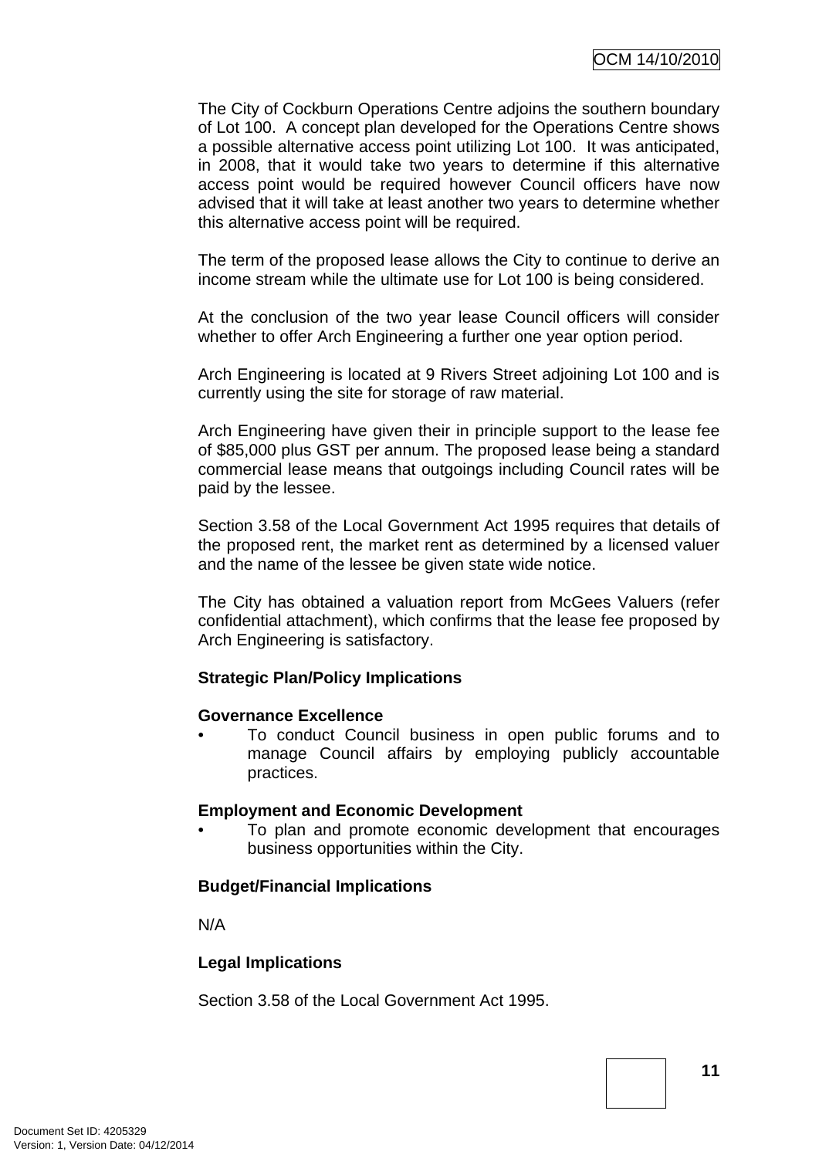The City of Cockburn Operations Centre adjoins the southern boundary of Lot 100. A concept plan developed for the Operations Centre shows a possible alternative access point utilizing Lot 100. It was anticipated, in 2008, that it would take two years to determine if this alternative access point would be required however Council officers have now advised that it will take at least another two years to determine whether this alternative access point will be required.

The term of the proposed lease allows the City to continue to derive an income stream while the ultimate use for Lot 100 is being considered.

At the conclusion of the two year lease Council officers will consider whether to offer Arch Engineering a further one year option period.

Arch Engineering is located at 9 Rivers Street adjoining Lot 100 and is currently using the site for storage of raw material.

Arch Engineering have given their in principle support to the lease fee of \$85,000 plus GST per annum. The proposed lease being a standard commercial lease means that outgoings including Council rates will be paid by the lessee.

Section 3.58 of the Local Government Act 1995 requires that details of the proposed rent, the market rent as determined by a licensed valuer and the name of the lessee be given state wide notice.

The City has obtained a valuation report from McGees Valuers (refer confidential attachment), which confirms that the lease fee proposed by Arch Engineering is satisfactory.

### **Strategic Plan/Policy Implications**

### **Governance Excellence**

• To conduct Council business in open public forums and to manage Council affairs by employing publicly accountable practices.

### **Employment and Economic Development**

• To plan and promote economic development that encourages business opportunities within the City.

### **Budget/Financial Implications**

N/A

### **Legal Implications**

Section 3.58 of the Local Government Act 1995.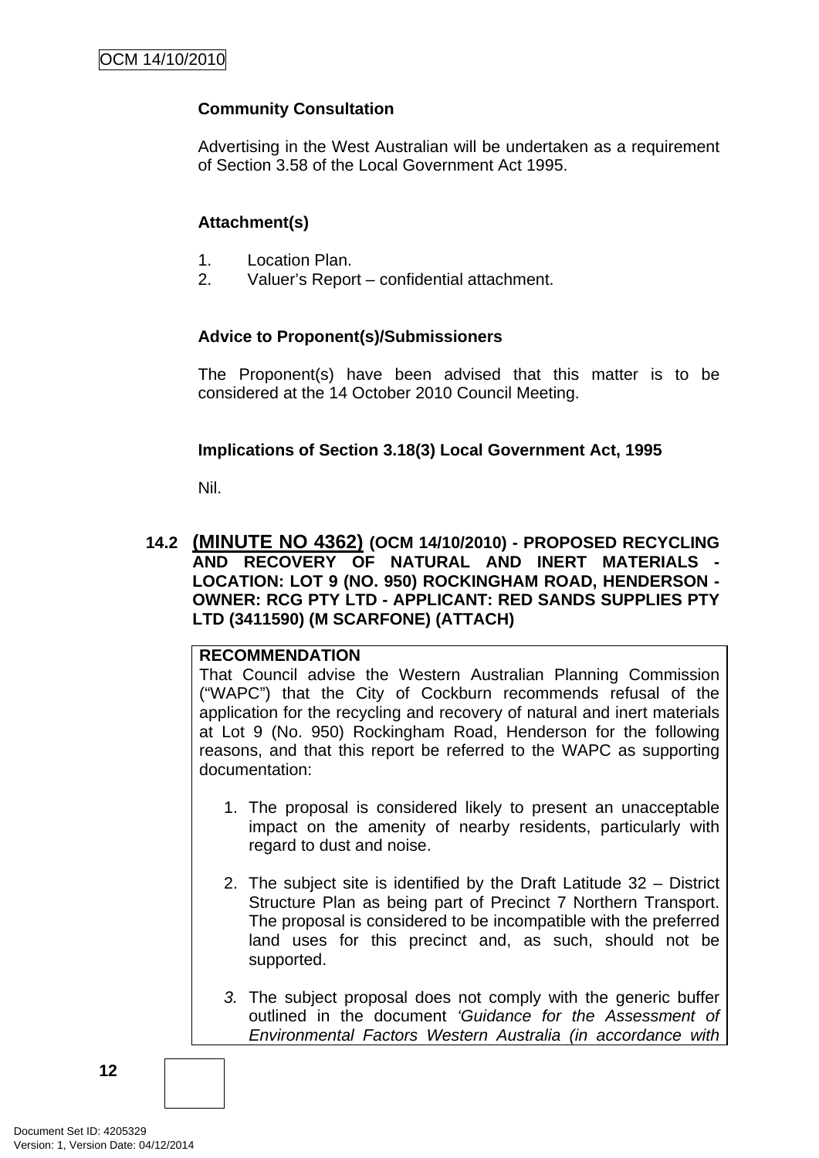# <span id="page-15-0"></span>**Community Consultation**

Advertising in the West Australian will be undertaken as a requirement of Section 3.58 of the Local Government Act 1995.

# **Attachment(s)**

- 1. Location Plan.
- 2. Valuer's Report confidential attachment.

## **Advice to Proponent(s)/Submissioners**

The Proponent(s) have been advised that this matter is to be considered at the 14 October 2010 Council Meeting.

## **Implications of Section 3.18(3) Local Government Act, 1995**

Nil.

**14.2 (MINUTE NO 4362) (OCM 14/10/2010) - PROPOSED RECYCLING**  AND RECOVERY OF NATURAL AND INERT MATERIALS **LOCATION: LOT 9 (NO. 950) ROCKINGHAM ROAD, HENDERSON - OWNER: RCG PTY LTD - APPLICANT: RED SANDS SUPPLIES PTY LTD (3411590) (M SCARFONE) (ATTACH)** 

# **RECOMMENDATION**

That Council advise the Western Australian Planning Commission ("WAPC") that the City of Cockburn recommends refusal of the application for the recycling and recovery of natural and inert materials at Lot 9 (No. 950) Rockingham Road, Henderson for the following reasons, and that this report be referred to the WAPC as supporting documentation:

- 1. The proposal is considered likely to present an unacceptable impact on the amenity of nearby residents, particularly with regard to dust and noise.
- 2. The subject site is identified by the Draft Latitude 32 District Structure Plan as being part of Precinct 7 Northern Transport. The proposal is considered to be incompatible with the preferred land uses for this precinct and, as such, should not be supported.
- *3.* The subject proposal does not comply with the generic buffer outlined in the document *'Guidance for the Assessment of Environmental Factors Western Australia (in accordance with*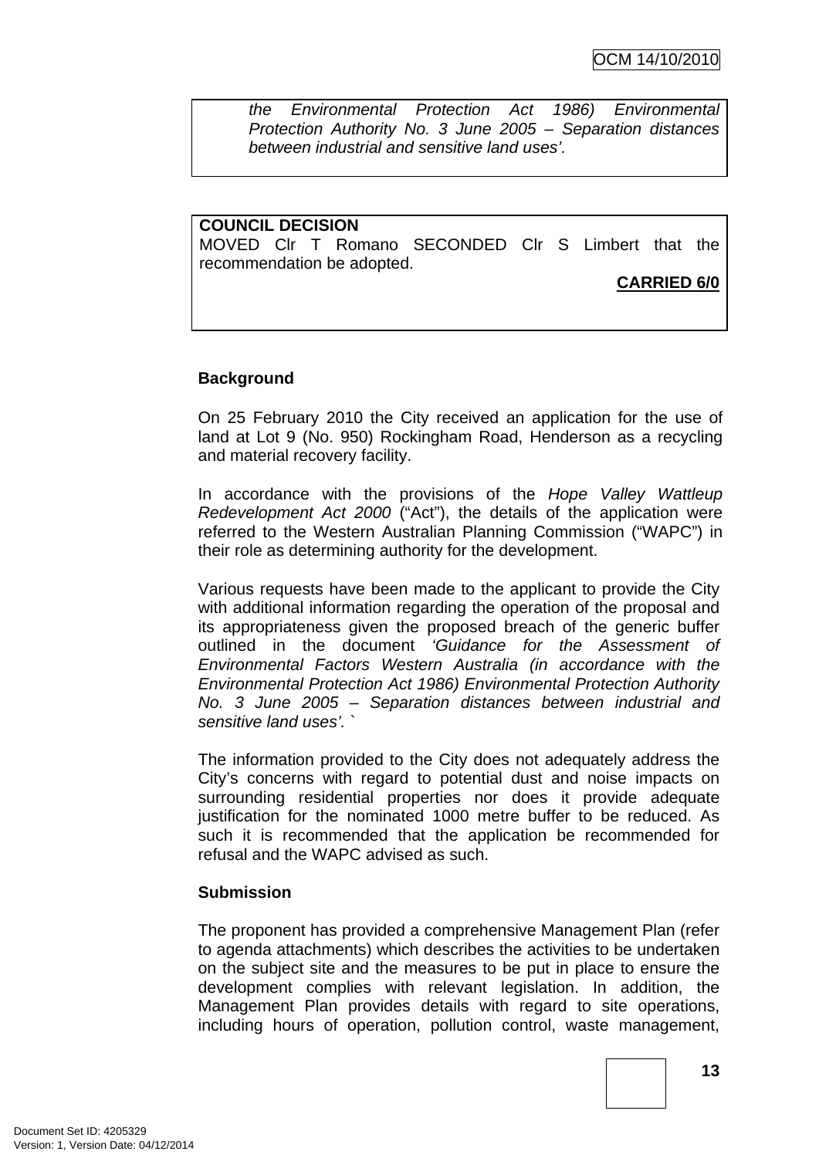*the Environmental Protection Act 1986) Environmental Protection Authority No. 3 June 2005 – Separation distances between industrial and sensitive land uses'.* 

## **COUNCIL DECISION**

MOVED Clr T Romano SECONDED Clr S Limbert that the recommendation be adopted.

**CARRIED 6/0**

## **Background**

On 25 February 2010 the City received an application for the use of land at Lot 9 (No. 950) Rockingham Road, Henderson as a recycling and material recovery facility.

In accordance with the provisions of the *Hope Valley Wattleup Redevelopment Act 2000* ("Act"), the details of the application were referred to the Western Australian Planning Commission ("WAPC") in their role as determining authority for the development.

Various requests have been made to the applicant to provide the City with additional information regarding the operation of the proposal and its appropriateness given the proposed breach of the generic buffer outlined in the document *'Guidance for the Assessment of Environmental Factors Western Australia (in accordance with the Environmental Protection Act 1986) Environmental Protection Authority No. 3 June 2005 – Separation distances between industrial and sensitive land uses'.* `

The information provided to the City does not adequately address the City's concerns with regard to potential dust and noise impacts on surrounding residential properties nor does it provide adequate justification for the nominated 1000 metre buffer to be reduced. As such it is recommended that the application be recommended for refusal and the WAPC advised as such.

### **Submission**

The proponent has provided a comprehensive Management Plan (refer to agenda attachments) which describes the activities to be undertaken on the subject site and the measures to be put in place to ensure the development complies with relevant legislation. In addition, the Management Plan provides details with regard to site operations, including hours of operation, pollution control, waste management,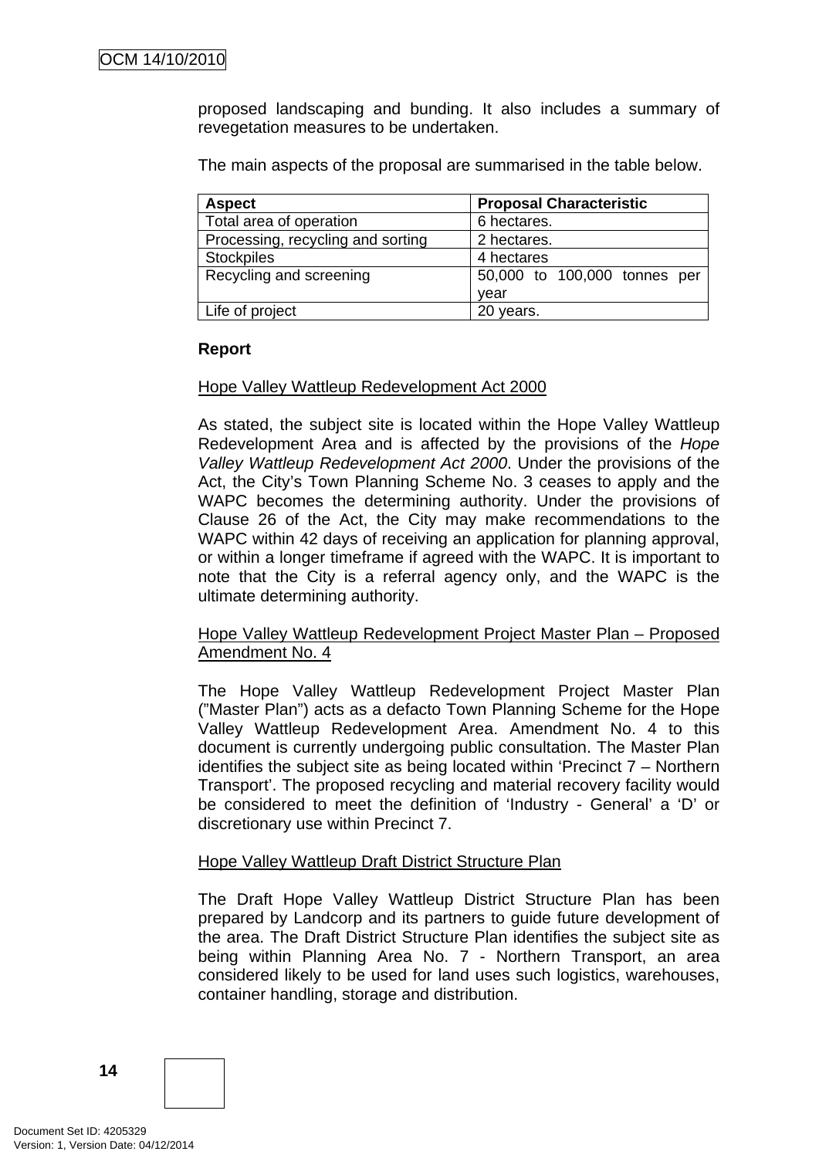proposed landscaping and bunding. It also includes a summary of revegetation measures to be undertaken.

The main aspects of the proposal are summarised in the table below.

| <b>Aspect</b>                     | <b>Proposal Characteristic</b> |  |  |  |
|-----------------------------------|--------------------------------|--|--|--|
| Total area of operation           | 6 hectares.                    |  |  |  |
| Processing, recycling and sorting | 2 hectares.                    |  |  |  |
| <b>Stockpiles</b>                 | 4 hectares                     |  |  |  |
| Recycling and screening           | 50,000 to 100,000 tonnes per   |  |  |  |
|                                   | vear                           |  |  |  |
| Life of project                   | 20 years.                      |  |  |  |

### **Report**

### Hope Valley Wattleup Redevelopment Act 2000

As stated, the subject site is located within the Hope Valley Wattleup Redevelopment Area and is affected by the provisions of the *Hope Valley Wattleup Redevelopment Act 2000*. Under the provisions of the Act, the City's Town Planning Scheme No. 3 ceases to apply and the WAPC becomes the determining authority. Under the provisions of Clause 26 of the Act, the City may make recommendations to the WAPC within 42 days of receiving an application for planning approval, or within a longer timeframe if agreed with the WAPC. It is important to note that the City is a referral agency only, and the WAPC is the ultimate determining authority.

### Hope Valley Wattleup Redevelopment Project Master Plan – Proposed Amendment No. 4

The Hope Valley Wattleup Redevelopment Project Master Plan ("Master Plan") acts as a defacto Town Planning Scheme for the Hope Valley Wattleup Redevelopment Area. Amendment No. 4 to this document is currently undergoing public consultation. The Master Plan identifies the subject site as being located within 'Precinct 7 – Northern Transport'. The proposed recycling and material recovery facility would be considered to meet the definition of 'Industry - General' a 'D' or discretionary use within Precinct 7.

### Hope Valley Wattleup Draft District Structure Plan

The Draft Hope Valley Wattleup District Structure Plan has been prepared by Landcorp and its partners to guide future development of the area. The Draft District Structure Plan identifies the subject site as being within Planning Area No. 7 - Northern Transport, an area considered likely to be used for land uses such logistics, warehouses, container handling, storage and distribution.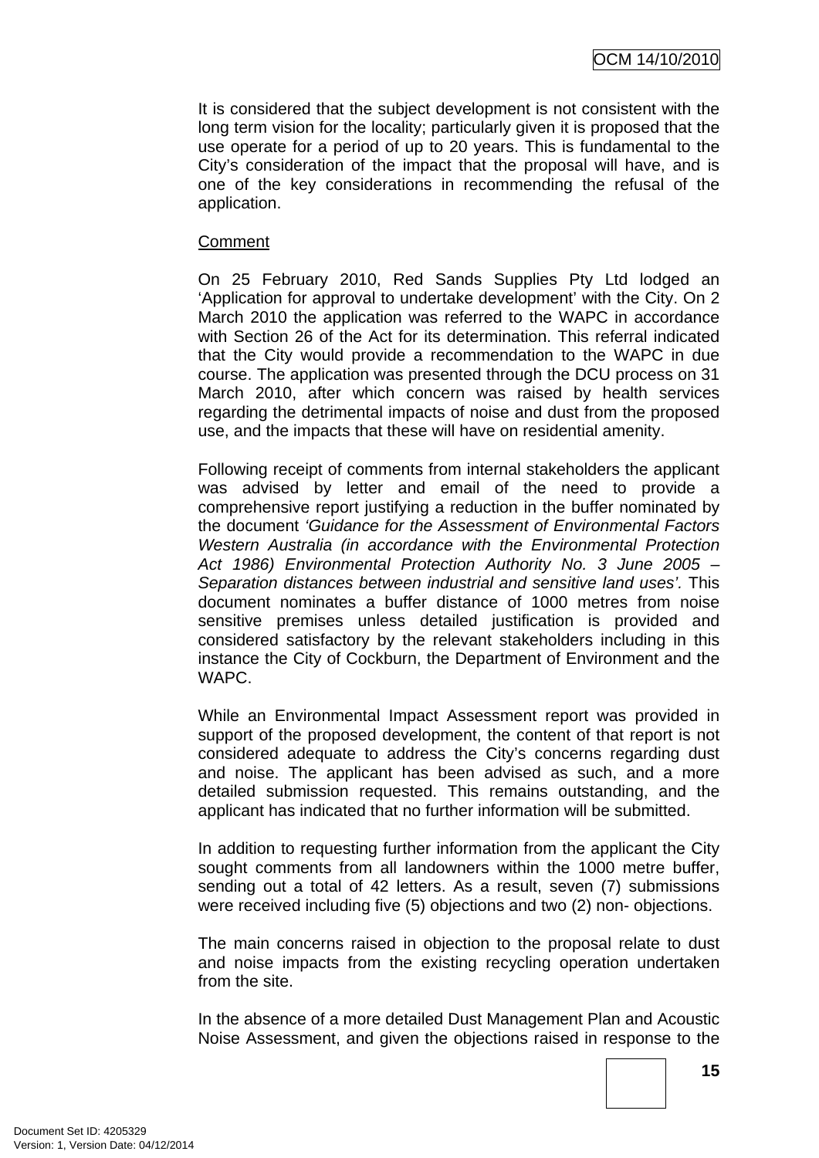It is considered that the subject development is not consistent with the long term vision for the locality; particularly given it is proposed that the use operate for a period of up to 20 years. This is fundamental to the City's consideration of the impact that the proposal will have, and is one of the key considerations in recommending the refusal of the application.

### **Comment**

On 25 February 2010, Red Sands Supplies Pty Ltd lodged an 'Application for approval to undertake development' with the City. On 2 March 2010 the application was referred to the WAPC in accordance with Section 26 of the Act for its determination. This referral indicated that the City would provide a recommendation to the WAPC in due course. The application was presented through the DCU process on 31 March 2010, after which concern was raised by health services regarding the detrimental impacts of noise and dust from the proposed use, and the impacts that these will have on residential amenity.

Following receipt of comments from internal stakeholders the applicant was advised by letter and email of the need to provide a comprehensive report justifying a reduction in the buffer nominated by the document *'Guidance for the Assessment of Environmental Factors Western Australia (in accordance with the Environmental Protection Act 1986) Environmental Protection Authority No. 3 June 2005 – Separation distances between industrial and sensitive land uses'.* This document nominates a buffer distance of 1000 metres from noise sensitive premises unless detailed justification is provided and considered satisfactory by the relevant stakeholders including in this instance the City of Cockburn, the Department of Environment and the WAPC.

While an Environmental Impact Assessment report was provided in support of the proposed development, the content of that report is not considered adequate to address the City's concerns regarding dust and noise. The applicant has been advised as such, and a more detailed submission requested. This remains outstanding, and the applicant has indicated that no further information will be submitted.

In addition to requesting further information from the applicant the City sought comments from all landowners within the 1000 metre buffer, sending out a total of 42 letters. As a result, seven (7) submissions were received including five (5) objections and two (2) non- objections.

The main concerns raised in objection to the proposal relate to dust and noise impacts from the existing recycling operation undertaken from the site.

In the absence of a more detailed Dust Management Plan and Acoustic Noise Assessment, and given the objections raised in response to the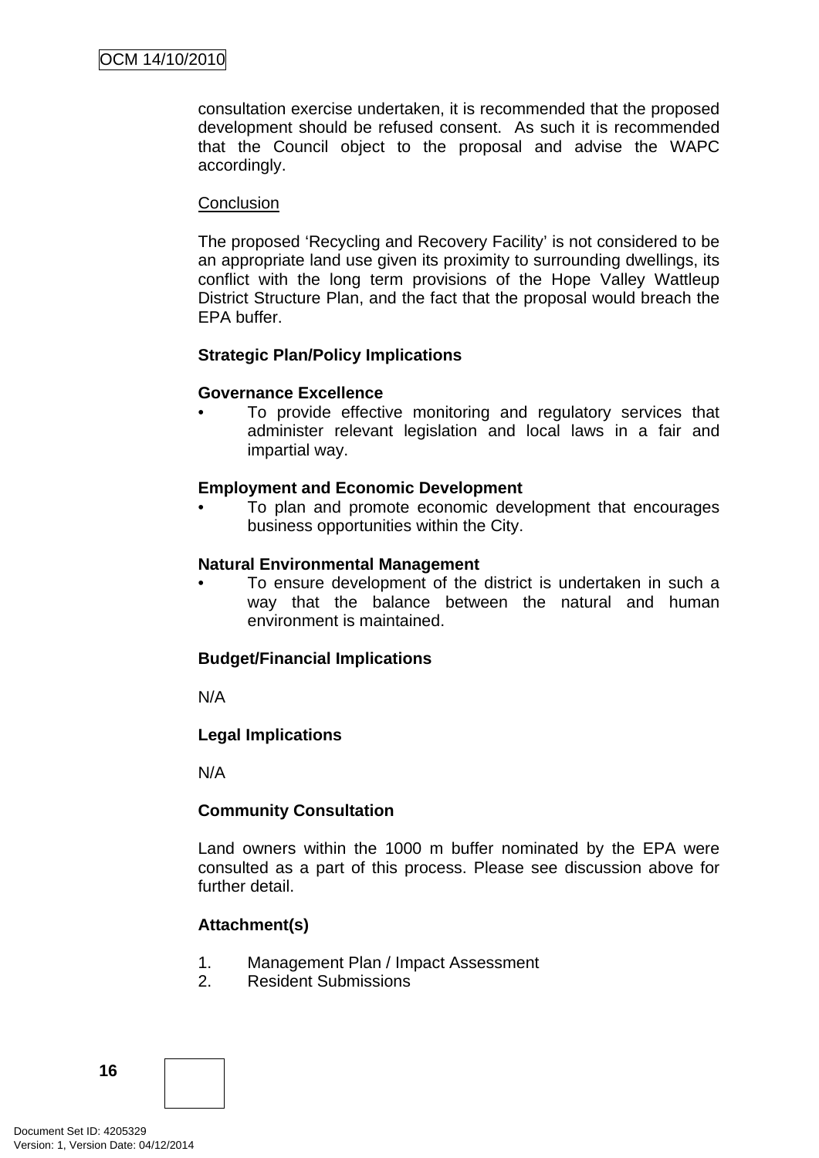consultation exercise undertaken, it is recommended that the proposed development should be refused consent. As such it is recommended that the Council object to the proposal and advise the WAPC accordingly.

### **Conclusion**

The proposed 'Recycling and Recovery Facility' is not considered to be an appropriate land use given its proximity to surrounding dwellings, its conflict with the long term provisions of the Hope Valley Wattleup District Structure Plan, and the fact that the proposal would breach the EPA buffer.

## **Strategic Plan/Policy Implications**

### **Governance Excellence**

To provide effective monitoring and regulatory services that administer relevant legislation and local laws in a fair and impartial way.

### **Employment and Economic Development**

• To plan and promote economic development that encourages business opportunities within the City.

### **Natural Environmental Management**

To ensure development of the district is undertaken in such a way that the balance between the natural and human environment is maintained.

### **Budget/Financial Implications**

N/A

# **Legal Implications**

N/A

### **Community Consultation**

Land owners within the 1000 m buffer nominated by the EPA were consulted as a part of this process. Please see discussion above for further detail.

### **Attachment(s)**

- 1. Management Plan / Impact Assessment
- 2. Resident Submissions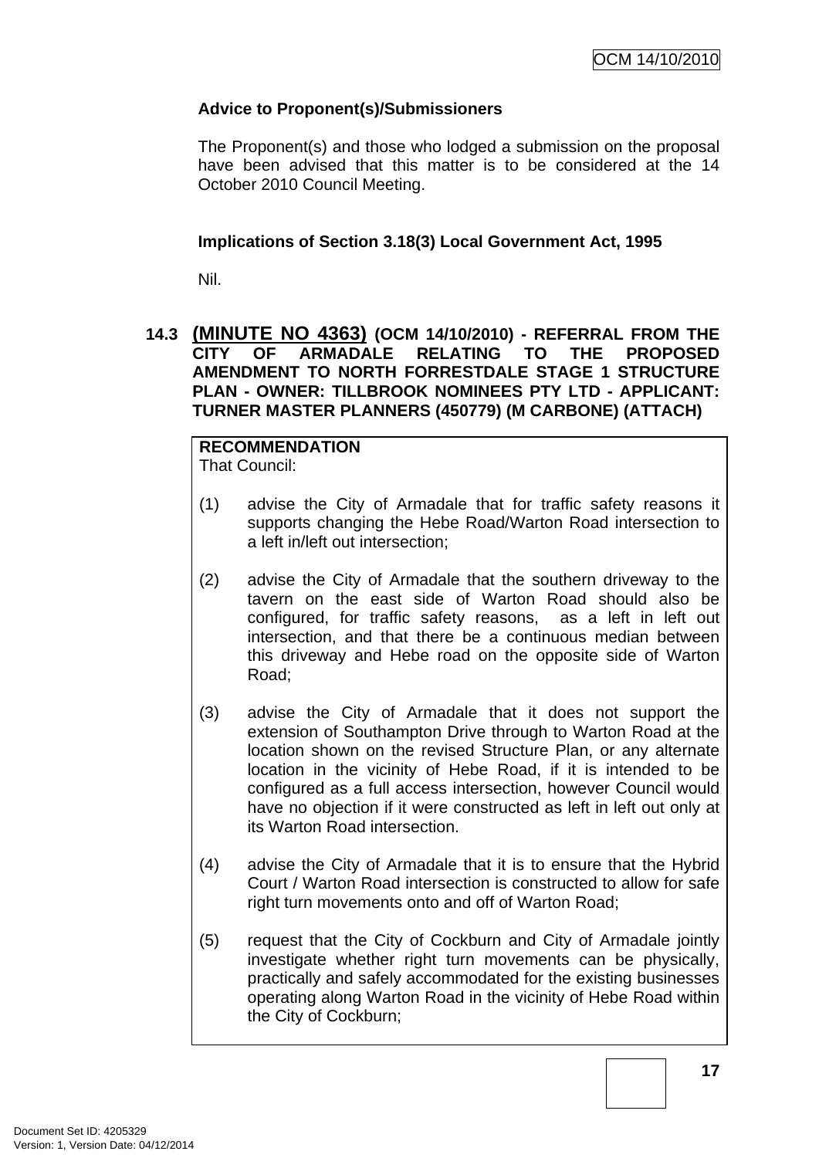# <span id="page-20-0"></span>**Advice to Proponent(s)/Submissioners**

The Proponent(s) and those who lodged a submission on the proposal have been advised that this matter is to be considered at the 14 October 2010 Council Meeting.

## **Implications of Section 3.18(3) Local Government Act, 1995**

Nil.

## **14.3 (MINUTE NO 4363) (OCM 14/10/2010) - REFERRAL FROM THE CITY OF ARMADALE RELATING TO THE PROPOSED AMENDMENT TO NORTH FORRESTDALE STAGE 1 STRUCTURE PLAN - OWNER: TILLBROOK NOMINEES PTY LTD - APPLICANT: TURNER MASTER PLANNERS (450779) (M CARBONE) (ATTACH)**

# **RECOMMENDATION**

That Council:

- (1) advise the City of Armadale that for traffic safety reasons it supports changing the Hebe Road/Warton Road intersection to a left in/left out intersection;
- (2) advise the City of Armadale that the southern driveway to the tavern on the east side of Warton Road should also be configured, for traffic safety reasons, as a left in left out intersection, and that there be a continuous median between this driveway and Hebe road on the opposite side of Warton Road;
- (3) advise the City of Armadale that it does not support the extension of Southampton Drive through to Warton Road at the location shown on the revised Structure Plan, or any alternate location in the vicinity of Hebe Road, if it is intended to be configured as a full access intersection, however Council would have no objection if it were constructed as left in left out only at its Warton Road intersection.
- (4) advise the City of Armadale that it is to ensure that the Hybrid Court / Warton Road intersection is constructed to allow for safe right turn movements onto and off of Warton Road;
- (5) request that the City of Cockburn and City of Armadale jointly investigate whether right turn movements can be physically, practically and safely accommodated for the existing businesses operating along Warton Road in the vicinity of Hebe Road within the City of Cockburn;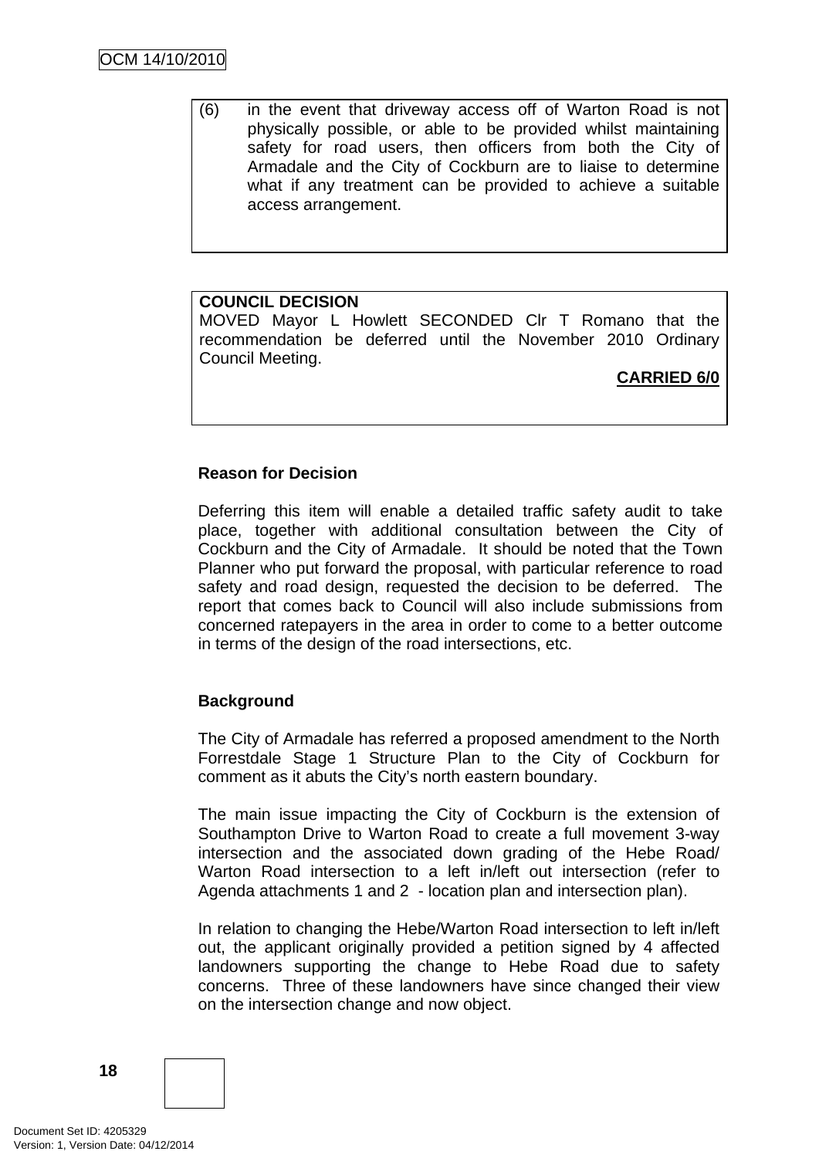(6) in the event that driveway access off of Warton Road is not physically possible, or able to be provided whilst maintaining safety for road users, then officers from both the City of Armadale and the City of Cockburn are to liaise to determine what if any treatment can be provided to achieve a suitable access arrangement.

### **COUNCIL DECISION**

MOVED Mayor L Howlett SECONDED Clr T Romano that the recommendation be deferred until the November 2010 Ordinary Council Meeting.

**CARRIED 6/0**

## **Reason for Decision**

Deferring this item will enable a detailed traffic safety audit to take place, together with additional consultation between the City of Cockburn and the City of Armadale. It should be noted that the Town Planner who put forward the proposal, with particular reference to road safety and road design, requested the decision to be deferred. The report that comes back to Council will also include submissions from concerned ratepayers in the area in order to come to a better outcome in terms of the design of the road intersections, etc.

### **Background**

The City of Armadale has referred a proposed amendment to the North Forrestdale Stage 1 Structure Plan to the City of Cockburn for comment as it abuts the City's north eastern boundary.

The main issue impacting the City of Cockburn is the extension of Southampton Drive to Warton Road to create a full movement 3-way intersection and the associated down grading of the Hebe Road/ Warton Road intersection to a left in/left out intersection (refer to Agenda attachments 1 and 2 - location plan and intersection plan).

In relation to changing the Hebe/Warton Road intersection to left in/left out, the applicant originally provided a petition signed by 4 affected landowners supporting the change to Hebe Road due to safety concerns. Three of these landowners have since changed their view on the intersection change and now object.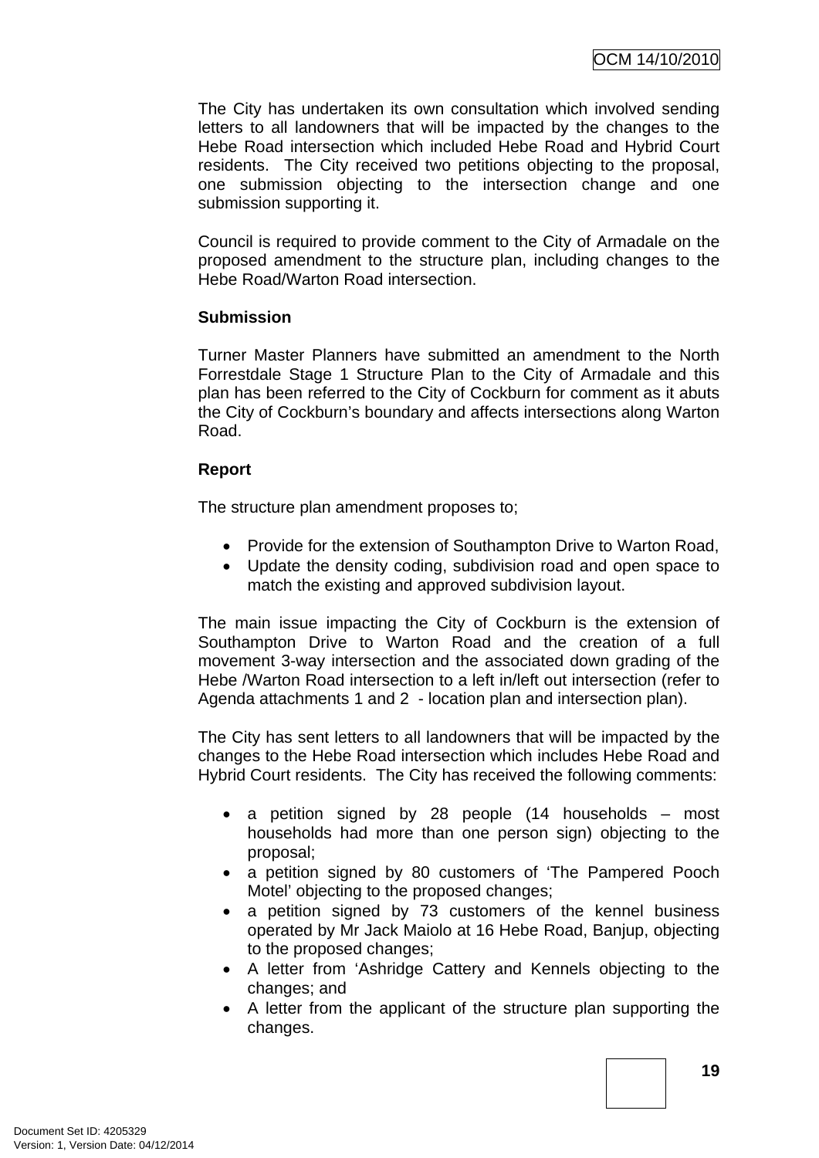The City has undertaken its own consultation which involved sending letters to all landowners that will be impacted by the changes to the Hebe Road intersection which included Hebe Road and Hybrid Court residents. The City received two petitions objecting to the proposal, one submission objecting to the intersection change and one submission supporting it.

Council is required to provide comment to the City of Armadale on the proposed amendment to the structure plan, including changes to the Hebe Road/Warton Road intersection.

## **Submission**

Turner Master Planners have submitted an amendment to the North Forrestdale Stage 1 Structure Plan to the City of Armadale and this plan has been referred to the City of Cockburn for comment as it abuts the City of Cockburn's boundary and affects intersections along Warton Road.

## **Report**

The structure plan amendment proposes to;

- Provide for the extension of Southampton Drive to Warton Road,
- Update the density coding, subdivision road and open space to match the existing and approved subdivision layout.

The main issue impacting the City of Cockburn is the extension of Southampton Drive to Warton Road and the creation of a full movement 3-way intersection and the associated down grading of the Hebe /Warton Road intersection to a left in/left out intersection (refer to Agenda attachments 1 and 2 - location plan and intersection plan).

The City has sent letters to all landowners that will be impacted by the changes to the Hebe Road intersection which includes Hebe Road and Hybrid Court residents. The City has received the following comments:

- a petition signed by 28 people (14 households most households had more than one person sign) objecting to the proposal;
- a petition signed by 80 customers of 'The Pampered Pooch Motel' objecting to the proposed changes;
- a petition signed by 73 customers of the kennel business operated by Mr Jack Maiolo at 16 Hebe Road, Banjup, objecting to the proposed changes;
- A letter from 'Ashridge Cattery and Kennels objecting to the changes; and
- A letter from the applicant of the structure plan supporting the changes.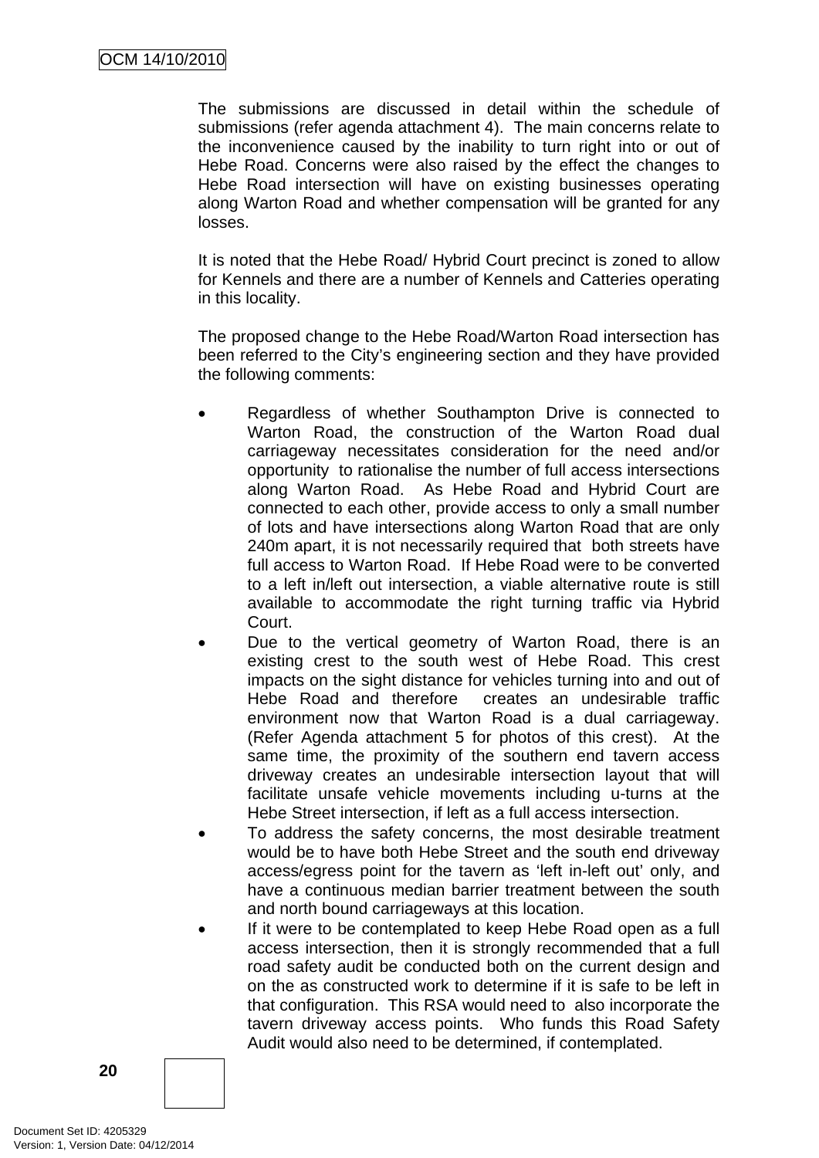The submissions are discussed in detail within the schedule of submissions (refer agenda attachment 4). The main concerns relate to the inconvenience caused by the inability to turn right into or out of Hebe Road. Concerns were also raised by the effect the changes to Hebe Road intersection will have on existing businesses operating along Warton Road and whether compensation will be granted for any losses.

It is noted that the Hebe Road/ Hybrid Court precinct is zoned to allow for Kennels and there are a number of Kennels and Catteries operating in this locality.

The proposed change to the Hebe Road/Warton Road intersection has been referred to the City's engineering section and they have provided the following comments:

- Regardless of whether Southampton Drive is connected to Warton Road, the construction of the Warton Road dual carriageway necessitates consideration for the need and/or opportunity to rationalise the number of full access intersections along Warton Road. As Hebe Road and Hybrid Court are connected to each other, provide access to only a small number of lots and have intersections along Warton Road that are only 240m apart, it is not necessarily required that both streets have full access to Warton Road. If Hebe Road were to be converted to a left in/left out intersection, a viable alternative route is still available to accommodate the right turning traffic via Hybrid Court.
- Due to the vertical geometry of Warton Road, there is an existing crest to the south west of Hebe Road. This crest impacts on the sight distance for vehicles turning into and out of Hebe Road and therefore creates an undesirable traffic environment now that Warton Road is a dual carriageway. (Refer Agenda attachment 5 for photos of this crest). At the same time, the proximity of the southern end tavern access driveway creates an undesirable intersection layout that will facilitate unsafe vehicle movements including u-turns at the Hebe Street intersection, if left as a full access intersection.
- To address the safety concerns, the most desirable treatment would be to have both Hebe Street and the south end driveway access/egress point for the tavern as 'left in-left out' only, and have a continuous median barrier treatment between the south and north bound carriageways at this location.
- If it were to be contemplated to keep Hebe Road open as a full access intersection, then it is strongly recommended that a full road safety audit be conducted both on the current design and on the as constructed work to determine if it is safe to be left in that configuration. This RSA would need to also incorporate the tavern driveway access points. Who funds this Road Safety Audit would also need to be determined, if contemplated.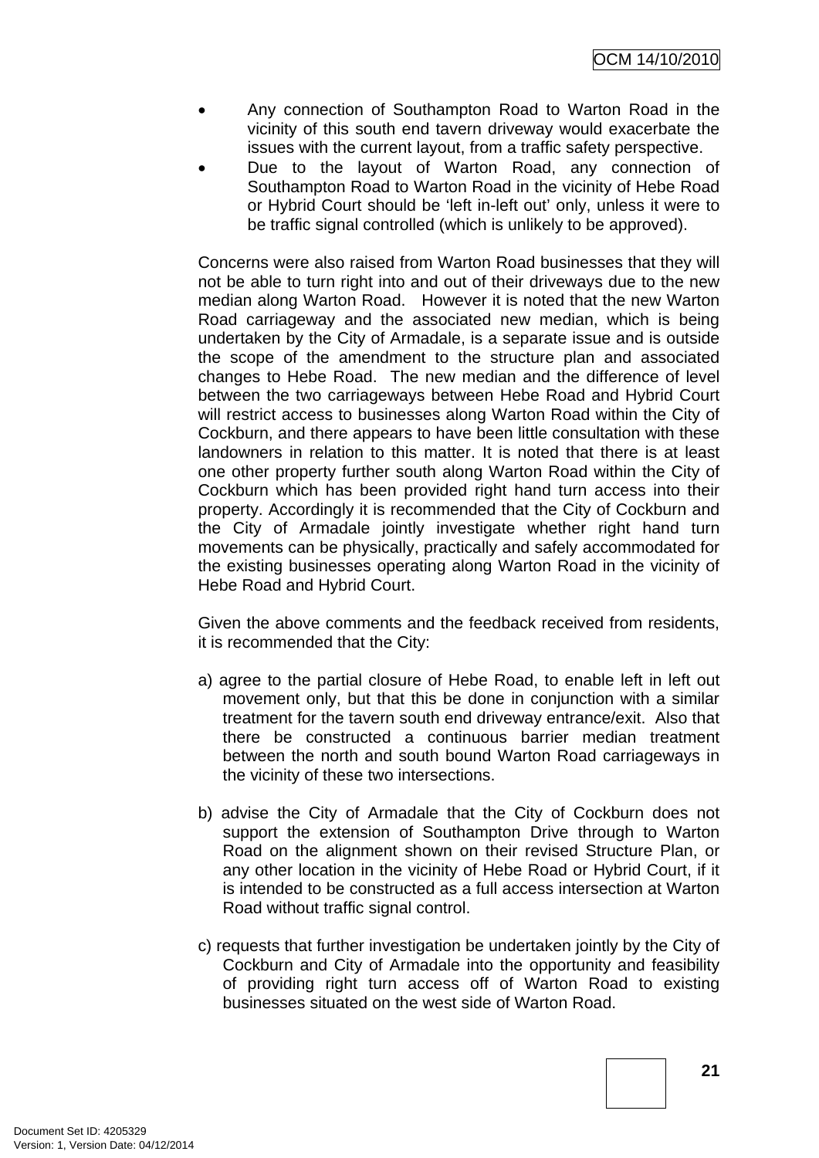- Any connection of Southampton Road to Warton Road in the vicinity of this south end tavern driveway would exacerbate the issues with the current layout, from a traffic safety perspective.
- Due to the layout of Warton Road, any connection of Southampton Road to Warton Road in the vicinity of Hebe Road or Hybrid Court should be 'left in-left out' only, unless it were to be traffic signal controlled (which is unlikely to be approved).

Concerns were also raised from Warton Road businesses that they will not be able to turn right into and out of their driveways due to the new median along Warton Road. However it is noted that the new Warton Road carriageway and the associated new median, which is being undertaken by the City of Armadale, is a separate issue and is outside the scope of the amendment to the structure plan and associated changes to Hebe Road. The new median and the difference of level between the two carriageways between Hebe Road and Hybrid Court will restrict access to businesses along Warton Road within the City of Cockburn, and there appears to have been little consultation with these landowners in relation to this matter. It is noted that there is at least one other property further south along Warton Road within the City of Cockburn which has been provided right hand turn access into their property. Accordingly it is recommended that the City of Cockburn and the City of Armadale jointly investigate whether right hand turn movements can be physically, practically and safely accommodated for the existing businesses operating along Warton Road in the vicinity of Hebe Road and Hybrid Court.

Given the above comments and the feedback received from residents, it is recommended that the City:

- a) agree to the partial closure of Hebe Road, to enable left in left out movement only, but that this be done in conjunction with a similar treatment for the tavern south end driveway entrance/exit. Also that there be constructed a continuous barrier median treatment between the north and south bound Warton Road carriageways in the vicinity of these two intersections.
- b) advise the City of Armadale that the City of Cockburn does not support the extension of Southampton Drive through to Warton Road on the alignment shown on their revised Structure Plan, or any other location in the vicinity of Hebe Road or Hybrid Court, if it is intended to be constructed as a full access intersection at Warton Road without traffic signal control.
- c) requests that further investigation be undertaken jointly by the City of Cockburn and City of Armadale into the opportunity and feasibility of providing right turn access off of Warton Road to existing businesses situated on the west side of Warton Road.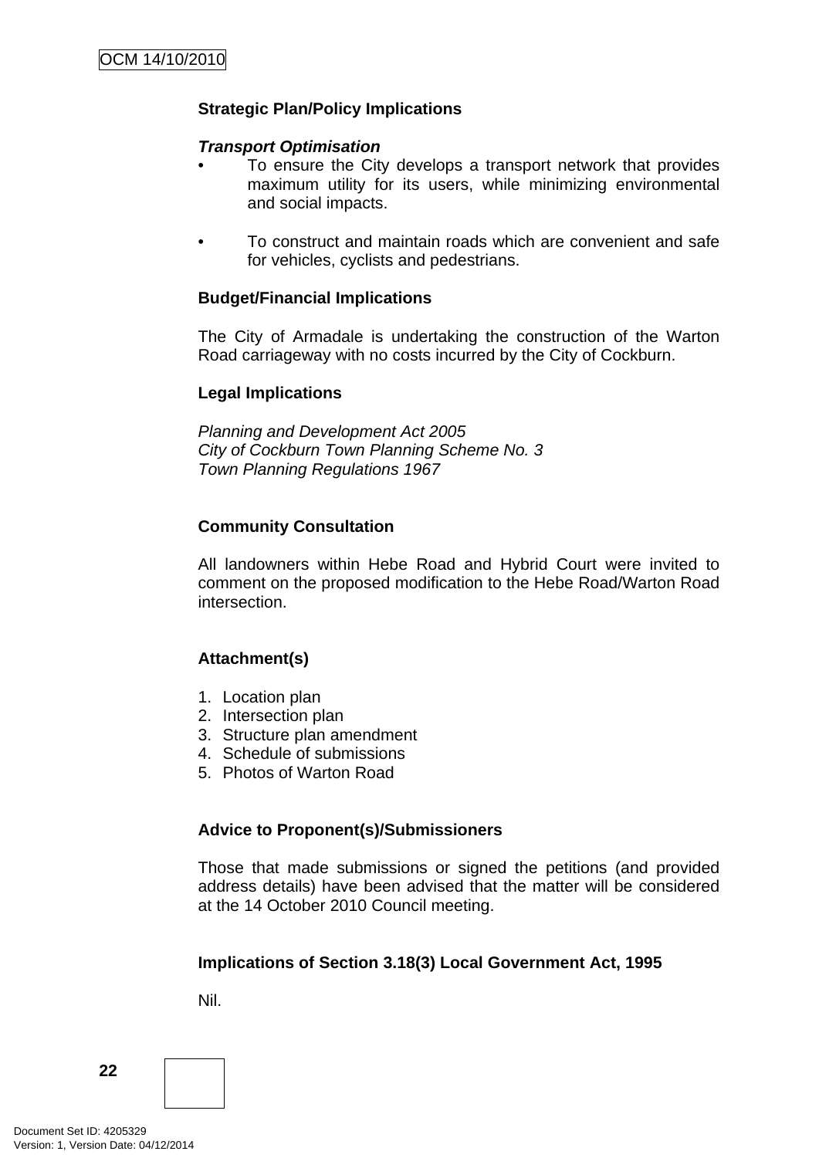## **Strategic Plan/Policy Implications**

### *Transport Optimisation*

- To ensure the City develops a transport network that provides maximum utility for its users, while minimizing environmental and social impacts.
- To construct and maintain roads which are convenient and safe for vehicles, cyclists and pedestrians.

### **Budget/Financial Implications**

The City of Armadale is undertaking the construction of the Warton Road carriageway with no costs incurred by the City of Cockburn.

### **Legal Implications**

*Planning and Development Act 2005 City of Cockburn Town Planning Scheme No. 3 Town Planning Regulations 1967* 

### **Community Consultation**

All landowners within Hebe Road and Hybrid Court were invited to comment on the proposed modification to the Hebe Road/Warton Road intersection.

### **Attachment(s)**

- 1. Location plan
- 2. Intersection plan
- 3. Structure plan amendment
- 4. Schedule of submissions
- 5. Photos of Warton Road

### **Advice to Proponent(s)/Submissioners**

Those that made submissions or signed the petitions (and provided address details) have been advised that the matter will be considered at the 14 October 2010 Council meeting.

### **Implications of Section 3.18(3) Local Government Act, 1995**

Nil.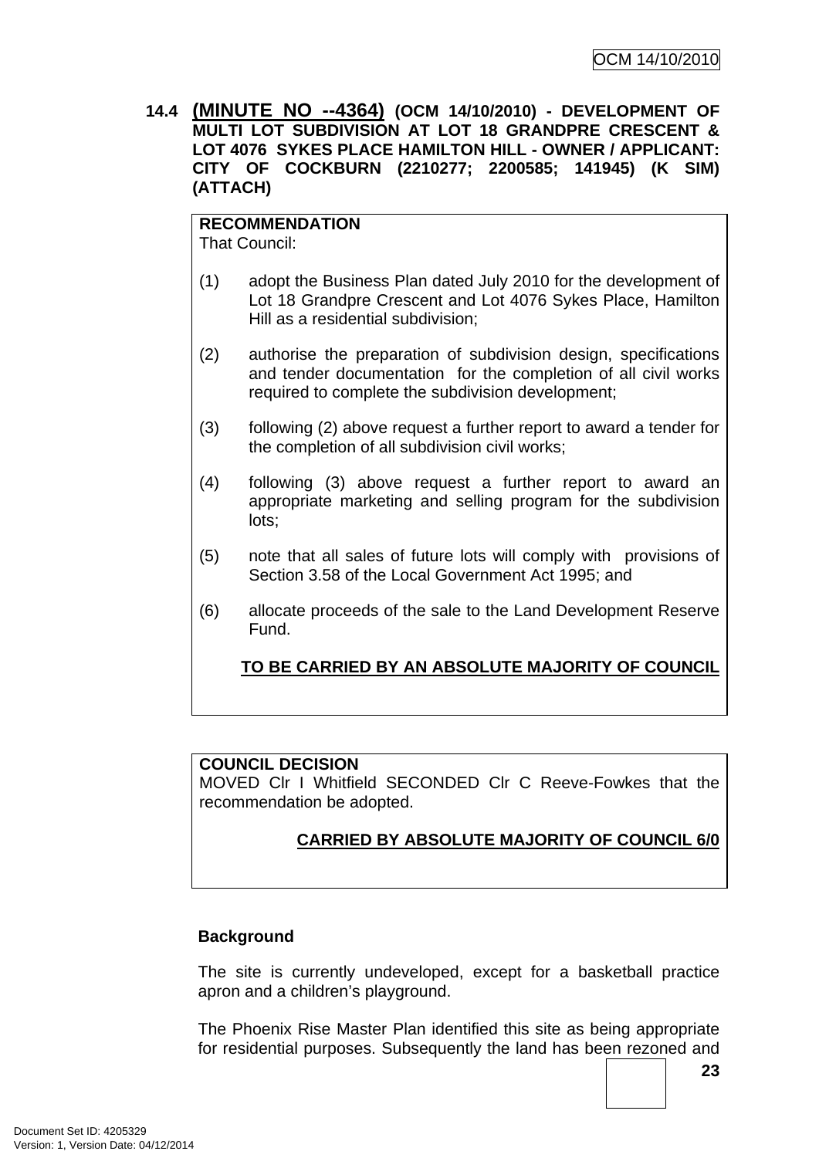<span id="page-26-0"></span>**14.4 (MINUTE NO --4364) (OCM 14/10/2010) - DEVELOPMENT OF MULTI LOT SUBDIVISION AT LOT 18 GRANDPRE CRESCENT & LOT 4076 SYKES PLACE HAMILTON HILL - OWNER / APPLICANT: CITY OF COCKBURN (2210277; 2200585; 141945) (K SIM) (ATTACH)** 

# **RECOMMENDATION**

That Council:

- (1) adopt the Business Plan dated July 2010 for the development of Lot 18 Grandpre Crescent and Lot 4076 Sykes Place, Hamilton Hill as a residential subdivision;
- (2) authorise the preparation of subdivision design, specifications and tender documentation for the completion of all civil works required to complete the subdivision development;
- (3) following (2) above request a further report to award a tender for the completion of all subdivision civil works;
- (4) following (3) above request a further report to award an appropriate marketing and selling program for the subdivision lots;
- (5) note that all sales of future lots will comply with provisions of Section 3.58 of the Local Government Act 1995; and
- (6) allocate proceeds of the sale to the Land Development Reserve Fund.

# **TO BE CARRIED BY AN ABSOLUTE MAJORITY OF COUNCIL**

# **COUNCIL DECISION**

MOVED Clr I Whitfield SECONDED Clr C Reeve-Fowkes that the recommendation be adopted.

# **CARRIED BY ABSOLUTE MAJORITY OF COUNCIL 6/0**

# **Background**

The site is currently undeveloped, except for a basketball practice apron and a children's playground.

The Phoenix Rise Master Plan identified this site as being appropriate for residential purposes. Subsequently the land has been rezoned and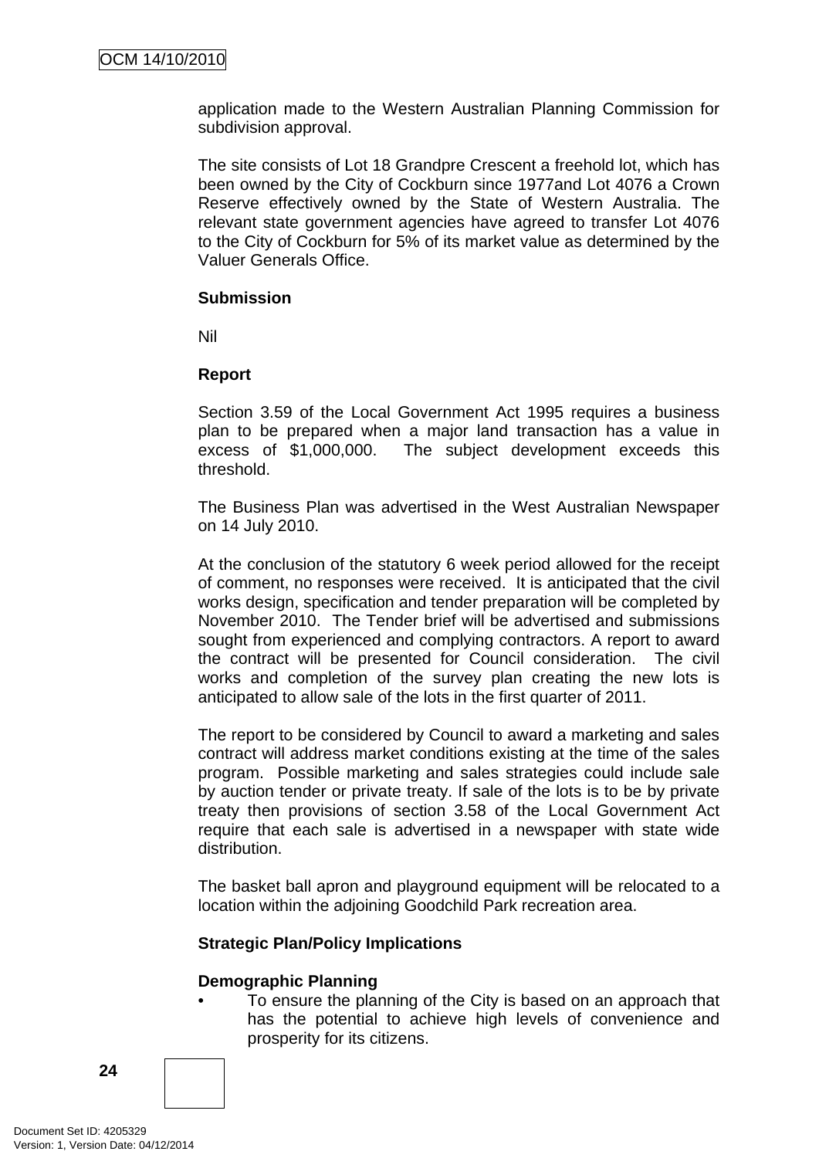application made to the Western Australian Planning Commission for subdivision approval.

The site consists of Lot 18 Grandpre Crescent a freehold lot, which has been owned by the City of Cockburn since 1977and Lot 4076 a Crown Reserve effectively owned by the State of Western Australia. The relevant state government agencies have agreed to transfer Lot 4076 to the City of Cockburn for 5% of its market value as determined by the Valuer Generals Office.

### **Submission**

Nil

### **Report**

Section 3.59 of the Local Government Act 1995 requires a business plan to be prepared when a major land transaction has a value in excess of \$1,000,000. The subject development exceeds this threshold.

The Business Plan was advertised in the West Australian Newspaper on 14 July 2010.

At the conclusion of the statutory 6 week period allowed for the receipt of comment, no responses were received. It is anticipated that the civil works design, specification and tender preparation will be completed by November 2010. The Tender brief will be advertised and submissions sought from experienced and complying contractors. A report to award the contract will be presented for Council consideration. The civil works and completion of the survey plan creating the new lots is anticipated to allow sale of the lots in the first quarter of 2011.

The report to be considered by Council to award a marketing and sales contract will address market conditions existing at the time of the sales program. Possible marketing and sales strategies could include sale by auction tender or private treaty. If sale of the lots is to be by private treaty then provisions of section 3.58 of the Local Government Act require that each sale is advertised in a newspaper with state wide distribution.

The basket ball apron and playground equipment will be relocated to a location within the adjoining Goodchild Park recreation area.

### **Strategic Plan/Policy Implications**

### **Demographic Planning**

• To ensure the planning of the City is based on an approach that has the potential to achieve high levels of convenience and prosperity for its citizens.

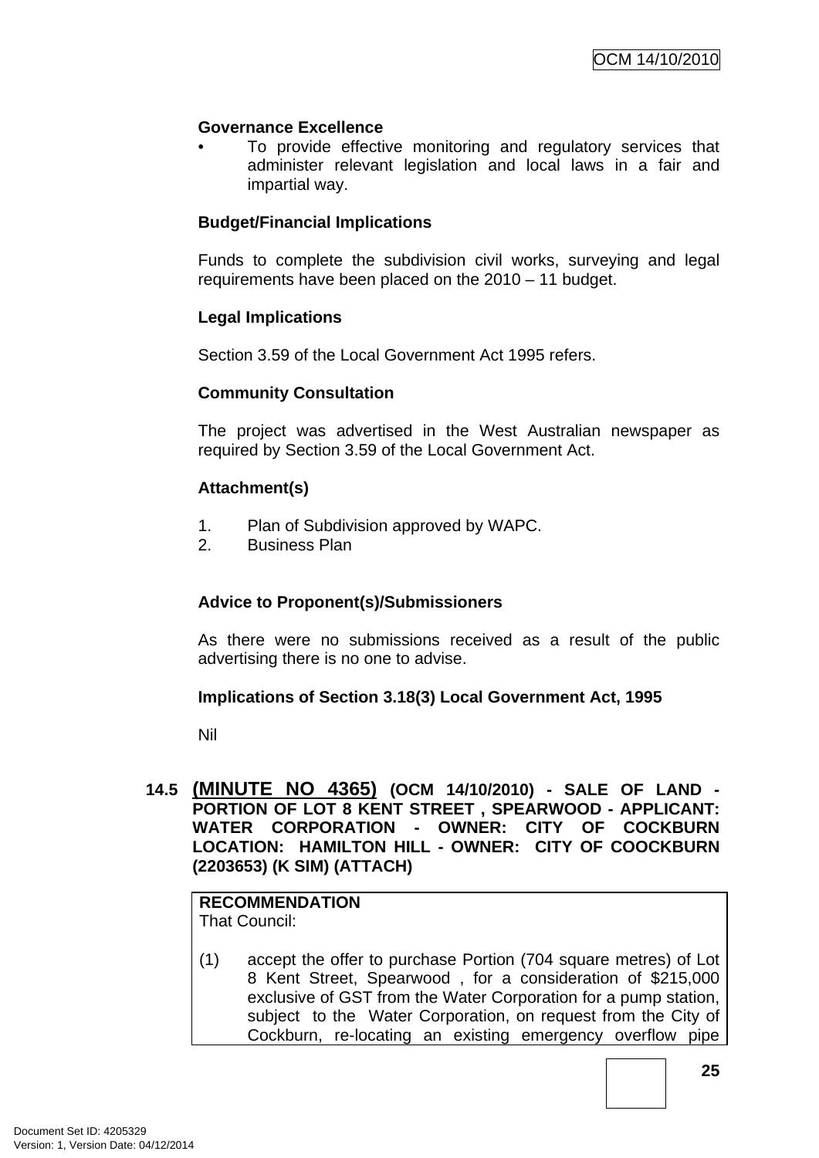### <span id="page-28-0"></span>**Governance Excellence**

To provide effective monitoring and regulatory services that administer relevant legislation and local laws in a fair and impartial way.

### **Budget/Financial Implications**

Funds to complete the subdivision civil works, surveying and legal requirements have been placed on the 2010 – 11 budget.

### **Legal Implications**

Section 3.59 of the Local Government Act 1995 refers.

### **Community Consultation**

The project was advertised in the West Australian newspaper as required by Section 3.59 of the Local Government Act.

### **Attachment(s)**

- 1. Plan of Subdivision approved by WAPC.
- 2. Business Plan

### **Advice to Proponent(s)/Submissioners**

As there were no submissions received as a result of the public advertising there is no one to advise.

### **Implications of Section 3.18(3) Local Government Act, 1995**

Nil

**14.5 (MINUTE NO 4365) (OCM 14/10/2010) - SALE OF LAND - PORTION OF LOT 8 KENT STREET , SPEARWOOD - APPLICANT: WATER CORPORATION - OWNER: CITY OF COCKBURN LOCATION: HAMILTON HILL - OWNER: CITY OF COOCKBURN (2203653) (K SIM) (ATTACH)** 

### **RECOMMENDATION** That Council:

(1) accept the offer to purchase Portion (704 square metres) of Lot 8 Kent Street, Spearwood , for a consideration of \$215,000 exclusive of GST from the Water Corporation for a pump station, subject to the Water Corporation, on request from the City of Cockburn, re-locating an existing emergency overflow pipe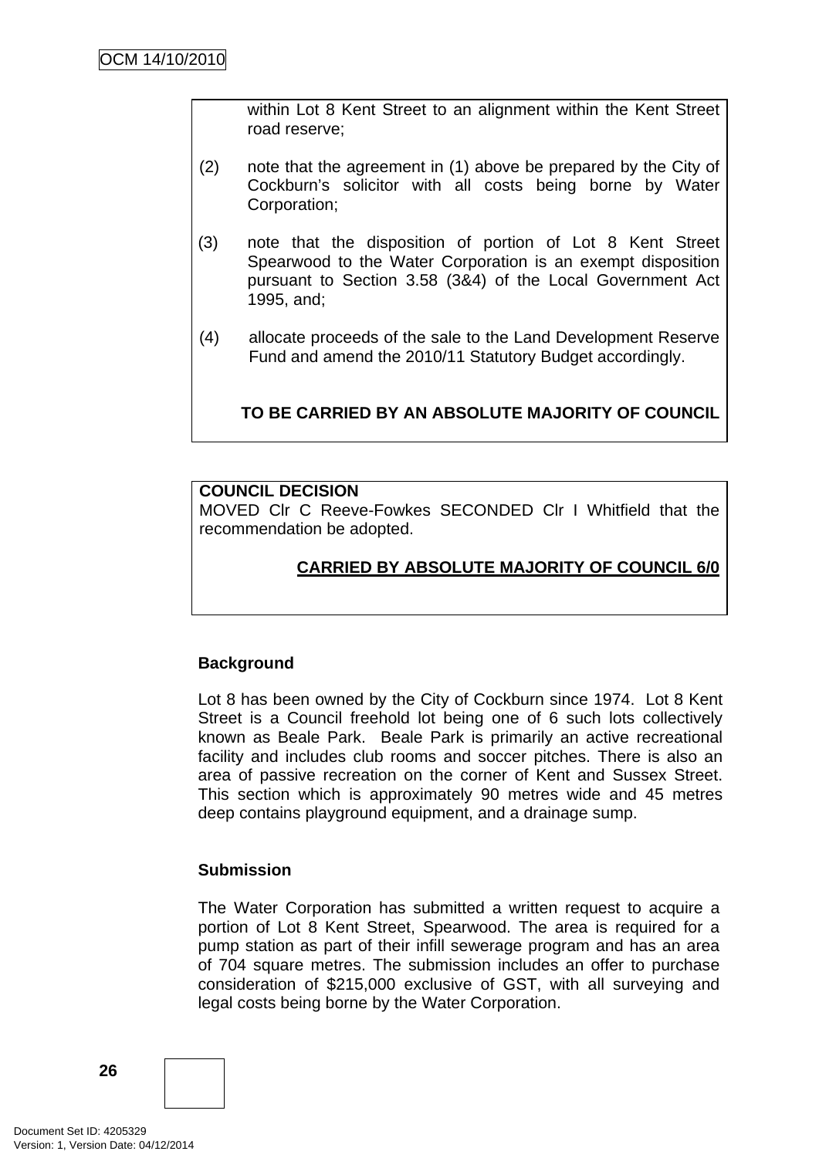within Lot 8 Kent Street to an alignment within the Kent Street road reserve;

- (2) note that the agreement in (1) above be prepared by the City of Cockburn's solicitor with all costs being borne by Water Corporation;
- (3) note that the disposition of portion of Lot 8 Kent Street Spearwood to the Water Corporation is an exempt disposition pursuant to Section 3.58 (3&4) of the Local Government Act 1995, and;
- (4) allocate proceeds of the sale to the Land Development Reserve Fund and amend the 2010/11 Statutory Budget accordingly.

**TO BE CARRIED BY AN ABSOLUTE MAJORITY OF COUNCIL**

### **COUNCIL DECISION**

MOVED Clr C Reeve-Fowkes SECONDED Clr I Whitfield that the recommendation be adopted.

# **CARRIED BY ABSOLUTE MAJORITY OF COUNCIL 6/0**

# **Background**

Lot 8 has been owned by the City of Cockburn since 1974. Lot 8 Kent Street is a Council freehold lot being one of 6 such lots collectively known as Beale Park. Beale Park is primarily an active recreational facility and includes club rooms and soccer pitches. There is also an area of passive recreation on the corner of Kent and Sussex Street. This section which is approximately 90 metres wide and 45 metres deep contains playground equipment, and a drainage sump.

### **Submission**

The Water Corporation has submitted a written request to acquire a portion of Lot 8 Kent Street, Spearwood. The area is required for a pump station as part of their infill sewerage program and has an area of 704 square metres. The submission includes an offer to purchase consideration of \$215,000 exclusive of GST, with all surveying and legal costs being borne by the Water Corporation.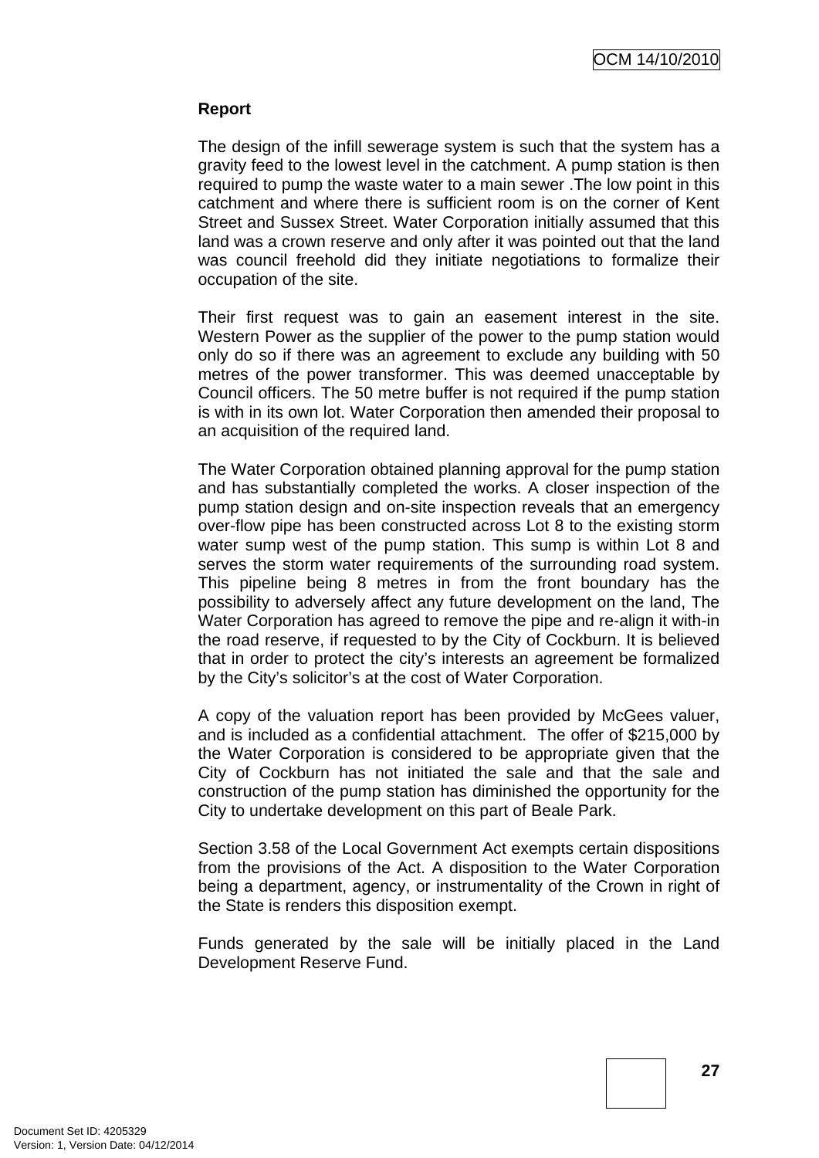### **Report**

The design of the infill sewerage system is such that the system has a gravity feed to the lowest level in the catchment. A pump station is then required to pump the waste water to a main sewer .The low point in this catchment and where there is sufficient room is on the corner of Kent Street and Sussex Street. Water Corporation initially assumed that this land was a crown reserve and only after it was pointed out that the land was council freehold did they initiate negotiations to formalize their occupation of the site.

Their first request was to gain an easement interest in the site. Western Power as the supplier of the power to the pump station would only do so if there was an agreement to exclude any building with 50 metres of the power transformer. This was deemed unacceptable by Council officers. The 50 metre buffer is not required if the pump station is with in its own lot. Water Corporation then amended their proposal to an acquisition of the required land.

The Water Corporation obtained planning approval for the pump station and has substantially completed the works. A closer inspection of the pump station design and on-site inspection reveals that an emergency over-flow pipe has been constructed across Lot 8 to the existing storm water sump west of the pump station. This sump is within Lot 8 and serves the storm water requirements of the surrounding road system. This pipeline being 8 metres in from the front boundary has the possibility to adversely affect any future development on the land, The Water Corporation has agreed to remove the pipe and re-align it with-in the road reserve, if requested to by the City of Cockburn. It is believed that in order to protect the city's interests an agreement be formalized by the City's solicitor's at the cost of Water Corporation.

A copy of the valuation report has been provided by McGees valuer, and is included as a confidential attachment. The offer of \$215,000 by the Water Corporation is considered to be appropriate given that the City of Cockburn has not initiated the sale and that the sale and construction of the pump station has diminished the opportunity for the City to undertake development on this part of Beale Park.

Section 3.58 of the Local Government Act exempts certain dispositions from the provisions of the Act. A disposition to the Water Corporation being a department, agency, or instrumentality of the Crown in right of the State is renders this disposition exempt.

Funds generated by the sale will be initially placed in the Land Development Reserve Fund.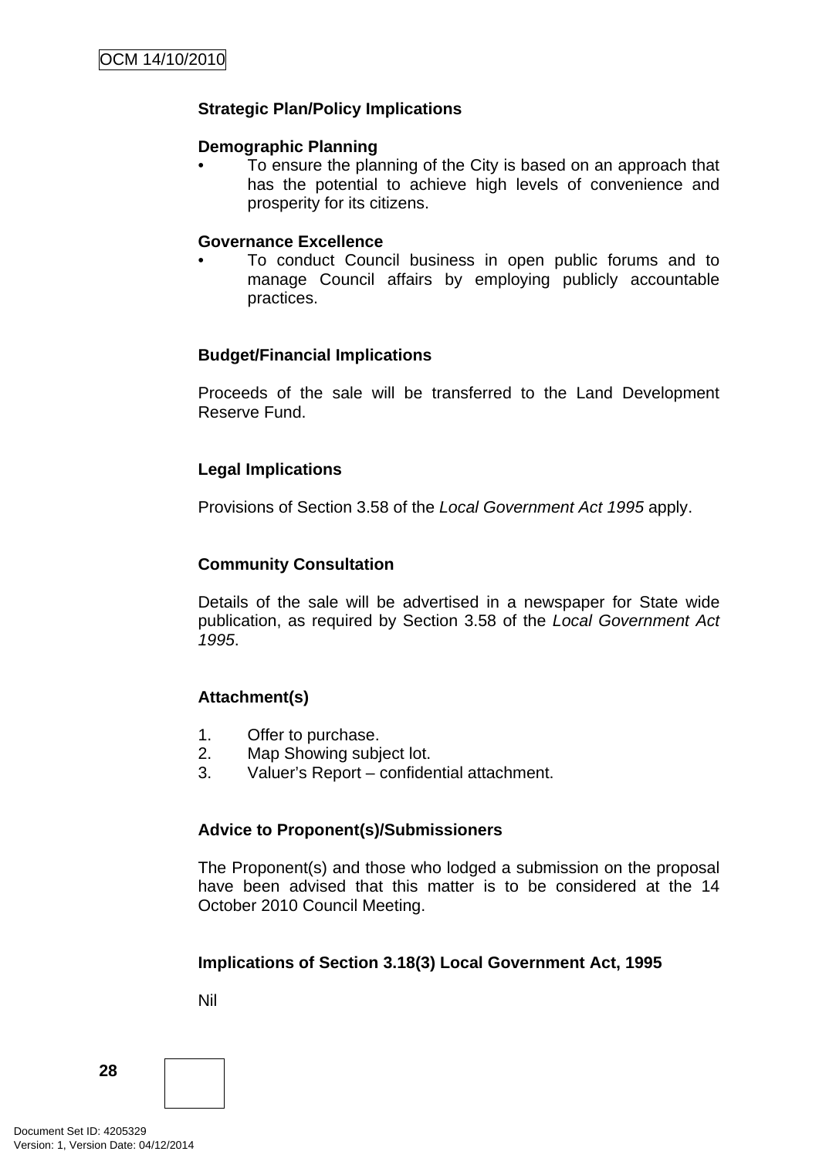## **Strategic Plan/Policy Implications**

### **Demographic Planning**

• To ensure the planning of the City is based on an approach that has the potential to achieve high levels of convenience and prosperity for its citizens.

### **Governance Excellence**

• To conduct Council business in open public forums and to manage Council affairs by employing publicly accountable practices.

## **Budget/Financial Implications**

Proceeds of the sale will be transferred to the Land Development Reserve Fund.

## **Legal Implications**

Provisions of Section 3.58 of the *Local Government Act 1995* apply.

### **Community Consultation**

Details of the sale will be advertised in a newspaper for State wide publication, as required by Section 3.58 of the *Local Government Act 1995*.

# **Attachment(s)**

- 1. Offer to purchase.
- 2. Map Showing subject lot.
- 3. Valuer's Report confidential attachment.

### **Advice to Proponent(s)/Submissioners**

The Proponent(s) and those who lodged a submission on the proposal have been advised that this matter is to be considered at the 14 October 2010 Council Meeting.

# **Implications of Section 3.18(3) Local Government Act, 1995**

Nil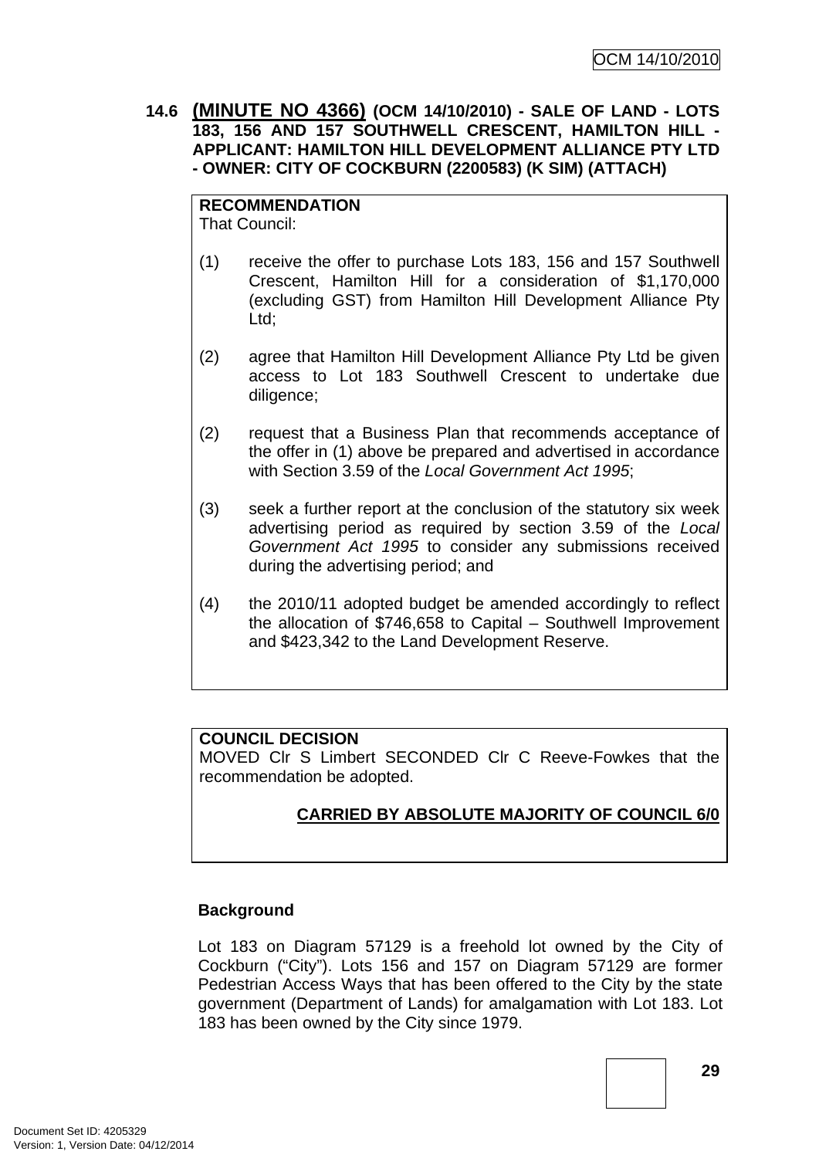## <span id="page-32-0"></span>**14.6 (MINUTE NO 4366) (OCM 14/10/2010) - SALE OF LAND - LOTS 183, 156 AND 157 SOUTHWELL CRESCENT, HAMILTON HILL - APPLICANT: HAMILTON HILL DEVELOPMENT ALLIANCE PTY LTD - OWNER: CITY OF COCKBURN (2200583) (K SIM) (ATTACH)**

# **RECOMMENDATION**

That Council:

- (1) receive the offer to purchase Lots 183, 156 and 157 Southwell Crescent, Hamilton Hill for a consideration of \$1,170,000 (excluding GST) from Hamilton Hill Development Alliance Pty Ltd;
- (2) agree that Hamilton Hill Development Alliance Pty Ltd be given access to Lot 183 Southwell Crescent to undertake due diligence;
- (2) request that a Business Plan that recommends acceptance of the offer in (1) above be prepared and advertised in accordance with Section 3.59 of the *Local Government Act 1995*;
- (3) seek a further report at the conclusion of the statutory six week advertising period as required by section 3.59 of the *Local Government Act 1995* to consider any submissions received during the advertising period; and
- (4) the 2010/11 adopted budget be amended accordingly to reflect the allocation of \$746,658 to Capital – Southwell Improvement and \$423,342 to the Land Development Reserve.

# **COUNCIL DECISION**

MOVED Clr S Limbert SECONDED Clr C Reeve-Fowkes that the recommendation be adopted.

# **CARRIED BY ABSOLUTE MAJORITY OF COUNCIL 6/0**

# **Background**

Lot 183 on Diagram 57129 is a freehold lot owned by the City of Cockburn ("City"). Lots 156 and 157 on Diagram 57129 are former Pedestrian Access Ways that has been offered to the City by the state government (Department of Lands) for amalgamation with Lot 183. Lot 183 has been owned by the City since 1979.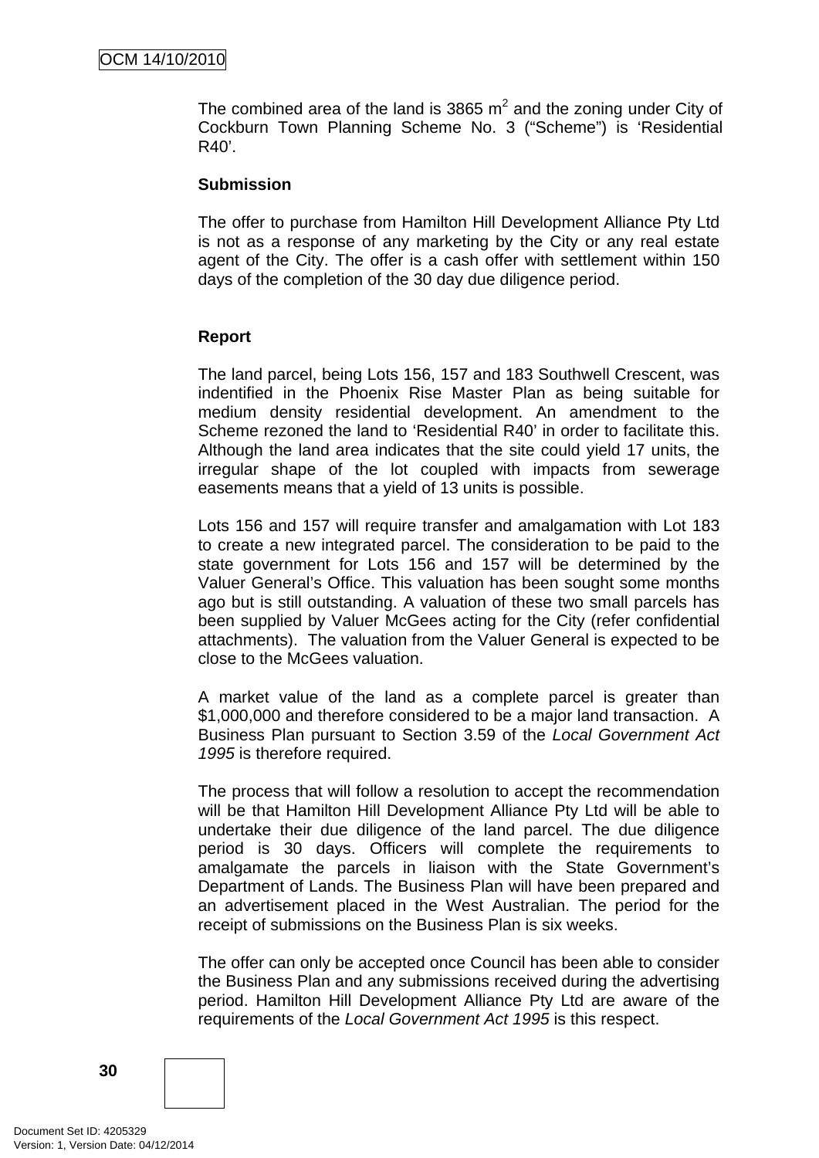The combined area of the land is 3865  $m^2$  and the zoning under City of Cockburn Town Planning Scheme No. 3 ("Scheme") is 'Residential R40'.

### **Submission**

The offer to purchase from Hamilton Hill Development Alliance Pty Ltd is not as a response of any marketing by the City or any real estate agent of the City. The offer is a cash offer with settlement within 150 days of the completion of the 30 day due diligence period.

### **Report**

The land parcel, being Lots 156, 157 and 183 Southwell Crescent, was indentified in the Phoenix Rise Master Plan as being suitable for medium density residential development. An amendment to the Scheme rezoned the land to 'Residential R40' in order to facilitate this. Although the land area indicates that the site could yield 17 units, the irregular shape of the lot coupled with impacts from sewerage easements means that a yield of 13 units is possible.

Lots 156 and 157 will require transfer and amalgamation with Lot 183 to create a new integrated parcel. The consideration to be paid to the state government for Lots 156 and 157 will be determined by the Valuer General's Office. This valuation has been sought some months ago but is still outstanding. A valuation of these two small parcels has been supplied by Valuer McGees acting for the City (refer confidential attachments). The valuation from the Valuer General is expected to be close to the McGees valuation.

A market value of the land as a complete parcel is greater than \$1,000,000 and therefore considered to be a major land transaction. A Business Plan pursuant to Section 3.59 of the *Local Government Act 1995* is therefore required.

The process that will follow a resolution to accept the recommendation will be that Hamilton Hill Development Alliance Pty Ltd will be able to undertake their due diligence of the land parcel. The due diligence period is 30 days. Officers will complete the requirements to amalgamate the parcels in liaison with the State Government's Department of Lands. The Business Plan will have been prepared and an advertisement placed in the West Australian. The period for the receipt of submissions on the Business Plan is six weeks.

The offer can only be accepted once Council has been able to consider the Business Plan and any submissions received during the advertising period. Hamilton Hill Development Alliance Pty Ltd are aware of the requirements of the *Local Government Act 1995* is this respect.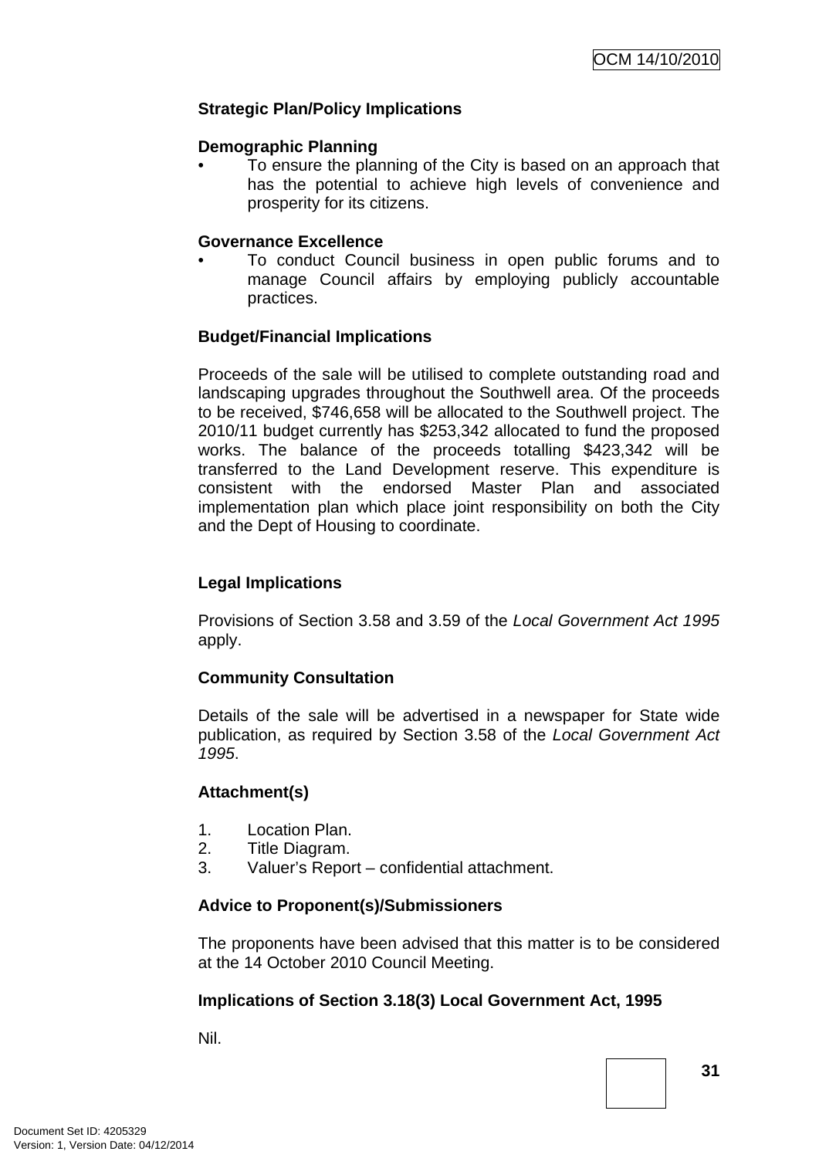## **Strategic Plan/Policy Implications**

### **Demographic Planning**

• To ensure the planning of the City is based on an approach that has the potential to achieve high levels of convenience and prosperity for its citizens.

### **Governance Excellence**

• To conduct Council business in open public forums and to manage Council affairs by employing publicly accountable practices.

### **Budget/Financial Implications**

Proceeds of the sale will be utilised to complete outstanding road and landscaping upgrades throughout the Southwell area. Of the proceeds to be received, \$746,658 will be allocated to the Southwell project. The 2010/11 budget currently has \$253,342 allocated to fund the proposed works. The balance of the proceeds totalling \$423,342 will be transferred to the Land Development reserve. This expenditure is consistent with the endorsed Master Plan and associated implementation plan which place joint responsibility on both the City and the Dept of Housing to coordinate.

## **Legal Implications**

Provisions of Section 3.58 and 3.59 of the *Local Government Act 1995* apply.

### **Community Consultation**

Details of the sale will be advertised in a newspaper for State wide publication, as required by Section 3.58 of the *Local Government Act 1995*.

### **Attachment(s)**

- 1. Location Plan.
- 2. Title Diagram.
- 3. Valuer's Report confidential attachment.

### **Advice to Proponent(s)/Submissioners**

The proponents have been advised that this matter is to be considered at the 14 October 2010 Council Meeting.

### **Implications of Section 3.18(3) Local Government Act, 1995**

Nil.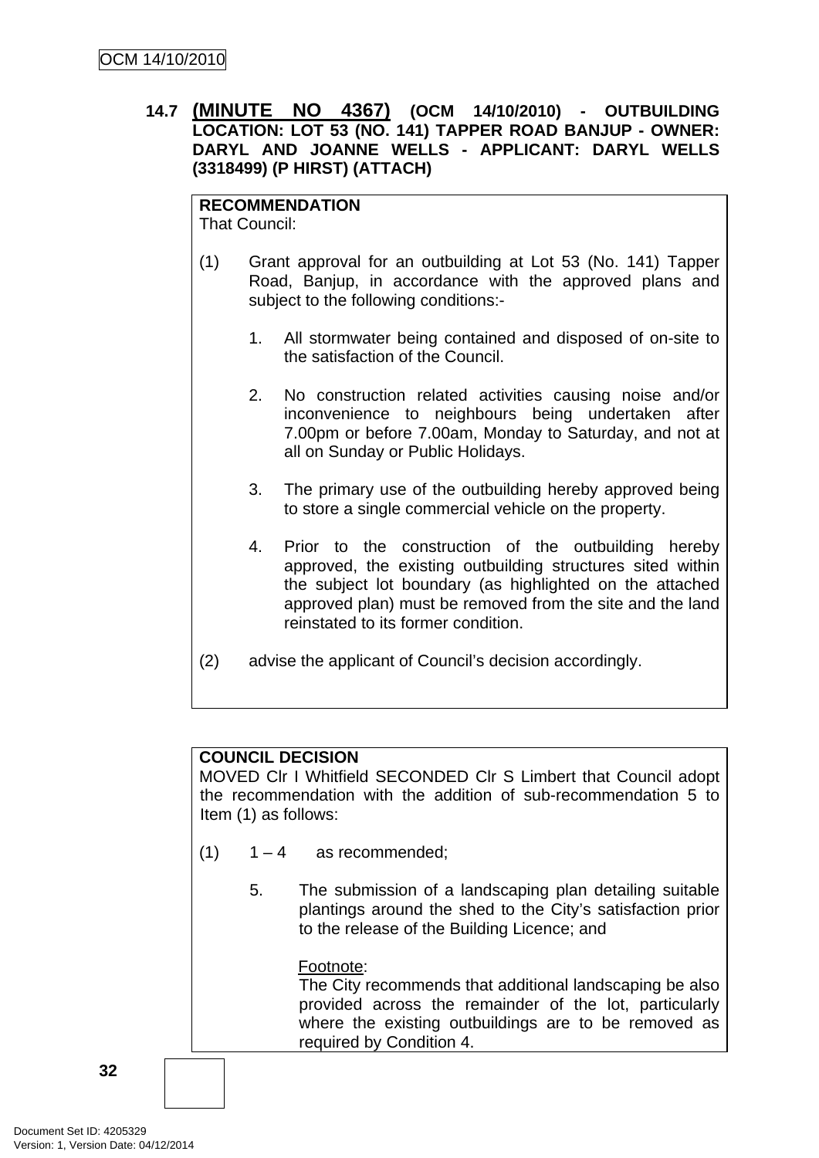## <span id="page-35-0"></span>**14.7 (MINUTE NO 4367) (OCM 14/10/2010) - OUTBUILDING LOCATION: LOT 53 (NO. 141) TAPPER ROAD BANJUP - OWNER: DARYL AND JOANNE WELLS - APPLICANT: DARYL WELLS (3318499) (P HIRST) (ATTACH)**

# **RECOMMENDATION**

That Council:

- (1) Grant approval for an outbuilding at Lot 53 (No. 141) Tapper Road, Banjup, in accordance with the approved plans and subject to the following conditions:-
	- 1. All stormwater being contained and disposed of on-site to the satisfaction of the Council.
	- 2. No construction related activities causing noise and/or inconvenience to neighbours being undertaken after 7.00pm or before 7.00am, Monday to Saturday, and not at all on Sunday or Public Holidays.
	- 3. The primary use of the outbuilding hereby approved being to store a single commercial vehicle on the property.
	- 4. Prior to the construction of the outbuilding hereby approved, the existing outbuilding structures sited within the subject lot boundary (as highlighted on the attached approved plan) must be removed from the site and the land reinstated to its former condition.
- (2) advise the applicant of Council's decision accordingly.

# **COUNCIL DECISION**

MOVED Clr I Whitfield SECONDED Clr S Limbert that Council adopt the recommendation with the addition of sub-recommendation 5 to Item (1) as follows:

- $(1)$  1 4 as recommended:
	- 5. The submission of a landscaping plan detailing suitable plantings around the shed to the City's satisfaction prior to the release of the Building Licence; and

### Footnote:

The City recommends that additional landscaping be also provided across the remainder of the lot, particularly where the existing outbuildings are to be removed as required by Condition 4.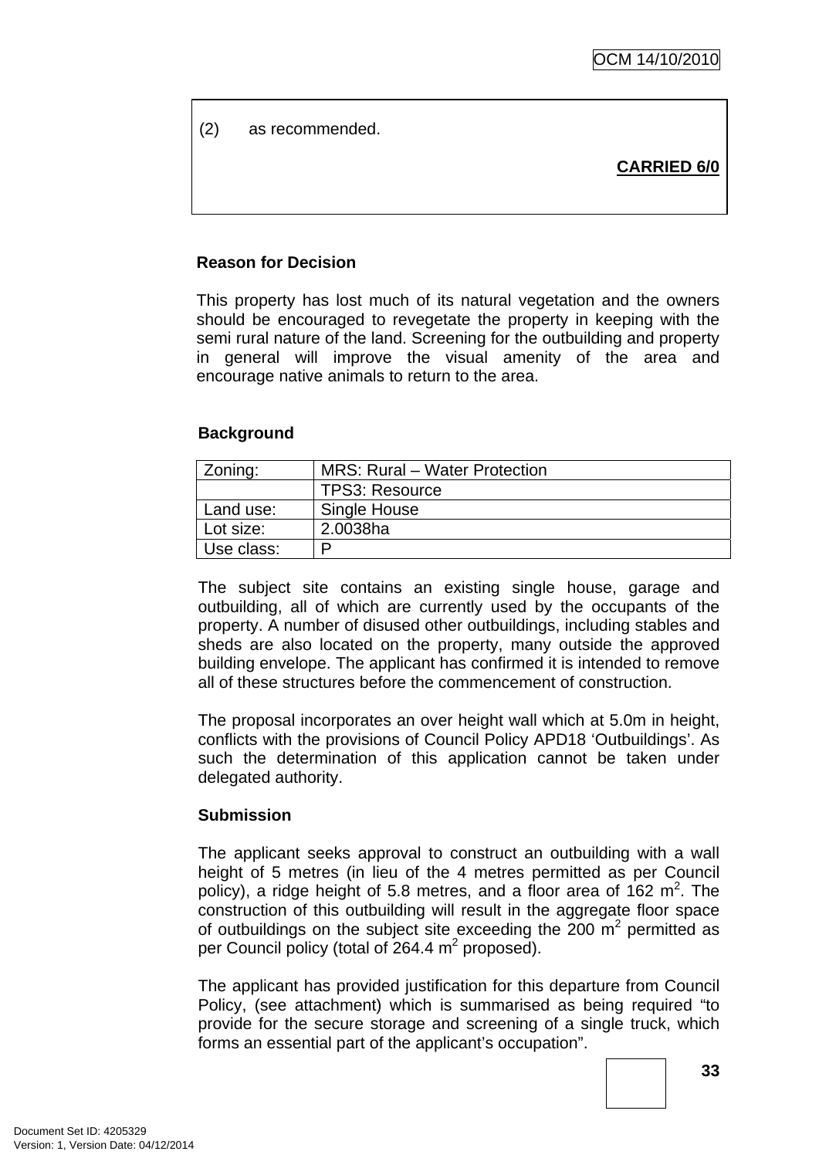(2) as recommended.

**CARRIED 6/0**

# **Reason for Decision**

This property has lost much of its natural vegetation and the owners should be encouraged to revegetate the property in keeping with the semi rural nature of the land. Screening for the outbuilding and property in general will improve the visual amenity of the area and encourage native animals to return to the area.

# **Background**

| Zoning:    | <b>MRS: Rural - Water Protection</b> |
|------------|--------------------------------------|
|            | TPS3: Resource                       |
| Land use:  | Single House                         |
| Lot size:  | 2.0038ha                             |
| Use class: | D                                    |

The subject site contains an existing single house, garage and outbuilding, all of which are currently used by the occupants of the property. A number of disused other outbuildings, including stables and sheds are also located on the property, many outside the approved building envelope. The applicant has confirmed it is intended to remove all of these structures before the commencement of construction.

The proposal incorporates an over height wall which at 5.0m in height, conflicts with the provisions of Council Policy APD18 'Outbuildings'. As such the determination of this application cannot be taken under delegated authority.

#### **Submission**

The applicant seeks approval to construct an outbuilding with a wall height of 5 metres (in lieu of the 4 metres permitted as per Council policy), a ridge height of 5.8 metres, and a floor area of 162  $m^2$ . The construction of this outbuilding will result in the aggregate floor space of outbuildings on the subject site exceeding the  $200 \text{ m}^2$  permitted as per Council policy (total of  $264.4$  m<sup>2</sup> proposed).

The applicant has provided justification for this departure from Council Policy, (see attachment) which is summarised as being required "to provide for the secure storage and screening of a single truck, which forms an essential part of the applicant's occupation".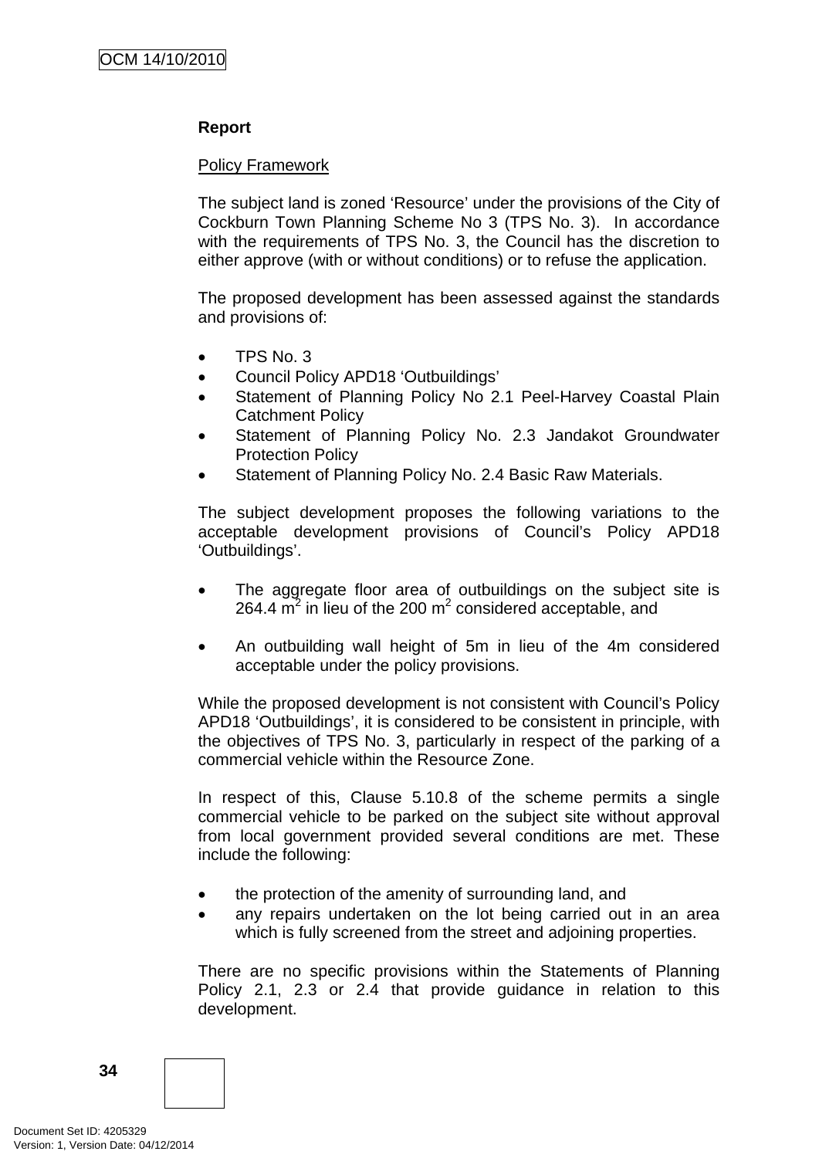# **Report**

#### Policy Framework

The subject land is zoned 'Resource' under the provisions of the City of Cockburn Town Planning Scheme No 3 (TPS No. 3). In accordance with the requirements of TPS No. 3, the Council has the discretion to either approve (with or without conditions) or to refuse the application.

The proposed development has been assessed against the standards and provisions of:

- $\bullet$  TPS No. 3
- Council Policy APD18 'Outbuildings'
- Statement of Planning Policy No 2.1 Peel-Harvey Coastal Plain Catchment Policy
- Statement of Planning Policy No. 2.3 Jandakot Groundwater Protection Policy
- Statement of Planning Policy No. 2.4 Basic Raw Materials.

The subject development proposes the following variations to the acceptable development provisions of Council's Policy APD18 'Outbuildings'.

- The aggregate floor area of outbuildings on the subject site is 264.4  $\overline{m}^2$  in lieu of the 200  $m^2$  considered acceptable, and
- An outbuilding wall height of 5m in lieu of the 4m considered acceptable under the policy provisions.

While the proposed development is not consistent with Council's Policy APD18 'Outbuildings', it is considered to be consistent in principle, with the objectives of TPS No. 3, particularly in respect of the parking of a commercial vehicle within the Resource Zone.

In respect of this, Clause 5.10.8 of the scheme permits a single commercial vehicle to be parked on the subject site without approval from local government provided several conditions are met. These include the following:

- the protection of the amenity of surrounding land, and
- any repairs undertaken on the lot being carried out in an area which is fully screened from the street and adjoining properties.

There are no specific provisions within the Statements of Planning Policy 2.1, 2.3 or 2.4 that provide guidance in relation to this development.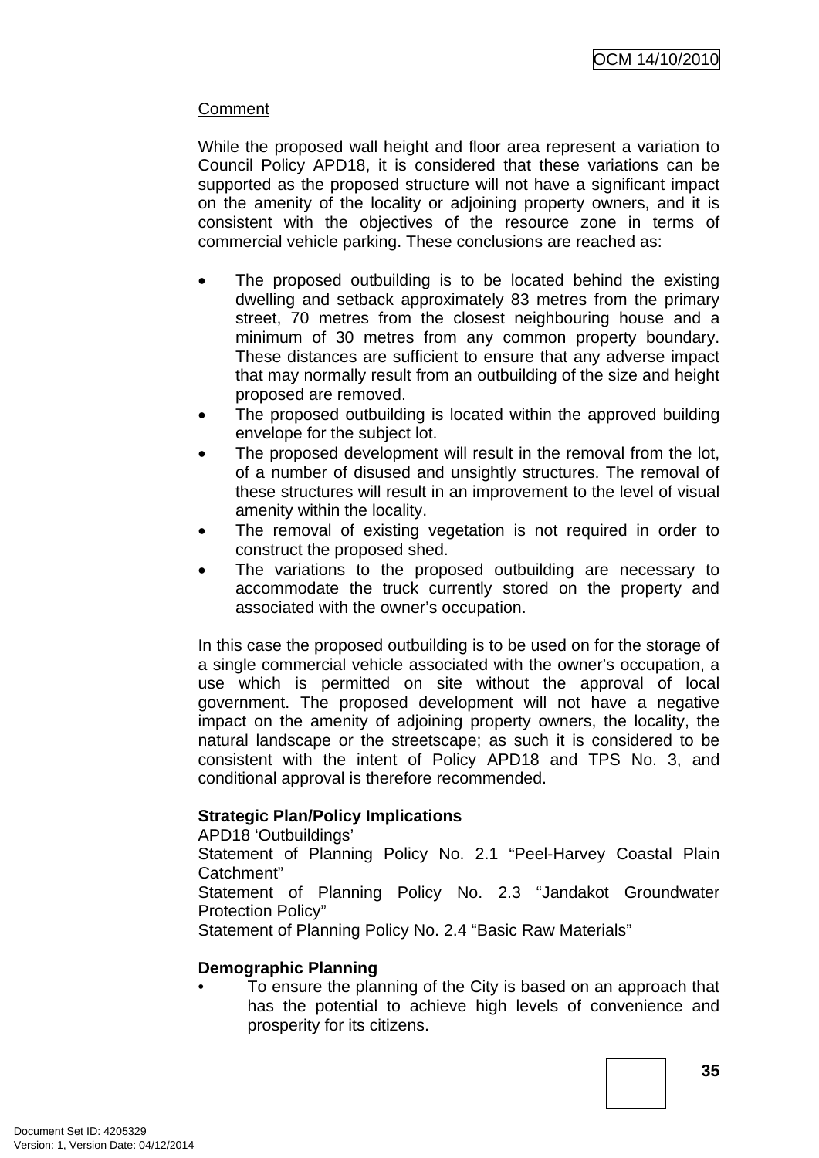# **Comment**

While the proposed wall height and floor area represent a variation to Council Policy APD18, it is considered that these variations can be supported as the proposed structure will not have a significant impact on the amenity of the locality or adjoining property owners, and it is consistent with the objectives of the resource zone in terms of commercial vehicle parking. These conclusions are reached as:

- The proposed outbuilding is to be located behind the existing dwelling and setback approximately 83 metres from the primary street, 70 metres from the closest neighbouring house and a minimum of 30 metres from any common property boundary. These distances are sufficient to ensure that any adverse impact that may normally result from an outbuilding of the size and height proposed are removed.
- The proposed outbuilding is located within the approved building envelope for the subject lot.
- The proposed development will result in the removal from the lot, of a number of disused and unsightly structures. The removal of these structures will result in an improvement to the level of visual amenity within the locality.
- The removal of existing vegetation is not required in order to construct the proposed shed.
- The variations to the proposed outbuilding are necessary to accommodate the truck currently stored on the property and associated with the owner's occupation.

In this case the proposed outbuilding is to be used on for the storage of a single commercial vehicle associated with the owner's occupation, a use which is permitted on site without the approval of local government. The proposed development will not have a negative impact on the amenity of adjoining property owners, the locality, the natural landscape or the streetscape; as such it is considered to be consistent with the intent of Policy APD18 and TPS No. 3, and conditional approval is therefore recommended.

# **Strategic Plan/Policy Implications**

APD18 'Outbuildings'

Statement of Planning Policy No. 2.1 "Peel-Harvey Coastal Plain Catchment"

Statement of Planning Policy No. 2.3 "Jandakot Groundwater Protection Policy"

Statement of Planning Policy No. 2.4 "Basic Raw Materials"

# **Demographic Planning**

• To ensure the planning of the City is based on an approach that has the potential to achieve high levels of convenience and prosperity for its citizens.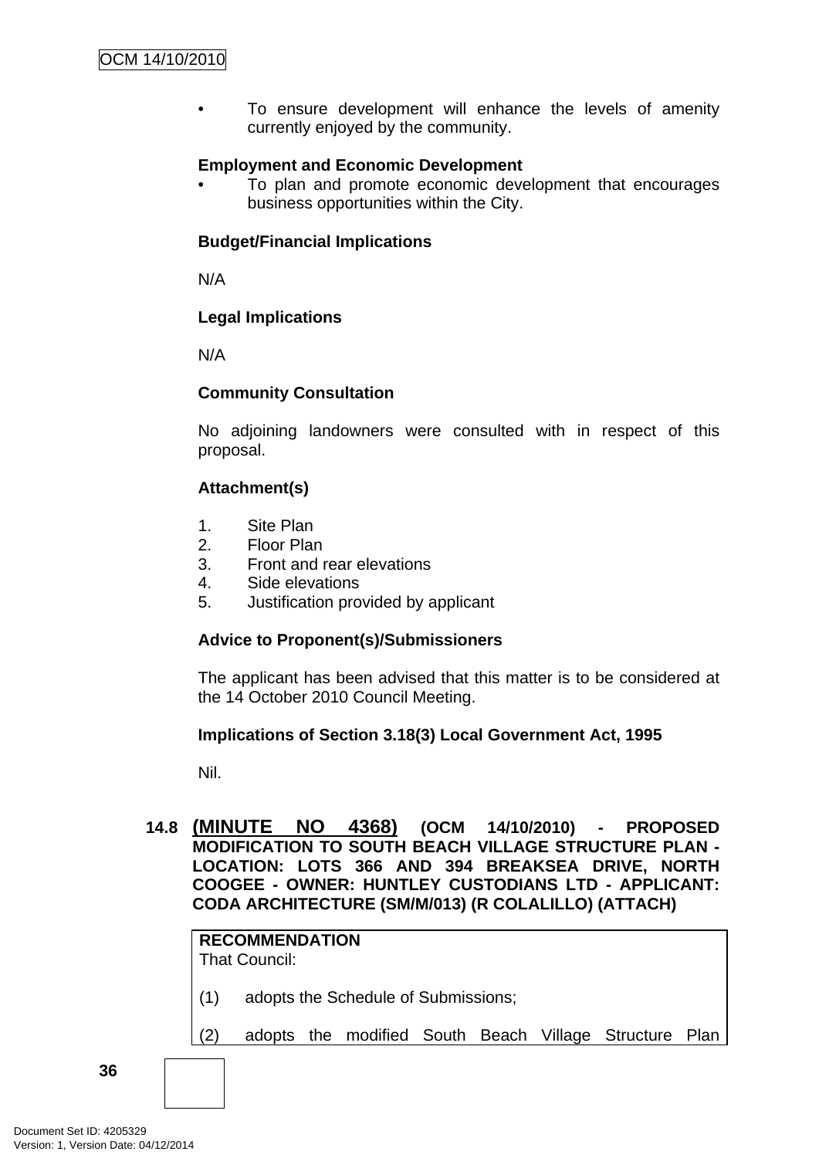To ensure development will enhance the levels of amenity currently enjoyed by the community.

# **Employment and Economic Development**

• To plan and promote economic development that encourages business opportunities within the City.

### **Budget/Financial Implications**

N/A

# **Legal Implications**

N/A

# **Community Consultation**

No adjoining landowners were consulted with in respect of this proposal.

# **Attachment(s)**

- 1. Site Plan
- 2. Floor Plan
- 3. Front and rear elevations
- 4. Side elevations
- 5. Justification provided by applicant

#### **Advice to Proponent(s)/Submissioners**

The applicant has been advised that this matter is to be considered at the 14 October 2010 Council Meeting.

#### **Implications of Section 3.18(3) Local Government Act, 1995**

Nil.

**14.8 (MINUTE NO 4368) (OCM 14/10/2010) - PROPOSED MODIFICATION TO SOUTH BEACH VILLAGE STRUCTURE PLAN -**  LOCATION: LOTS 366 AND 394 BREAKSEA DRIVE, NORTH **COOGEE - OWNER: HUNTLEY CUSTODIANS LTD - APPLICANT: CODA ARCHITECTURE (SM/M/013) (R COLALILLO) (ATTACH)** 

|     | <b>RECOMMENDATION</b><br><b>That Council:</b> |  |  |  |  |  |  |                                                        |  |  |  |  |  |
|-----|-----------------------------------------------|--|--|--|--|--|--|--------------------------------------------------------|--|--|--|--|--|
| (1) | adopts the Schedule of Submissions;           |  |  |  |  |  |  |                                                        |  |  |  |  |  |
| (2) |                                               |  |  |  |  |  |  | adopts the modified South Beach Village Structure Plan |  |  |  |  |  |
|     |                                               |  |  |  |  |  |  |                                                        |  |  |  |  |  |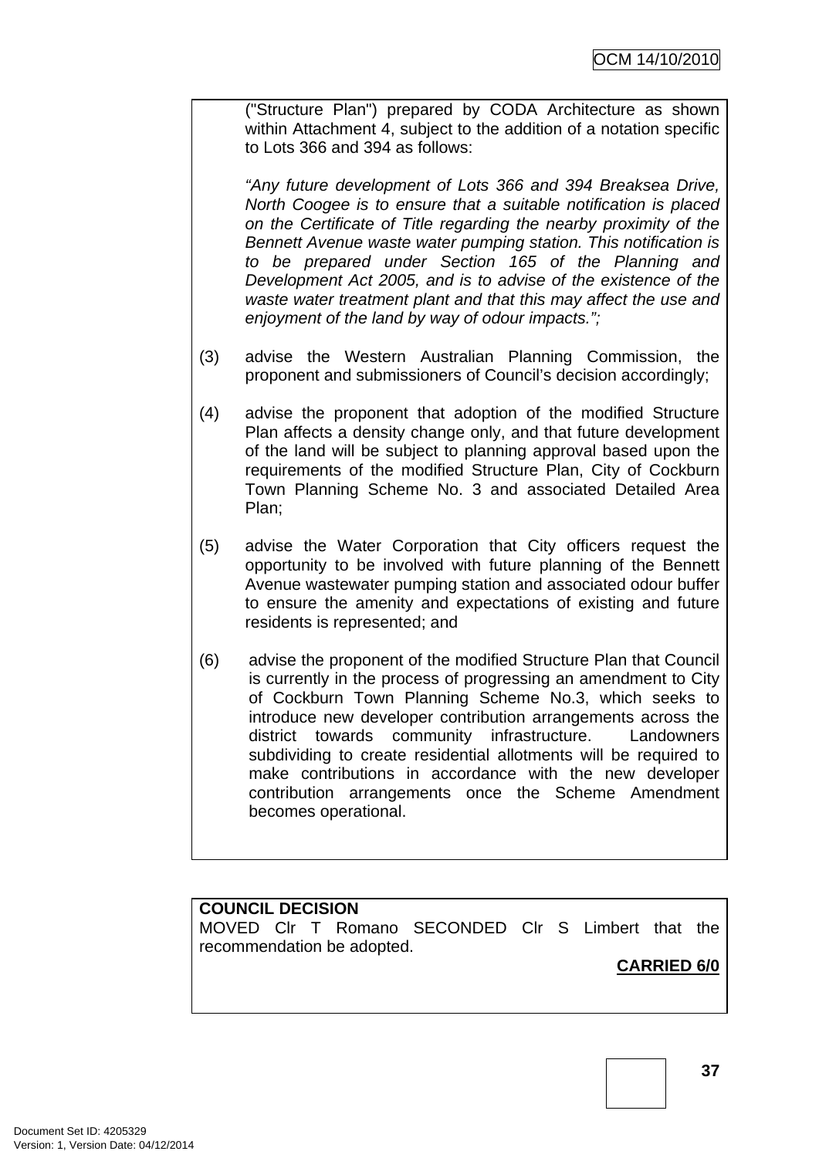("Structure Plan") prepared by CODA Architecture as shown within Attachment 4, subject to the addition of a notation specific to Lots 366 and 394 as follows:

*"Any future development of Lots 366 and 394 Breaksea Drive, North Coogee is to ensure that a suitable notification is placed on the Certificate of Title regarding the nearby proximity of the Bennett Avenue waste water pumping station. This notification is to be prepared under Section 165 of the Planning and Development Act 2005, and is to advise of the existence of the waste water treatment plant and that this may affect the use and enjoyment of the land by way of odour impacts.";* 

- (3) advise the Western Australian Planning Commission, the proponent and submissioners of Council's decision accordingly;
- (4) advise the proponent that adoption of the modified Structure Plan affects a density change only, and that future development of the land will be subject to planning approval based upon the requirements of the modified Structure Plan, City of Cockburn Town Planning Scheme No. 3 and associated Detailed Area Plan;
- (5) advise the Water Corporation that City officers request the opportunity to be involved with future planning of the Bennett Avenue wastewater pumping station and associated odour buffer to ensure the amenity and expectations of existing and future residents is represented; and
- (6) advise the proponent of the modified Structure Plan that Council is currently in the process of progressing an amendment to City of Cockburn Town Planning Scheme No.3, which seeks to introduce new developer contribution arrangements across the district towards community infrastructure. Landowners subdividing to create residential allotments will be required to make contributions in accordance with the new developer contribution arrangements once the Scheme Amendment becomes operational.

#### **COUNCIL DECISION**

MOVED Clr T Romano SECONDED Clr S Limbert that the recommendation be adopted.

# **CARRIED 6/0**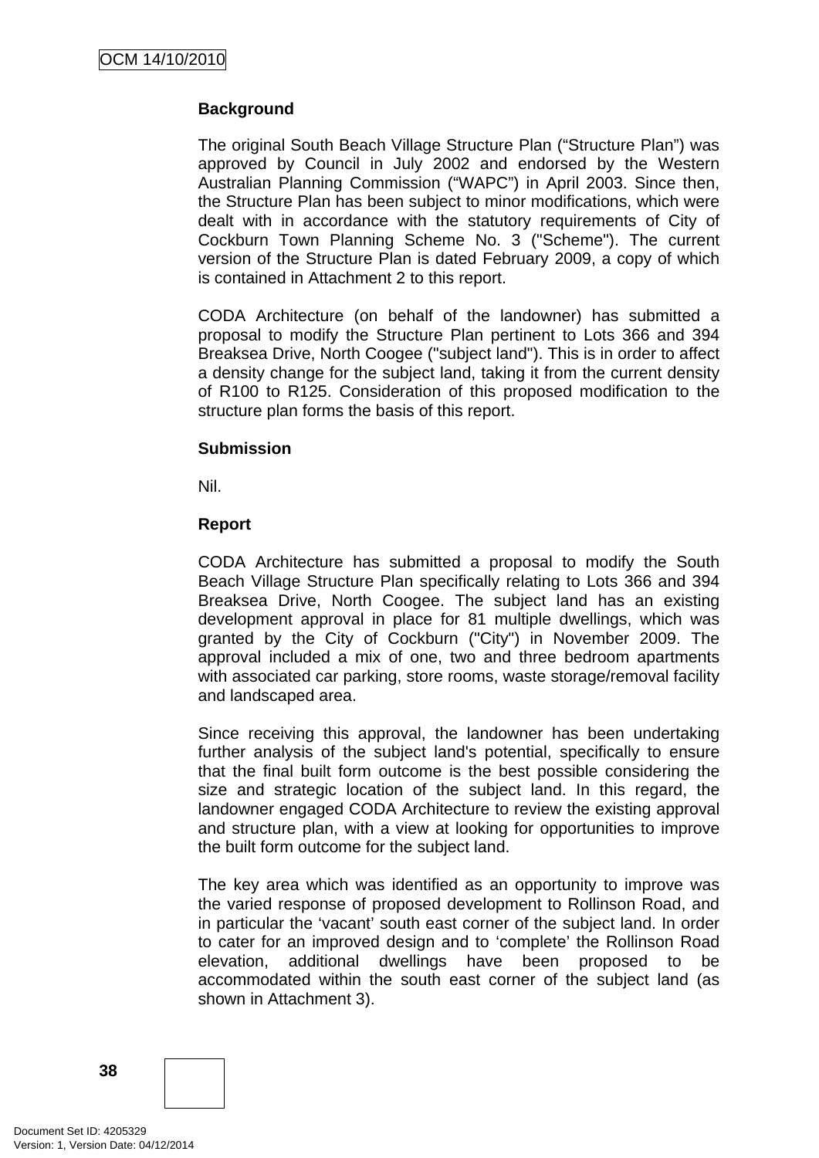# **Background**

The original South Beach Village Structure Plan ("Structure Plan") was approved by Council in July 2002 and endorsed by the Western Australian Planning Commission ("WAPC") in April 2003. Since then, the Structure Plan has been subject to minor modifications, which were dealt with in accordance with the statutory requirements of City of Cockburn Town Planning Scheme No. 3 ("Scheme"). The current version of the Structure Plan is dated February 2009, a copy of which is contained in Attachment 2 to this report.

CODA Architecture (on behalf of the landowner) has submitted a proposal to modify the Structure Plan pertinent to Lots 366 and 394 Breaksea Drive, North Coogee ("subject land"). This is in order to affect a density change for the subject land, taking it from the current density of R100 to R125. Consideration of this proposed modification to the structure plan forms the basis of this report.

#### **Submission**

Nil.

#### **Report**

CODA Architecture has submitted a proposal to modify the South Beach Village Structure Plan specifically relating to Lots 366 and 394 Breaksea Drive, North Coogee. The subject land has an existing development approval in place for 81 multiple dwellings, which was granted by the City of Cockburn ("City") in November 2009. The approval included a mix of one, two and three bedroom apartments with associated car parking, store rooms, waste storage/removal facility and landscaped area.

Since receiving this approval, the landowner has been undertaking further analysis of the subject land's potential, specifically to ensure that the final built form outcome is the best possible considering the size and strategic location of the subject land. In this regard, the landowner engaged CODA Architecture to review the existing approval and structure plan, with a view at looking for opportunities to improve the built form outcome for the subject land.

The key area which was identified as an opportunity to improve was the varied response of proposed development to Rollinson Road, and in particular the 'vacant' south east corner of the subject land. In order to cater for an improved design and to 'complete' the Rollinson Road elevation, additional dwellings have been proposed to be accommodated within the south east corner of the subject land (as shown in Attachment 3).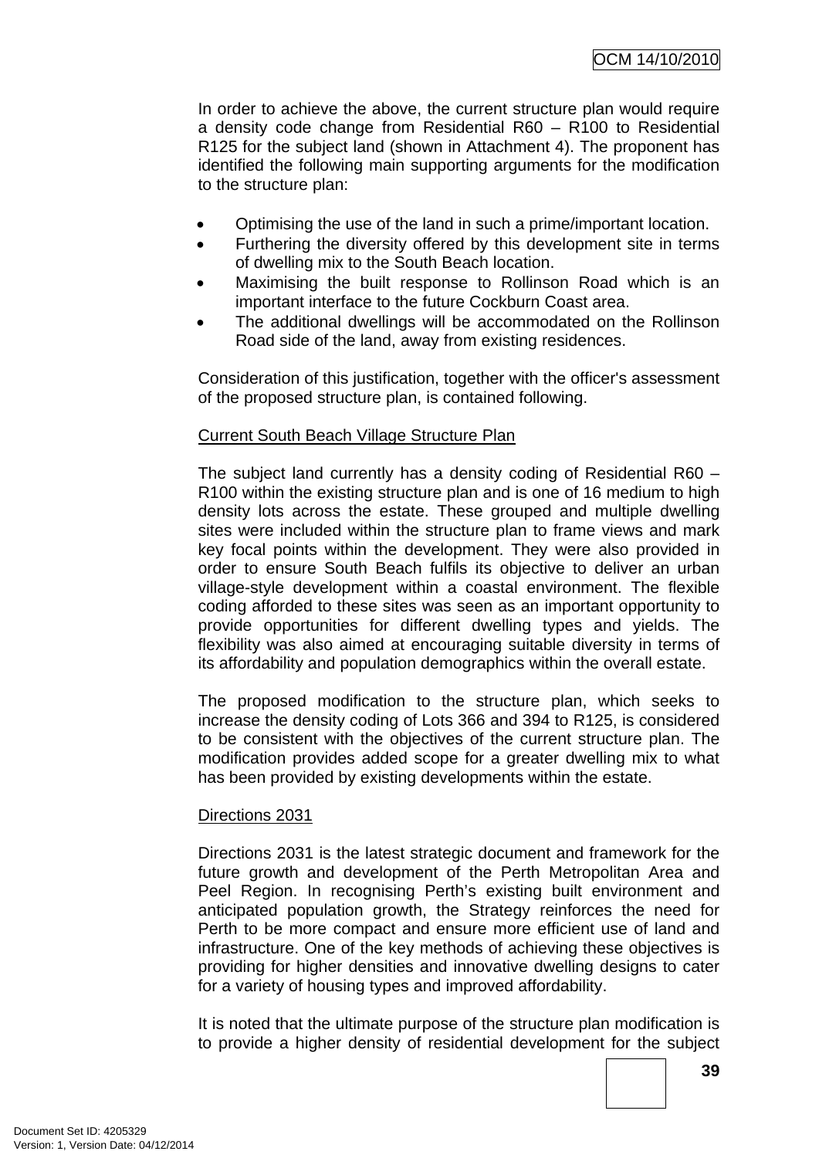In order to achieve the above, the current structure plan would require a density code change from Residential R60 – R100 to Residential R125 for the subject land (shown in Attachment 4). The proponent has identified the following main supporting arguments for the modification to the structure plan:

- Optimising the use of the land in such a prime/important location.
- Furthering the diversity offered by this development site in terms of dwelling mix to the South Beach location.
- Maximising the built response to Rollinson Road which is an important interface to the future Cockburn Coast area.
- The additional dwellings will be accommodated on the Rollinson Road side of the land, away from existing residences.

Consideration of this justification, together with the officer's assessment of the proposed structure plan, is contained following.

#### Current South Beach Village Structure Plan

The subject land currently has a density coding of Residential R60 – R100 within the existing structure plan and is one of 16 medium to high density lots across the estate. These grouped and multiple dwelling sites were included within the structure plan to frame views and mark key focal points within the development. They were also provided in order to ensure South Beach fulfils its objective to deliver an urban village-style development within a coastal environment. The flexible coding afforded to these sites was seen as an important opportunity to provide opportunities for different dwelling types and yields. The flexibility was also aimed at encouraging suitable diversity in terms of its affordability and population demographics within the overall estate.

The proposed modification to the structure plan, which seeks to increase the density coding of Lots 366 and 394 to R125, is considered to be consistent with the objectives of the current structure plan. The modification provides added scope for a greater dwelling mix to what has been provided by existing developments within the estate.

#### Directions 2031

Directions 2031 is the latest strategic document and framework for the future growth and development of the Perth Metropolitan Area and Peel Region. In recognising Perth's existing built environment and anticipated population growth, the Strategy reinforces the need for Perth to be more compact and ensure more efficient use of land and infrastructure. One of the key methods of achieving these objectives is providing for higher densities and innovative dwelling designs to cater for a variety of housing types and improved affordability.

It is noted that the ultimate purpose of the structure plan modification is to provide a higher density of residential development for the subject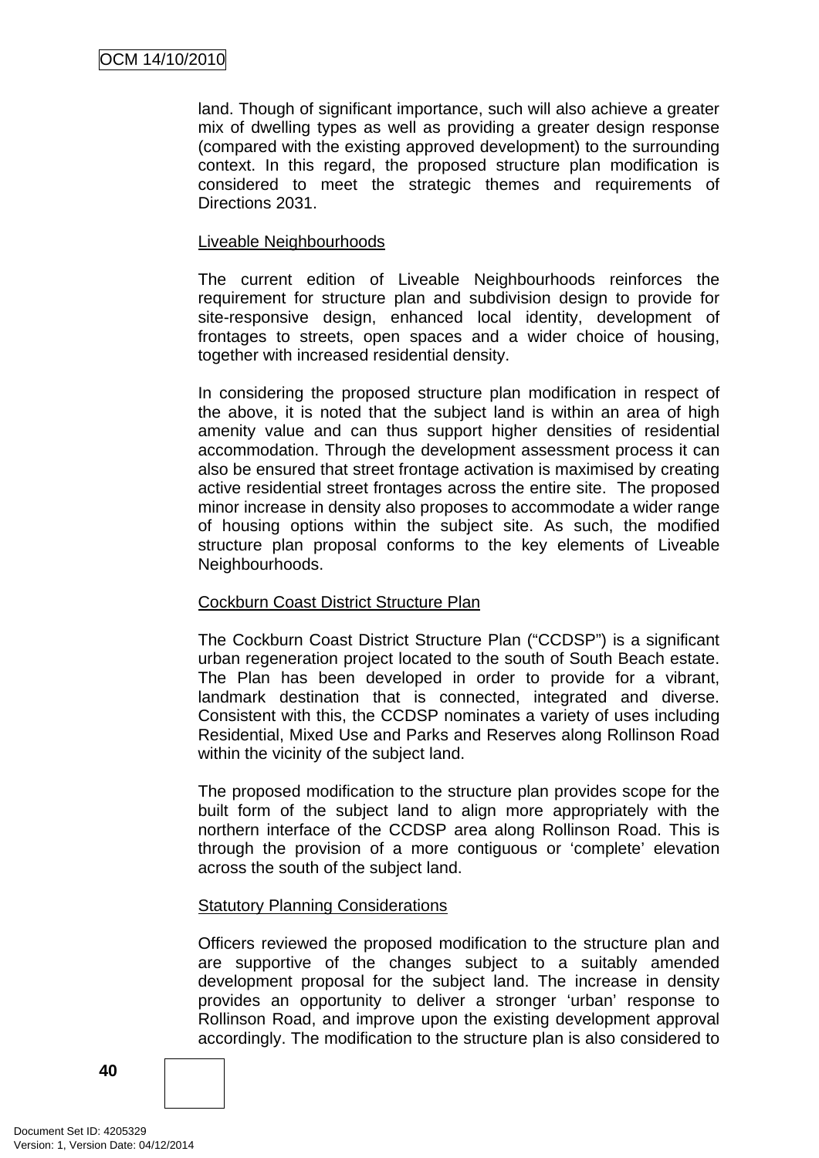land. Though of significant importance, such will also achieve a greater mix of dwelling types as well as providing a greater design response (compared with the existing approved development) to the surrounding context. In this regard, the proposed structure plan modification is considered to meet the strategic themes and requirements of Directions 2031.

### Liveable Neighbourhoods

The current edition of Liveable Neighbourhoods reinforces the requirement for structure plan and subdivision design to provide for site-responsive design, enhanced local identity, development of frontages to streets, open spaces and a wider choice of housing, together with increased residential density.

In considering the proposed structure plan modification in respect of the above, it is noted that the subject land is within an area of high amenity value and can thus support higher densities of residential accommodation. Through the development assessment process it can also be ensured that street frontage activation is maximised by creating active residential street frontages across the entire site. The proposed minor increase in density also proposes to accommodate a wider range of housing options within the subject site. As such, the modified structure plan proposal conforms to the key elements of Liveable Neighbourhoods.

# Cockburn Coast District Structure Plan

The Cockburn Coast District Structure Plan ("CCDSP") is a significant urban regeneration project located to the south of South Beach estate. The Plan has been developed in order to provide for a vibrant, landmark destination that is connected, integrated and diverse. Consistent with this, the CCDSP nominates a variety of uses including Residential, Mixed Use and Parks and Reserves along Rollinson Road within the vicinity of the subject land.

The proposed modification to the structure plan provides scope for the built form of the subject land to align more appropriately with the northern interface of the CCDSP area along Rollinson Road. This is through the provision of a more contiguous or 'complete' elevation across the south of the subject land.

#### Statutory Planning Considerations

Officers reviewed the proposed modification to the structure plan and are supportive of the changes subject to a suitably amended development proposal for the subject land. The increase in density provides an opportunity to deliver a stronger 'urban' response to Rollinson Road, and improve upon the existing development approval accordingly. The modification to the structure plan is also considered to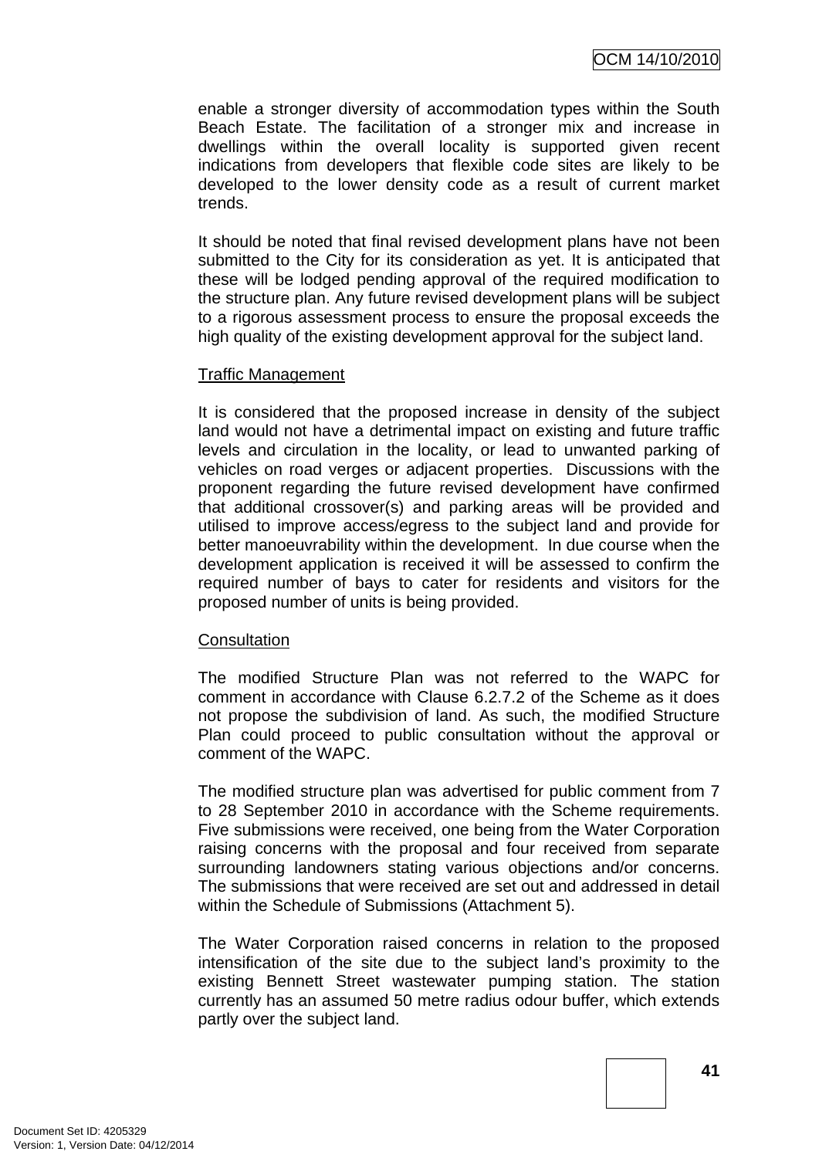enable a stronger diversity of accommodation types within the South Beach Estate. The facilitation of a stronger mix and increase in dwellings within the overall locality is supported given recent indications from developers that flexible code sites are likely to be developed to the lower density code as a result of current market trends.

It should be noted that final revised development plans have not been submitted to the City for its consideration as yet. It is anticipated that these will be lodged pending approval of the required modification to the structure plan. Any future revised development plans will be subject to a rigorous assessment process to ensure the proposal exceeds the high quality of the existing development approval for the subject land.

#### Traffic Management

It is considered that the proposed increase in density of the subject land would not have a detrimental impact on existing and future traffic levels and circulation in the locality, or lead to unwanted parking of vehicles on road verges or adjacent properties. Discussions with the proponent regarding the future revised development have confirmed that additional crossover(s) and parking areas will be provided and utilised to improve access/egress to the subject land and provide for better manoeuvrability within the development. In due course when the development application is received it will be assessed to confirm the required number of bays to cater for residents and visitors for the proposed number of units is being provided.

#### **Consultation**

The modified Structure Plan was not referred to the WAPC for comment in accordance with Clause 6.2.7.2 of the Scheme as it does not propose the subdivision of land. As such, the modified Structure Plan could proceed to public consultation without the approval or comment of the WAPC.

The modified structure plan was advertised for public comment from 7 to 28 September 2010 in accordance with the Scheme requirements. Five submissions were received, one being from the Water Corporation raising concerns with the proposal and four received from separate surrounding landowners stating various objections and/or concerns. The submissions that were received are set out and addressed in detail within the Schedule of Submissions (Attachment 5).

The Water Corporation raised concerns in relation to the proposed intensification of the site due to the subject land's proximity to the existing Bennett Street wastewater pumping station. The station currently has an assumed 50 metre radius odour buffer, which extends partly over the subject land.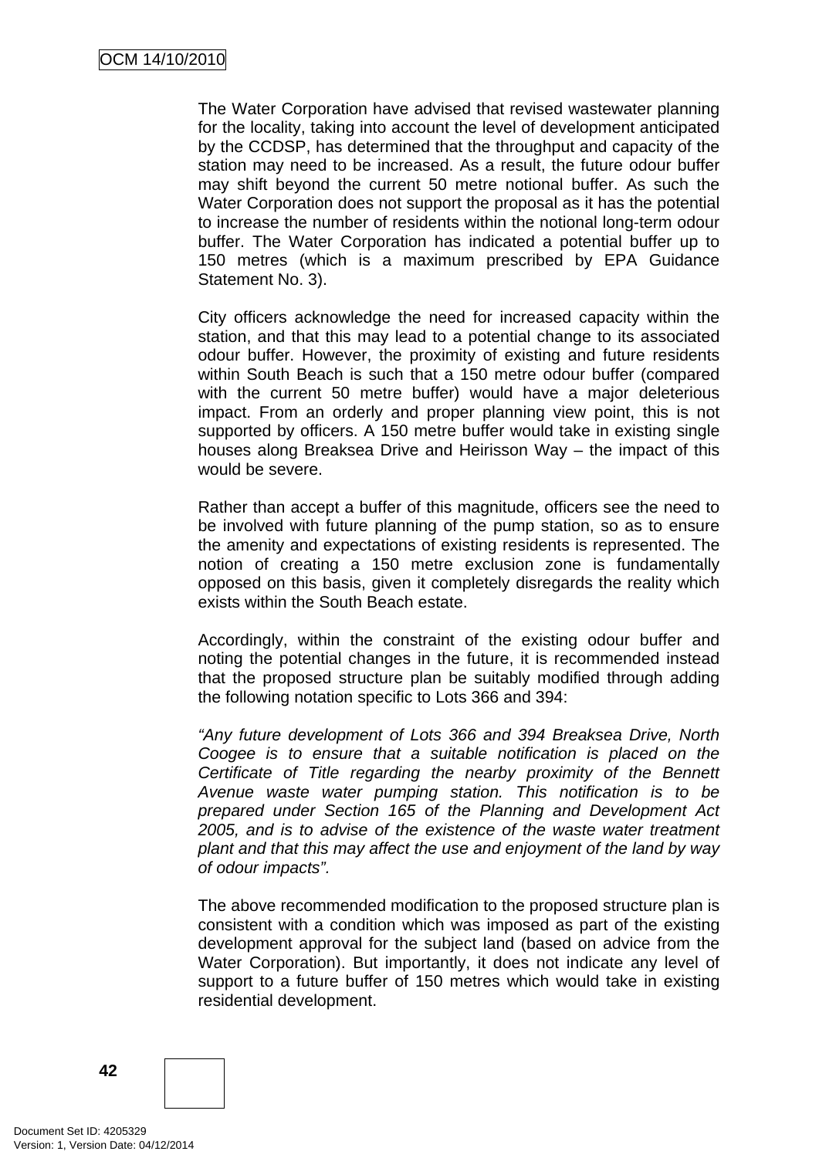The Water Corporation have advised that revised wastewater planning for the locality, taking into account the level of development anticipated by the CCDSP, has determined that the throughput and capacity of the station may need to be increased. As a result, the future odour buffer may shift beyond the current 50 metre notional buffer. As such the Water Corporation does not support the proposal as it has the potential to increase the number of residents within the notional long-term odour buffer. The Water Corporation has indicated a potential buffer up to 150 metres (which is a maximum prescribed by EPA Guidance Statement No. 3).

City officers acknowledge the need for increased capacity within the station, and that this may lead to a potential change to its associated odour buffer. However, the proximity of existing and future residents within South Beach is such that a 150 metre odour buffer (compared with the current 50 metre buffer) would have a major deleterious impact. From an orderly and proper planning view point, this is not supported by officers. A 150 metre buffer would take in existing single houses along Breaksea Drive and Heirisson Way – the impact of this would be severe.

Rather than accept a buffer of this magnitude, officers see the need to be involved with future planning of the pump station, so as to ensure the amenity and expectations of existing residents is represented. The notion of creating a 150 metre exclusion zone is fundamentally opposed on this basis, given it completely disregards the reality which exists within the South Beach estate.

Accordingly, within the constraint of the existing odour buffer and noting the potential changes in the future, it is recommended instead that the proposed structure plan be suitably modified through adding the following notation specific to Lots 366 and 394:

*"Any future development of Lots 366 and 394 Breaksea Drive, North Coogee is to ensure that a suitable notification is placed on the Certificate of Title regarding the nearby proximity of the Bennett Avenue waste water pumping station. This notification is to be prepared under Section 165 of the Planning and Development Act 2005, and is to advise of the existence of the waste water treatment plant and that this may affect the use and enjoyment of the land by way of odour impacts".* 

The above recommended modification to the proposed structure plan is consistent with a condition which was imposed as part of the existing development approval for the subject land (based on advice from the Water Corporation). But importantly, it does not indicate any level of support to a future buffer of 150 metres which would take in existing residential development.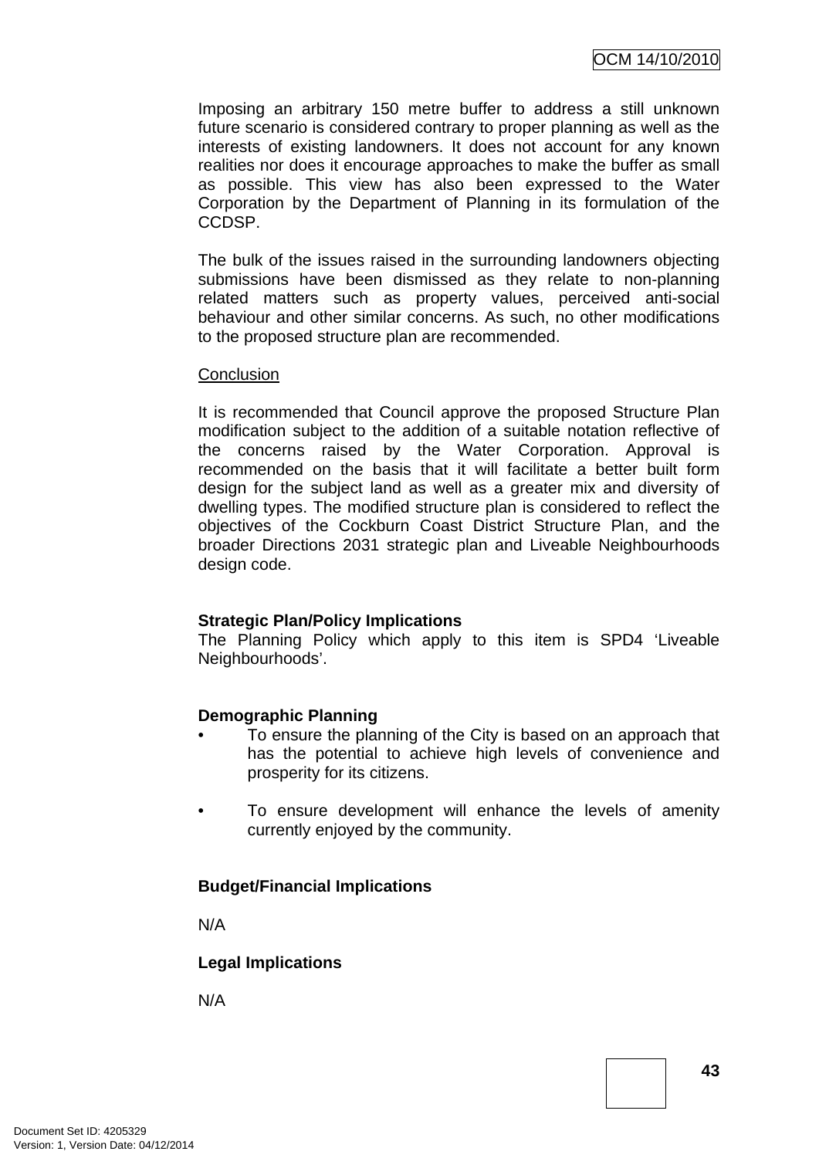Imposing an arbitrary 150 metre buffer to address a still unknown future scenario is considered contrary to proper planning as well as the interests of existing landowners. It does not account for any known realities nor does it encourage approaches to make the buffer as small as possible. This view has also been expressed to the Water Corporation by the Department of Planning in its formulation of the CCDSP.

The bulk of the issues raised in the surrounding landowners objecting submissions have been dismissed as they relate to non-planning related matters such as property values, perceived anti-social behaviour and other similar concerns. As such, no other modifications to the proposed structure plan are recommended.

#### **Conclusion**

It is recommended that Council approve the proposed Structure Plan modification subject to the addition of a suitable notation reflective of the concerns raised by the Water Corporation. Approval is recommended on the basis that it will facilitate a better built form design for the subject land as well as a greater mix and diversity of dwelling types. The modified structure plan is considered to reflect the objectives of the Cockburn Coast District Structure Plan, and the broader Directions 2031 strategic plan and Liveable Neighbourhoods design code.

#### **Strategic Plan/Policy Implications**

The Planning Policy which apply to this item is SPD4 'Liveable Neighbourhoods'.

# **Demographic Planning**

- To ensure the planning of the City is based on an approach that has the potential to achieve high levels of convenience and prosperity for its citizens.
- To ensure development will enhance the levels of amenity currently enjoyed by the community.

# **Budget/Financial Implications**

N/A

#### **Legal Implications**

N/A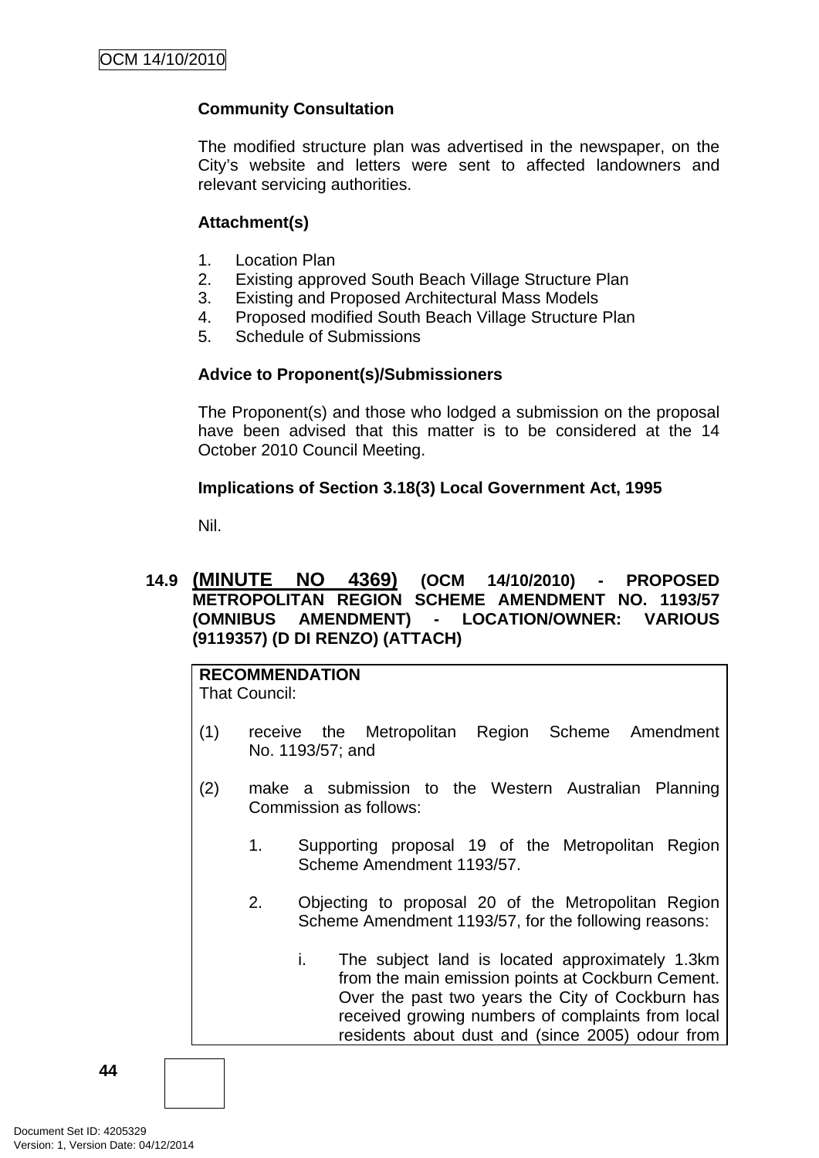# **Community Consultation**

The modified structure plan was advertised in the newspaper, on the City's website and letters were sent to affected landowners and relevant servicing authorities.

# **Attachment(s)**

- 1. Location Plan
- 2. Existing approved South Beach Village Structure Plan
- 3. Existing and Proposed Architectural Mass Models
- 4. Proposed modified South Beach Village Structure Plan
- 5. Schedule of Submissions

# **Advice to Proponent(s)/Submissioners**

The Proponent(s) and those who lodged a submission on the proposal have been advised that this matter is to be considered at the 14 October 2010 Council Meeting.

# **Implications of Section 3.18(3) Local Government Act, 1995**

Nil.

# **14.9 (MINUTE NO 4369) (OCM 14/10/2010) - PROPOSED METROPOLITAN REGION SCHEME AMENDMENT NO. 1193/57 (OMNIBUS AMENDMENT) - LOCATION/OWNER: VARIOUS (9119357) (D DI RENZO) (ATTACH)**

**RECOMMENDATION** That Council:

- (1) receive the Metropolitan Region Scheme Amendment No. 1193/57; and
- (2) make a submission to the Western Australian Planning Commission as follows:
	- 1. Supporting proposal 19 of the Metropolitan Region Scheme Amendment 1193/57.
	- 2. Objecting to proposal 20 of the Metropolitan Region Scheme Amendment 1193/57, for the following reasons:
		- i. The subject land is located approximately 1.3km from the main emission points at Cockburn Cement. Over the past two years the City of Cockburn has received growing numbers of complaints from local residents about dust and (since 2005) odour from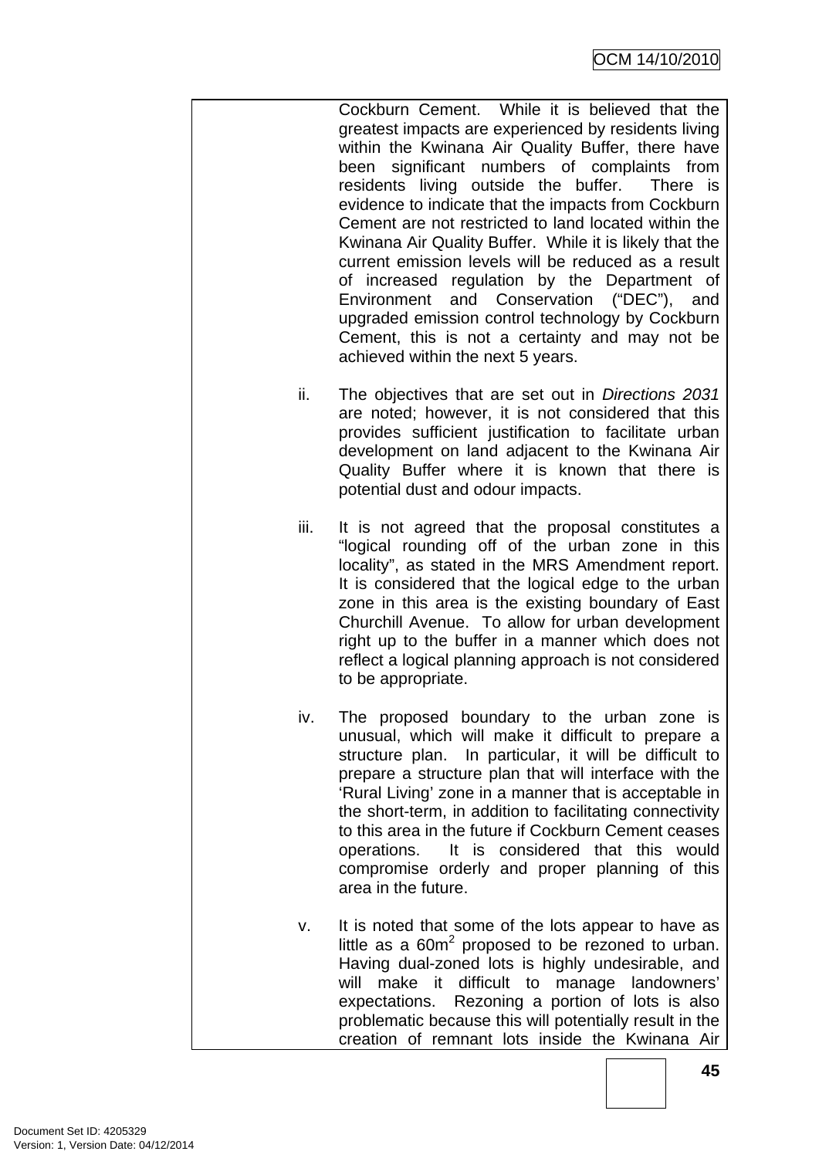Cockburn Cement. While it is believed that the greatest impacts are experienced by residents living within the Kwinana Air Quality Buffer, there have been significant numbers of complaints from residents living outside the buffer. There is evidence to indicate that the impacts from Cockburn Cement are not restricted to land located within the Kwinana Air Quality Buffer. While it is likely that the current emission levels will be reduced as a result of increased regulation by the Department of Environment and Conservation ("DEC"), and upgraded emission control technology by Cockburn Cement, this is not a certainty and may not be achieved within the next 5 years.

- ii. The objectives that are set out in *Directions 2031*  are noted; however, it is not considered that this provides sufficient justification to facilitate urban development on land adjacent to the Kwinana Air Quality Buffer where it is known that there is potential dust and odour impacts.
- iii. It is not agreed that the proposal constitutes a "logical rounding off of the urban zone in this locality", as stated in the MRS Amendment report. It is considered that the logical edge to the urban zone in this area is the existing boundary of East Churchill Avenue. To allow for urban development right up to the buffer in a manner which does not reflect a logical planning approach is not considered to be appropriate.
- iv. The proposed boundary to the urban zone is unusual, which will make it difficult to prepare a structure plan. In particular, it will be difficult to prepare a structure plan that will interface with the 'Rural Living' zone in a manner that is acceptable in the short-term, in addition to facilitating connectivity to this area in the future if Cockburn Cement ceases operations. It is considered that this would compromise orderly and proper planning of this area in the future.
- v. It is noted that some of the lots appear to have as little as a  $60m^2$  proposed to be rezoned to urban. Having dual-zoned lots is highly undesirable, and will make it difficult to manage landowners' expectations. Rezoning a portion of lots is also problematic because this will potentially result in the creation of remnant lots inside the Kwinana Air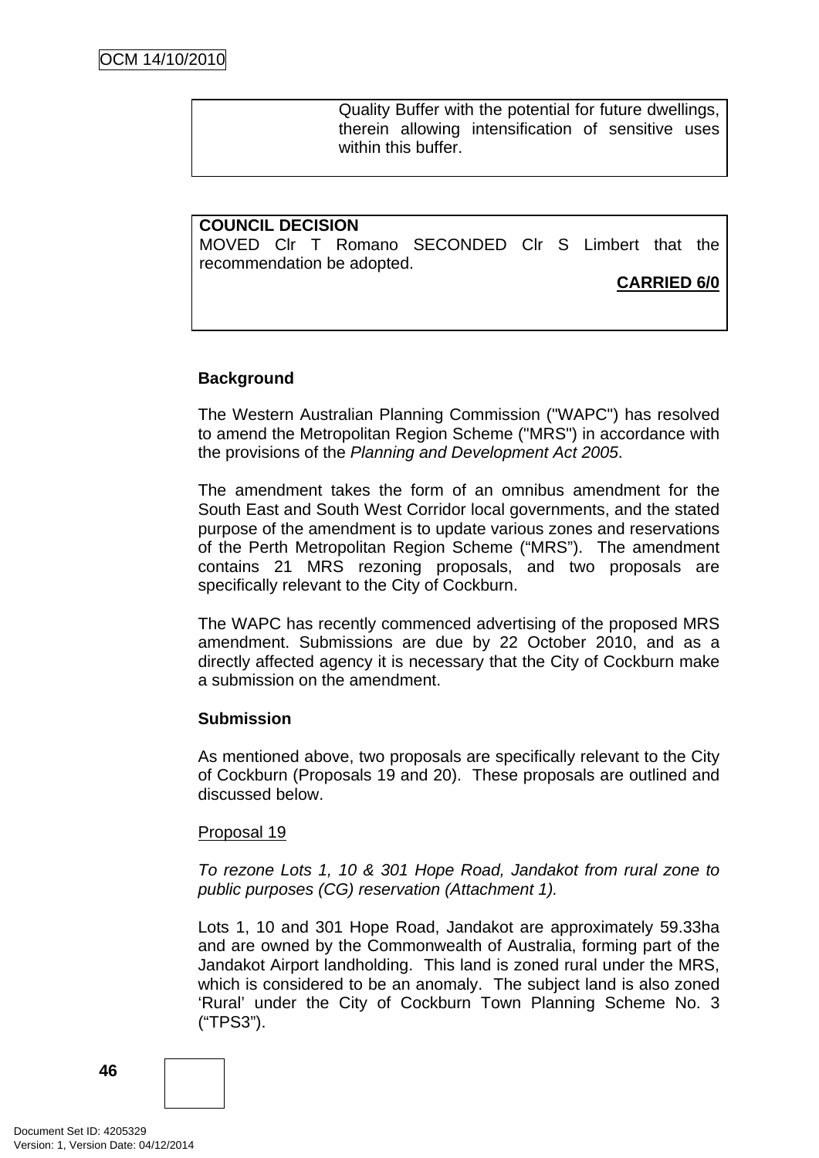Quality Buffer with the potential for future dwellings, therein allowing intensification of sensitive uses within this buffer.

#### **COUNCIL DECISION**

MOVED Clr T Romano SECONDED Clr S Limbert that the recommendation be adopted.

**CARRIED 6/0**

#### **Background**

The Western Australian Planning Commission ("WAPC") has resolved to amend the Metropolitan Region Scheme ("MRS") in accordance with the provisions of the *Planning and Development Act 2005*.

The amendment takes the form of an omnibus amendment for the South East and South West Corridor local governments, and the stated purpose of the amendment is to update various zones and reservations of the Perth Metropolitan Region Scheme ("MRS"). The amendment contains 21 MRS rezoning proposals, and two proposals are specifically relevant to the City of Cockburn.

The WAPC has recently commenced advertising of the proposed MRS amendment. Submissions are due by 22 October 2010, and as a directly affected agency it is necessary that the City of Cockburn make a submission on the amendment.

#### **Submission**

As mentioned above, two proposals are specifically relevant to the City of Cockburn (Proposals 19 and 20). These proposals are outlined and discussed below.

#### Proposal 19

*To rezone Lots 1, 10 & 301 Hope Road, Jandakot from rural zone to public purposes (CG) reservation (Attachment 1).* 

Lots 1, 10 and 301 Hope Road, Jandakot are approximately 59.33ha and are owned by the Commonwealth of Australia, forming part of the Jandakot Airport landholding. This land is zoned rural under the MRS, which is considered to be an anomaly. The subject land is also zoned 'Rural' under the City of Cockburn Town Planning Scheme No. 3 ("TPS3").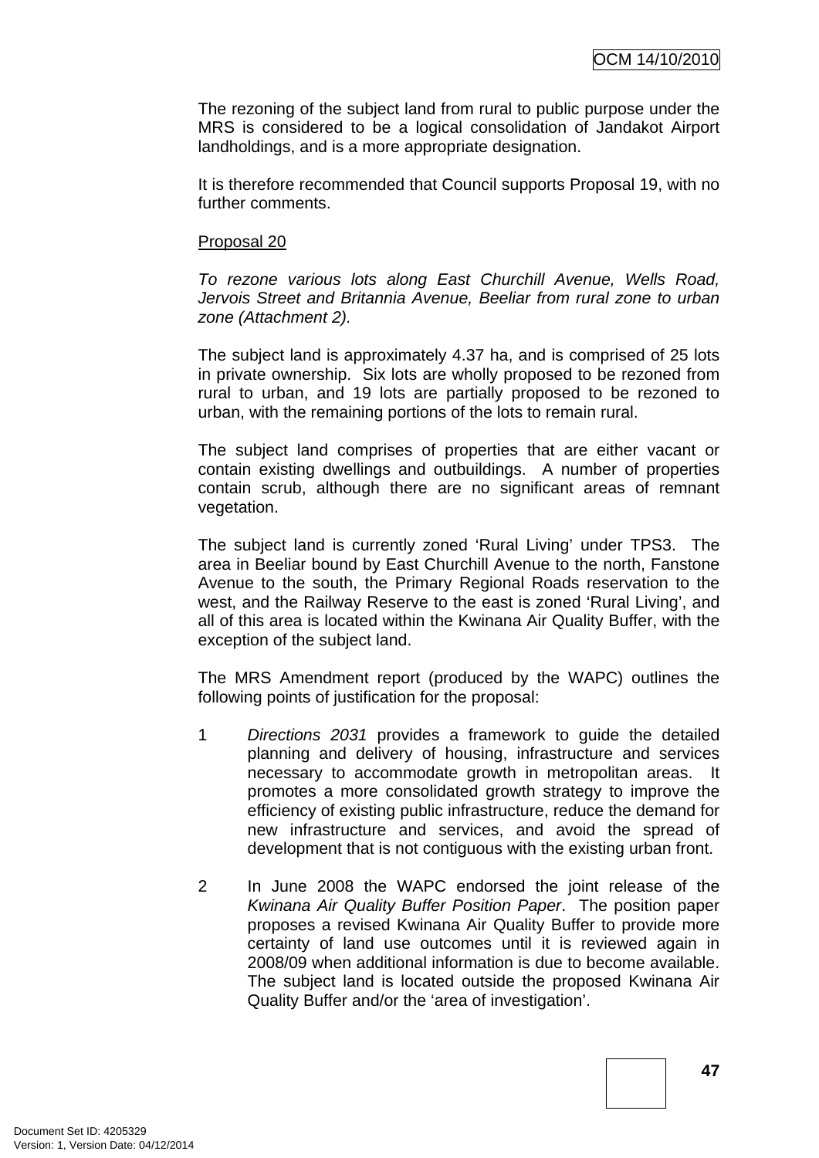The rezoning of the subject land from rural to public purpose under the MRS is considered to be a logical consolidation of Jandakot Airport landholdings, and is a more appropriate designation.

It is therefore recommended that Council supports Proposal 19, with no further comments.

#### Proposal 20

*To rezone various lots along East Churchill Avenue, Wells Road, Jervois Street and Britannia Avenue, Beeliar from rural zone to urban zone (Attachment 2).* 

The subject land is approximately 4.37 ha, and is comprised of 25 lots in private ownership. Six lots are wholly proposed to be rezoned from rural to urban, and 19 lots are partially proposed to be rezoned to urban, with the remaining portions of the lots to remain rural.

The subject land comprises of properties that are either vacant or contain existing dwellings and outbuildings. A number of properties contain scrub, although there are no significant areas of remnant vegetation.

The subject land is currently zoned 'Rural Living' under TPS3. The area in Beeliar bound by East Churchill Avenue to the north, Fanstone Avenue to the south, the Primary Regional Roads reservation to the west, and the Railway Reserve to the east is zoned 'Rural Living', and all of this area is located within the Kwinana Air Quality Buffer, with the exception of the subject land.

The MRS Amendment report (produced by the WAPC) outlines the following points of justification for the proposal:

- 1 *Directions 2031* provides a framework to guide the detailed planning and delivery of housing, infrastructure and services necessary to accommodate growth in metropolitan areas. It promotes a more consolidated growth strategy to improve the efficiency of existing public infrastructure, reduce the demand for new infrastructure and services, and avoid the spread of development that is not contiguous with the existing urban front.
- 2 In June 2008 the WAPC endorsed the joint release of the *Kwinana Air Quality Buffer Position Paper*. The position paper proposes a revised Kwinana Air Quality Buffer to provide more certainty of land use outcomes until it is reviewed again in 2008/09 when additional information is due to become available. The subject land is located outside the proposed Kwinana Air Quality Buffer and/or the 'area of investigation'.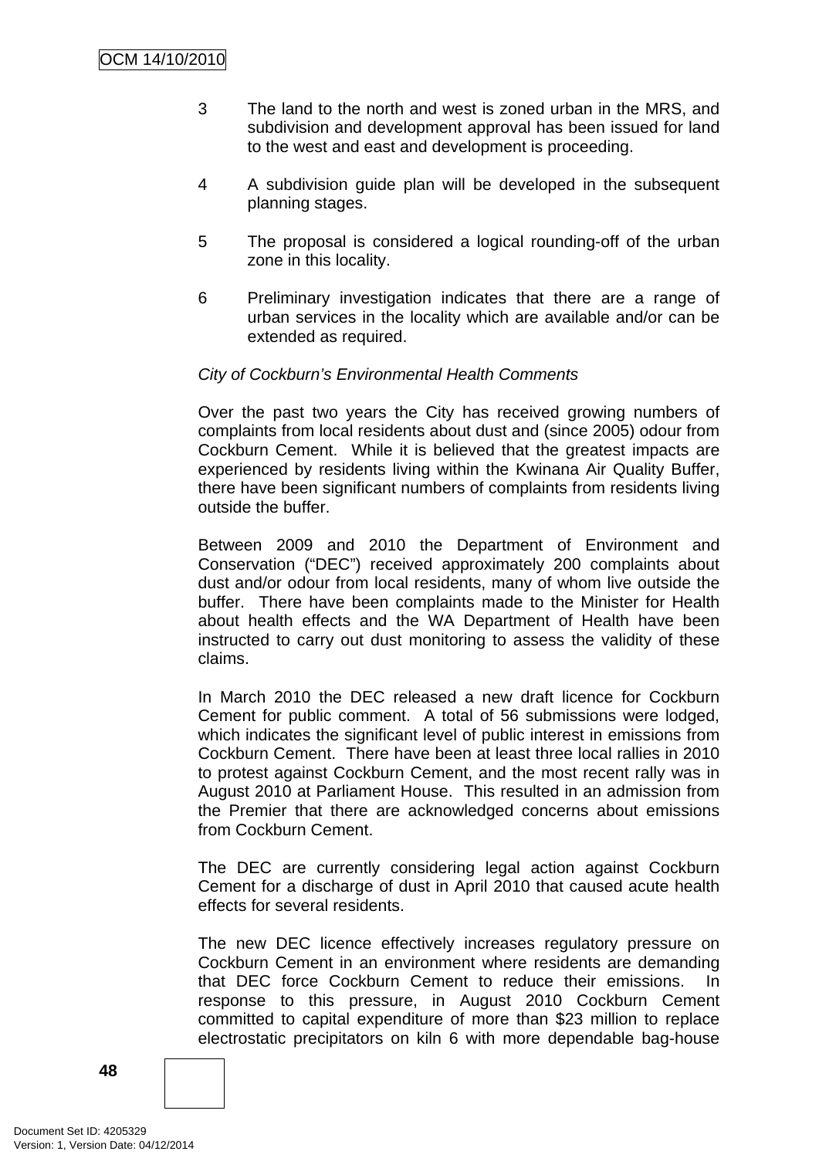- 3 The land to the north and west is zoned urban in the MRS, and subdivision and development approval has been issued for land to the west and east and development is proceeding.
- 4 A subdivision guide plan will be developed in the subsequent planning stages.
- 5 The proposal is considered a logical rounding-off of the urban zone in this locality.
- 6 Preliminary investigation indicates that there are a range of urban services in the locality which are available and/or can be extended as required.

#### *City of Cockburn's Environmental Health Comments*

Over the past two years the City has received growing numbers of complaints from local residents about dust and (since 2005) odour from Cockburn Cement. While it is believed that the greatest impacts are experienced by residents living within the Kwinana Air Quality Buffer, there have been significant numbers of complaints from residents living outside the buffer.

Between 2009 and 2010 the Department of Environment and Conservation ("DEC") received approximately 200 complaints about dust and/or odour from local residents, many of whom live outside the buffer. There have been complaints made to the Minister for Health about health effects and the WA Department of Health have been instructed to carry out dust monitoring to assess the validity of these claims.

In March 2010 the DEC released a new draft licence for Cockburn Cement for public comment. A total of 56 submissions were lodged, which indicates the significant level of public interest in emissions from Cockburn Cement. There have been at least three local rallies in 2010 to protest against Cockburn Cement, and the most recent rally was in August 2010 at Parliament House. This resulted in an admission from the Premier that there are acknowledged concerns about emissions from Cockburn Cement.

The DEC are currently considering legal action against Cockburn Cement for a discharge of dust in April 2010 that caused acute health effects for several residents.

The new DEC licence effectively increases regulatory pressure on Cockburn Cement in an environment where residents are demanding that DEC force Cockburn Cement to reduce their emissions. In response to this pressure, in August 2010 Cockburn Cement committed to capital expenditure of more than \$23 million to replace electrostatic precipitators on kiln 6 with more dependable bag-house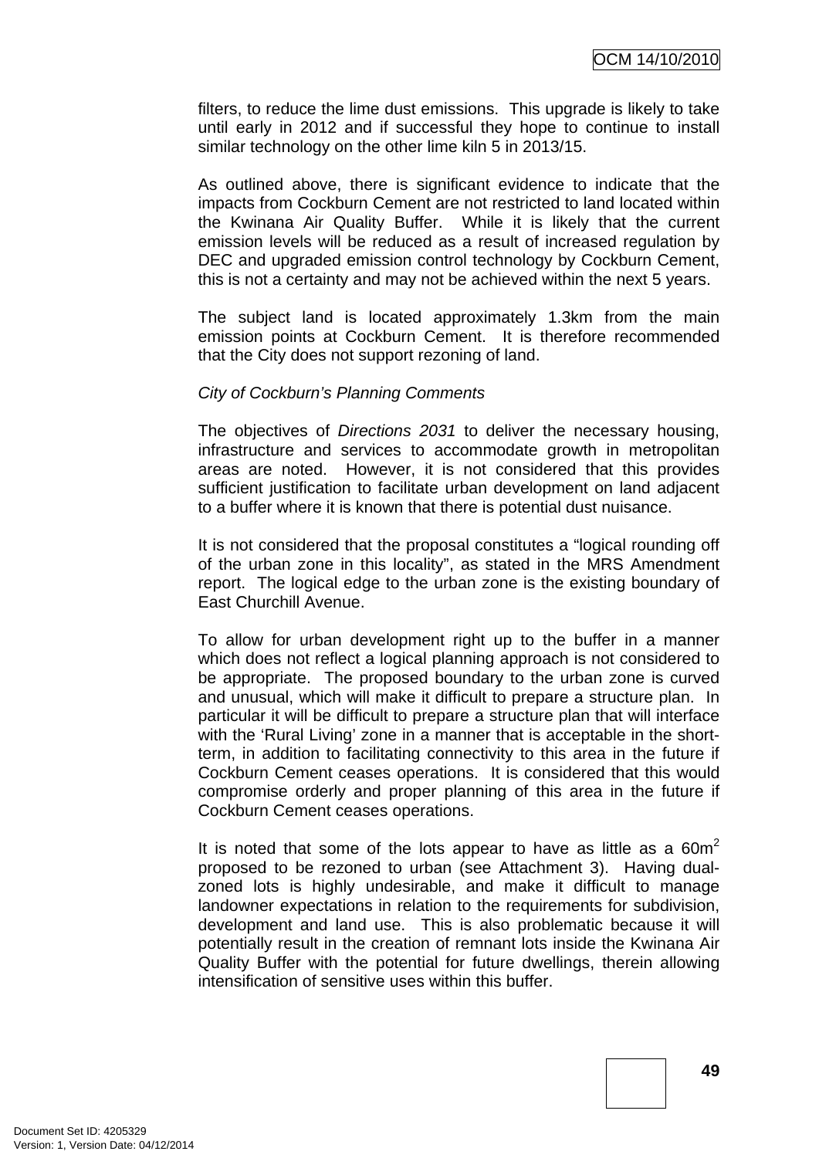filters, to reduce the lime dust emissions. This upgrade is likely to take until early in 2012 and if successful they hope to continue to install similar technology on the other lime kiln 5 in 2013/15.

As outlined above, there is significant evidence to indicate that the impacts from Cockburn Cement are not restricted to land located within the Kwinana Air Quality Buffer. While it is likely that the current emission levels will be reduced as a result of increased regulation by DEC and upgraded emission control technology by Cockburn Cement, this is not a certainty and may not be achieved within the next 5 years.

The subject land is located approximately 1.3km from the main emission points at Cockburn Cement. It is therefore recommended that the City does not support rezoning of land.

#### *City of Cockburn's Planning Comments*

The objectives of *Directions 2031* to deliver the necessary housing, infrastructure and services to accommodate growth in metropolitan areas are noted. However, it is not considered that this provides sufficient justification to facilitate urban development on land adjacent to a buffer where it is known that there is potential dust nuisance.

It is not considered that the proposal constitutes a "logical rounding off of the urban zone in this locality", as stated in the MRS Amendment report. The logical edge to the urban zone is the existing boundary of East Churchill Avenue.

To allow for urban development right up to the buffer in a manner which does not reflect a logical planning approach is not considered to be appropriate. The proposed boundary to the urban zone is curved and unusual, which will make it difficult to prepare a structure plan. In particular it will be difficult to prepare a structure plan that will interface with the 'Rural Living' zone in a manner that is acceptable in the shortterm, in addition to facilitating connectivity to this area in the future if Cockburn Cement ceases operations. It is considered that this would compromise orderly and proper planning of this area in the future if Cockburn Cement ceases operations.

It is noted that some of the lots appear to have as little as a  $60m^2$ proposed to be rezoned to urban (see Attachment 3). Having dualzoned lots is highly undesirable, and make it difficult to manage landowner expectations in relation to the requirements for subdivision, development and land use. This is also problematic because it will potentially result in the creation of remnant lots inside the Kwinana Air Quality Buffer with the potential for future dwellings, therein allowing intensification of sensitive uses within this buffer.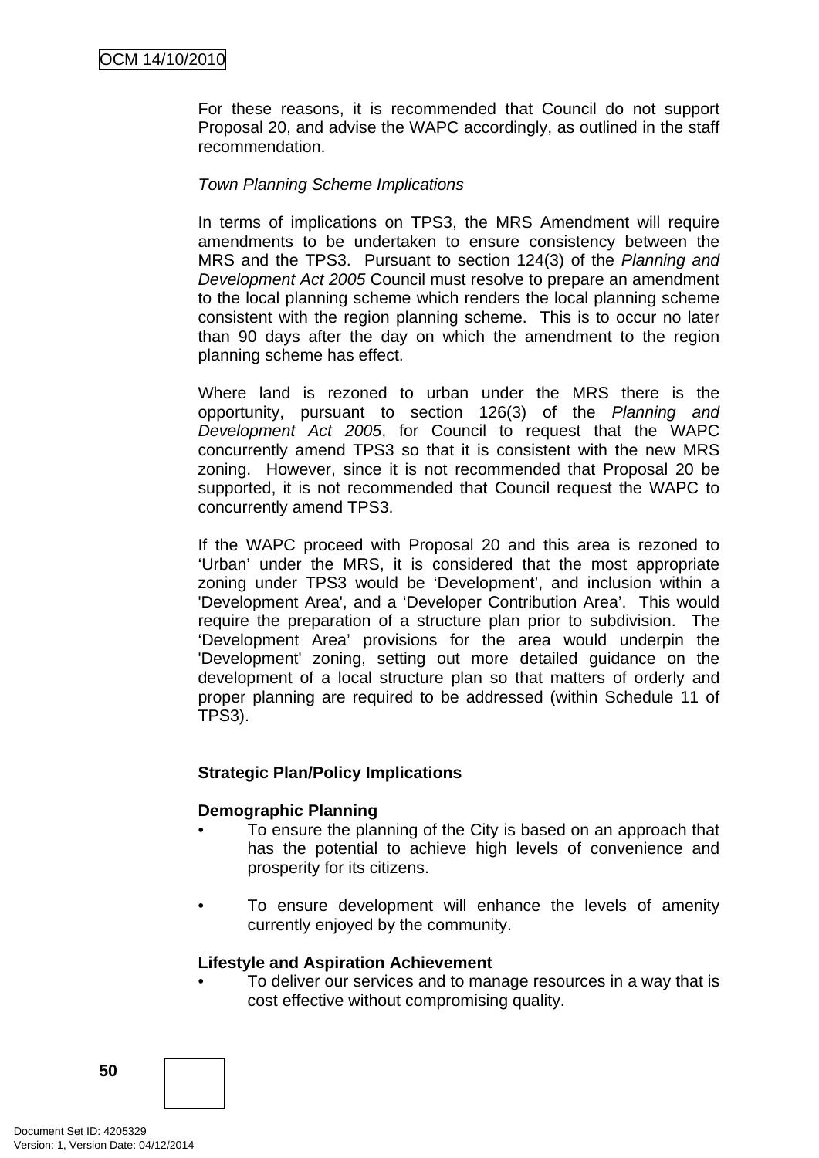For these reasons, it is recommended that Council do not support Proposal 20, and advise the WAPC accordingly, as outlined in the staff recommendation.

### *Town Planning Scheme Implications*

In terms of implications on TPS3, the MRS Amendment will require amendments to be undertaken to ensure consistency between the MRS and the TPS3. Pursuant to section 124(3) of the *Planning and Development Act 2005* Council must resolve to prepare an amendment to the local planning scheme which renders the local planning scheme consistent with the region planning scheme. This is to occur no later than 90 days after the day on which the amendment to the region planning scheme has effect.

Where land is rezoned to urban under the MRS there is the opportunity, pursuant to section 126(3) of the *Planning and Development Act 2005*, for Council to request that the WAPC concurrently amend TPS3 so that it is consistent with the new MRS zoning. However, since it is not recommended that Proposal 20 be supported, it is not recommended that Council request the WAPC to concurrently amend TPS3.

If the WAPC proceed with Proposal 20 and this area is rezoned to 'Urban' under the MRS, it is considered that the most appropriate zoning under TPS3 would be 'Development', and inclusion within a 'Development Area', and a 'Developer Contribution Area'. This would require the preparation of a structure plan prior to subdivision. The 'Development Area' provisions for the area would underpin the 'Development' zoning, setting out more detailed guidance on the development of a local structure plan so that matters of orderly and proper planning are required to be addressed (within Schedule 11 of TPS3).

#### **Strategic Plan/Policy Implications**

#### **Demographic Planning**

- To ensure the planning of the City is based on an approach that has the potential to achieve high levels of convenience and prosperity for its citizens.
- To ensure development will enhance the levels of amenity currently enjoyed by the community.

#### **Lifestyle and Aspiration Achievement**

• To deliver our services and to manage resources in a way that is cost effective without compromising quality.

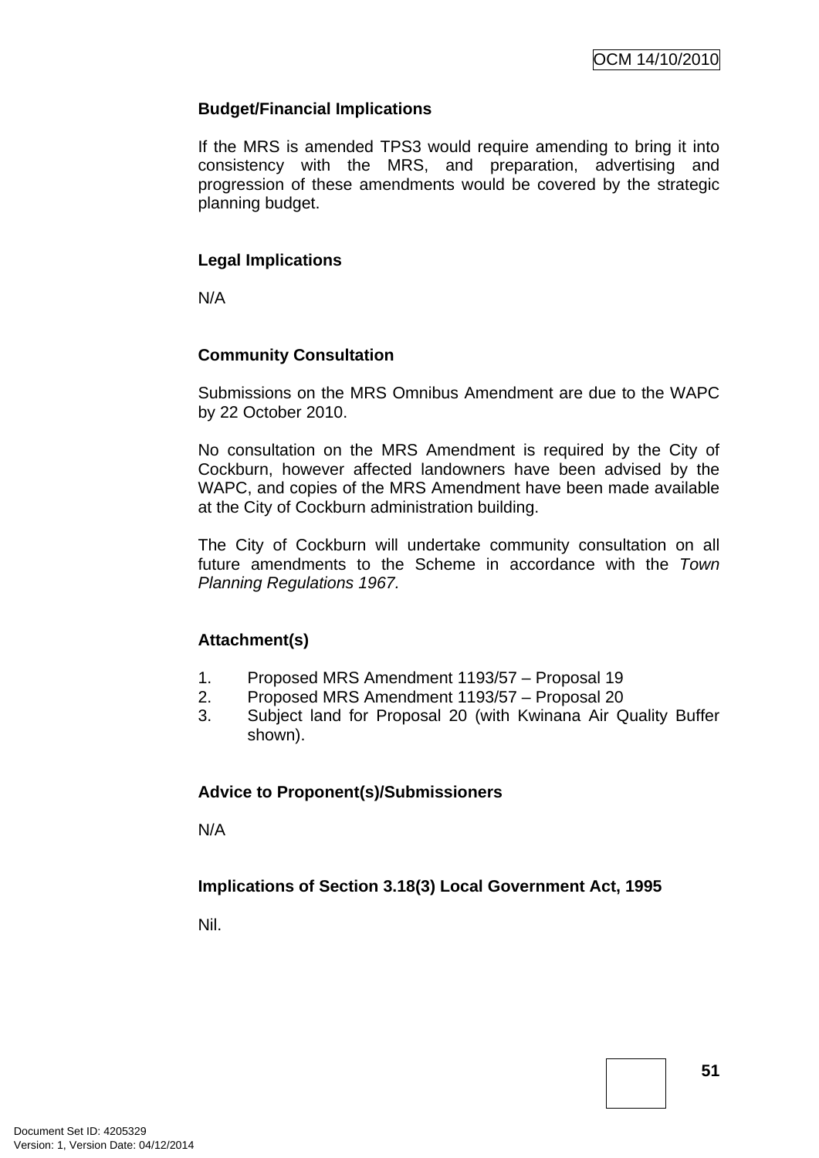# **Budget/Financial Implications**

If the MRS is amended TPS3 would require amending to bring it into consistency with the MRS, and preparation, advertising and progression of these amendments would be covered by the strategic planning budget.

### **Legal Implications**

N/A

# **Community Consultation**

Submissions on the MRS Omnibus Amendment are due to the WAPC by 22 October 2010.

No consultation on the MRS Amendment is required by the City of Cockburn, however affected landowners have been advised by the WAPC, and copies of the MRS Amendment have been made available at the City of Cockburn administration building.

The City of Cockburn will undertake community consultation on all future amendments to the Scheme in accordance with the *Town Planning Regulations 1967.*

#### **Attachment(s)**

- 1. Proposed MRS Amendment 1193/57 Proposal 19
- 2. Proposed MRS Amendment 1193/57 Proposal 20
- 3. Subject land for Proposal 20 (with Kwinana Air Quality Buffer shown).

#### **Advice to Proponent(s)/Submissioners**

N/A

# **Implications of Section 3.18(3) Local Government Act, 1995**

Nil.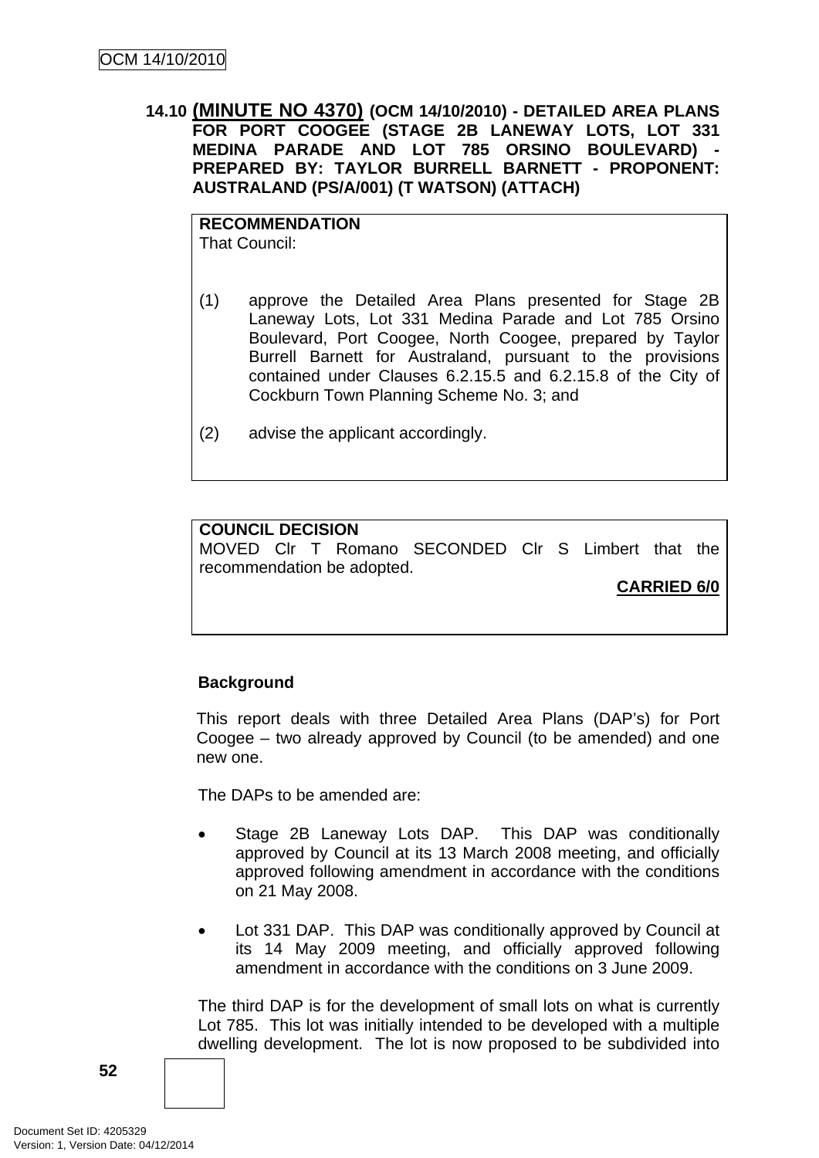# **14.10 (MINUTE NO 4370) (OCM 14/10/2010) - DETAILED AREA PLANS FOR PORT COOGEE (STAGE 2B LANEWAY LOTS, LOT 331 MEDINA PARADE AND LOT 785 ORSINO BOULEVARD) - PREPARED BY: TAYLOR BURRELL BARNETT - PROPONENT: AUSTRALAND (PS/A/001) (T WATSON) (ATTACH)**

**RECOMMENDATION** That Council:

- (1) approve the Detailed Area Plans presented for Stage 2B Laneway Lots, Lot 331 Medina Parade and Lot 785 Orsino Boulevard, Port Coogee, North Coogee, prepared by Taylor Burrell Barnett for Australand, pursuant to the provisions contained under Clauses 6.2.15.5 and 6.2.15.8 of the City of Cockburn Town Planning Scheme No. 3; and
- (2) advise the applicant accordingly.

# **COUNCIL DECISION**

MOVED Clr T Romano SECONDED Clr S Limbert that the recommendation be adopted.

**CARRIED 6/0**

# **Background**

This report deals with three Detailed Area Plans (DAP's) for Port Coogee – two already approved by Council (to be amended) and one new one.

The DAPs to be amended are:

- Stage 2B Laneway Lots DAP. This DAP was conditionally approved by Council at its 13 March 2008 meeting, and officially approved following amendment in accordance with the conditions on 21 May 2008.
- Lot 331 DAP. This DAP was conditionally approved by Council at its 14 May 2009 meeting, and officially approved following amendment in accordance with the conditions on 3 June 2009.

The third DAP is for the development of small lots on what is currently Lot 785. This lot was initially intended to be developed with a multiple dwelling development. The lot is now proposed to be subdivided into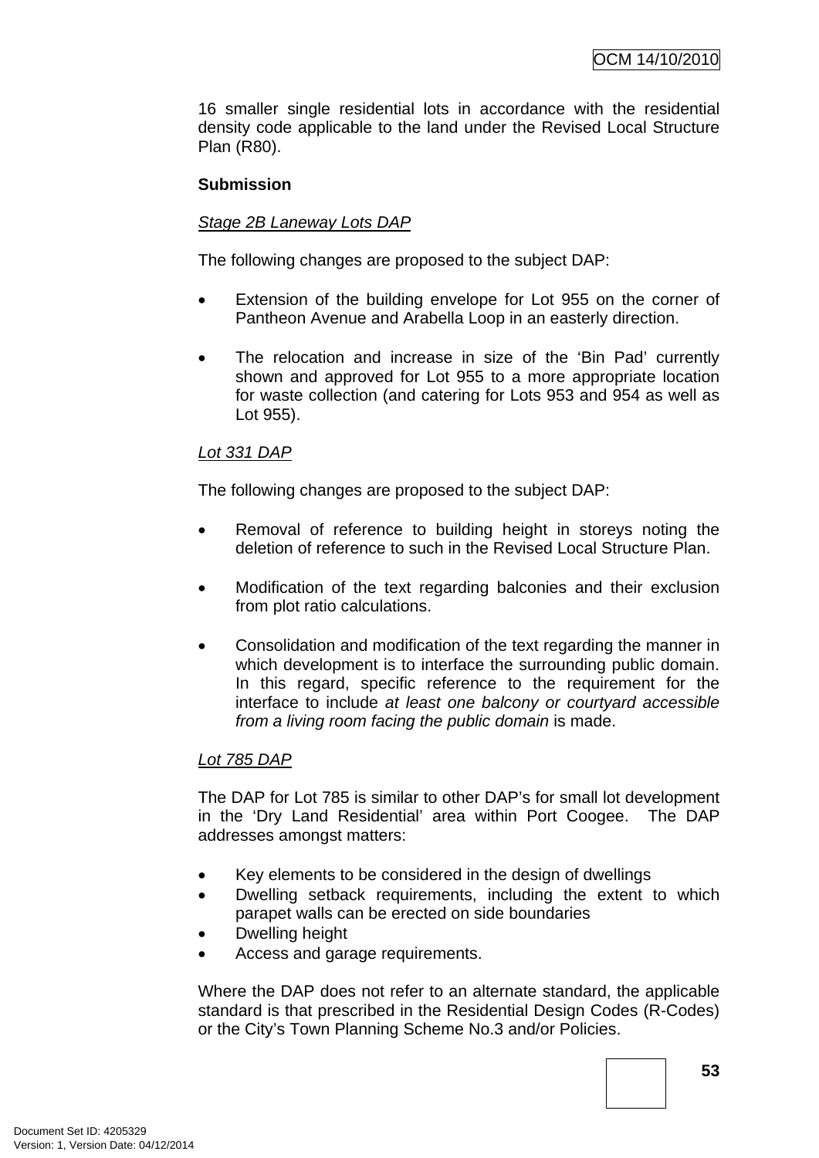16 smaller single residential lots in accordance with the residential density code applicable to the land under the Revised Local Structure Plan (R80).

# **Submission**

# *Stage 2B Laneway Lots DAP*

The following changes are proposed to the subject DAP:

- Extension of the building envelope for Lot 955 on the corner of Pantheon Avenue and Arabella Loop in an easterly direction.
- The relocation and increase in size of the 'Bin Pad' currently shown and approved for Lot 955 to a more appropriate location for waste collection (and catering for Lots 953 and 954 as well as Lot 955).

# *Lot 331 DAP*

The following changes are proposed to the subject DAP:

- Removal of reference to building height in storeys noting the deletion of reference to such in the Revised Local Structure Plan.
- Modification of the text regarding balconies and their exclusion from plot ratio calculations.
- Consolidation and modification of the text regarding the manner in which development is to interface the surrounding public domain. In this regard, specific reference to the requirement for the interface to include *at least one balcony or courtyard accessible from a living room facing the public domain* is made.

#### *Lot 785 DAP*

The DAP for Lot 785 is similar to other DAP's for small lot development in the 'Dry Land Residential' area within Port Coogee. The DAP addresses amongst matters:

- Key elements to be considered in the design of dwellings
- Dwelling setback requirements, including the extent to which parapet walls can be erected on side boundaries
- Dwelling height
- Access and garage requirements.

Where the DAP does not refer to an alternate standard, the applicable standard is that prescribed in the Residential Design Codes (R-Codes) or the City's Town Planning Scheme No.3 and/or Policies.

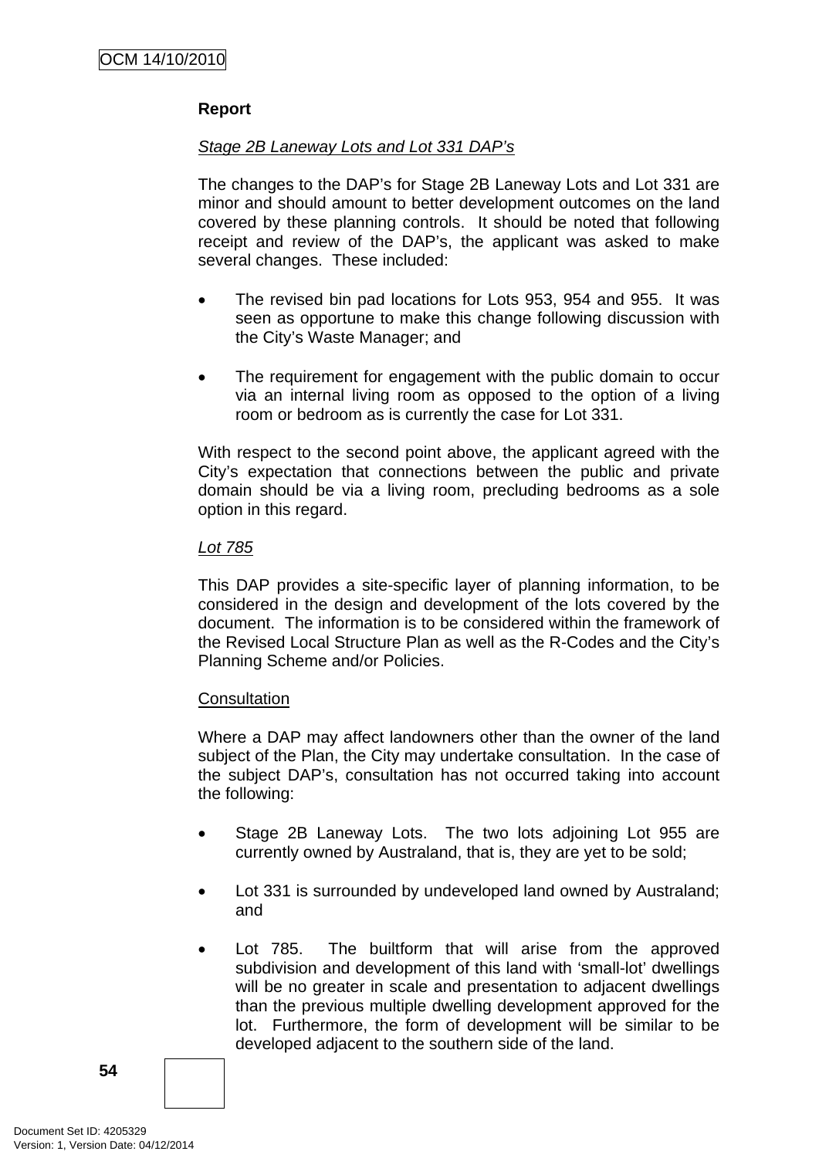# **Report**

### *Stage 2B Laneway Lots and Lot 331 DAP's*

The changes to the DAP's for Stage 2B Laneway Lots and Lot 331 are minor and should amount to better development outcomes on the land covered by these planning controls. It should be noted that following receipt and review of the DAP's, the applicant was asked to make several changes. These included:

- The revised bin pad locations for Lots 953, 954 and 955. It was seen as opportune to make this change following discussion with the City's Waste Manager; and
- The requirement for engagement with the public domain to occur via an internal living room as opposed to the option of a living room or bedroom as is currently the case for Lot 331.

With respect to the second point above, the applicant agreed with the City's expectation that connections between the public and private domain should be via a living room, precluding bedrooms as a sole option in this regard.

#### *Lot 785*

This DAP provides a site-specific layer of planning information, to be considered in the design and development of the lots covered by the document. The information is to be considered within the framework of the Revised Local Structure Plan as well as the R-Codes and the City's Planning Scheme and/or Policies.

#### **Consultation**

Where a DAP may affect landowners other than the owner of the land subject of the Plan, the City may undertake consultation. In the case of the subject DAP's, consultation has not occurred taking into account the following:

- Stage 2B Laneway Lots. The two lots adjoining Lot 955 are currently owned by Australand, that is, they are yet to be sold;
- Lot 331 is surrounded by undeveloped land owned by Australand; and
- Lot 785. The builtform that will arise from the approved subdivision and development of this land with 'small-lot' dwellings will be no greater in scale and presentation to adjacent dwellings than the previous multiple dwelling development approved for the lot. Furthermore, the form of development will be similar to be developed adjacent to the southern side of the land.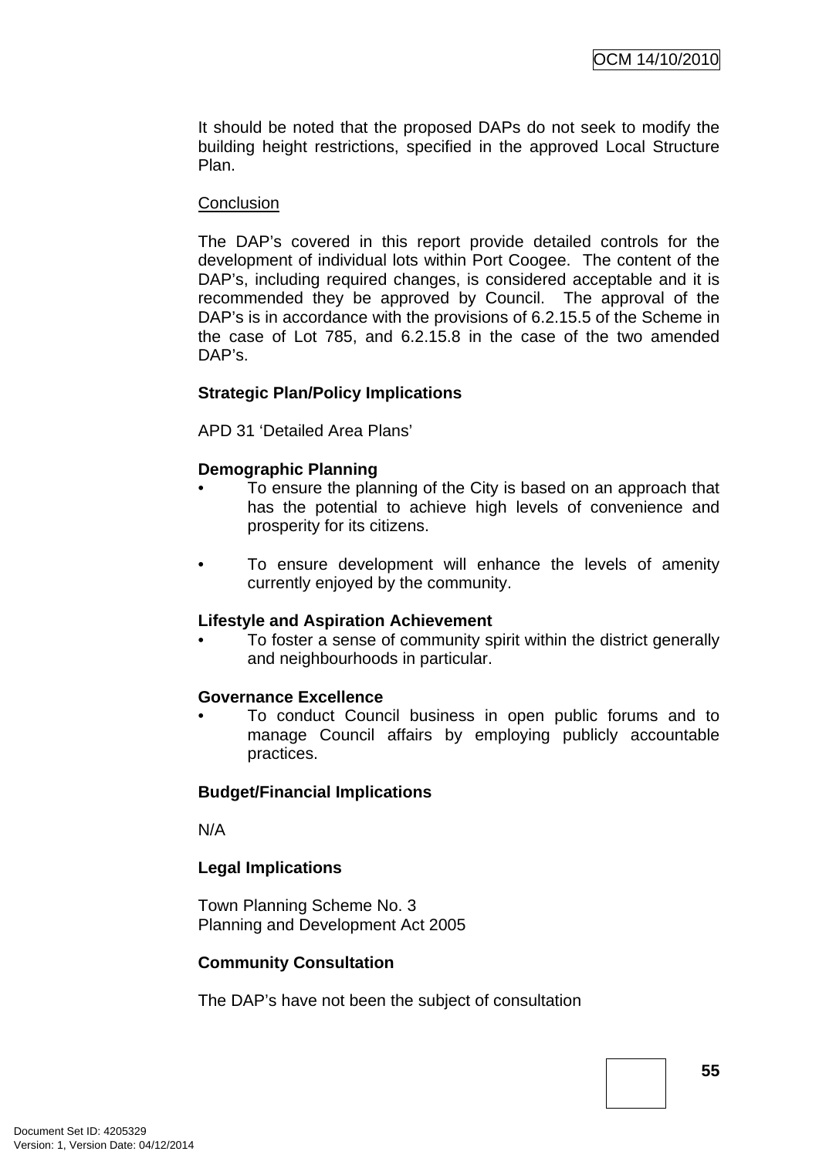It should be noted that the proposed DAPs do not seek to modify the building height restrictions, specified in the approved Local Structure Plan.

#### **Conclusion**

The DAP's covered in this report provide detailed controls for the development of individual lots within Port Coogee. The content of the DAP's, including required changes, is considered acceptable and it is recommended they be approved by Council. The approval of the DAP's is in accordance with the provisions of 6.2.15.5 of the Scheme in the case of Lot 785, and 6.2.15.8 in the case of the two amended DAP's.

#### **Strategic Plan/Policy Implications**

APD 31 'Detailed Area Plans'

#### **Demographic Planning**

- To ensure the planning of the City is based on an approach that has the potential to achieve high levels of convenience and prosperity for its citizens.
- To ensure development will enhance the levels of amenity currently enjoyed by the community.

#### **Lifestyle and Aspiration Achievement**

To foster a sense of community spirit within the district generally and neighbourhoods in particular.

#### **Governance Excellence**

• To conduct Council business in open public forums and to manage Council affairs by employing publicly accountable practices.

#### **Budget/Financial Implications**

N/A

#### **Legal Implications**

Town Planning Scheme No. 3 Planning and Development Act 2005

#### **Community Consultation**

The DAP's have not been the subject of consultation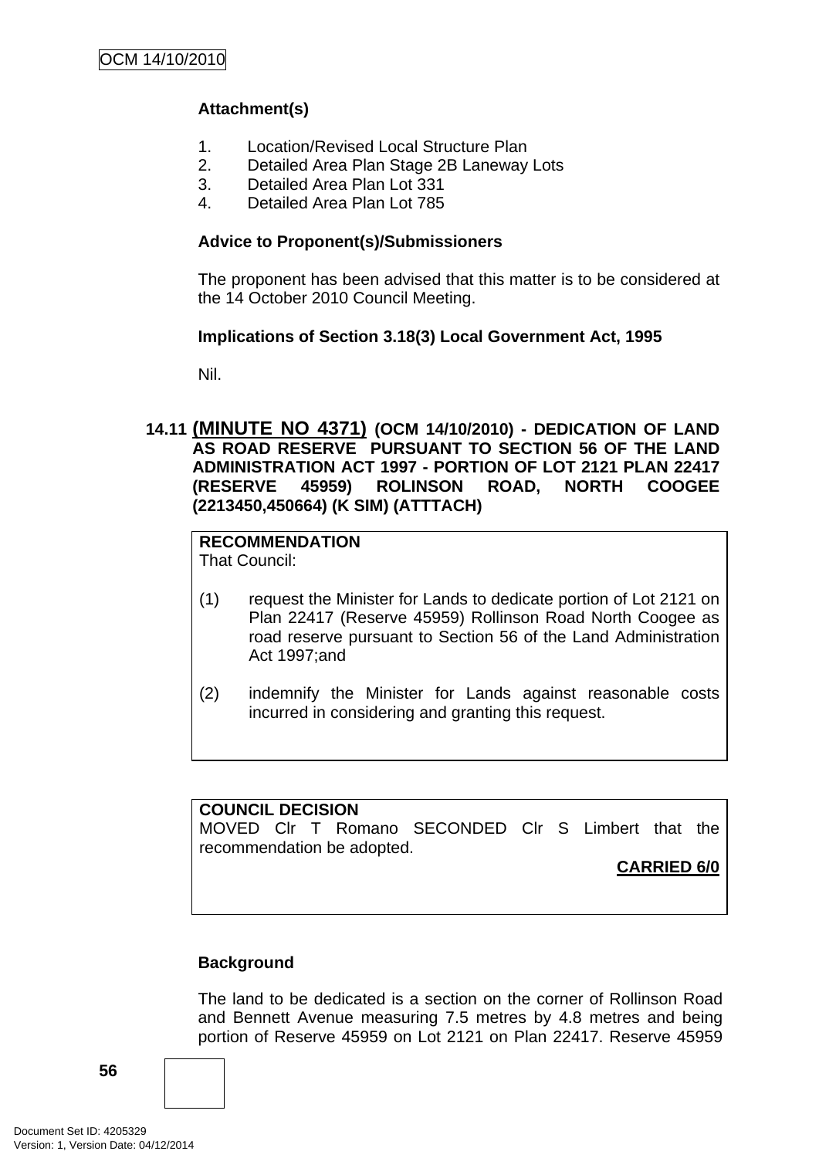# **Attachment(s)**

- 1. Location/Revised Local Structure Plan
- 2. Detailed Area Plan Stage 2B Laneway Lots
- 3. Detailed Area Plan Lot 331
- 4. Detailed Area Plan Lot 785

# **Advice to Proponent(s)/Submissioners**

The proponent has been advised that this matter is to be considered at the 14 October 2010 Council Meeting.

# **Implications of Section 3.18(3) Local Government Act, 1995**

Nil.

### **14.11 (MINUTE NO 4371) (OCM 14/10/2010) - DEDICATION OF LAND AS ROAD RESERVE PURSUANT TO SECTION 56 OF THE LAND ADMINISTRATION ACT 1997 - PORTION OF LOT 2121 PLAN 22417 (RESERVE 45959) ROLINSON ROAD, NORTH COOGEE (2213450,450664) (K SIM) (ATTTACH)**

# **RECOMMENDATION**

That Council:

- (1) request the Minister for Lands to dedicate portion of Lot 2121 on Plan 22417 (Reserve 45959) Rollinson Road North Coogee as road reserve pursuant to Section 56 of the Land Administration Act 1997;and
- (2) indemnify the Minister for Lands against reasonable costs incurred in considering and granting this request.

# **COUNCIL DECISION**

MOVED Clr T Romano SECONDED Clr S Limbert that the recommendation be adopted.

**CARRIED 6/0**

# **Background**

The land to be dedicated is a section on the corner of Rollinson Road and Bennett Avenue measuring 7.5 metres by 4.8 metres and being portion of Reserve 45959 on Lot 2121 on Plan 22417. Reserve 45959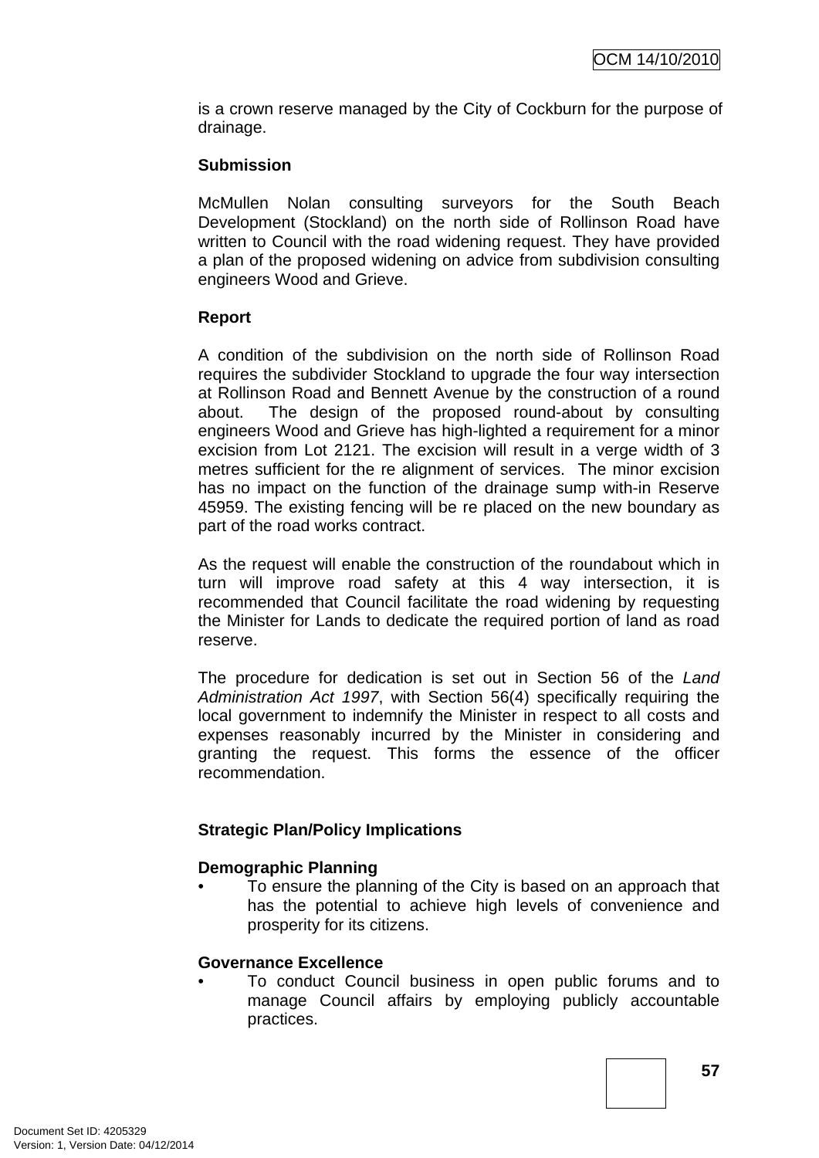is a crown reserve managed by the City of Cockburn for the purpose of drainage.

# **Submission**

McMullen Nolan consulting surveyors for the South Beach Development (Stockland) on the north side of Rollinson Road have written to Council with the road widening request. They have provided a plan of the proposed widening on advice from subdivision consulting engineers Wood and Grieve.

# **Report**

A condition of the subdivision on the north side of Rollinson Road requires the subdivider Stockland to upgrade the four way intersection at Rollinson Road and Bennett Avenue by the construction of a round about. The design of the proposed round-about by consulting engineers Wood and Grieve has high-lighted a requirement for a minor excision from Lot 2121. The excision will result in a verge width of 3 metres sufficient for the re alignment of services. The minor excision has no impact on the function of the drainage sump with-in Reserve 45959. The existing fencing will be re placed on the new boundary as part of the road works contract.

As the request will enable the construction of the roundabout which in turn will improve road safety at this 4 way intersection, it is recommended that Council facilitate the road widening by requesting the Minister for Lands to dedicate the required portion of land as road reserve.

The procedure for dedication is set out in Section 56 of the *Land Administration Act 1997*, with Section 56(4) specifically requiring the local government to indemnify the Minister in respect to all costs and expenses reasonably incurred by the Minister in considering and granting the request. This forms the essence of the officer recommendation.

# **Strategic Plan/Policy Implications**

#### **Demographic Planning**

• To ensure the planning of the City is based on an approach that has the potential to achieve high levels of convenience and prosperity for its citizens.

#### **Governance Excellence**

• To conduct Council business in open public forums and to manage Council affairs by employing publicly accountable practices.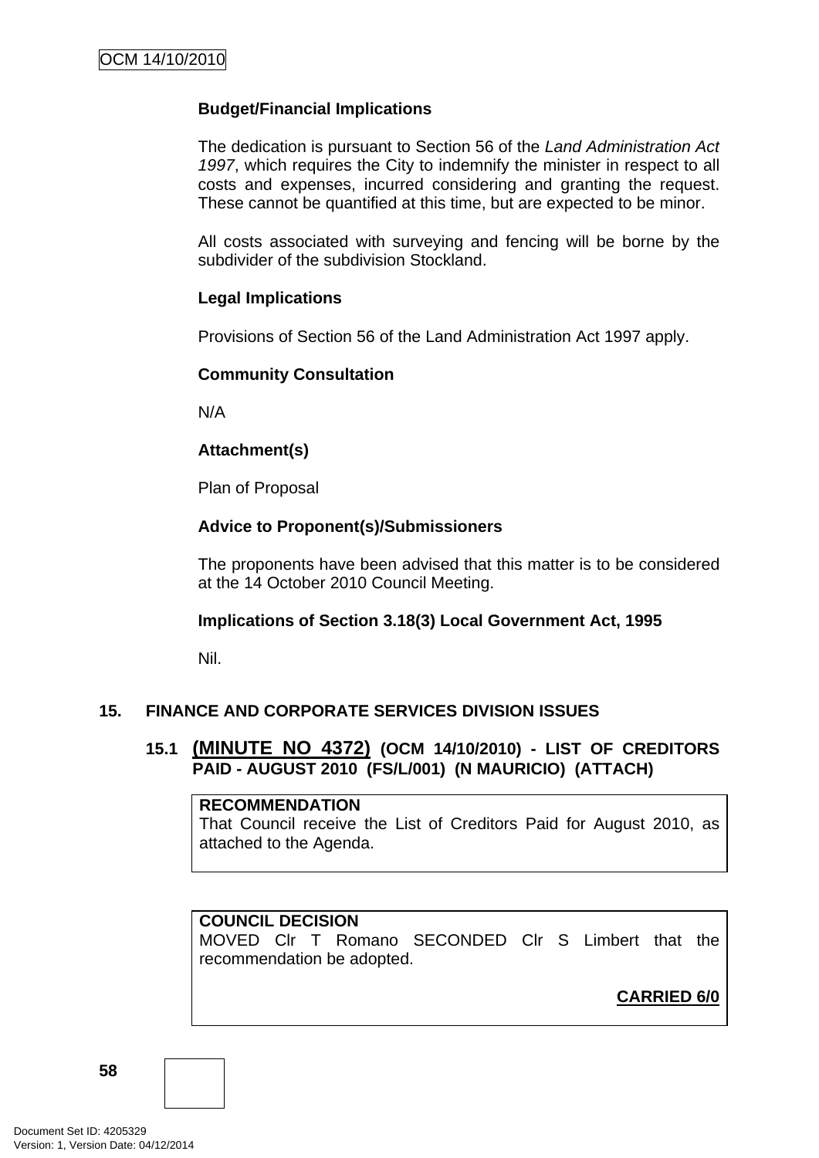# **Budget/Financial Implications**

The dedication is pursuant to Section 56 of the *Land Administration Act 1997*, which requires the City to indemnify the minister in respect to all costs and expenses, incurred considering and granting the request. These cannot be quantified at this time, but are expected to be minor.

All costs associated with surveying and fencing will be borne by the subdivider of the subdivision Stockland.

#### **Legal Implications**

Provisions of Section 56 of the Land Administration Act 1997 apply.

#### **Community Consultation**

N/A

#### **Attachment(s)**

Plan of Proposal

# **Advice to Proponent(s)/Submissioners**

The proponents have been advised that this matter is to be considered at the 14 October 2010 Council Meeting.

#### **Implications of Section 3.18(3) Local Government Act, 1995**

Nil.

#### **15. FINANCE AND CORPORATE SERVICES DIVISION ISSUES**

# **15.1 (MINUTE NO 4372) (OCM 14/10/2010) - LIST OF CREDITORS PAID - AUGUST 2010 (FS/L/001) (N MAURICIO) (ATTACH)**

#### **RECOMMENDATION**

That Council receive the List of Creditors Paid for August 2010, as attached to the Agenda.

#### **COUNCIL DECISION**

MOVED Clr T Romano SECONDED Clr S Limbert that the recommendation be adopted.

**CARRIED 6/0**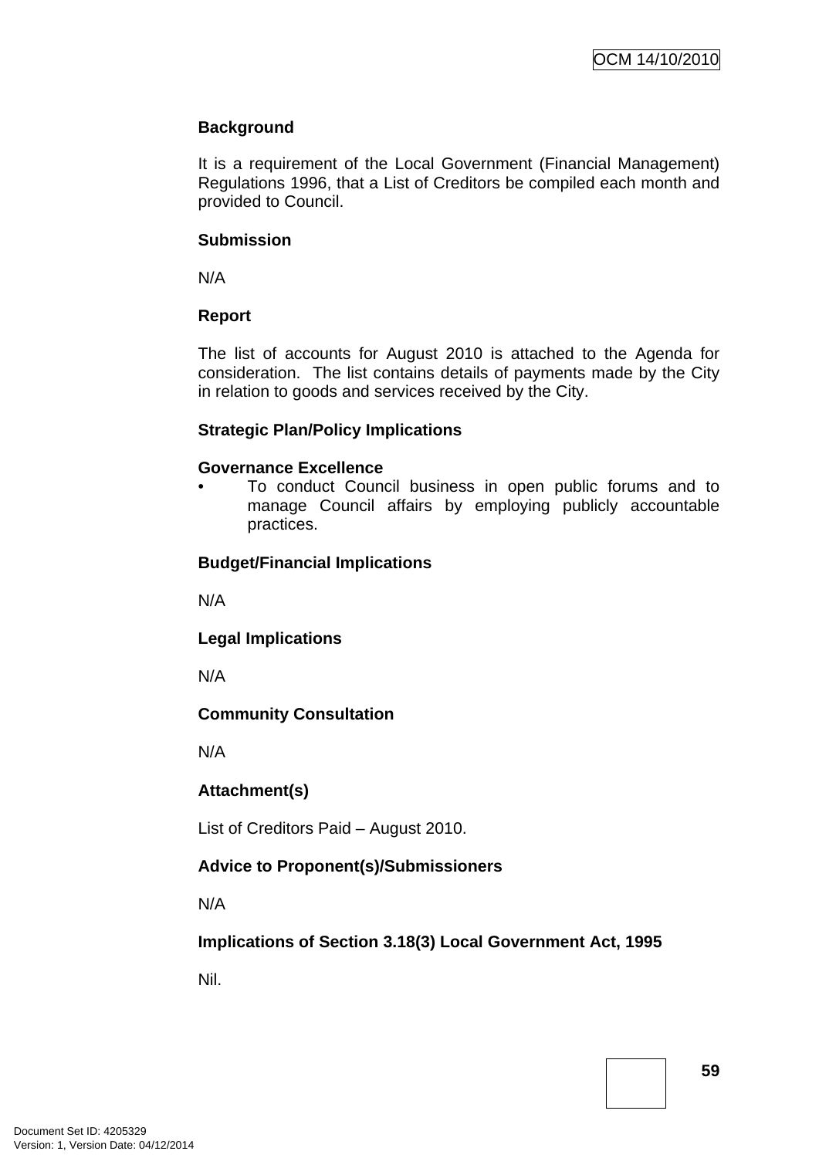# **Background**

It is a requirement of the Local Government (Financial Management) Regulations 1996, that a List of Creditors be compiled each month and provided to Council.

#### **Submission**

N/A

# **Report**

The list of accounts for August 2010 is attached to the Agenda for consideration. The list contains details of payments made by the City in relation to goods and services received by the City.

# **Strategic Plan/Policy Implications**

#### **Governance Excellence**

• To conduct Council business in open public forums and to manage Council affairs by employing publicly accountable practices.

# **Budget/Financial Implications**

N/A

**Legal Implications** 

N/A

# **Community Consultation**

N/A

# **Attachment(s)**

List of Creditors Paid – August 2010.

# **Advice to Proponent(s)/Submissioners**

N/A

# **Implications of Section 3.18(3) Local Government Act, 1995**

Nil.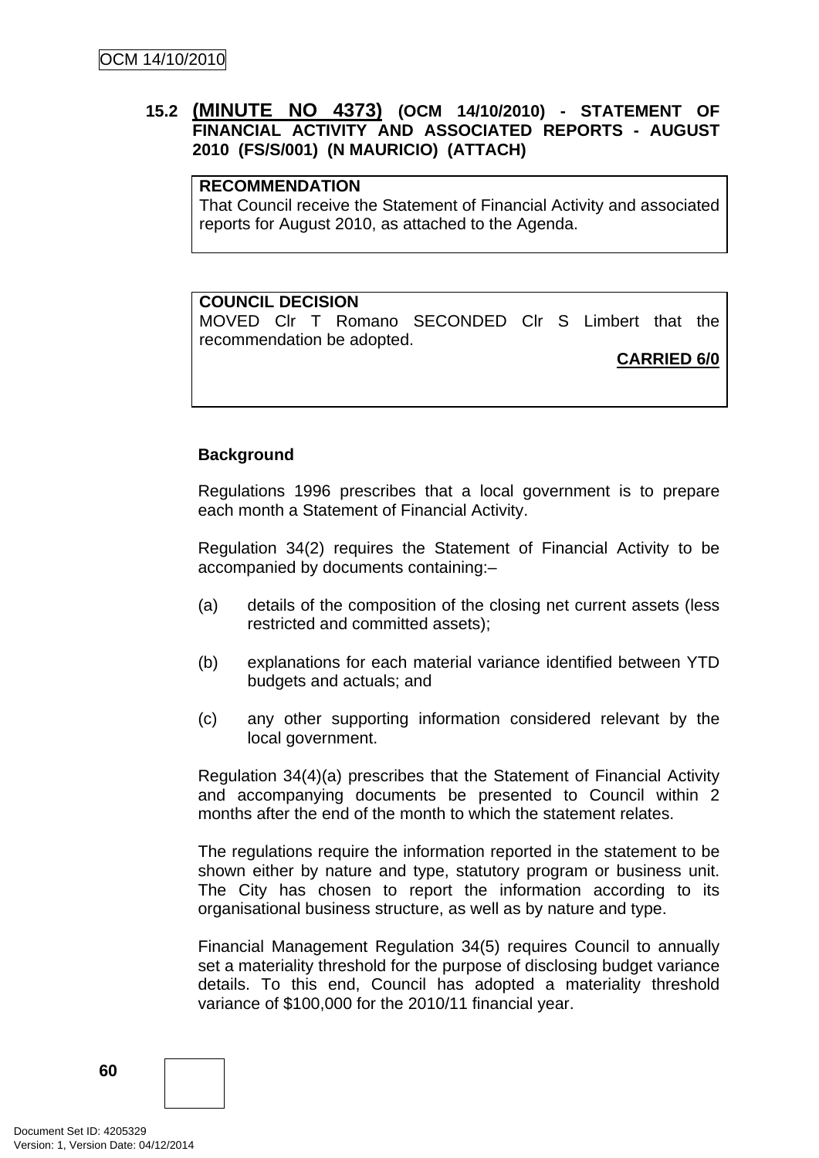# **15.2 (MINUTE NO 4373) (OCM 14/10/2010) - STATEMENT OF FINANCIAL ACTIVITY AND ASSOCIATED REPORTS - AUGUST 2010 (FS/S/001) (N MAURICIO) (ATTACH)**

#### **RECOMMENDATION**

That Council receive the Statement of Financial Activity and associated reports for August 2010, as attached to the Agenda.

#### **COUNCIL DECISION**

MOVED Clr T Romano SECONDED Clr S Limbert that the recommendation be adopted.

**CARRIED 6/0**

#### **Background**

Regulations 1996 prescribes that a local government is to prepare each month a Statement of Financial Activity.

Regulation 34(2) requires the Statement of Financial Activity to be accompanied by documents containing:–

- (a) details of the composition of the closing net current assets (less restricted and committed assets);
- (b) explanations for each material variance identified between YTD budgets and actuals; and
- (c) any other supporting information considered relevant by the local government.

Regulation 34(4)(a) prescribes that the Statement of Financial Activity and accompanying documents be presented to Council within 2 months after the end of the month to which the statement relates.

The regulations require the information reported in the statement to be shown either by nature and type, statutory program or business unit. The City has chosen to report the information according to its organisational business structure, as well as by nature and type.

Financial Management Regulation 34(5) requires Council to annually set a materiality threshold for the purpose of disclosing budget variance details. To this end, Council has adopted a materiality threshold variance of \$100,000 for the 2010/11 financial year.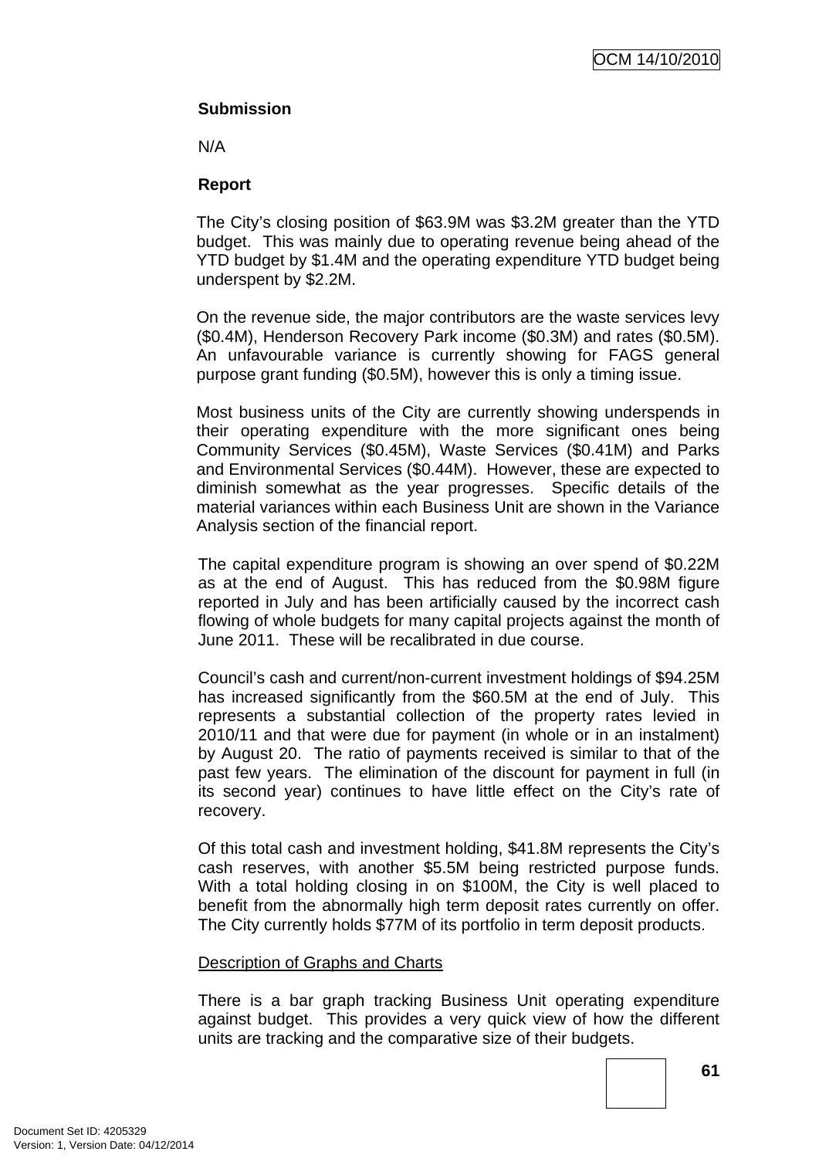# **Submission**

N/A

#### **Report**

The City's closing position of \$63.9M was \$3.2M greater than the YTD budget. This was mainly due to operating revenue being ahead of the YTD budget by \$1.4M and the operating expenditure YTD budget being underspent by \$2.2M.

On the revenue side, the major contributors are the waste services levy (\$0.4M), Henderson Recovery Park income (\$0.3M) and rates (\$0.5M). An unfavourable variance is currently showing for FAGS general purpose grant funding (\$0.5M), however this is only a timing issue.

Most business units of the City are currently showing underspends in their operating expenditure with the more significant ones being Community Services (\$0.45M), Waste Services (\$0.41M) and Parks and Environmental Services (\$0.44M). However, these are expected to diminish somewhat as the year progresses. Specific details of the material variances within each Business Unit are shown in the Variance Analysis section of the financial report.

The capital expenditure program is showing an over spend of \$0.22M as at the end of August. This has reduced from the \$0.98M figure reported in July and has been artificially caused by the incorrect cash flowing of whole budgets for many capital projects against the month of June 2011. These will be recalibrated in due course.

Council's cash and current/non-current investment holdings of \$94.25M has increased significantly from the \$60.5M at the end of July. This represents a substantial collection of the property rates levied in 2010/11 and that were due for payment (in whole or in an instalment) by August 20. The ratio of payments received is similar to that of the past few years. The elimination of the discount for payment in full (in its second year) continues to have little effect on the City's rate of recovery.

Of this total cash and investment holding, \$41.8M represents the City's cash reserves, with another \$5.5M being restricted purpose funds. With a total holding closing in on \$100M, the City is well placed to benefit from the abnormally high term deposit rates currently on offer. The City currently holds \$77M of its portfolio in term deposit products.

#### Description of Graphs and Charts

There is a bar graph tracking Business Unit operating expenditure against budget. This provides a very quick view of how the different units are tracking and the comparative size of their budgets.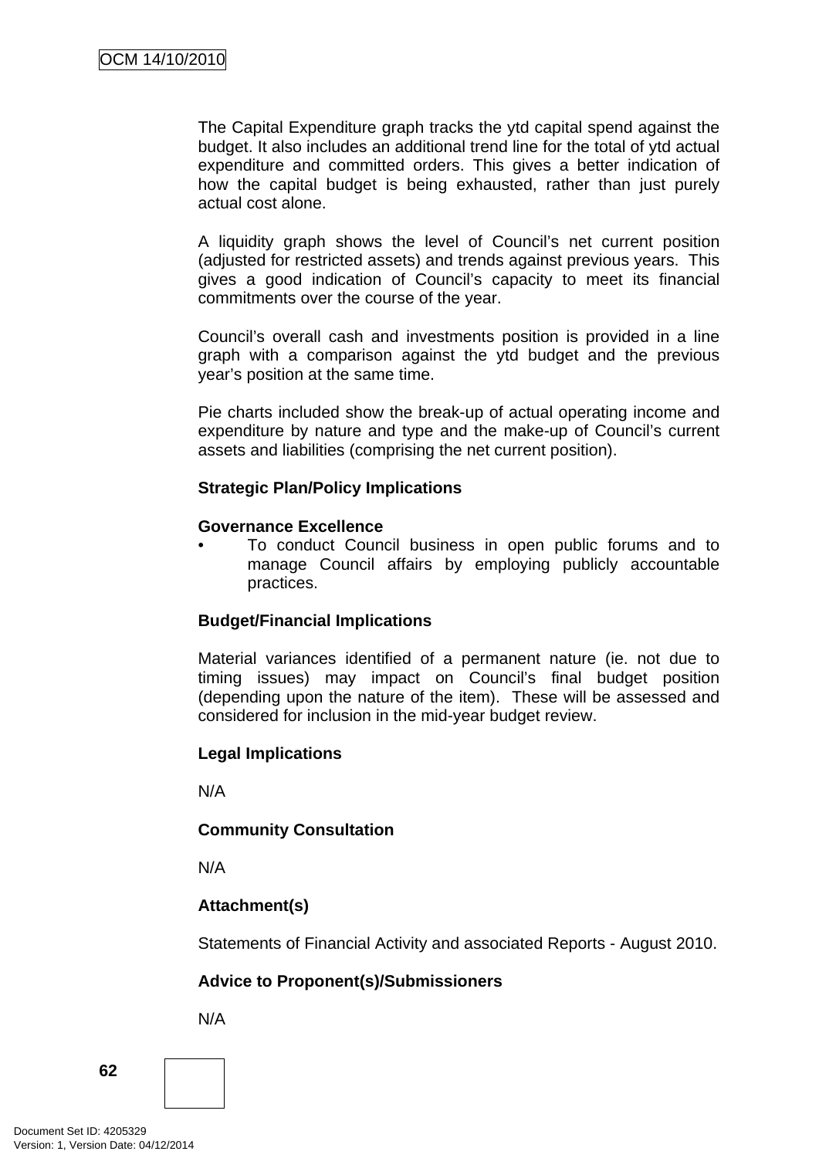The Capital Expenditure graph tracks the ytd capital spend against the budget. It also includes an additional trend line for the total of ytd actual expenditure and committed orders. This gives a better indication of how the capital budget is being exhausted, rather than just purely actual cost alone.

A liquidity graph shows the level of Council's net current position (adjusted for restricted assets) and trends against previous years. This gives a good indication of Council's capacity to meet its financial commitments over the course of the year.

Council's overall cash and investments position is provided in a line graph with a comparison against the ytd budget and the previous year's position at the same time.

Pie charts included show the break-up of actual operating income and expenditure by nature and type and the make-up of Council's current assets and liabilities (comprising the net current position).

# **Strategic Plan/Policy Implications**

#### **Governance Excellence**

• To conduct Council business in open public forums and to manage Council affairs by employing publicly accountable practices.

#### **Budget/Financial Implications**

Material variances identified of a permanent nature (ie. not due to timing issues) may impact on Council's final budget position (depending upon the nature of the item). These will be assessed and considered for inclusion in the mid-year budget review.

#### **Legal Implications**

N/A

#### **Community Consultation**

N/A

# **Attachment(s)**

Statements of Financial Activity and associated Reports - August 2010.

# **Advice to Proponent(s)/Submissioners**

N/A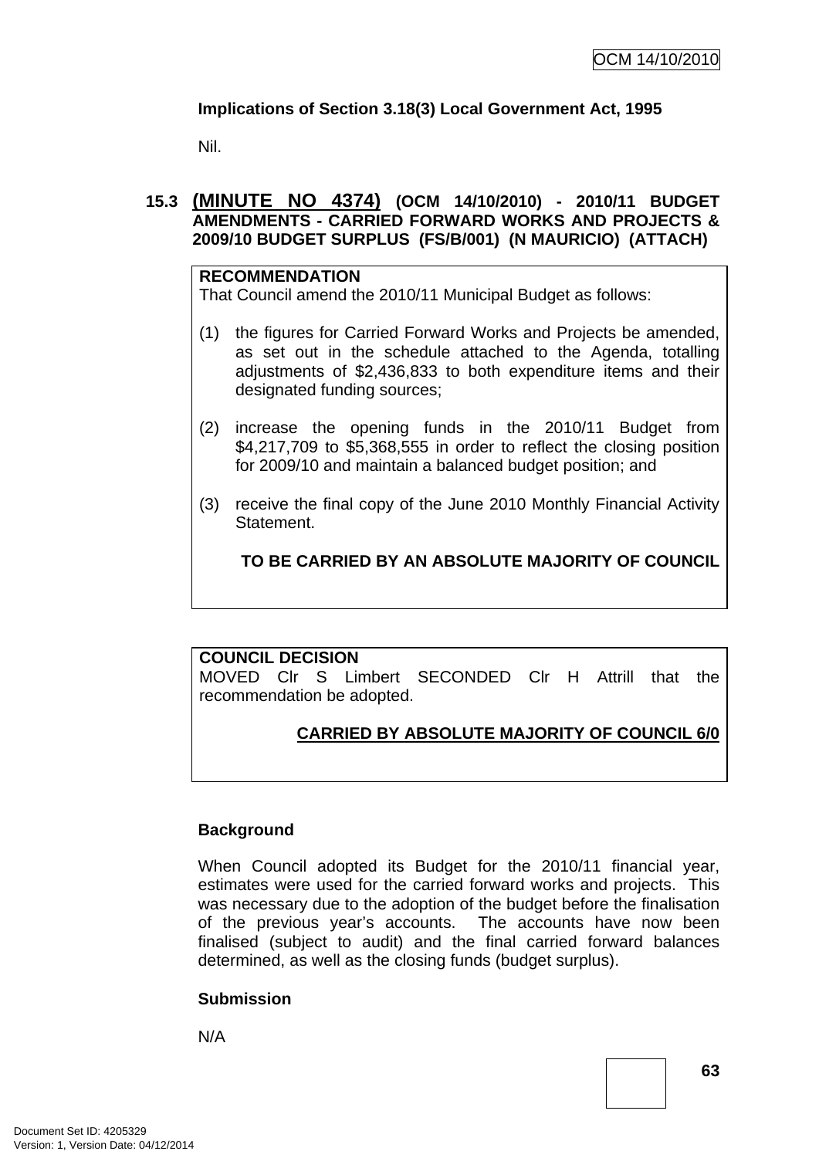# **Implications of Section 3.18(3) Local Government Act, 1995**

Nil.

# **15.3 (MINUTE NO 4374) (OCM 14/10/2010) - 2010/11 BUDGET AMENDMENTS - CARRIED FORWARD WORKS AND PROJECTS & 2009/10 BUDGET SURPLUS (FS/B/001) (N MAURICIO) (ATTACH)**

**RECOMMENDATION**

That Council amend the 2010/11 Municipal Budget as follows:

- (1) the figures for Carried Forward Works and Projects be amended, as set out in the schedule attached to the Agenda, totalling adjustments of \$2,436,833 to both expenditure items and their designated funding sources;
- (2) increase the opening funds in the 2010/11 Budget from \$4,217,709 to \$5,368,555 in order to reflect the closing position for 2009/10 and maintain a balanced budget position; and
- (3) receive the final copy of the June 2010 Monthly Financial Activity Statement.

**TO BE CARRIED BY AN ABSOLUTE MAJORITY OF COUNCIL**

# **COUNCIL DECISION**

MOVED Clr S Limbert SECONDED Clr H Attrill that the recommendation be adopted.

# **CARRIED BY ABSOLUTE MAJORITY OF COUNCIL 6/0**

#### **Background**

When Council adopted its Budget for the 2010/11 financial year, estimates were used for the carried forward works and projects. This was necessary due to the adoption of the budget before the finalisation of the previous year's accounts. The accounts have now been finalised (subject to audit) and the final carried forward balances determined, as well as the closing funds (budget surplus).

#### **Submission**

N/A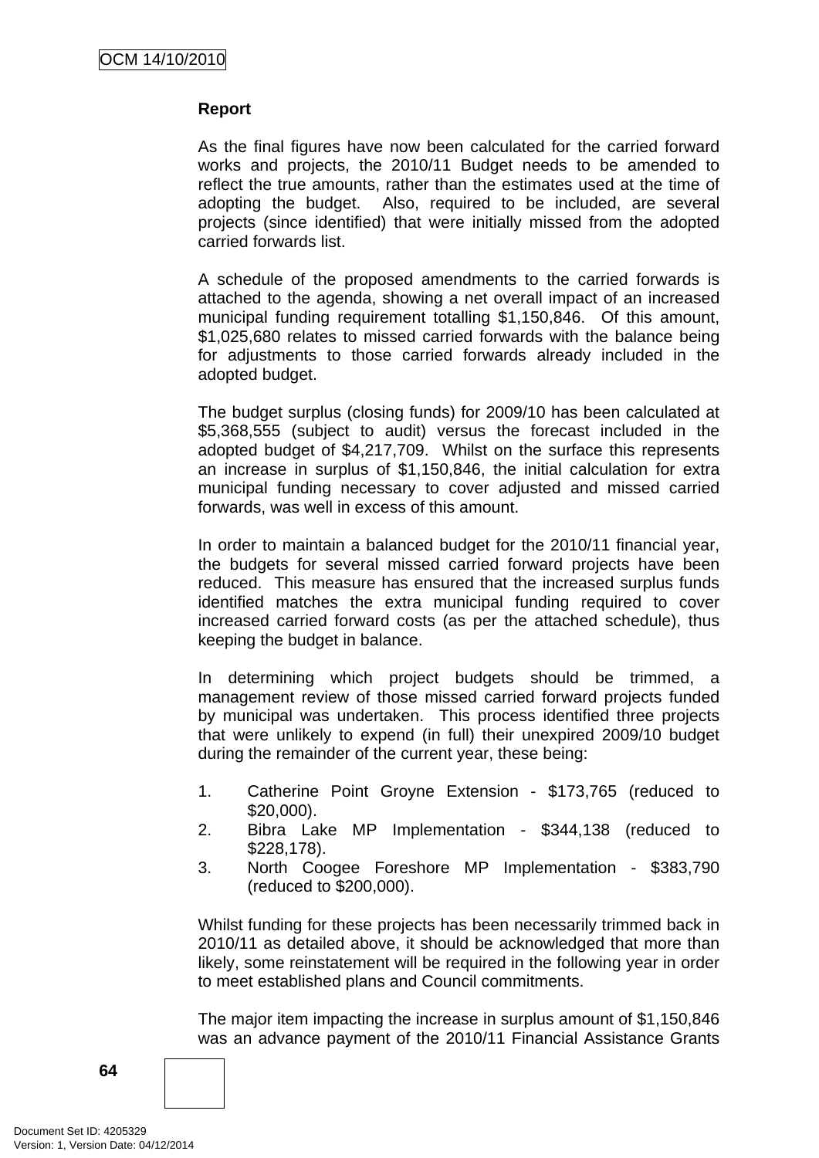### **Report**

As the final figures have now been calculated for the carried forward works and projects, the 2010/11 Budget needs to be amended to reflect the true amounts, rather than the estimates used at the time of adopting the budget. Also, required to be included, are several projects (since identified) that were initially missed from the adopted carried forwards list.

A schedule of the proposed amendments to the carried forwards is attached to the agenda, showing a net overall impact of an increased municipal funding requirement totalling \$1,150,846. Of this amount, \$1,025,680 relates to missed carried forwards with the balance being for adjustments to those carried forwards already included in the adopted budget.

The budget surplus (closing funds) for 2009/10 has been calculated at \$5,368,555 (subject to audit) versus the forecast included in the adopted budget of \$4,217,709. Whilst on the surface this represents an increase in surplus of \$1,150,846, the initial calculation for extra municipal funding necessary to cover adjusted and missed carried forwards, was well in excess of this amount.

In order to maintain a balanced budget for the 2010/11 financial year, the budgets for several missed carried forward projects have been reduced. This measure has ensured that the increased surplus funds identified matches the extra municipal funding required to cover increased carried forward costs (as per the attached schedule), thus keeping the budget in balance.

In determining which project budgets should be trimmed, a management review of those missed carried forward projects funded by municipal was undertaken. This process identified three projects that were unlikely to expend (in full) their unexpired 2009/10 budget during the remainder of the current year, these being:

- 1. Catherine Point Groyne Extension \$173,765 (reduced to \$20,000).
- 2. Bibra Lake MP Implementation \$344,138 (reduced to \$228,178).
- 3. North Coogee Foreshore MP Implementation \$383,790 (reduced to \$200,000).

Whilst funding for these projects has been necessarily trimmed back in 2010/11 as detailed above, it should be acknowledged that more than likely, some reinstatement will be required in the following year in order to meet established plans and Council commitments.

The major item impacting the increase in surplus amount of \$1,150,846 was an advance payment of the 2010/11 Financial Assistance Grants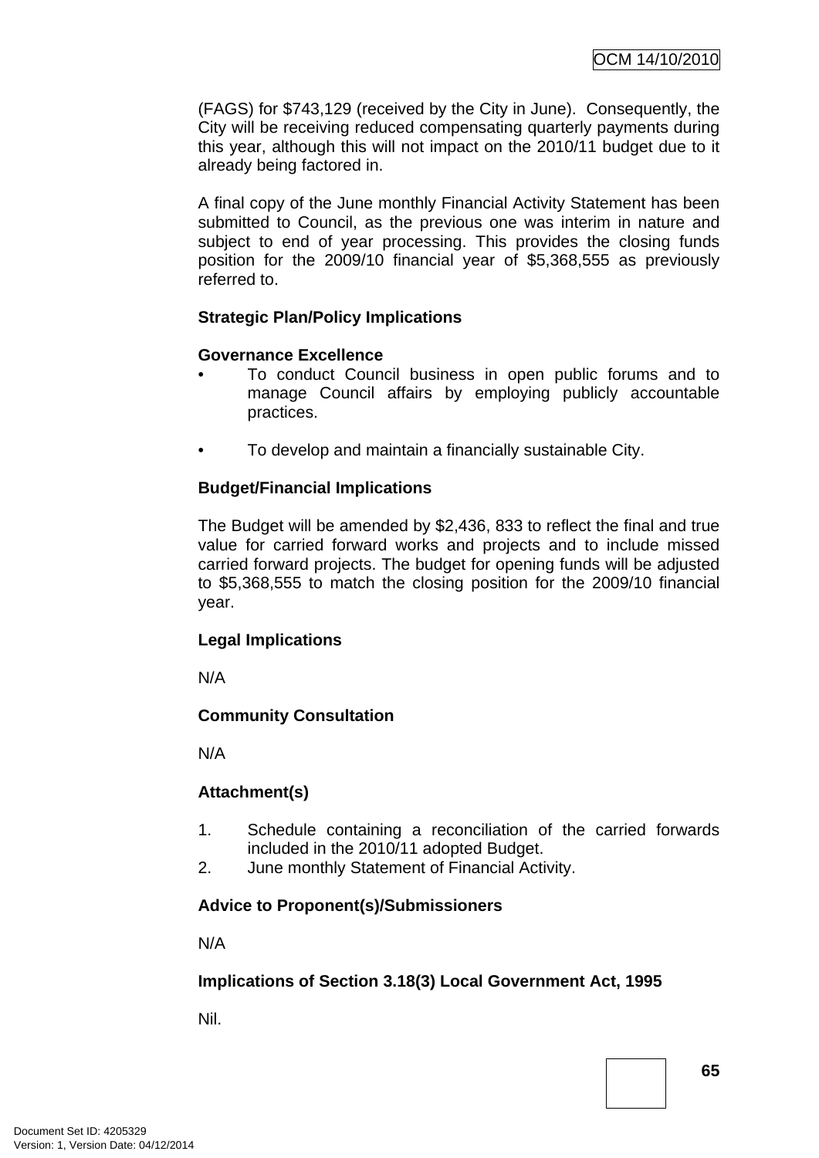(FAGS) for \$743,129 (received by the City in June). Consequently, the City will be receiving reduced compensating quarterly payments during this year, although this will not impact on the 2010/11 budget due to it already being factored in.

A final copy of the June monthly Financial Activity Statement has been submitted to Council, as the previous one was interim in nature and subject to end of year processing. This provides the closing funds position for the 2009/10 financial year of \$5,368,555 as previously referred to.

# **Strategic Plan/Policy Implications**

# **Governance Excellence**

- To conduct Council business in open public forums and to manage Council affairs by employing publicly accountable practices.
- To develop and maintain a financially sustainable City.

# **Budget/Financial Implications**

The Budget will be amended by \$2,436, 833 to reflect the final and true value for carried forward works and projects and to include missed carried forward projects. The budget for opening funds will be adjusted to \$5,368,555 to match the closing position for the 2009/10 financial year.

#### **Legal Implications**

N/A

# **Community Consultation**

N/A

# **Attachment(s)**

- 1. Schedule containing a reconciliation of the carried forwards included in the 2010/11 adopted Budget.
- 2. June monthly Statement of Financial Activity.

# **Advice to Proponent(s)/Submissioners**

N/A

# **Implications of Section 3.18(3) Local Government Act, 1995**

Nil.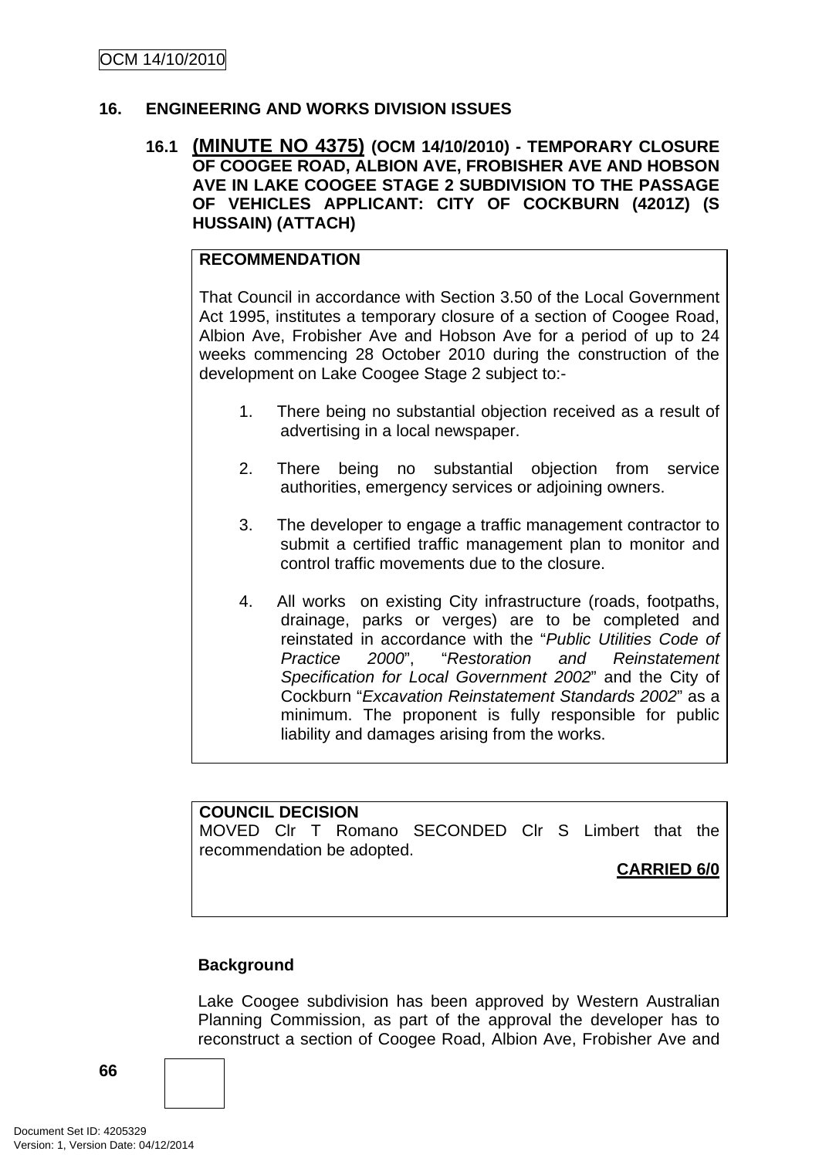# **16. ENGINEERING AND WORKS DIVISION ISSUES**

### **16.1 (MINUTE NO 4375) (OCM 14/10/2010) - TEMPORARY CLOSURE OF COOGEE ROAD, ALBION AVE, FROBISHER AVE AND HOBSON AVE IN LAKE COOGEE STAGE 2 SUBDIVISION TO THE PASSAGE OF VEHICLES APPLICANT: CITY OF COCKBURN (4201Z) (S HUSSAIN) (ATTACH)**

### **RECOMMENDATION**

That Council in accordance with Section 3.50 of the Local Government Act 1995, institutes a temporary closure of a section of Coogee Road, Albion Ave, Frobisher Ave and Hobson Ave for a period of up to 24 weeks commencing 28 October 2010 during the construction of the development on Lake Coogee Stage 2 subject to:-

- 1. There being no substantial objection received as a result of advertising in a local newspaper.
- 2. There being no substantial objection from service authorities, emergency services or adjoining owners.
- 3. The developer to engage a traffic management contractor to submit a certified traffic management plan to monitor and control traffic movements due to the closure.
- 4. All works on existing City infrastructure (roads, footpaths, drainage, parks or verges) are to be completed and reinstated in accordance with the "*Public Utilities Code of Practice 2000*", "*Restoration and Reinstatement Specification for Local Government 2002*" and the City of Cockburn "*Excavation Reinstatement Standards 2002*" as a minimum. The proponent is fully responsible for public liability and damages arising from the works.

### **COUNCIL DECISION**

MOVED Clr T Romano SECONDED Clr S Limbert that the recommendation be adopted.

#### **CARRIED 6/0**

# **Background**

Lake Coogee subdivision has been approved by Western Australian Planning Commission, as part of the approval the developer has to reconstruct a section of Coogee Road, Albion Ave, Frobisher Ave and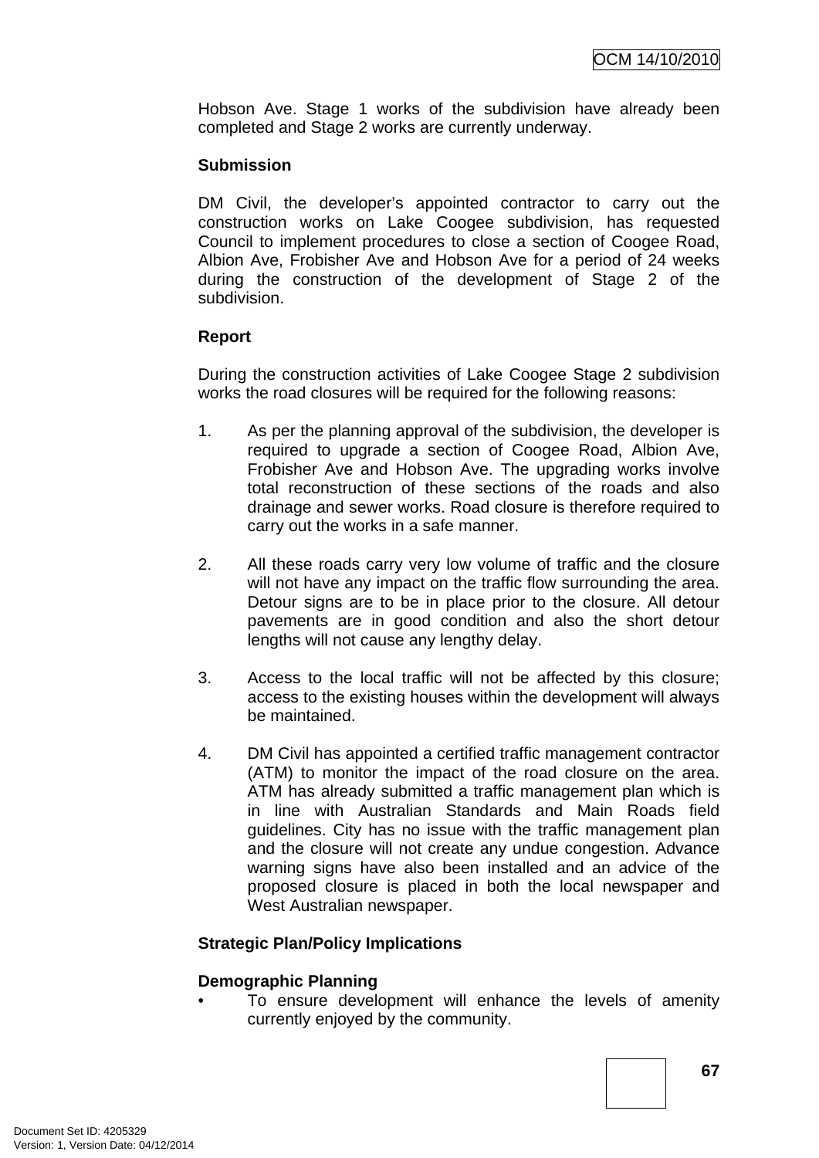Hobson Ave. Stage 1 works of the subdivision have already been completed and Stage 2 works are currently underway.

### **Submission**

DM Civil, the developer's appointed contractor to carry out the construction works on Lake Coogee subdivision, has requested Council to implement procedures to close a section of Coogee Road, Albion Ave, Frobisher Ave and Hobson Ave for a period of 24 weeks during the construction of the development of Stage 2 of the subdivision.

# **Report**

During the construction activities of Lake Coogee Stage 2 subdivision works the road closures will be required for the following reasons:

- 1. As per the planning approval of the subdivision, the developer is required to upgrade a section of Coogee Road, Albion Ave, Frobisher Ave and Hobson Ave. The upgrading works involve total reconstruction of these sections of the roads and also drainage and sewer works. Road closure is therefore required to carry out the works in a safe manner.
- 2. All these roads carry very low volume of traffic and the closure will not have any impact on the traffic flow surrounding the area. Detour signs are to be in place prior to the closure. All detour pavements are in good condition and also the short detour lengths will not cause any lengthy delay.
- 3. Access to the local traffic will not be affected by this closure; access to the existing houses within the development will always be maintained.
- 4. DM Civil has appointed a certified traffic management contractor (ATM) to monitor the impact of the road closure on the area. ATM has already submitted a traffic management plan which is in line with Australian Standards and Main Roads field guidelines. City has no issue with the traffic management plan and the closure will not create any undue congestion. Advance warning signs have also been installed and an advice of the proposed closure is placed in both the local newspaper and West Australian newspaper.

# **Strategic Plan/Policy Implications**

# **Demographic Planning**

To ensure development will enhance the levels of amenity currently enjoyed by the community.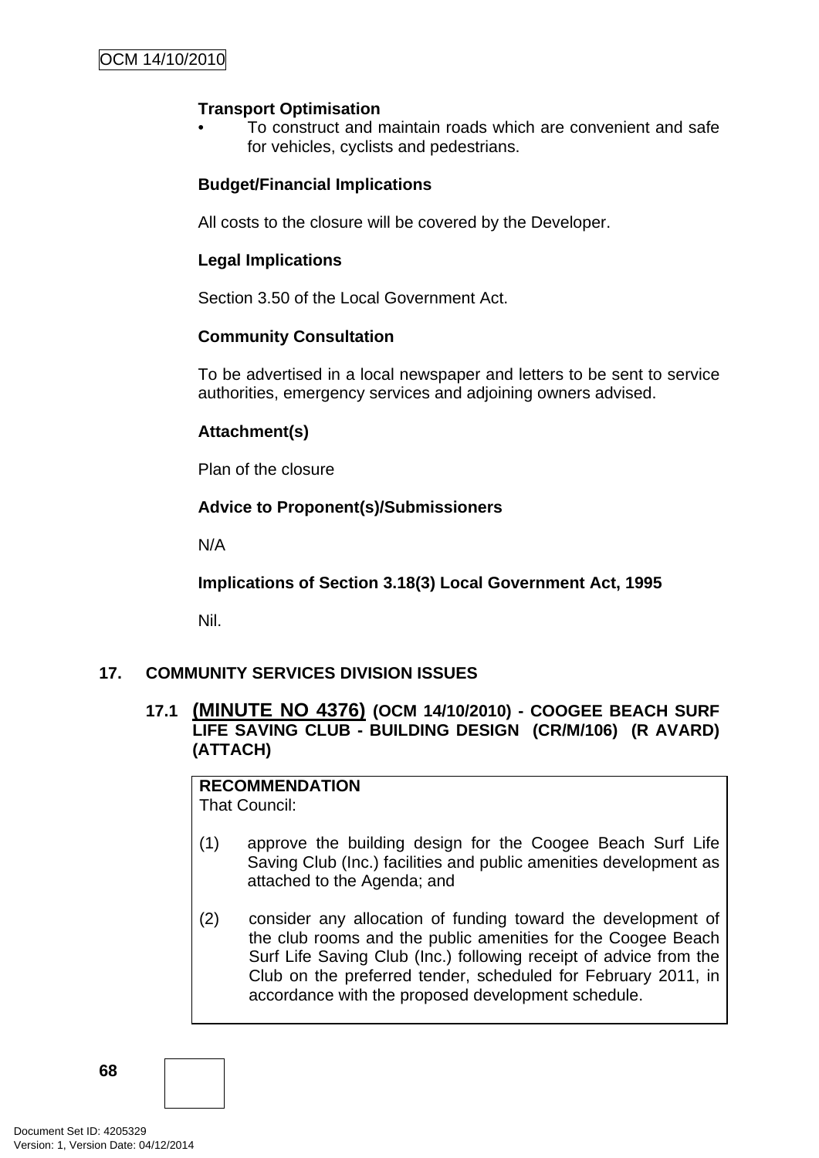# **Transport Optimisation**

• To construct and maintain roads which are convenient and safe for vehicles, cyclists and pedestrians.

### **Budget/Financial Implications**

All costs to the closure will be covered by the Developer.

### **Legal Implications**

Section 3.50 of the Local Government Act.

#### **Community Consultation**

To be advertised in a local newspaper and letters to be sent to service authorities, emergency services and adjoining owners advised.

# **Attachment(s)**

Plan of the closure

# **Advice to Proponent(s)/Submissioners**

N/A

**Implications of Section 3.18(3) Local Government Act, 1995**

Nil.

# **17. COMMUNITY SERVICES DIVISION ISSUES**

# **17.1 (MINUTE NO 4376) (OCM 14/10/2010) - COOGEE BEACH SURF LIFE SAVING CLUB - BUILDING DESIGN (CR/M/106) (R AVARD) (ATTACH)**

# **RECOMMENDATION**

That Council:

- (1) approve the building design for the Coogee Beach Surf Life Saving Club (Inc.) facilities and public amenities development as attached to the Agenda; and
- (2) consider any allocation of funding toward the development of the club rooms and the public amenities for the Coogee Beach Surf Life Saving Club (Inc.) following receipt of advice from the Club on the preferred tender, scheduled for February 2011, in accordance with the proposed development schedule.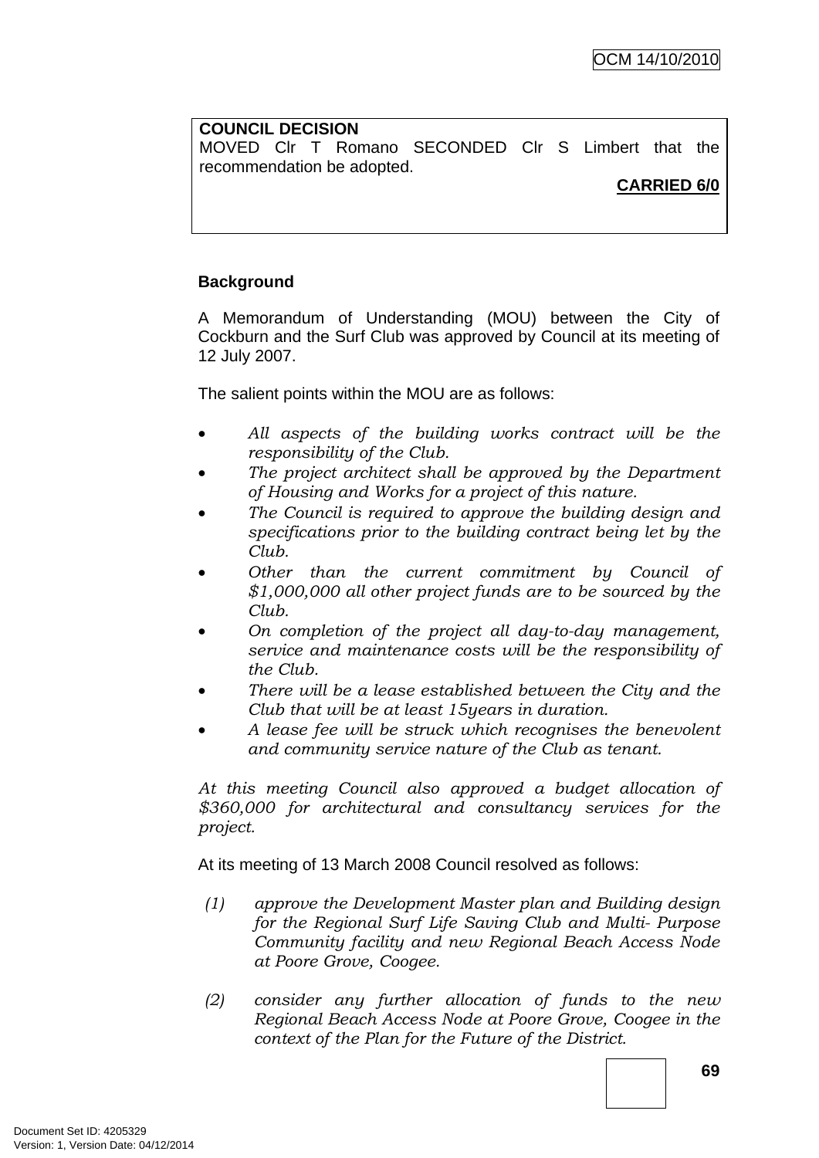#### **COUNCIL DECISION**

MOVED Clr T Romano SECONDED Clr S Limbert that the recommendation be adopted.

## **CARRIED 6/0**

## **Background**

A Memorandum of Understanding (MOU) between the City of Cockburn and the Surf Club was approved by Council at its meeting of 12 July 2007.

The salient points within the MOU are as follows:

- *All aspects of the building works contract will be the responsibility of the Club.*
- *The project architect shall be approved by the Department of Housing and Works for a project of this nature.*
- *The Council is required to approve the building design and specifications prior to the building contract being let by the Club.*
- *Other than the current commitment by Council of \$1,000,000 all other project funds are to be sourced by the Club.*
- *On completion of the project all day-to-day management, service and maintenance costs will be the responsibility of the Club.*
- *There will be a lease established between the City and the Club that will be at least 15years in duration.*
- *A lease fee will be struck which recognises the benevolent and community service nature of the Club as tenant.*

*At this meeting Council also approved a budget allocation of \$360,000 for architectural and consultancy services for the project.*

At its meeting of 13 March 2008 Council resolved as follows:

- *(1) approve the Development Master plan and Building design for the Regional Surf Life Saving Club and Multi- Purpose Community facility and new Regional Beach Access Node at Poore Grove, Coogee.*
- *(2) consider any further allocation of funds to the new Regional Beach Access Node at Poore Grove, Coogee in the context of the Plan for the Future of the District.*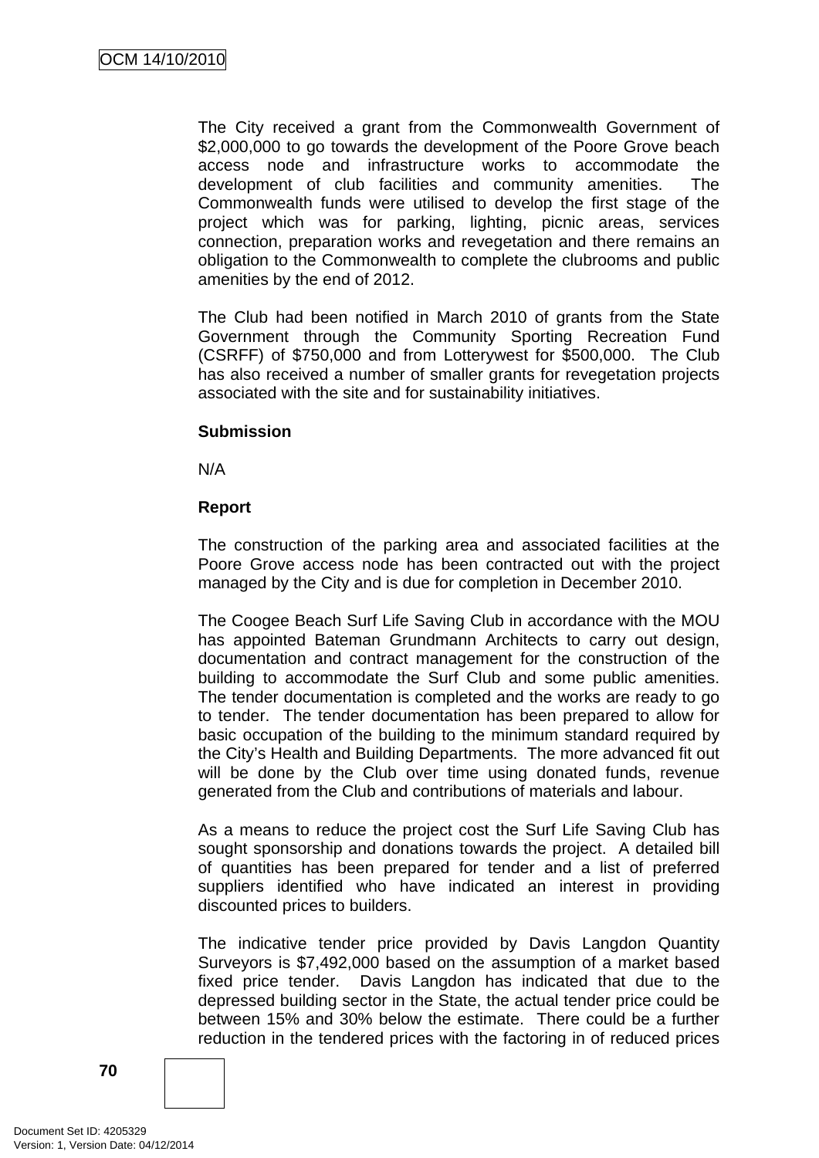The City received a grant from the Commonwealth Government of \$2,000,000 to go towards the development of the Poore Grove beach access node and infrastructure works to accommodate the development of club facilities and community amenities. The Commonwealth funds were utilised to develop the first stage of the project which was for parking, lighting, picnic areas, services connection, preparation works and revegetation and there remains an obligation to the Commonwealth to complete the clubrooms and public amenities by the end of 2012.

The Club had been notified in March 2010 of grants from the State Government through the Community Sporting Recreation Fund (CSRFF) of \$750,000 and from Lotterywest for \$500,000. The Club has also received a number of smaller grants for revegetation projects associated with the site and for sustainability initiatives.

#### **Submission**

N/A

#### **Report**

The construction of the parking area and associated facilities at the Poore Grove access node has been contracted out with the project managed by the City and is due for completion in December 2010.

The Coogee Beach Surf Life Saving Club in accordance with the MOU has appointed Bateman Grundmann Architects to carry out design, documentation and contract management for the construction of the building to accommodate the Surf Club and some public amenities. The tender documentation is completed and the works are ready to go to tender. The tender documentation has been prepared to allow for basic occupation of the building to the minimum standard required by the City's Health and Building Departments. The more advanced fit out will be done by the Club over time using donated funds, revenue generated from the Club and contributions of materials and labour.

As a means to reduce the project cost the Surf Life Saving Club has sought sponsorship and donations towards the project. A detailed bill of quantities has been prepared for tender and a list of preferred suppliers identified who have indicated an interest in providing discounted prices to builders.

The indicative tender price provided by Davis Langdon Quantity Surveyors is \$7,492,000 based on the assumption of a market based fixed price tender. Davis Langdon has indicated that due to the depressed building sector in the State, the actual tender price could be between 15% and 30% below the estimate. There could be a further reduction in the tendered prices with the factoring in of reduced prices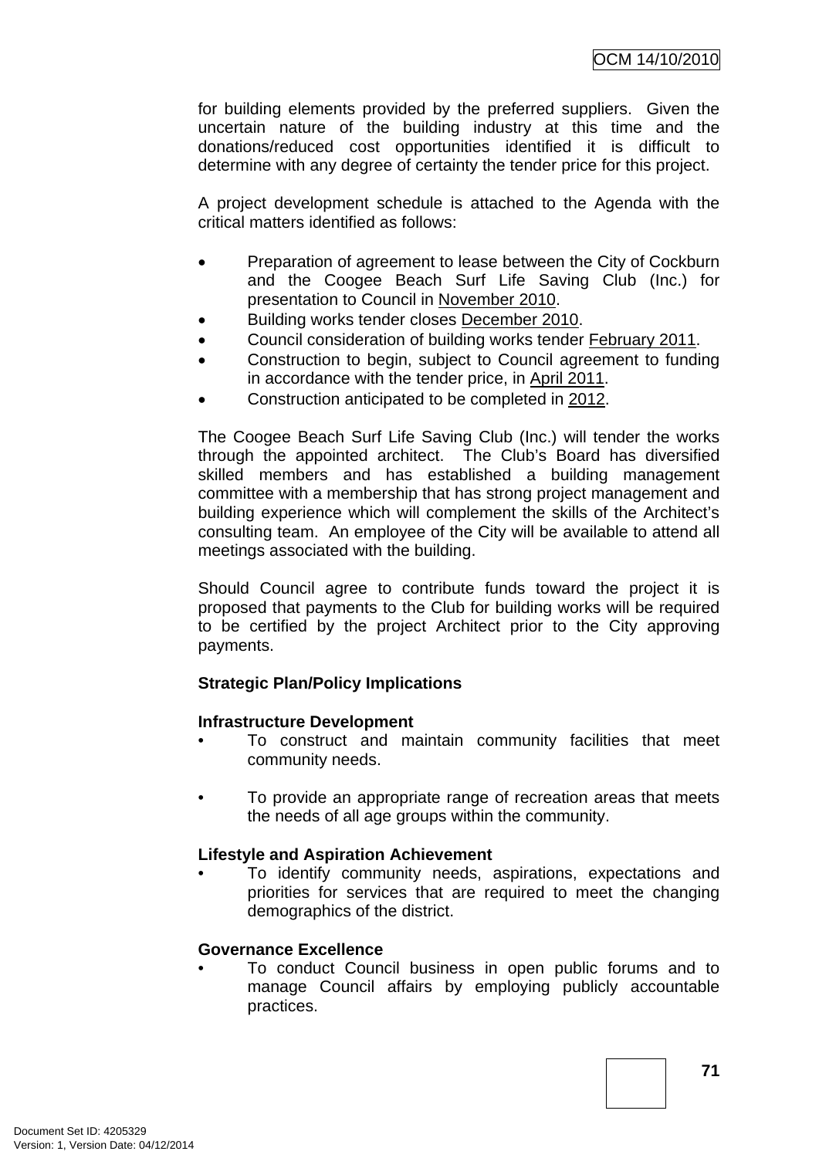for building elements provided by the preferred suppliers. Given the uncertain nature of the building industry at this time and the donations/reduced cost opportunities identified it is difficult to determine with any degree of certainty the tender price for this project.

A project development schedule is attached to the Agenda with the critical matters identified as follows:

- Preparation of agreement to lease between the City of Cockburn and the Coogee Beach Surf Life Saving Club (Inc.) for presentation to Council in November 2010.
- Building works tender closes December 2010.
- Council consideration of building works tender February 2011.
- Construction to begin, subject to Council agreement to funding in accordance with the tender price, in April 2011.
- Construction anticipated to be completed in 2012.

The Coogee Beach Surf Life Saving Club (Inc.) will tender the works through the appointed architect. The Club's Board has diversified skilled members and has established a building management committee with a membership that has strong project management and building experience which will complement the skills of the Architect's consulting team. An employee of the City will be available to attend all meetings associated with the building.

Should Council agree to contribute funds toward the project it is proposed that payments to the Club for building works will be required to be certified by the project Architect prior to the City approving payments.

#### **Strategic Plan/Policy Implications**

#### **Infrastructure Development**

- To construct and maintain community facilities that meet community needs.
- To provide an appropriate range of recreation areas that meets the needs of all age groups within the community.

#### **Lifestyle and Aspiration Achievement**

• To identify community needs, aspirations, expectations and priorities for services that are required to meet the changing demographics of the district.

#### **Governance Excellence**

• To conduct Council business in open public forums and to manage Council affairs by employing publicly accountable practices.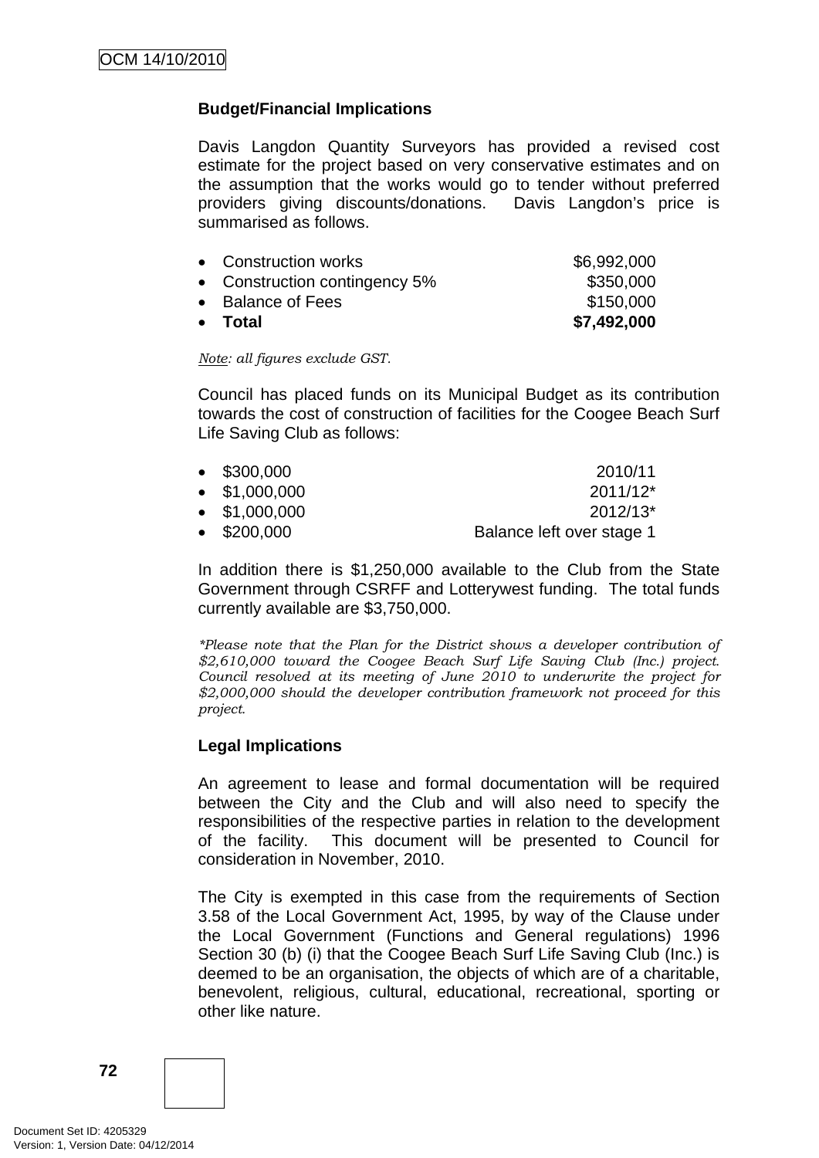## **Budget/Financial Implications**

Davis Langdon Quantity Surveyors has provided a revised cost estimate for the project based on very conservative estimates and on the assumption that the works would go to tender without preferred providers giving discounts/donations. Davis Langdon's price is summarised as follows.

| \$6,992,000 |
|-------------|
| \$350,000   |
| \$150,000   |
| \$7,492,000 |
|             |

*Note: all figures exclude GST.* 

Council has placed funds on its Municipal Budget as its contribution towards the cost of construction of facilities for the Coogee Beach Surf Life Saving Club as follows:

| $\bullet$ \$300,000   | 2010/11                   |
|-----------------------|---------------------------|
| $\bullet$ \$1,000,000 | $2011/12*$                |
| $\bullet$ \$1,000,000 | 2012/13*                  |
| $\bullet$ \$200,000   | Balance left over stage 1 |

In addition there is \$1,250,000 available to the Club from the State Government through CSRFF and Lotterywest funding. The total funds currently available are \$3,750,000.

*\*Please note that the Plan for the District shows a developer contribution of \$2,610,000 toward the Coogee Beach Surf Life Saving Club (Inc.) project. Council resolved at its meeting of June 2010 to underwrite the project for \$2,000,000 should the developer contribution framework not proceed for this project.*

#### **Legal Implications**

An agreement to lease and formal documentation will be required between the City and the Club and will also need to specify the responsibilities of the respective parties in relation to the development of the facility. This document will be presented to Council for consideration in November, 2010.

The City is exempted in this case from the requirements of Section 3.58 of the Local Government Act, 1995, by way of the Clause under the Local Government (Functions and General regulations) 1996 Section 30 (b) (i) that the Coogee Beach Surf Life Saving Club (Inc.) is deemed to be an organisation, the objects of which are of a charitable, benevolent, religious, cultural, educational, recreational, sporting or other like nature.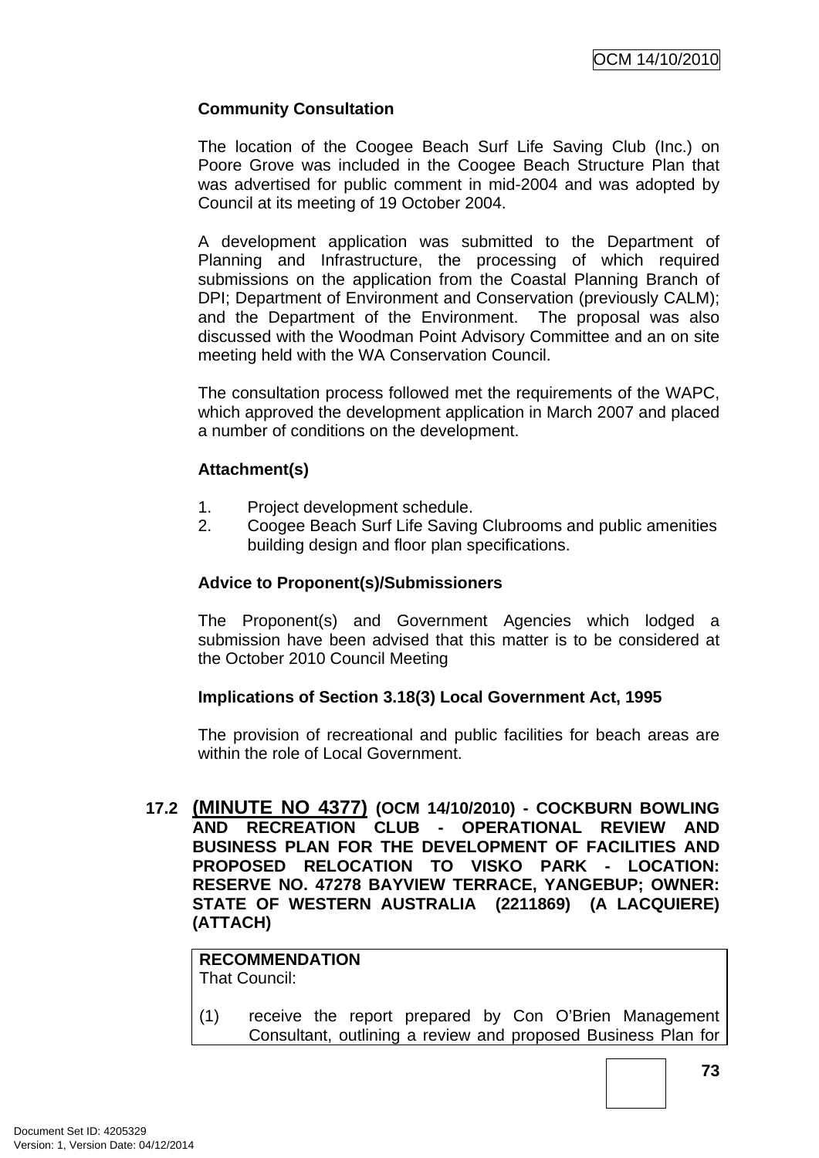## **Community Consultation**

The location of the Coogee Beach Surf Life Saving Club (Inc.) on Poore Grove was included in the Coogee Beach Structure Plan that was advertised for public comment in mid-2004 and was adopted by Council at its meeting of 19 October 2004.

A development application was submitted to the Department of Planning and Infrastructure, the processing of which required submissions on the application from the Coastal Planning Branch of DPI; Department of Environment and Conservation (previously CALM); and the Department of the Environment. The proposal was also discussed with the Woodman Point Advisory Committee and an on site meeting held with the WA Conservation Council.

The consultation process followed met the requirements of the WAPC, which approved the development application in March 2007 and placed a number of conditions on the development.

#### **Attachment(s)**

- 1. Project development schedule.
- 2. Coogee Beach Surf Life Saving Clubrooms and public amenities building design and floor plan specifications.

## **Advice to Proponent(s)/Submissioners**

The Proponent(s) and Government Agencies which lodged a submission have been advised that this matter is to be considered at the October 2010 Council Meeting

## **Implications of Section 3.18(3) Local Government Act, 1995**

The provision of recreational and public facilities for beach areas are within the role of Local Government.

**17.2 (MINUTE NO 4377) (OCM 14/10/2010) - COCKBURN BOWLING AND RECREATION CLUB - OPERATIONAL REVIEW AND BUSINESS PLAN FOR THE DEVELOPMENT OF FACILITIES AND PROPOSED RELOCATION TO VISKO PARK - LOCATION: RESERVE NO. 47278 BAYVIEW TERRACE, YANGEBUP; OWNER: STATE OF WESTERN AUSTRALIA (2211869) (A LACQUIERE) (ATTACH)** 

#### **RECOMMENDATION** That Council:

(1) receive the report prepared by Con O'Brien Management Consultant, outlining a review and proposed Business Plan for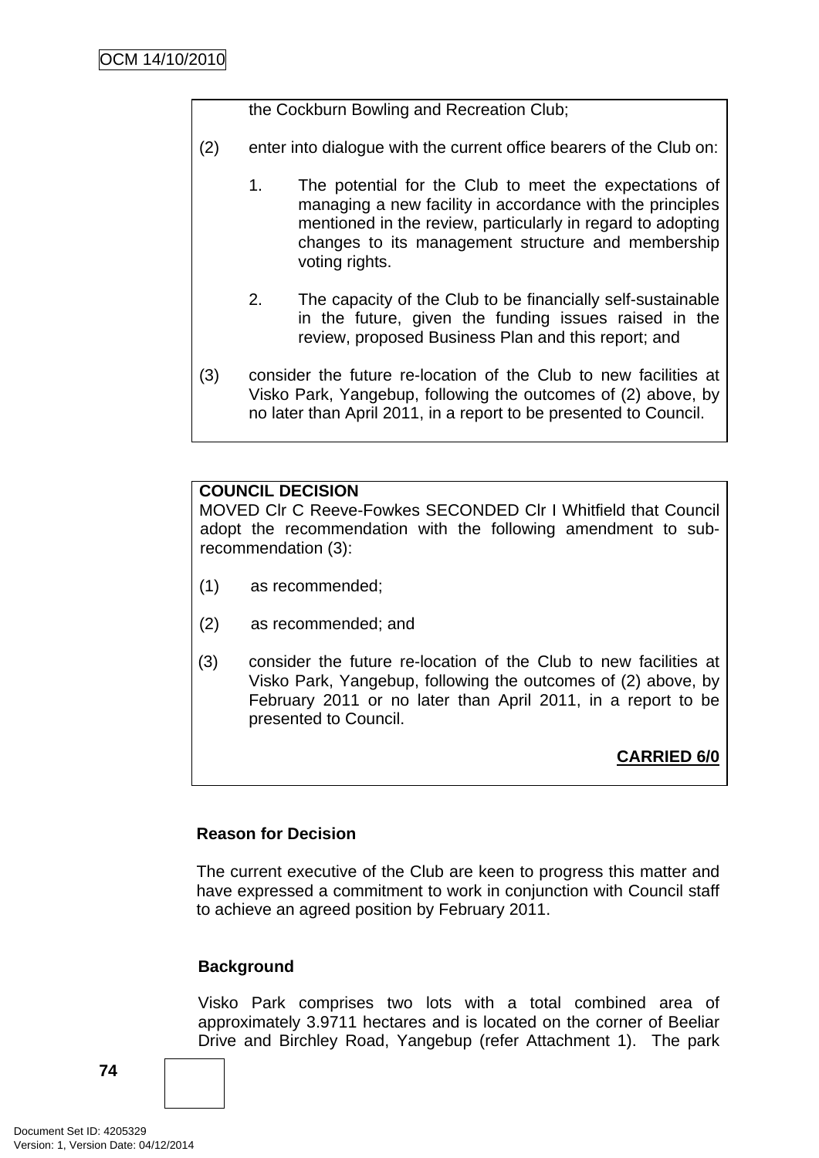the Cockburn Bowling and Recreation Club;

- (2) enter into dialogue with the current office bearers of the Club on:
	- 1. The potential for the Club to meet the expectations of managing a new facility in accordance with the principles mentioned in the review, particularly in regard to adopting changes to its management structure and membership voting rights.
	- 2. The capacity of the Club to be financially self-sustainable in the future, given the funding issues raised in the review, proposed Business Plan and this report; and
- (3) consider the future re-location of the Club to new facilities at Visko Park, Yangebup, following the outcomes of (2) above, by no later than April 2011, in a report to be presented to Council.

#### **COUNCIL DECISION**

MOVED Clr C Reeve-Fowkes SECONDED Clr I Whitfield that Council adopt the recommendation with the following amendment to subrecommendation (3):

- (1) as recommended;
- (2) as recommended; and
- (3) consider the future re-location of the Club to new facilities at Visko Park, Yangebup, following the outcomes of (2) above, by February 2011 or no later than April 2011, in a report to be presented to Council.

**CARRIED 6/0**

#### **Reason for Decision**

The current executive of the Club are keen to progress this matter and have expressed a commitment to work in conjunction with Council staff to achieve an agreed position by February 2011.

## **Background**

Visko Park comprises two lots with a total combined area of approximately 3.9711 hectares and is located on the corner of Beeliar Drive and Birchley Road, Yangebup (refer Attachment 1). The park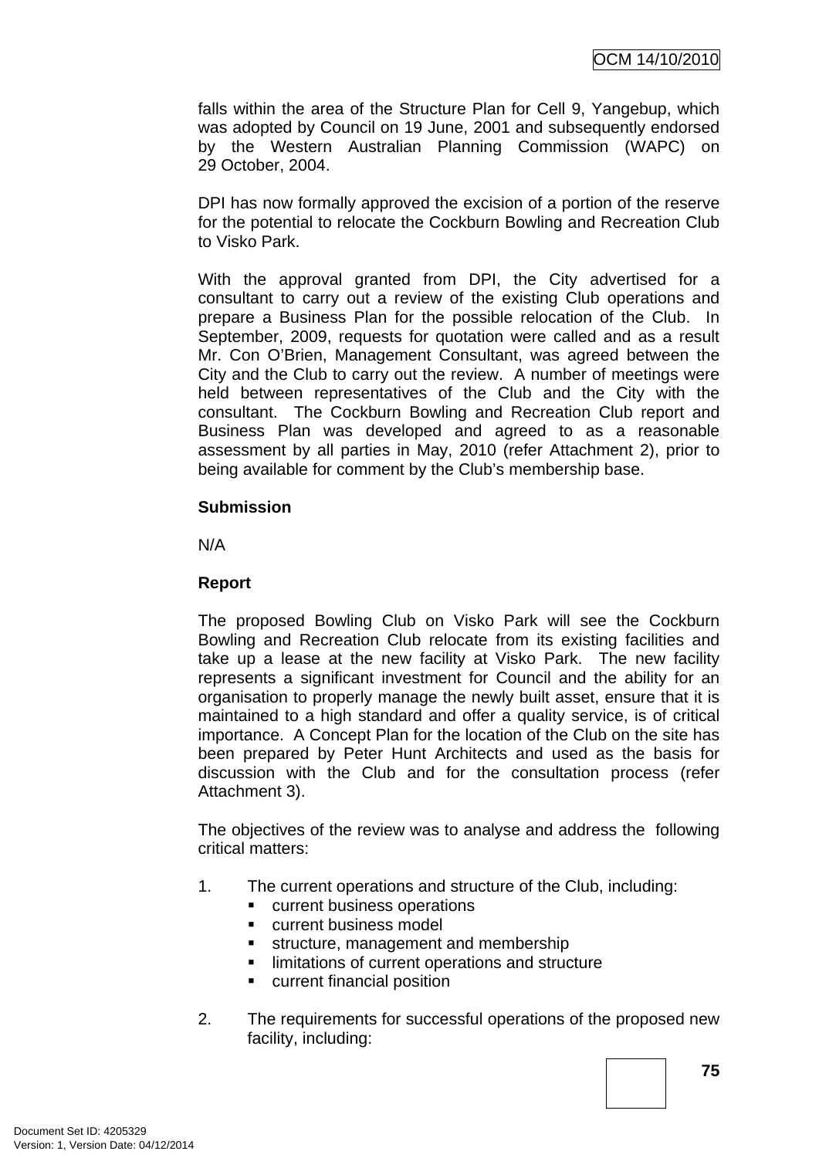falls within the area of the Structure Plan for Cell 9, Yangebup, which was adopted by Council on 19 June, 2001 and subsequently endorsed by the Western Australian Planning Commission (WAPC) on 29 October, 2004.

DPI has now formally approved the excision of a portion of the reserve for the potential to relocate the Cockburn Bowling and Recreation Club to Visko Park.

With the approval granted from DPI, the City advertised for a consultant to carry out a review of the existing Club operations and prepare a Business Plan for the possible relocation of the Club. In September, 2009, requests for quotation were called and as a result Mr. Con O'Brien, Management Consultant, was agreed between the City and the Club to carry out the review. A number of meetings were held between representatives of the Club and the City with the consultant. The Cockburn Bowling and Recreation Club report and Business Plan was developed and agreed to as a reasonable assessment by all parties in May, 2010 (refer Attachment 2), prior to being available for comment by the Club's membership base.

## **Submission**

N/A

## **Report**

The proposed Bowling Club on Visko Park will see the Cockburn Bowling and Recreation Club relocate from its existing facilities and take up a lease at the new facility at Visko Park. The new facility represents a significant investment for Council and the ability for an organisation to properly manage the newly built asset, ensure that it is maintained to a high standard and offer a quality service, is of critical importance. A Concept Plan for the location of the Club on the site has been prepared by Peter Hunt Architects and used as the basis for discussion with the Club and for the consultation process (refer Attachment 3).

The objectives of the review was to analyse and address the following critical matters:

- 1. The current operations and structure of the Club, including:
	- **EXECUTE:** current business operations
	- **EXECUTED ENSIDES** current business model
	- **structure, management and membership**
	- limitations of current operations and structure
	- current financial position
- 2. The requirements for successful operations of the proposed new facility, including: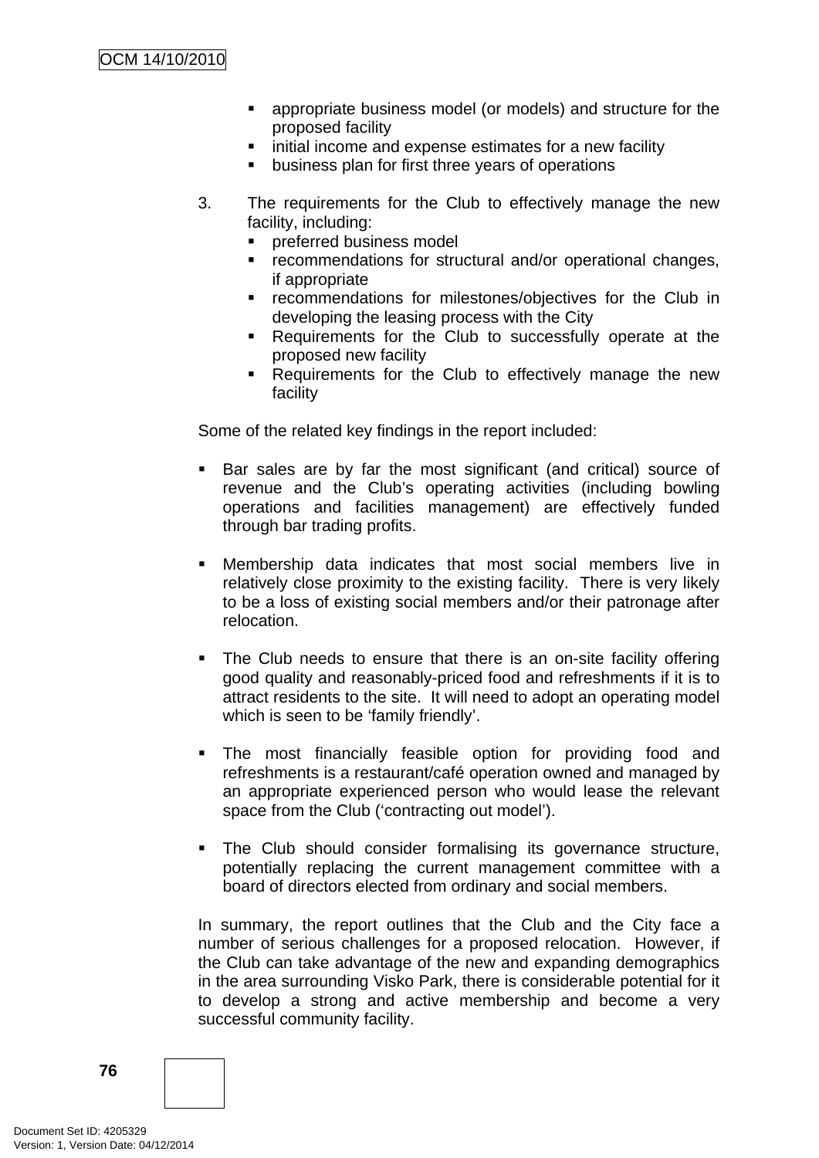- appropriate business model (or models) and structure for the proposed facility
- **initial income and expense estimates for a new facility**
- **business plan for first three years of operations**
- 3. The requirements for the Club to effectively manage the new facility, including:
	- **Preferred business model**
	- **•** recommendations for structural and/or operational changes, if appropriate
	- **•** recommendations for milestones/objectives for the Club in developing the leasing process with the City
	- **Requirements for the Club to successfully operate at the** proposed new facility
	- **Requirements for the Club to effectively manage the new** facility

Some of the related key findings in the report included:

- Bar sales are by far the most significant (and critical) source of revenue and the Club's operating activities (including bowling operations and facilities management) are effectively funded through bar trading profits.
- Membership data indicates that most social members live in relatively close proximity to the existing facility. There is very likely to be a loss of existing social members and/or their patronage after relocation.
- The Club needs to ensure that there is an on-site facility offering good quality and reasonably-priced food and refreshments if it is to attract residents to the site. It will need to adopt an operating model which is seen to be 'family friendly'.
- The most financially feasible option for providing food and refreshments is a restaurant/café operation owned and managed by an appropriate experienced person who would lease the relevant space from the Club ('contracting out model').
- **The Club should consider formalising its governance structure,** potentially replacing the current management committee with a board of directors elected from ordinary and social members.

In summary, the report outlines that the Club and the City face a number of serious challenges for a proposed relocation. However, if the Club can take advantage of the new and expanding demographics in the area surrounding Visko Park, there is considerable potential for it to develop a strong and active membership and become a very successful community facility.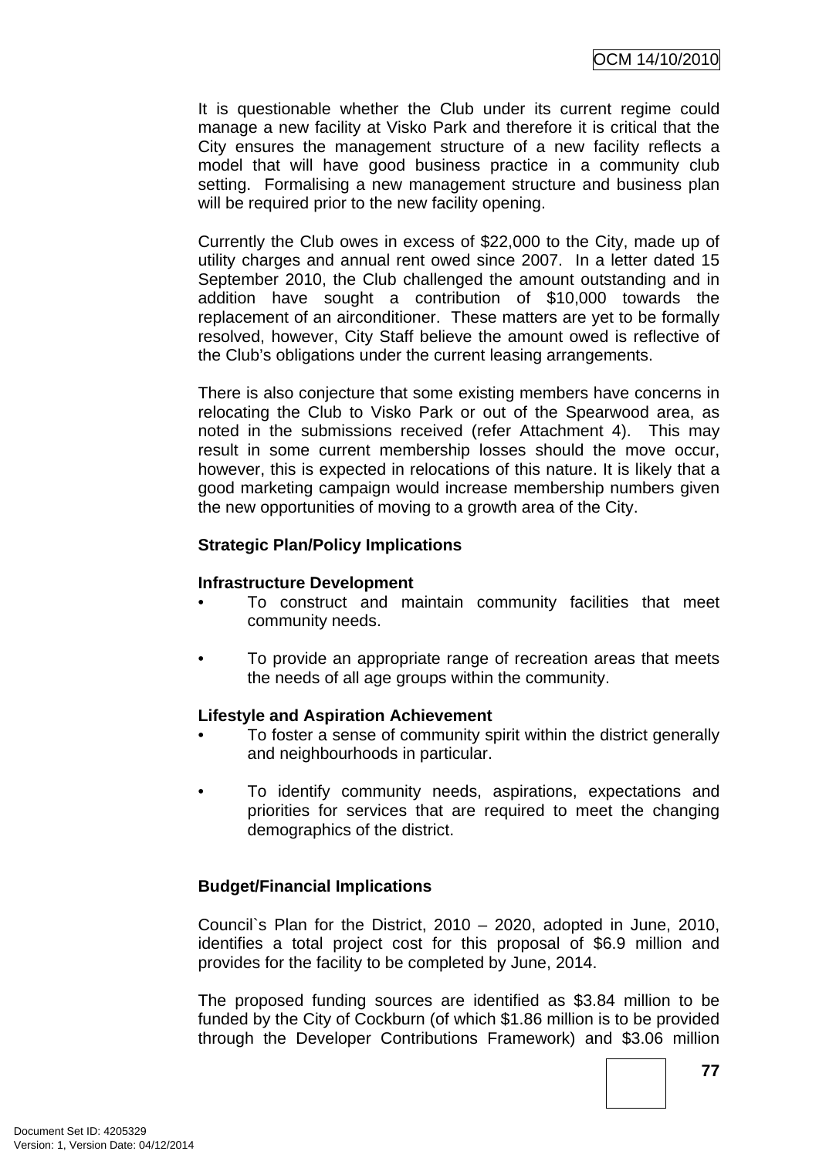It is questionable whether the Club under its current regime could manage a new facility at Visko Park and therefore it is critical that the City ensures the management structure of a new facility reflects a model that will have good business practice in a community club setting. Formalising a new management structure and business plan will be required prior to the new facility opening.

Currently the Club owes in excess of \$22,000 to the City, made up of utility charges and annual rent owed since 2007. In a letter dated 15 September 2010, the Club challenged the amount outstanding and in addition have sought a contribution of \$10,000 towards the replacement of an airconditioner. These matters are yet to be formally resolved, however, City Staff believe the amount owed is reflective of the Club's obligations under the current leasing arrangements.

There is also conjecture that some existing members have concerns in relocating the Club to Visko Park or out of the Spearwood area, as noted in the submissions received (refer Attachment 4). This may result in some current membership losses should the move occur, however, this is expected in relocations of this nature. It is likely that a good marketing campaign would increase membership numbers given the new opportunities of moving to a growth area of the City.

## **Strategic Plan/Policy Implications**

#### **Infrastructure Development**

- To construct and maintain community facilities that meet community needs.
- To provide an appropriate range of recreation areas that meets the needs of all age groups within the community.

#### **Lifestyle and Aspiration Achievement**

- To foster a sense of community spirit within the district generally and neighbourhoods in particular.
- To identify community needs, aspirations, expectations and priorities for services that are required to meet the changing demographics of the district.

## **Budget/Financial Implications**

Council`s Plan for the District,  $2010 - 2020$ , adopted in June, 2010, identifies a total project cost for this proposal of \$6.9 million and provides for the facility to be completed by June, 2014.

The proposed funding sources are identified as \$3.84 million to be funded by the City of Cockburn (of which \$1.86 million is to be provided through the Developer Contributions Framework) and \$3.06 million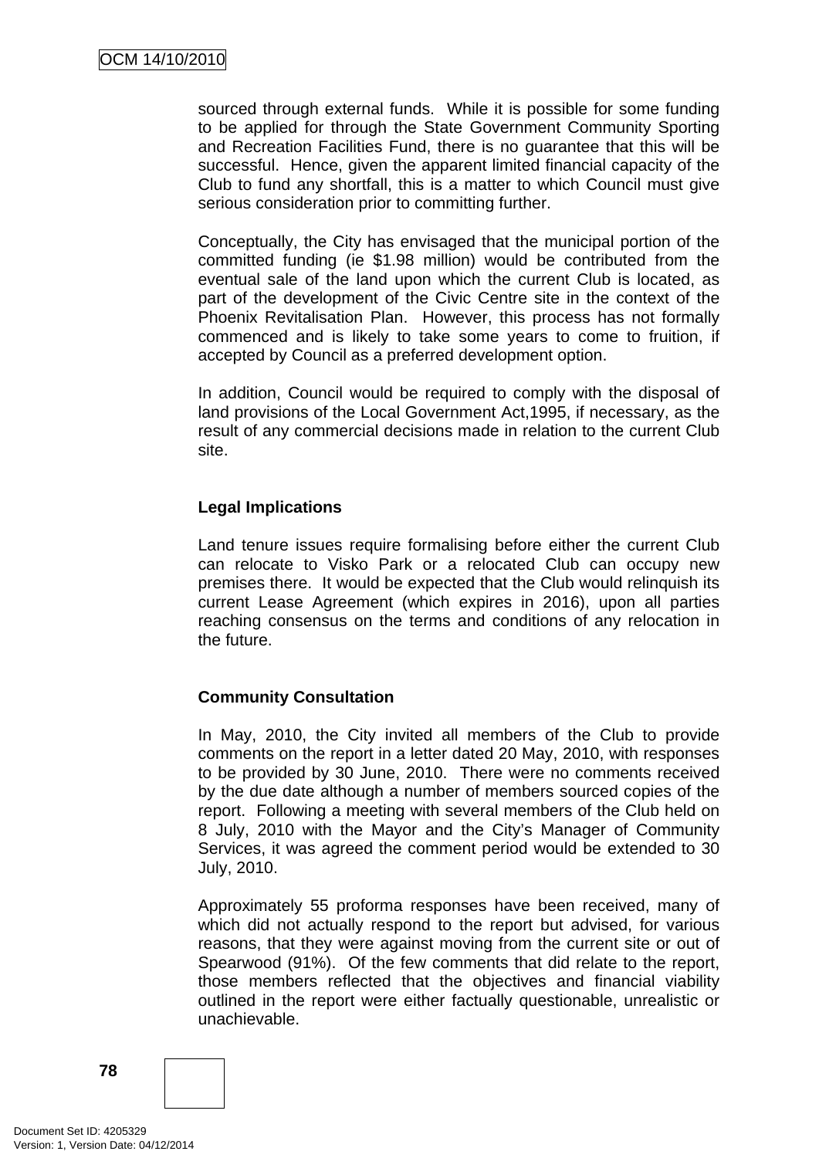sourced through external funds. While it is possible for some funding to be applied for through the State Government Community Sporting and Recreation Facilities Fund, there is no guarantee that this will be successful. Hence, given the apparent limited financial capacity of the Club to fund any shortfall, this is a matter to which Council must give serious consideration prior to committing further.

Conceptually, the City has envisaged that the municipal portion of the committed funding (ie \$1.98 million) would be contributed from the eventual sale of the land upon which the current Club is located, as part of the development of the Civic Centre site in the context of the Phoenix Revitalisation Plan. However, this process has not formally commenced and is likely to take some years to come to fruition, if accepted by Council as a preferred development option.

In addition, Council would be required to comply with the disposal of land provisions of the Local Government Act,1995, if necessary, as the result of any commercial decisions made in relation to the current Club site.

## **Legal Implications**

Land tenure issues require formalising before either the current Club can relocate to Visko Park or a relocated Club can occupy new premises there. It would be expected that the Club would relinquish its current Lease Agreement (which expires in 2016), upon all parties reaching consensus on the terms and conditions of any relocation in the future.

## **Community Consultation**

In May, 2010, the City invited all members of the Club to provide comments on the report in a letter dated 20 May, 2010, with responses to be provided by 30 June, 2010. There were no comments received by the due date although a number of members sourced copies of the report. Following a meeting with several members of the Club held on 8 July, 2010 with the Mayor and the City's Manager of Community Services, it was agreed the comment period would be extended to 30 July, 2010.

Approximately 55 proforma responses have been received, many of which did not actually respond to the report but advised, for various reasons, that they were against moving from the current site or out of Spearwood (91%). Of the few comments that did relate to the report, those members reflected that the objectives and financial viability outlined in the report were either factually questionable, unrealistic or unachievable.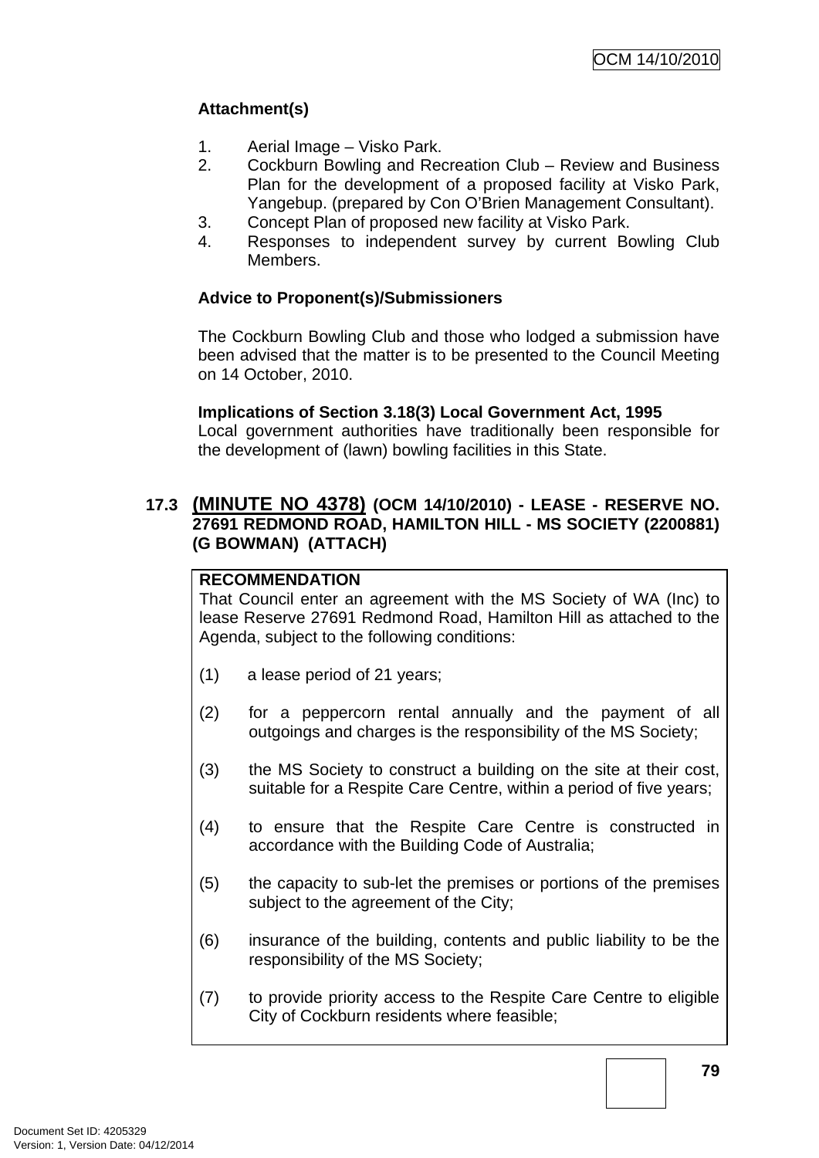## **Attachment(s)**

- 1. Aerial Image Visko Park.
- 2. Cockburn Bowling and Recreation Club Review and Business Plan for the development of a proposed facility at Visko Park, Yangebup. (prepared by Con O'Brien Management Consultant).
- 3. Concept Plan of proposed new facility at Visko Park.
- 4. Responses to independent survey by current Bowling Club Members.

## **Advice to Proponent(s)/Submissioners**

The Cockburn Bowling Club and those who lodged a submission have been advised that the matter is to be presented to the Council Meeting on 14 October, 2010.

#### **Implications of Section 3.18(3) Local Government Act, 1995**

Local government authorities have traditionally been responsible for the development of (lawn) bowling facilities in this State.

## **17.3 (MINUTE NO 4378) (OCM 14/10/2010) - LEASE - RESERVE NO. 27691 REDMOND ROAD, HAMILTON HILL - MS SOCIETY (2200881) (G BOWMAN) (ATTACH)**

#### **RECOMMENDATION**

That Council enter an agreement with the MS Society of WA (Inc) to lease Reserve 27691 Redmond Road, Hamilton Hill as attached to the Agenda, subject to the following conditions:

- (1) a lease period of 21 years;
- (2) for a peppercorn rental annually and the payment of all outgoings and charges is the responsibility of the MS Society;
- (3) the MS Society to construct a building on the site at their cost, suitable for a Respite Care Centre, within a period of five years;
- (4) to ensure that the Respite Care Centre is constructed in accordance with the Building Code of Australia;
- (5) the capacity to sub-let the premises or portions of the premises subject to the agreement of the City;
- (6) insurance of the building, contents and public liability to be the responsibility of the MS Society;
- (7) to provide priority access to the Respite Care Centre to eligible City of Cockburn residents where feasible;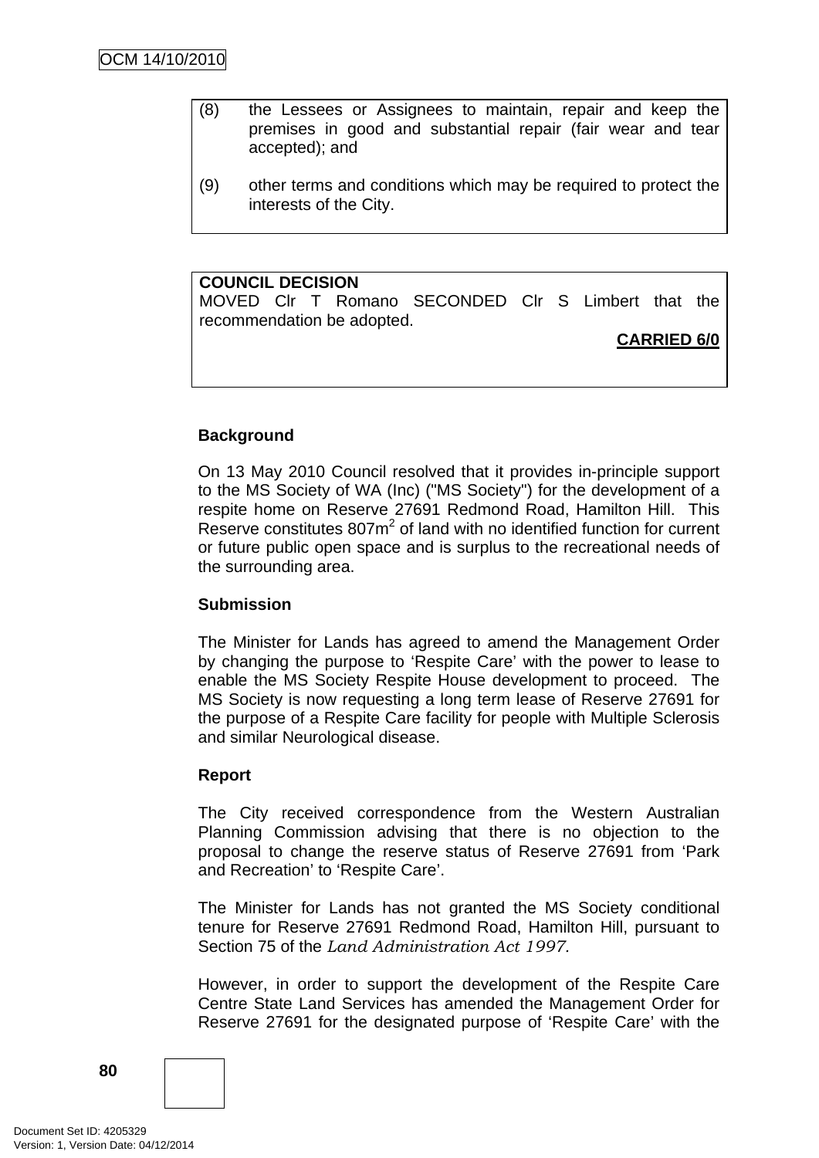- (8) the Lessees or Assignees to maintain, repair and keep the premises in good and substantial repair (fair wear and tear accepted); and
- (9) other terms and conditions which may be required to protect the interests of the City.

#### **COUNCIL DECISION**

MOVED Clr T Romano SECONDED Clr S Limbert that the recommendation be adopted.

**CARRIED 6/0**

## **Background**

On 13 May 2010 Council resolved that it provides in-principle support to the MS Society of WA (Inc) ("MS Society") for the development of a respite home on Reserve 27691 Redmond Road, Hamilton Hill. This Reserve constitutes  $807m^2$  of land with no identified function for current or future public open space and is surplus to the recreational needs of the surrounding area.

#### **Submission**

The Minister for Lands has agreed to amend the Management Order by changing the purpose to 'Respite Care' with the power to lease to enable the MS Society Respite House development to proceed. The MS Society is now requesting a long term lease of Reserve 27691 for the purpose of a Respite Care facility for people with Multiple Sclerosis and similar Neurological disease.

#### **Report**

The City received correspondence from the Western Australian Planning Commission advising that there is no objection to the proposal to change the reserve status of Reserve 27691 from 'Park and Recreation' to 'Respite Care'.

The Minister for Lands has not granted the MS Society conditional tenure for Reserve 27691 Redmond Road, Hamilton Hill, pursuant to Section 75 of the *Land Administration Act 1997.*

However, in order to support the development of the Respite Care Centre State Land Services has amended the Management Order for Reserve 27691 for the designated purpose of 'Respite Care' with the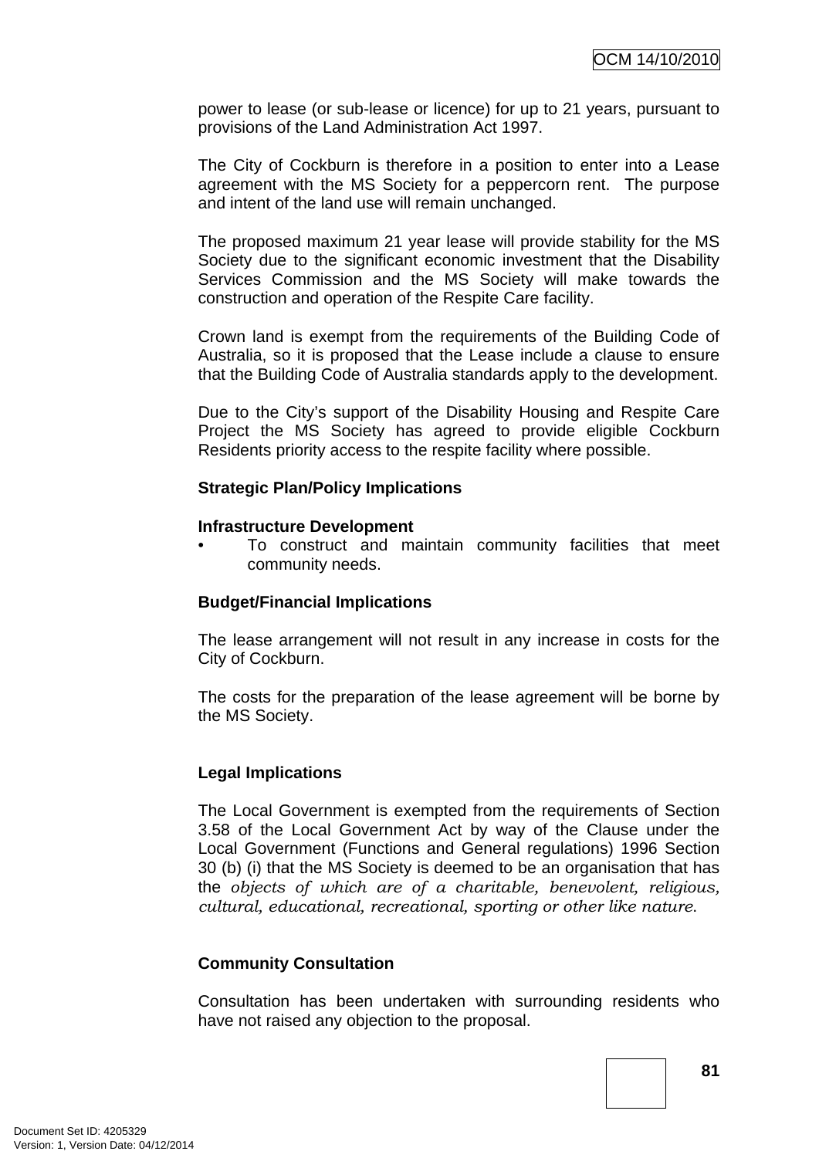power to lease (or sub-lease or licence) for up to 21 years, pursuant to provisions of the Land Administration Act 1997.

The City of Cockburn is therefore in a position to enter into a Lease agreement with the MS Society for a peppercorn rent. The purpose and intent of the land use will remain unchanged.

The proposed maximum 21 year lease will provide stability for the MS Society due to the significant economic investment that the Disability Services Commission and the MS Society will make towards the construction and operation of the Respite Care facility.

Crown land is exempt from the requirements of the Building Code of Australia, so it is proposed that the Lease include a clause to ensure that the Building Code of Australia standards apply to the development.

Due to the City's support of the Disability Housing and Respite Care Project the MS Society has agreed to provide eligible Cockburn Residents priority access to the respite facility where possible.

#### **Strategic Plan/Policy Implications**

#### **Infrastructure Development**

• To construct and maintain community facilities that meet community needs.

#### **Budget/Financial Implications**

The lease arrangement will not result in any increase in costs for the City of Cockburn.

The costs for the preparation of the lease agreement will be borne by the MS Society.

#### **Legal Implications**

The Local Government is exempted from the requirements of Section 3.58 of the Local Government Act by way of the Clause under the Local Government (Functions and General regulations) 1996 Section 30 (b) (i) that the MS Society is deemed to be an organisation that has the *objects of which are of a charitable, benevolent, religious, cultural, educational, recreational, sporting or other like nature*.

## **Community Consultation**

Consultation has been undertaken with surrounding residents who have not raised any objection to the proposal.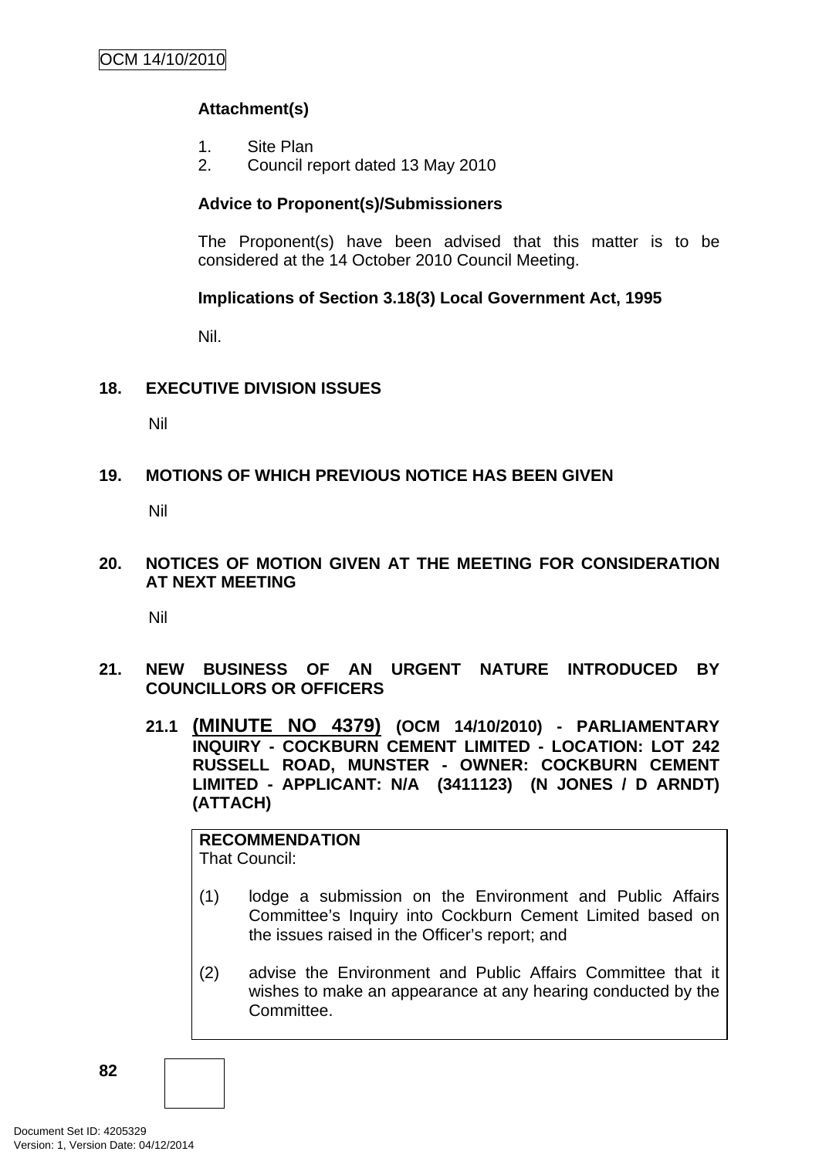# **Attachment(s)**

- 1. Site Plan
- 2. Council report dated 13 May 2010

## **Advice to Proponent(s)/Submissioners**

The Proponent(s) have been advised that this matter is to be considered at the 14 October 2010 Council Meeting.

## **Implications of Section 3.18(3) Local Government Act, 1995**

Nil.

## **18. EXECUTIVE DIVISION ISSUES**

Nil

## **19. MOTIONS OF WHICH PREVIOUS NOTICE HAS BEEN GIVEN**

Nil

#### **20. NOTICES OF MOTION GIVEN AT THE MEETING FOR CONSIDERATION AT NEXT MEETING**

Nil

- **21. NEW BUSINESS OF AN URGENT NATURE INTRODUCED BY COUNCILLORS OR OFFICERS** 
	- **21.1 (MINUTE NO 4379) (OCM 14/10/2010) PARLIAMENTARY INQUIRY - COCKBURN CEMENT LIMITED - LOCATION: LOT 242 RUSSELL ROAD, MUNSTER - OWNER: COCKBURN CEMENT LIMITED - APPLICANT: N/A (3411123) (N JONES / D ARNDT) (ATTACH)**

# **RECOMMENDATION**

That Council:

- (1) lodge a submission on the Environment and Public Affairs Committee's Inquiry into Cockburn Cement Limited based on the issues raised in the Officer's report; and
- (2) advise the Environment and Public Affairs Committee that it wishes to make an appearance at any hearing conducted by the Committee.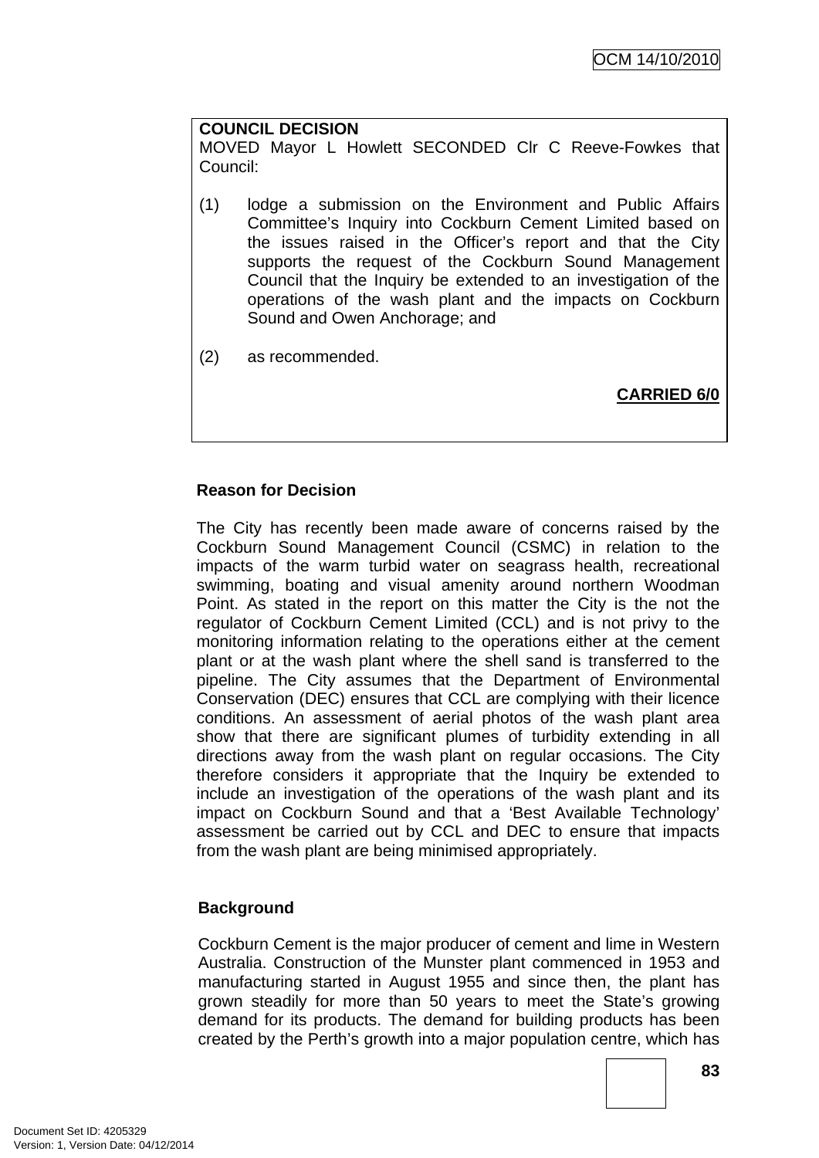## **COUNCIL DECISION**

MOVED Mayor L Howlett SECONDED Clr C Reeve-Fowkes that Council:

- (1) lodge a submission on the Environment and Public Affairs Committee's Inquiry into Cockburn Cement Limited based on the issues raised in the Officer's report and that the City supports the request of the Cockburn Sound Management Council that the Inquiry be extended to an investigation of the operations of the wash plant and the impacts on Cockburn Sound and Owen Anchorage; and
- (2) as recommended.

**CARRIED 6/0**

#### **Reason for Decision**

The City has recently been made aware of concerns raised by the Cockburn Sound Management Council (CSMC) in relation to the impacts of the warm turbid water on seagrass health, recreational swimming, boating and visual amenity around northern Woodman Point. As stated in the report on this matter the City is the not the regulator of Cockburn Cement Limited (CCL) and is not privy to the monitoring information relating to the operations either at the cement plant or at the wash plant where the shell sand is transferred to the pipeline. The City assumes that the Department of Environmental Conservation (DEC) ensures that CCL are complying with their licence conditions. An assessment of aerial photos of the wash plant area show that there are significant plumes of turbidity extending in all directions away from the wash plant on regular occasions. The City therefore considers it appropriate that the Inquiry be extended to include an investigation of the operations of the wash plant and its impact on Cockburn Sound and that a 'Best Available Technology' assessment be carried out by CCL and DEC to ensure that impacts from the wash plant are being minimised appropriately.

#### **Background**

Cockburn Cement is the major producer of cement and lime in Western Australia. Construction of the Munster plant commenced in 1953 and manufacturing started in August 1955 and since then, the plant has grown steadily for more than 50 years to meet the State's growing demand for its products. The demand for building products has been created by the Perth's growth into a major population centre, which has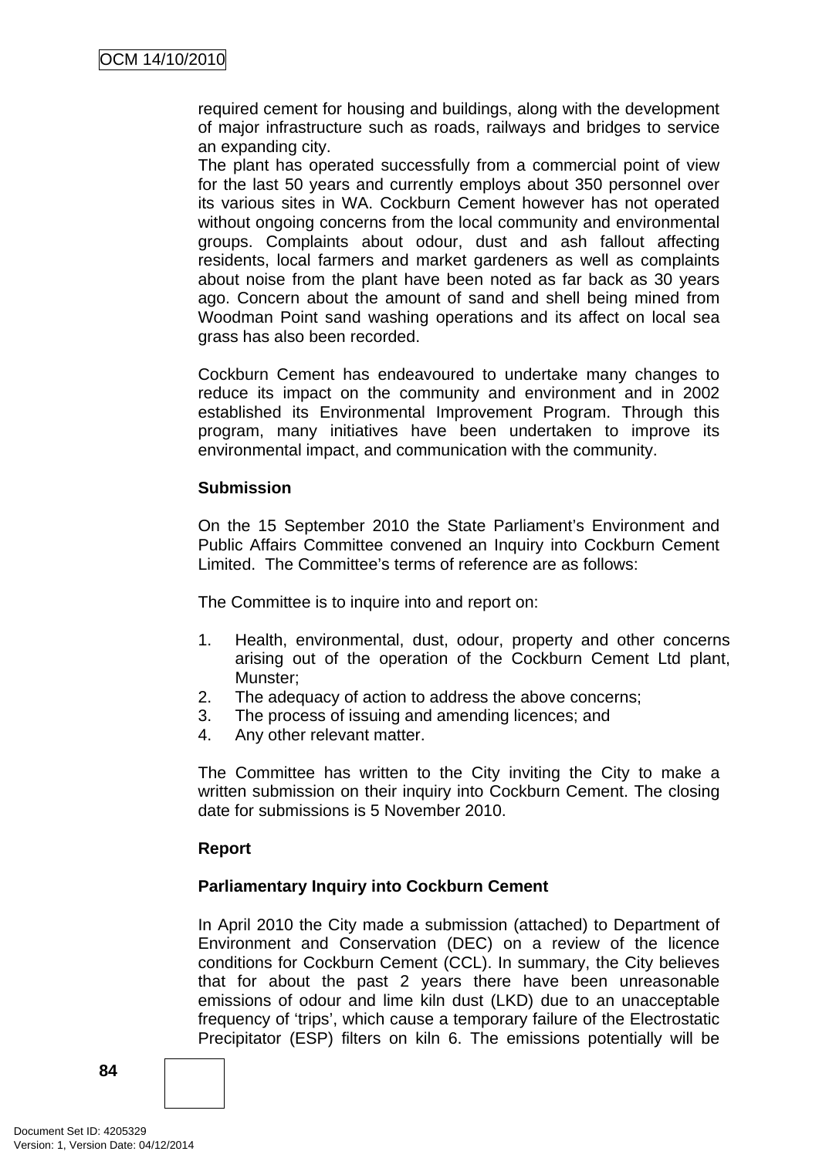required cement for housing and buildings, along with the development of major infrastructure such as roads, railways and bridges to service an expanding city.

The plant has operated successfully from a commercial point of view for the last 50 years and currently employs about 350 personnel over its various sites in WA. Cockburn Cement however has not operated without ongoing concerns from the local community and environmental groups. Complaints about odour, dust and ash fallout affecting residents, local farmers and market gardeners as well as complaints about noise from the plant have been noted as far back as 30 years ago. Concern about the amount of sand and shell being mined from Woodman Point sand washing operations and its affect on local sea grass has also been recorded.

Cockburn Cement has endeavoured to undertake many changes to reduce its impact on the community and environment and in 2002 established its Environmental Improvement Program. Through this program, many initiatives have been undertaken to improve its environmental impact, and communication with the community.

#### **Submission**

On the 15 September 2010 the State Parliament's Environment and Public Affairs Committee convened an Inquiry into Cockburn Cement Limited. The Committee's terms of reference are as follows:

The Committee is to inquire into and report on:

- 1. Health, environmental, dust, odour, property and other concerns arising out of the operation of the Cockburn Cement Ltd plant, Munster;
- 2. The adequacy of action to address the above concerns;
- 3. The process of issuing and amending licences; and
- 4. Any other relevant matter.

The Committee has written to the City inviting the City to make a written submission on their inquiry into Cockburn Cement. The closing date for submissions is 5 November 2010.

#### **Report**

#### **Parliamentary Inquiry into Cockburn Cement**

In April 2010 the City made a submission (attached) to Department of Environment and Conservation (DEC) on a review of the licence conditions for Cockburn Cement (CCL). In summary, the City believes that for about the past 2 years there have been unreasonable emissions of odour and lime kiln dust (LKD) due to an unacceptable frequency of 'trips', which cause a temporary failure of the Electrostatic Precipitator (ESP) filters on kiln 6. The emissions potentially will be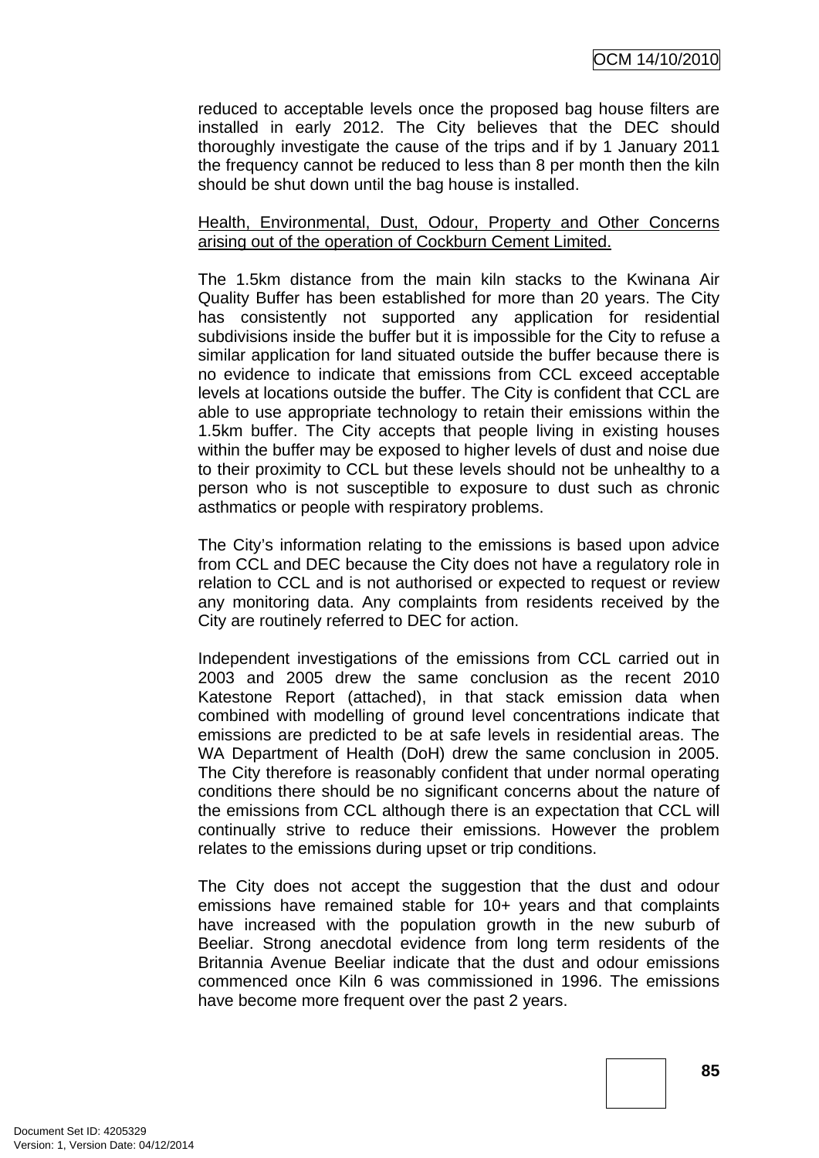reduced to acceptable levels once the proposed bag house filters are installed in early 2012. The City believes that the DEC should thoroughly investigate the cause of the trips and if by 1 January 2011 the frequency cannot be reduced to less than 8 per month then the kiln should be shut down until the bag house is installed.

#### Health, Environmental, Dust, Odour, Property and Other Concerns arising out of the operation of Cockburn Cement Limited.

The 1.5km distance from the main kiln stacks to the Kwinana Air Quality Buffer has been established for more than 20 years. The City has consistently not supported any application for residential subdivisions inside the buffer but it is impossible for the City to refuse a similar application for land situated outside the buffer because there is no evidence to indicate that emissions from CCL exceed acceptable levels at locations outside the buffer. The City is confident that CCL are able to use appropriate technology to retain their emissions within the 1.5km buffer. The City accepts that people living in existing houses within the buffer may be exposed to higher levels of dust and noise due to their proximity to CCL but these levels should not be unhealthy to a person who is not susceptible to exposure to dust such as chronic asthmatics or people with respiratory problems.

The City's information relating to the emissions is based upon advice from CCL and DEC because the City does not have a regulatory role in relation to CCL and is not authorised or expected to request or review any monitoring data. Any complaints from residents received by the City are routinely referred to DEC for action.

Independent investigations of the emissions from CCL carried out in 2003 and 2005 drew the same conclusion as the recent 2010 Katestone Report (attached), in that stack emission data when combined with modelling of ground level concentrations indicate that emissions are predicted to be at safe levels in residential areas. The WA Department of Health (DoH) drew the same conclusion in 2005. The City therefore is reasonably confident that under normal operating conditions there should be no significant concerns about the nature of the emissions from CCL although there is an expectation that CCL will continually strive to reduce their emissions. However the problem relates to the emissions during upset or trip conditions.

The City does not accept the suggestion that the dust and odour emissions have remained stable for 10+ years and that complaints have increased with the population growth in the new suburb of Beeliar. Strong anecdotal evidence from long term residents of the Britannia Avenue Beeliar indicate that the dust and odour emissions commenced once Kiln 6 was commissioned in 1996. The emissions have become more frequent over the past 2 years.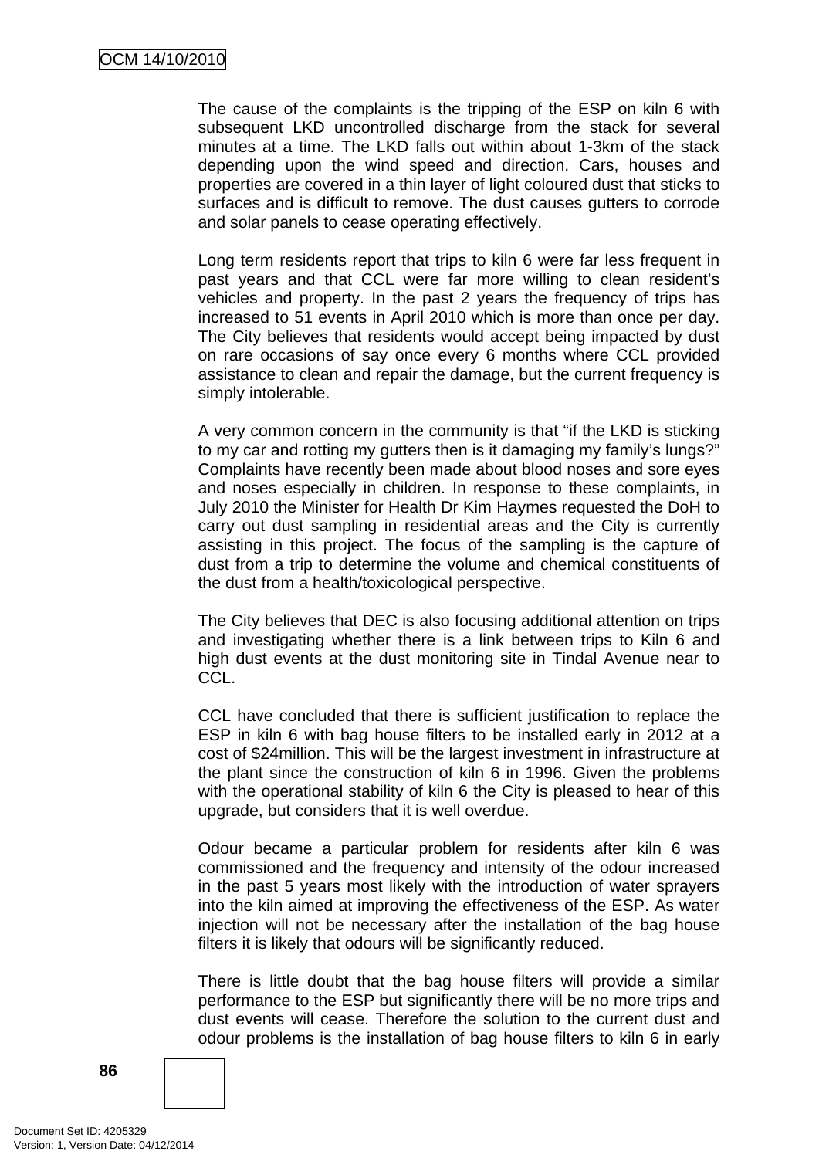The cause of the complaints is the tripping of the ESP on kiln 6 with subsequent LKD uncontrolled discharge from the stack for several minutes at a time. The LKD falls out within about 1-3km of the stack depending upon the wind speed and direction. Cars, houses and properties are covered in a thin layer of light coloured dust that sticks to surfaces and is difficult to remove. The dust causes gutters to corrode and solar panels to cease operating effectively.

Long term residents report that trips to kiln 6 were far less frequent in past years and that CCL were far more willing to clean resident's vehicles and property. In the past 2 years the frequency of trips has increased to 51 events in April 2010 which is more than once per day. The City believes that residents would accept being impacted by dust on rare occasions of say once every 6 months where CCL provided assistance to clean and repair the damage, but the current frequency is simply intolerable.

A very common concern in the community is that "if the LKD is sticking to my car and rotting my gutters then is it damaging my family's lungs?" Complaints have recently been made about blood noses and sore eyes and noses especially in children. In response to these complaints, in July 2010 the Minister for Health Dr Kim Haymes requested the DoH to carry out dust sampling in residential areas and the City is currently assisting in this project. The focus of the sampling is the capture of dust from a trip to determine the volume and chemical constituents of the dust from a health/toxicological perspective.

The City believes that DEC is also focusing additional attention on trips and investigating whether there is a link between trips to Kiln 6 and high dust events at the dust monitoring site in Tindal Avenue near to CCL.

CCL have concluded that there is sufficient justification to replace the ESP in kiln 6 with bag house filters to be installed early in 2012 at a cost of \$24million. This will be the largest investment in infrastructure at the plant since the construction of kiln 6 in 1996. Given the problems with the operational stability of kiln 6 the City is pleased to hear of this upgrade, but considers that it is well overdue.

Odour became a particular problem for residents after kiln 6 was commissioned and the frequency and intensity of the odour increased in the past 5 years most likely with the introduction of water sprayers into the kiln aimed at improving the effectiveness of the ESP. As water injection will not be necessary after the installation of the bag house filters it is likely that odours will be significantly reduced.

There is little doubt that the bag house filters will provide a similar performance to the ESP but significantly there will be no more trips and dust events will cease. Therefore the solution to the current dust and odour problems is the installation of bag house filters to kiln 6 in early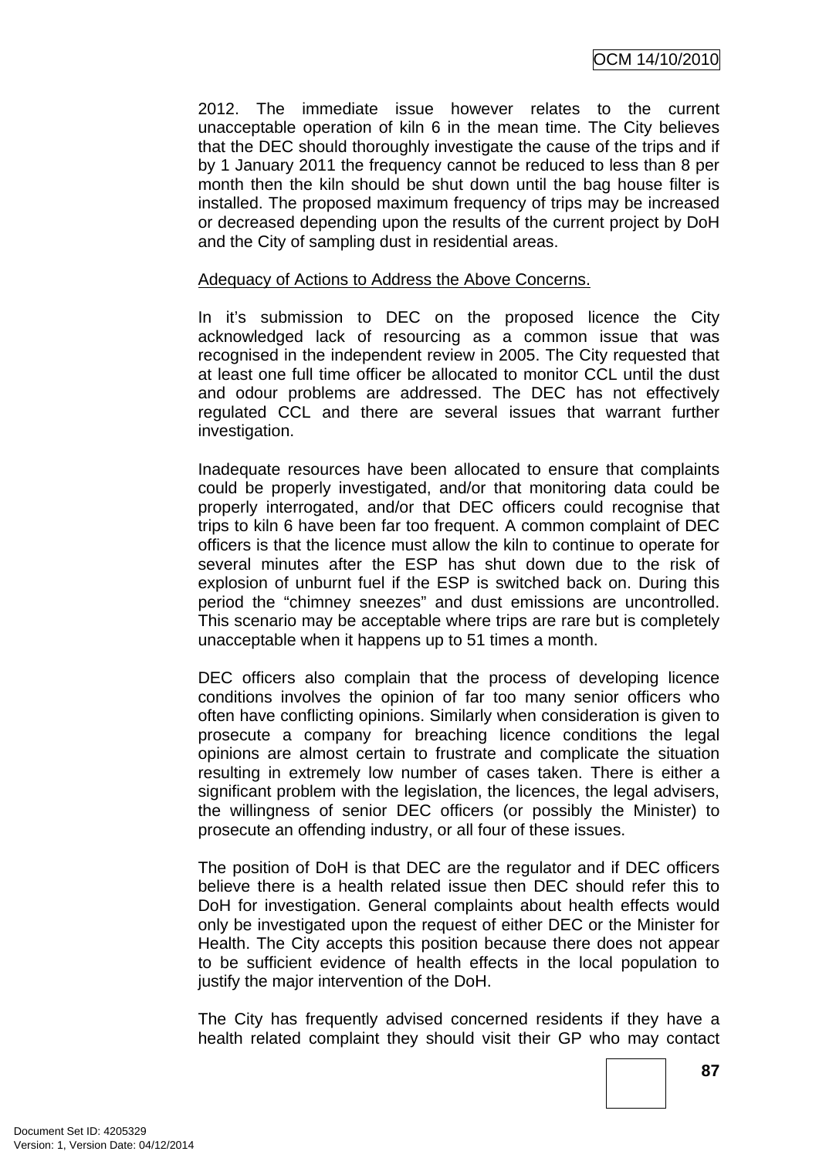2012. The immediate issue however relates to the current unacceptable operation of kiln 6 in the mean time. The City believes that the DEC should thoroughly investigate the cause of the trips and if by 1 January 2011 the frequency cannot be reduced to less than 8 per month then the kiln should be shut down until the bag house filter is installed. The proposed maximum frequency of trips may be increased or decreased depending upon the results of the current project by DoH and the City of sampling dust in residential areas.

#### Adequacy of Actions to Address the Above Concerns.

In it's submission to DEC on the proposed licence the City acknowledged lack of resourcing as a common issue that was recognised in the independent review in 2005. The City requested that at least one full time officer be allocated to monitor CCL until the dust and odour problems are addressed. The DEC has not effectively regulated CCL and there are several issues that warrant further investigation.

Inadequate resources have been allocated to ensure that complaints could be properly investigated, and/or that monitoring data could be properly interrogated, and/or that DEC officers could recognise that trips to kiln 6 have been far too frequent. A common complaint of DEC officers is that the licence must allow the kiln to continue to operate for several minutes after the ESP has shut down due to the risk of explosion of unburnt fuel if the ESP is switched back on. During this period the "chimney sneezes" and dust emissions are uncontrolled. This scenario may be acceptable where trips are rare but is completely unacceptable when it happens up to 51 times a month.

DEC officers also complain that the process of developing licence conditions involves the opinion of far too many senior officers who often have conflicting opinions. Similarly when consideration is given to prosecute a company for breaching licence conditions the legal opinions are almost certain to frustrate and complicate the situation resulting in extremely low number of cases taken. There is either a significant problem with the legislation, the licences, the legal advisers, the willingness of senior DEC officers (or possibly the Minister) to prosecute an offending industry, or all four of these issues.

The position of DoH is that DEC are the regulator and if DEC officers believe there is a health related issue then DEC should refer this to DoH for investigation. General complaints about health effects would only be investigated upon the request of either DEC or the Minister for Health. The City accepts this position because there does not appear to be sufficient evidence of health effects in the local population to justify the major intervention of the DoH.

The City has frequently advised concerned residents if they have a health related complaint they should visit their GP who may contact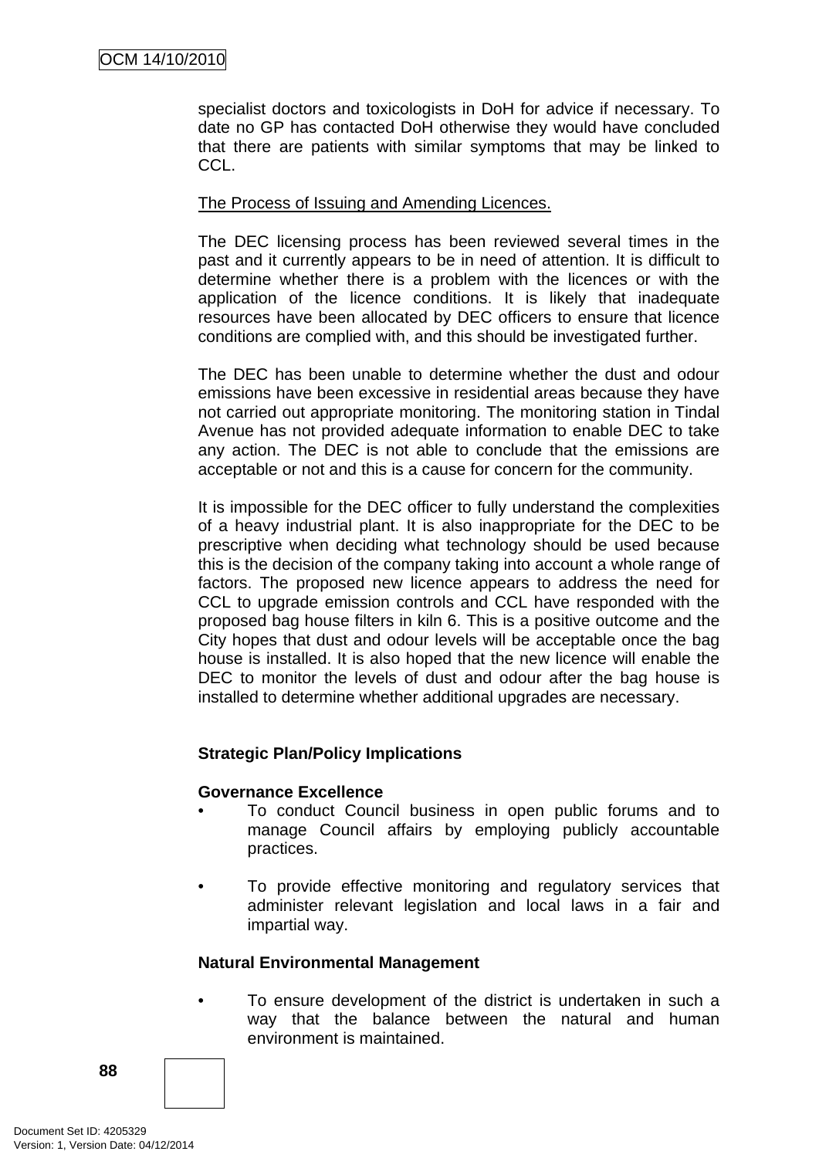specialist doctors and toxicologists in DoH for advice if necessary. To date no GP has contacted DoH otherwise they would have concluded that there are patients with similar symptoms that may be linked to CCL.

#### The Process of Issuing and Amending Licences.

The DEC licensing process has been reviewed several times in the past and it currently appears to be in need of attention. It is difficult to determine whether there is a problem with the licences or with the application of the licence conditions. It is likely that inadequate resources have been allocated by DEC officers to ensure that licence conditions are complied with, and this should be investigated further.

The DEC has been unable to determine whether the dust and odour emissions have been excessive in residential areas because they have not carried out appropriate monitoring. The monitoring station in Tindal Avenue has not provided adequate information to enable DEC to take any action. The DEC is not able to conclude that the emissions are acceptable or not and this is a cause for concern for the community.

It is impossible for the DEC officer to fully understand the complexities of a heavy industrial plant. It is also inappropriate for the DEC to be prescriptive when deciding what technology should be used because this is the decision of the company taking into account a whole range of factors. The proposed new licence appears to address the need for CCL to upgrade emission controls and CCL have responded with the proposed bag house filters in kiln 6. This is a positive outcome and the City hopes that dust and odour levels will be acceptable once the bag house is installed. It is also hoped that the new licence will enable the DEC to monitor the levels of dust and odour after the bag house is installed to determine whether additional upgrades are necessary.

## **Strategic Plan/Policy Implications**

#### **Governance Excellence**

- To conduct Council business in open public forums and to manage Council affairs by employing publicly accountable practices.
- To provide effective monitoring and regulatory services that administer relevant legislation and local laws in a fair and impartial way.

#### **Natural Environmental Management**

• To ensure development of the district is undertaken in such a way that the balance between the natural and human environment is maintained.

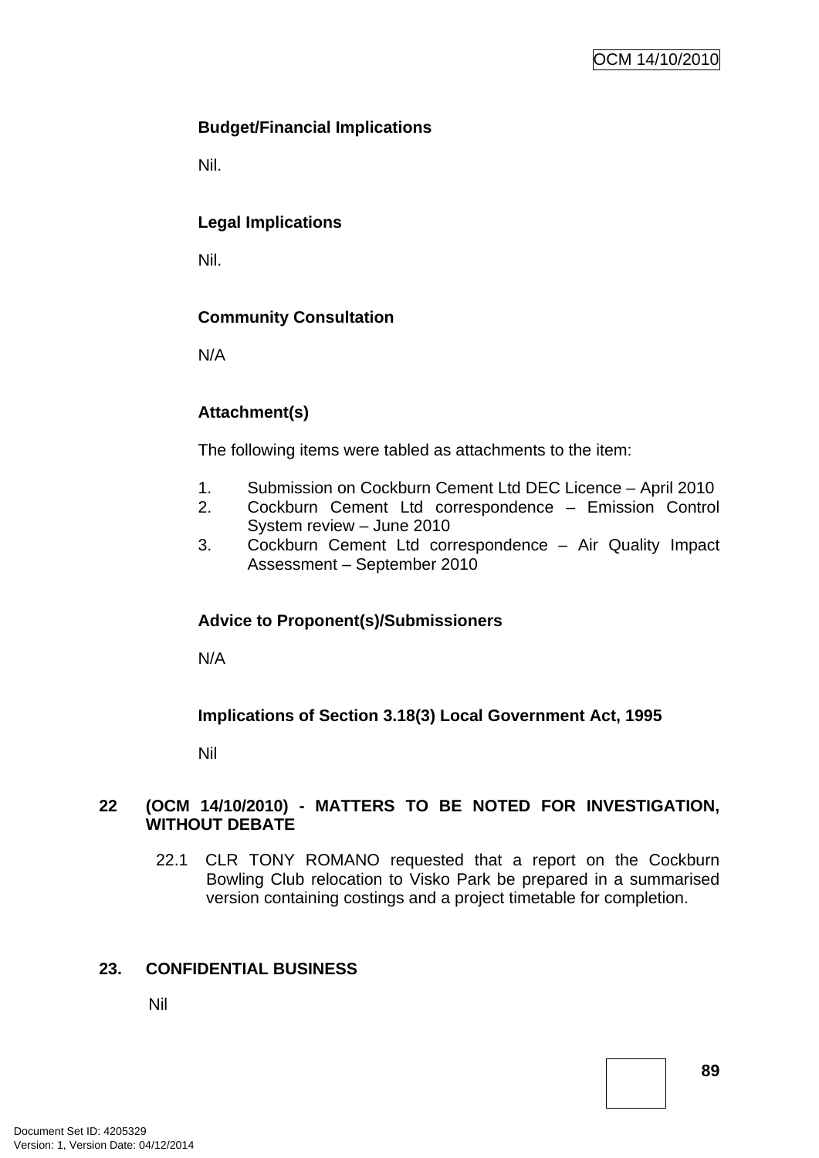## **Budget/Financial Implications**

Nil.

## **Legal Implications**

Nil.

## **Community Consultation**

N/A

## **Attachment(s)**

The following items were tabled as attachments to the item:

- 1. Submission on Cockburn Cement Ltd DEC Licence April 2010
- 2. Cockburn Cement Ltd correspondence Emission Control System review – June 2010
- 3. Cockburn Cement Ltd correspondence Air Quality Impact Assessment – September 2010

## **Advice to Proponent(s)/Submissioners**

N/A

# **Implications of Section 3.18(3) Local Government Act, 1995**

Nil

## **22 (OCM 14/10/2010) - MATTERS TO BE NOTED FOR INVESTIGATION, WITHOUT DEBATE**

22.1 CLR TONY ROMANO requested that a report on the Cockburn Bowling Club relocation to Visko Park be prepared in a summarised version containing costings and a project timetable for completion.

## **23. CONFIDENTIAL BUSINESS**

Nil